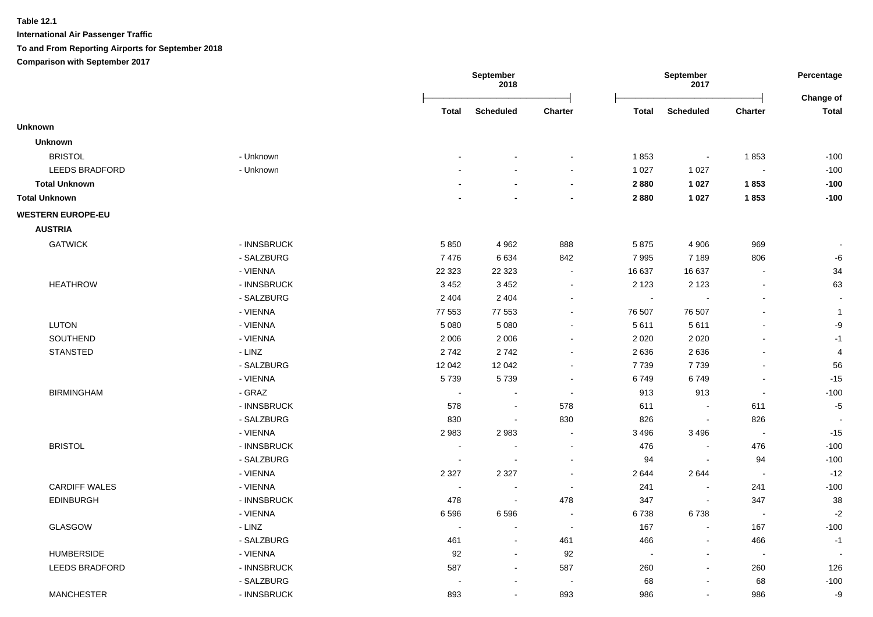|                          |             |                          | September<br>2018        |                          |              | September<br>2017        |                | Percentage<br>Change of |
|--------------------------|-------------|--------------------------|--------------------------|--------------------------|--------------|--------------------------|----------------|-------------------------|
|                          |             | <b>Total</b>             | Scheduled                | Charter                  | <b>Total</b> | <b>Scheduled</b>         | Charter        | <b>Total</b>            |
| <b>Unknown</b>           |             |                          |                          |                          |              |                          |                |                         |
| <b>Unknown</b>           |             |                          |                          |                          |              |                          |                |                         |
| <b>BRISTOL</b>           | - Unknown   |                          |                          |                          | 1853         | $\blacksquare$           | 1853           | $-100$                  |
| LEEDS BRADFORD           | - Unknown   |                          |                          |                          | 1 0 2 7      | 1 0 2 7                  | $\blacksquare$ | $-100$                  |
| <b>Total Unknown</b>     |             |                          |                          | $\blacksquare$           | 2880         | 1 0 2 7                  | 1853           | $-100$                  |
| <b>Total Unknown</b>     |             |                          |                          | $\blacksquare$           | 2880         | 1 0 2 7                  | 1853           | $-100$                  |
| <b>WESTERN EUROPE-EU</b> |             |                          |                          |                          |              |                          |                |                         |
| <b>AUSTRIA</b>           |             |                          |                          |                          |              |                          |                |                         |
| <b>GATWICK</b>           | - INNSBRUCK | 5850                     | 4 9 6 2                  | 888                      | 5875         | 4 9 0 6                  | 969            |                         |
|                          | - SALZBURG  | 7476                     | 6634                     | 842                      | 7995         | 7 1 8 9                  | 806            | -6                      |
|                          | - VIENNA    | 22 3 23                  | 22 3 23                  | $\blacksquare$           | 16 637       | 16 637                   |                | 34                      |
| <b>HEATHROW</b>          | - INNSBRUCK | 3 4 5 2                  | 3 4 5 2                  |                          | 2 1 2 3      | 2 1 2 3                  |                | 63                      |
|                          | - SALZBURG  | 2 4 0 4                  | 2 4 0 4                  |                          | $\sim$       | $\sim$                   | ÷              |                         |
|                          | - VIENNA    | 77 553                   | 77 553                   | $\overline{\phantom{a}}$ | 76 507       | 76 507                   | $\blacksquare$ | $\mathbf{1}$            |
| <b>LUTON</b>             | - VIENNA    | 5 0 8 0                  | 5 0 8 0                  | $\blacksquare$           | 5611         | 5611                     | $\blacksquare$ | $-9$                    |
| SOUTHEND                 | - VIENNA    | 2 0 0 6                  | 2 0 0 6                  | $\sim$                   | 2 0 2 0      | 2 0 2 0                  |                | $-1$                    |
| <b>STANSTED</b>          | - LINZ      | 2742                     | 2742                     | $\blacksquare$           | 2636         | 2636                     | ÷,             | 4                       |
|                          | - SALZBURG  | 12 042                   | 12 042                   | $\sim$                   | 7739         | 7739                     | $\blacksquare$ | 56                      |
|                          | - VIENNA    | 5739                     | 5739                     | $\overline{\phantom{a}}$ | 6749         | 6749                     | $\blacksquare$ | $-15$                   |
| <b>BIRMINGHAM</b>        | - GRAZ      | $\overline{\phantom{a}}$ | $\sim$                   | $\sim$                   | 913          | 913                      | $\blacksquare$ | $-100$                  |
|                          | - INNSBRUCK | 578                      | $\sim$                   | 578                      | 611          | $\sim$                   | 611            | $-5$                    |
|                          | - SALZBURG  | 830                      | $\overline{\phantom{a}}$ | 830                      | 826          | $\blacksquare$           | 826            |                         |
|                          | - VIENNA    | 2983                     | 2983                     | $\sim$                   | 3 4 9 6      | 3496                     | $\sim$         | $-15$                   |
| <b>BRISTOL</b>           | - INNSBRUCK | $\blacksquare$           |                          | $\blacksquare$           | 476          | $\blacksquare$           | 476            | $-100$                  |
|                          | - SALZBURG  | $\overline{\phantom{a}}$ | $\overline{\phantom{a}}$ | $\blacksquare$           | 94           | $\blacksquare$           | 94             | $-100$                  |
|                          | - VIENNA    | 2 3 2 7                  | 2 3 2 7                  | $\blacksquare$           | 2644         | 2644                     | $\sim$         | $-12$                   |
| <b>CARDIFF WALES</b>     | - VIENNA    |                          |                          | $\blacksquare$           | 241          | $\blacksquare$           | 241            | $-100$                  |
| <b>EDINBURGH</b>         | - INNSBRUCK | 478                      | $\sim$                   | 478                      | 347          | $\sim$                   | 347            | 38                      |
|                          | - VIENNA    | 6596                     | 6596                     | $\sim$                   | 6738         | 6738                     | $\sim$         | $-2$                    |
| GLASGOW                  | - LINZ      | $\blacksquare$           | $\blacksquare$           | $\blacksquare$           | 167          | $\blacksquare$           | 167            | $-100$                  |
|                          | - SALZBURG  | 461                      | $\blacksquare$           | 461                      | 466          | $\overline{\phantom{a}}$ | 466            | $-1$                    |
| <b>HUMBERSIDE</b>        | - VIENNA    | 92                       | $\sim$                   | 92                       | $\sim$       | $\blacksquare$           | $\blacksquare$ |                         |
| <b>LEEDS BRADFORD</b>    | - INNSBRUCK | 587                      | $\blacksquare$           | 587                      | 260          | $\blacksquare$           | 260            | 126                     |
|                          | - SALZBURG  |                          |                          |                          | 68           | $\blacksquare$           | 68             | $-100$                  |
| <b>MANCHESTER</b>        | - INNSBRUCK | 893                      | $\blacksquare$           | 893                      | 986          | $\blacksquare$           | 986            | -9                      |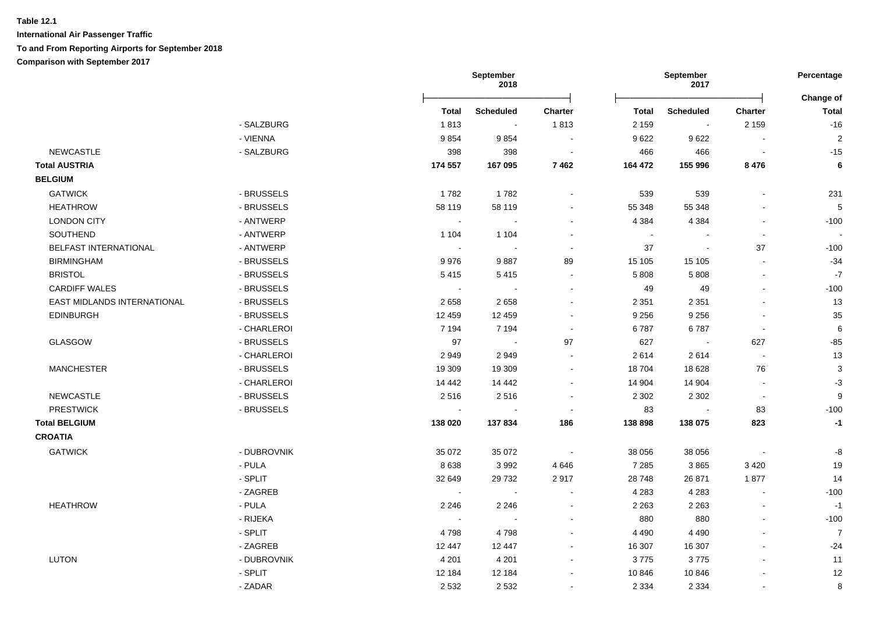|                             |             | September<br>2018 |                          |                          |                | September<br>2017 |                          | Percentage<br>Change of |
|-----------------------------|-------------|-------------------|--------------------------|--------------------------|----------------|-------------------|--------------------------|-------------------------|
|                             |             | Total             | <b>Scheduled</b>         | Charter                  | Total          | <b>Scheduled</b>  | <b>Charter</b>           | <b>Total</b>            |
|                             | - SALZBURG  | 1813              | $\sim$                   | 1813                     | 2 1 5 9        | $\sim$            | 2 1 5 9                  | $-16$                   |
|                             | - VIENNA    | 9854              | 9854                     | $\sim$                   | 9622           | 9622              | $\sim$                   | $\sqrt{2}$              |
| <b>NEWCASTLE</b>            | - SALZBURG  | 398               | 398                      | $\blacksquare$           | 466            | 466               | $\overline{\phantom{a}}$ | $-15$                   |
| <b>Total AUSTRIA</b>        |             | 174 557           | 167 095                  | 7462                     | 164 472        | 155 996           | 8476                     | 6                       |
| <b>BELGIUM</b>              |             |                   |                          |                          |                |                   |                          |                         |
| <b>GATWICK</b>              | - BRUSSELS  | 1782              | 1782                     |                          | 539            | 539               |                          | 231                     |
| <b>HEATHROW</b>             | - BRUSSELS  | 58 119            | 58 119                   | $\sim$                   | 55 348         | 55 348            |                          | 5                       |
| <b>LONDON CITY</b>          | - ANTWERP   | $\sim$            | $\sim$                   |                          | 4 3 8 4        | 4 3 8 4           | $\blacksquare$           | $-100$                  |
| SOUTHEND                    | - ANTWERP   | 1 1 0 4           | 1 1 0 4                  | $\overline{\phantom{a}}$ | $\blacksquare$ |                   | $\blacksquare$           |                         |
| BELFAST INTERNATIONAL       | - ANTWERP   |                   |                          | $\overline{\phantom{a}}$ | 37             | $\sim$            | 37                       | $-100$                  |
| <b>BIRMINGHAM</b>           | - BRUSSELS  | 9976              | 9887                     | 89                       | 15 105         | 15 105            | $\sim$                   | $-34$                   |
| <b>BRISTOL</b>              | - BRUSSELS  | 5415              | 5415                     | $\blacksquare$           | 5 8 0 8        | 5 8 0 8           | $\blacksquare$           | $\mathbf{-7}$           |
| <b>CARDIFF WALES</b>        | - BRUSSELS  | $\sim$            |                          | $\sim$                   | 49             | 49                | $\blacksquare$           | $-100$                  |
| EAST MIDLANDS INTERNATIONAL | - BRUSSELS  | 2658              | 2658                     | $\overline{\phantom{a}}$ | 2 3 5 1        | 2 3 5 1           | $\blacksquare$           | 13                      |
| <b>EDINBURGH</b>            | - BRUSSELS  | 12 459            | 12 459                   |                          | 9 2 5 6        | 9 2 5 6           |                          | 35                      |
|                             | - CHARLEROI | 7 1 9 4           | 7 1 9 4                  | $\sim$                   | 6787           | 6787              | $\blacksquare$           | 6                       |
| <b>GLASGOW</b>              | - BRUSSELS  | 97                | $\sim$                   | 97                       | 627            | $\sim$            | 627                      | $-85$                   |
|                             | - CHARLEROI | 2949              | 2949                     |                          | 2614           | 2614              | $\sim$                   | 13                      |
| <b>MANCHESTER</b>           | - BRUSSELS  | 19 309            | 19 309                   |                          | 18704          | 18 6 28           | 76                       | 3                       |
|                             | - CHARLEROI | 14 4 42           | 14 4 42                  | $\overline{\phantom{a}}$ | 14 904         | 14 904            | $\tilde{\phantom{a}}$    | $-3$                    |
| NEWCASTLE                   | - BRUSSELS  | 2516              | 2516                     | $\sim$                   | 2 3 0 2        | 2 3 0 2           | $\sim$                   | 9                       |
| <b>PRESTWICK</b>            | - BRUSSELS  | $\sim$            |                          | $\overline{\phantom{a}}$ | 83             |                   | 83                       | $-100$                  |
| <b>Total BELGIUM</b>        |             | 138 020           | 137834                   | 186                      | 138 898        | 138 075           | 823                      | $-1$                    |
| <b>CROATIA</b>              |             |                   |                          |                          |                |                   |                          |                         |
| <b>GATWICK</b>              | - DUBROVNIK | 35 072            | 35 072                   | $\sim$ $\sim$            | 38 056         | 38 056            | $\sim$                   | -8                      |
|                             | - PULA      | 8638              | 3992                     | 4 6 4 6                  | 7 2 8 5        | 3865              | 3 4 2 0                  | 19                      |
|                             | - SPLIT     | 32 649            | 29 7 32                  | 2917                     | 28 748         | 26 871            | 1877                     | 14                      |
|                             | - ZAGREB    | $\sim$            | $\sim$                   | $\blacksquare$           | 4 2 8 3        | 4 2 8 3           | $\mathbf{r}$             | $-100$                  |
| <b>HEATHROW</b>             | - PULA      | 2 2 4 6           | 2 2 4 6                  | $\sim$                   | 2 2 6 3        | 2 2 6 3           | L,                       | $-1$                    |
|                             | - RIJEKA    | $\sim$            | $\overline{\phantom{a}}$ |                          | 880            | 880               | $\overline{a}$           | $-100$                  |
|                             | - SPLIT     | 4798              | 4798                     |                          | 4 4 9 0        | 4 4 9 0           | $\overline{a}$           | $\overline{7}$          |
|                             | - ZAGREB    | 12 447            | 12 447                   |                          | 16 307         | 16 307            |                          | $-24$                   |
| <b>LUTON</b>                | - DUBROVNIK | 4 2 0 1           | 4 2 0 1                  |                          | 3775           | 3775              |                          | 11                      |
|                             | - SPLIT     | 12 184            | 12 184                   |                          | 10 846         | 10 846            |                          | 12                      |
|                             | - ZADAR     | 2 5 3 2           | 2532                     |                          | 2 3 3 4        | 2 3 3 4           | ÷.                       | 8                       |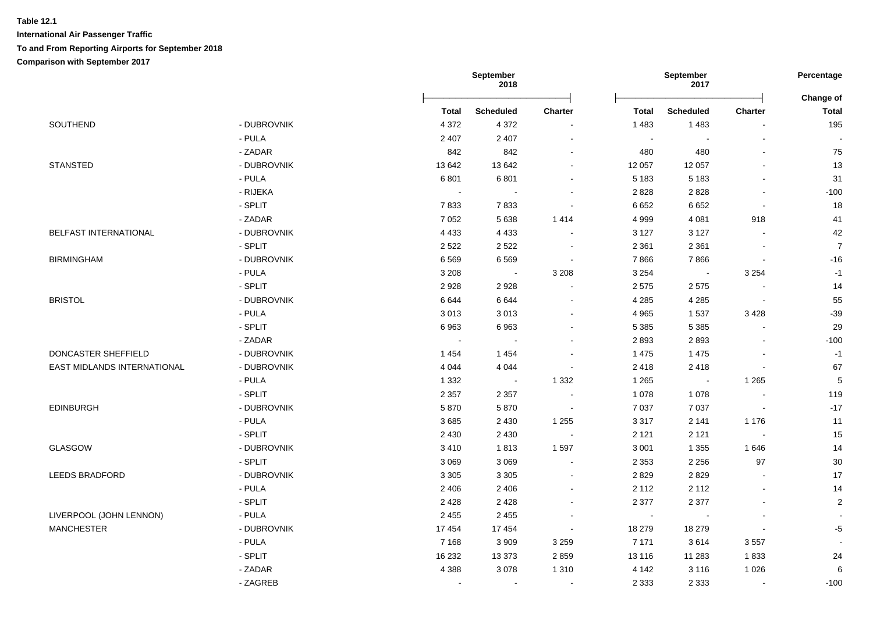|                             |             |                            | September<br>2018 |                          |              | September<br>2017 |                          | Percentage<br>Change of |
|-----------------------------|-------------|----------------------------|-------------------|--------------------------|--------------|-------------------|--------------------------|-------------------------|
|                             |             | Total                      | <b>Scheduled</b>  | Charter                  | <b>Total</b> | <b>Scheduled</b>  | <b>Charter</b>           | <b>Total</b>            |
| SOUTHEND                    | - DUBROVNIK | 4 3 7 2                    | 4 3 7 2           | $\sim$                   | 1 4 8 3      | 1483              |                          | 195                     |
|                             | - PULA      | 2 4 0 7                    | 2 4 0 7           | $\blacksquare$           | $\sim$       | $\blacksquare$    |                          |                         |
|                             | - ZADAR     | 842                        | 842               | $\blacksquare$           | 480          | 480               |                          | 75                      |
| <b>STANSTED</b>             | - DUBROVNIK | 13 642                     | 13 642            | $\blacksquare$           | 12 057       | 12 057            |                          | 13                      |
|                             | - PULA      | 6801                       | 6801              | $\mathbf{r}$             | 5 1 8 3      | 5 1 8 3           |                          | 31                      |
|                             | - RIJEKA    | $\mathcal{L}_{\mathbf{r}}$ | $\sim$            | $\blacksquare$           | 2828         | 2828              | $\overline{\phantom{a}}$ | $-100$                  |
|                             | - SPLIT     | 7833                       | 7833              | $\blacksquare$           | 6652         | 6652              | $\blacksquare$           | 18                      |
|                             | - ZADAR     | 7 0 5 2                    | 5638              | 1414                     | 4 9 9 9      | 4 0 8 1           | 918                      | 41                      |
| BELFAST INTERNATIONAL       | - DUBROVNIK | 4 4 3 3                    | 4 4 3 3           |                          | 3 1 2 7      | 3 1 2 7           |                          | 42                      |
|                             | - SPLIT     | 2 5 2 2                    | 2522              |                          | 2 3 6 1      | 2 3 6 1           |                          | $\overline{7}$          |
| <b>BIRMINGHAM</b>           | - DUBROVNIK | 6569                       | 6569              |                          | 7866         | 7866              |                          | $-16$                   |
|                             | - PULA      | 3 2 0 8                    | $\sim$            | 3 2 0 8                  | 3 2 5 4      | $\sim$            | 3 2 5 4                  | $-1$                    |
|                             | - SPLIT     | 2928                       | 2928              | $\sim$                   | 2575         | 2575              | $\overline{\phantom{a}}$ | 14                      |
| <b>BRISTOL</b>              | - DUBROVNIK | 6644                       | 6644              | $\overline{a}$           | 4 2 8 5      | 4 2 8 5           | $\sim$                   | 55                      |
|                             | - PULA      | 3013                       | 3013              |                          | 4 9 6 5      | 1537              | 3 4 2 8                  | $-39$                   |
|                             | $-$ SPLIT   | 6963                       | 6963              |                          | 5 3 8 5      | 5 3 8 5           |                          | 29                      |
|                             | - ZADAR     | $\sim$                     | $\sim$            | $\blacksquare$           | 2893         | 2893              |                          | $-100$                  |
| DONCASTER SHEFFIELD         | - DUBROVNIK | 1454                       | 1454              | $\sim$                   | 1 4 7 5      | 1475              |                          | $-1$                    |
| EAST MIDLANDS INTERNATIONAL | - DUBROVNIK | 4 0 4 4                    | 4 0 4 4           | $\sim$                   | 2 4 1 8      | 2418              | $\sim$                   | 67                      |
|                             | - PULA      | 1 3 3 2                    | $\sim$            | 1 3 3 2                  | 1 2 6 5      | $\sim 100$        | 1 2 6 5                  | 5                       |
|                             | - SPLIT     | 2 3 5 7                    | 2 3 5 7           | $\overline{a}$           | 1 0 7 8      | 1 0 7 8           | $\sim$                   | 119                     |
| EDINBURGH                   | - DUBROVNIK | 5870                       | 5870              | $\sim$                   | 7 0 3 7      | 7 0 3 7           | $\blacksquare$           | $-17$                   |
|                             | - PULA      | 3685                       | 2 4 3 0           | 1 2 5 5                  | 3 3 1 7      | 2 1 4 1           | 1 1 7 6                  | 11                      |
|                             | - SPLIT     | 2 4 3 0                    | 2 4 3 0           | $\overline{\phantom{a}}$ | 2 1 2 1      | 2 1 2 1           | $\sim$                   | 15                      |
| GLASGOW                     | - DUBROVNIK | 3410                       | 1813              | 1597                     | 3 0 0 1      | 1 3 5 5           | 1 646                    | 14                      |
|                             | $-$ SPLIT   | 3 0 6 9                    | 3 0 6 9           |                          | 2 3 5 3      | 2 2 5 6           | 97                       | $30\,$                  |
| <b>LEEDS BRADFORD</b>       | - DUBROVNIK | 3 3 0 5                    | 3 3 0 5           |                          | 2829         | 2829              |                          | 17                      |
|                             | - PULA      | 2 4 0 6                    | 2 4 0 6           | $\overline{a}$           | 2 1 1 2      | 2 1 1 2           |                          | 14                      |
|                             | - SPLIT     | 2428                       | 2428              | $\blacksquare$           | 2 3 7 7      | 2 3 7 7           |                          | $\sqrt{2}$              |
| LIVERPOOL (JOHN LENNON)     | $-$ PULA    | 2 4 5 5                    | 2 4 5 5           | $\sim$                   | $\sim$       | $\blacksquare$    | $\overline{\phantom{a}}$ |                         |
| <b>MANCHESTER</b>           | - DUBROVNIK | 17 454                     | 17 454            | $\sim$                   | 18 279       | 18 279            | $\sim$                   | $-5$                    |
|                             | - PULA      | 7 1 6 8                    | 3 9 0 9           | 3 2 5 9                  | 7 171        | 3614              | 3557                     | $\overline{a}$          |
|                             | - SPLIT     | 16 232                     | 13 3 73           | 2859                     | 13 116       | 11 283            | 1833                     | 24                      |
|                             | - ZADAR     | 4 3 8 8                    | 3078              | 1 3 1 0                  | 4 1 4 2      | 3 1 1 6           | 1 0 2 6                  | $\,6$                   |
|                             | - ZAGREB    |                            | $\sim$            | $\blacksquare$           | 2 3 3 3      | 2 3 3 3           | $\blacksquare$           | $-100$                  |
|                             |             |                            |                   |                          |              |                   |                          |                         |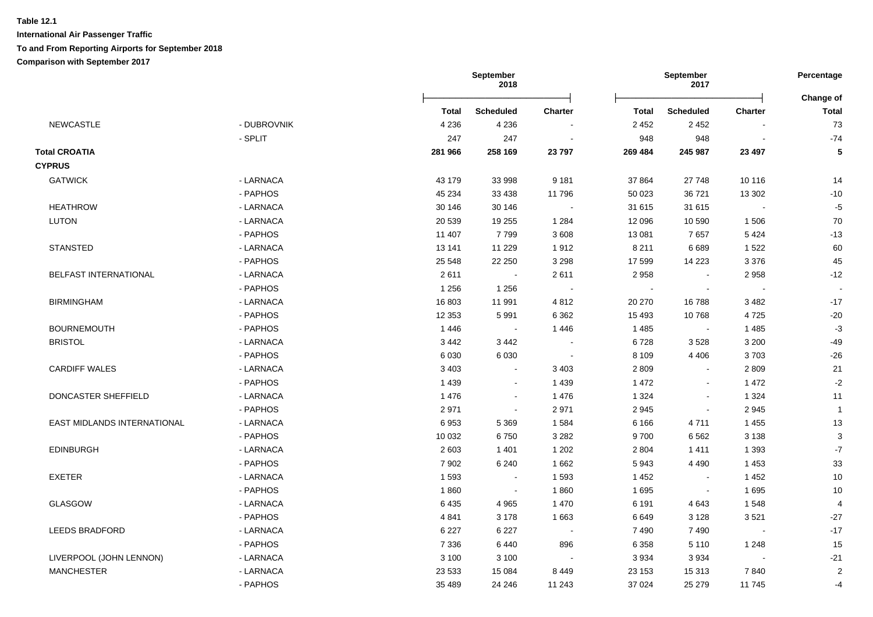|                             |             | September<br>2018 |                  | September<br>2017 |         |                  | Percentage<br>Change of |                  |
|-----------------------------|-------------|-------------------|------------------|-------------------|---------|------------------|-------------------------|------------------|
|                             |             | Total             | <b>Scheduled</b> | <b>Charter</b>    | Total   | <b>Scheduled</b> | <b>Charter</b>          | <b>Total</b>     |
| <b>NEWCASTLE</b>            | - DUBROVNIK | 4 2 3 6           | 4 2 3 6          |                   | 2 4 5 2 | 2 4 5 2          |                         | 73               |
|                             | - SPLIT     | 247               | 247              | $\blacksquare$    | 948     | 948              |                         | $-74$            |
| <b>Total CROATIA</b>        |             | 281 966           | 258 169          | 23797             | 269 484 | 245 987          | 23 497                  | ${\bf 5}$        |
| <b>CYPRUS</b>               |             |                   |                  |                   |         |                  |                         |                  |
| <b>GATWICK</b>              | - LARNACA   | 43 179            | 33 998           | 9 1 8 1           | 37 864  | 27748            | 10 116                  | 14               |
|                             | - PAPHOS    | 45 234            | 33 4 38          | 11796             | 50 023  | 36 721           | 13 302                  | $-10$            |
| <b>HEATHROW</b>             | - LARNACA   | 30 146            | 30 146           | $\blacksquare$    | 31 615  | 31 615           | $\sim$                  | $-5$             |
| <b>LUTON</b>                | - LARNACA   | 20 539            | 19 255           | 1 2 8 4           | 12 096  | 10 590           | 1506                    | 70               |
|                             | - PAPHOS    | 11 407            | 7799             | 3 6 0 8           | 13 081  | 7657             | 5424                    | $-13$            |
| <b>STANSTED</b>             | - LARNACA   | 13 141            | 11 229           | 1912              | 8 2 1 1 | 6689             | 1522                    | 60               |
|                             | - PAPHOS    | 25 548            | 22 250           | 3 2 9 8           | 17 599  | 14 2 23          | 3 3 7 6                 | 45               |
| BELFAST INTERNATIONAL       | - LARNACA   | 2611              | $\sim$           | 2611              | 2 9 5 8 | $\blacksquare$   | 2958                    | $-12$            |
|                             | - PAPHOS    | 1 2 5 6           | 1 2 5 6          |                   | $\sim$  |                  |                         |                  |
| <b>BIRMINGHAM</b>           | - LARNACA   | 16803             | 11 991           | 4 8 1 2           | 20 270  | 16788            | 3482                    | $-17$            |
|                             | - PAPHOS    | 12 3 53           | 5991             | 6 3 6 2           | 15 4 93 | 10768            | 4725                    | $-20$            |
| <b>BOURNEMOUTH</b>          | - PAPHOS    | 1 4 4 6           | $\sim$           | 1 4 4 6           | 1 4 8 5 |                  | 1485                    | $-3$             |
| <b>BRISTOL</b>              | - LARNACA   | 3 4 4 2           | 3 4 4 2          |                   | 6728    | 3528             | 3 2 0 0                 | $-49$            |
|                             | - PAPHOS    | 6 0 30            | 6 0 3 0          |                   | 8 1 0 9 | 4 4 0 6          | 3703                    | $-26$            |
| <b>CARDIFF WALES</b>        | - LARNACA   | 3 4 0 3           | $\blacksquare$   | 3 4 0 3           | 2 8 0 9 | $\blacksquare$   | 2809                    | 21               |
|                             | - PAPHOS    | 1 4 3 9           | $\sim$           | 1 4 3 9           | 1 472   | $\sim$           | 1472                    | $-2$             |
| DONCASTER SHEFFIELD         | - LARNACA   | 1 4 7 6           | $\blacksquare$   | 1 4 7 6           | 1 3 2 4 | $\sim$           | 1 3 2 4                 | 11               |
|                             | - PAPHOS    | 2971              | $\blacksquare$   | 2971              | 2945    | $\blacksquare$   | 2945                    | $\overline{1}$   |
| EAST MIDLANDS INTERNATIONAL | - LARNACA   | 6953              | 5 3 6 9          | 1584              | 6 1 6 6 | 4711             | 1 4 5 5                 | 13               |
|                             | - PAPHOS    | 10 0 32           | 6750             | 3 2 8 2           | 9700    | 6 5 6 2          | 3 1 3 8                 | $\mathbf{3}$     |
| EDINBURGH                   | - LARNACA   | 2 6 0 3           | 1 4 0 1          | 1 2 0 2           | 2 8 0 4 | 1411             | 1 3 9 3                 | $\mathbf{-7}$    |
|                             | - PAPHOS    | 7 9 0 2           | 6 2 4 0          | 1 6 6 2           | 5943    | 4 4 9 0          | 1 4 5 3                 | $33\,$           |
| <b>EXETER</b>               | - LARNACA   | 1593              | $\blacksquare$   | 1 5 9 3           | 1 4 5 2 | $\blacksquare$   | 1452                    | $10$             |
|                             | - PAPHOS    | 1860              | $\blacksquare$   | 1860              | 1 6 9 5 | $\blacksquare$   | 1695                    | $10$             |
| <b>GLASGOW</b>              | - LARNACA   | 6435              | 4 9 6 5          | 1 4 7 0           | 6 1 9 1 | 4 6 4 3          | 1548                    | $\overline{4}$   |
|                             | - PAPHOS    | 4 8 4 1           | 3 1 7 8          | 1 6 6 3           | 6649    | 3 1 2 8          | 3521                    | $-27$            |
| <b>LEEDS BRADFORD</b>       | - LARNACA   | 6 2 2 7           | 6 2 2 7          |                   | 7 4 9 0 | 7490             |                         | $-17$            |
|                             | - PAPHOS    | 7 3 3 6           | 6440             | 896               | 6 3 5 8 | 5 1 1 0          | 1 2 4 8                 | 15               |
| LIVERPOOL (JOHN LENNON)     | - LARNACA   | 3 100             | 3 1 0 0          |                   | 3 9 3 4 | 3934             |                         | $-21$            |
| <b>MANCHESTER</b>           | - LARNACA   | 23 5 33           | 15 0 84          | 8 4 4 9           | 23 153  | 15 313           | 7840                    | $\boldsymbol{2}$ |
|                             | - PAPHOS    | 35 489            | 24 246           | 11 243            | 37 024  | 25 279           | 11745                   | $-4$             |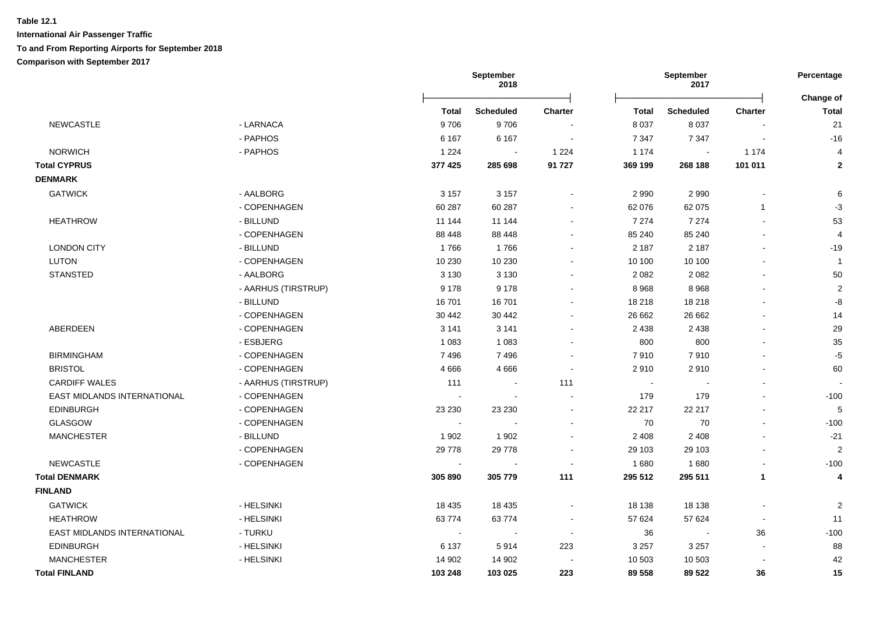|                                    |                     | September<br>2018        |                          | September<br>2017 |         |                          | Percentage   |                           |
|------------------------------------|---------------------|--------------------------|--------------------------|-------------------|---------|--------------------------|--------------|---------------------------|
|                                    |                     | <b>Total</b>             | <b>Scheduled</b>         | <b>Charter</b>    | Total   | <b>Scheduled</b>         | Charter      | Change of<br><b>Total</b> |
| <b>NEWCASTLE</b>                   | - LARNACA           | 9706                     | 9706                     |                   | 8 0 3 7 | 8 0 3 7                  |              | 21                        |
|                                    | - PAPHOS            | 6 1 6 7                  | 6 1 6 7                  |                   | 7 3 4 7 | 7 3 4 7                  |              | $-16$                     |
| <b>NORWICH</b>                     | - PAPHOS            | 1 2 2 4                  |                          | 1 2 2 4           | 1 1 7 4 |                          | 1 1 7 4      | $\overline{4}$            |
| <b>Total CYPRUS</b>                |                     | 377 425                  | 285 698                  | 91 727            | 369 199 | 268 188                  | 101 011      | $\mathbf{2}$              |
| <b>DENMARK</b>                     |                     |                          |                          |                   |         |                          |              |                           |
| <b>GATWICK</b>                     | - AALBORG           | 3 1 5 7                  | 3 1 5 7                  |                   | 2 9 9 0 | 2 9 9 0                  |              | 6                         |
|                                    | - COPENHAGEN        | 60 287                   | 60 287                   |                   | 62 076  | 62 075                   | $\mathbf{1}$ | $-3$                      |
| <b>HEATHROW</b>                    | - BILLUND           | 11 144                   | 11 144                   |                   | 7 2 7 4 | 7 2 7 4                  |              | 53                        |
|                                    | - COPENHAGEN        | 88 448                   | 88 4 48                  |                   | 85 240  | 85 240                   |              | $\overline{4}$            |
| <b>LONDON CITY</b>                 | - BILLUND           | 1766                     | 1766                     |                   | 2 1 8 7 | 2 1 8 7                  |              | $-19$                     |
| <b>LUTON</b>                       | - COPENHAGEN        | 10 230                   | 10 230                   |                   | 10 100  | 10 100                   |              | $\overline{1}$            |
| STANSTED                           | - AALBORG           | 3 1 3 0                  | 3 1 3 0                  |                   | 2 0 8 2 | 2 0 8 2                  |              | 50                        |
|                                    | - AARHUS (TIRSTRUP) | 9 1 7 8                  | 9 1 7 8                  |                   | 8 9 6 8 | 8 9 6 8                  |              | $\overline{2}$            |
|                                    | - BILLUND           | 16701                    | 16701                    |                   | 18 218  | 18 218                   |              | -8                        |
|                                    | - COPENHAGEN        | 30 442                   | 30 442                   |                   | 26 662  | 26 662                   |              | 14                        |
| ABERDEEN                           | - COPENHAGEN        | 3 1 4 1                  | 3 1 4 1                  |                   | 2 4 3 8 | 2 4 3 8                  |              | 29                        |
|                                    | - ESBJERG           | 1 0 8 3                  | 1 0 8 3                  |                   | 800     | 800                      |              | 35                        |
| <b>BIRMINGHAM</b>                  | - COPENHAGEN        | 7496                     | 7496                     |                   | 7910    | 7910                     |              | $-5$                      |
| <b>BRISTOL</b>                     | - COPENHAGEN        | 4666                     | 4666                     | $\overline{a}$    | 2910    | 2910                     |              | 60                        |
| <b>CARDIFF WALES</b>               | - AARHUS (TIRSTRUP) | 111                      | $\blacksquare$           | 111               | $\sim$  |                          |              |                           |
| <b>EAST MIDLANDS INTERNATIONAL</b> | - COPENHAGEN        |                          |                          |                   | 179     | 179                      |              | $-100$                    |
| EDINBURGH                          | - COPENHAGEN        | 23 230                   | 23 230                   |                   | 22 217  | 22 217                   |              | 5                         |
| <b>GLASGOW</b>                     | - COPENHAGEN        | $\sim$                   |                          |                   | 70      | 70                       |              | $-100$                    |
| <b>MANCHESTER</b>                  | - BILLUND           | 1 9 0 2                  | 1 9 0 2                  |                   | 2 4 0 8 | 2 4 0 8                  |              | $-21$                     |
|                                    | - COPENHAGEN        | 29 7 78                  | 29 7 78                  |                   | 29 103  | 29 103                   |              | $\overline{2}$            |
| <b>NEWCASTLE</b>                   | - COPENHAGEN        | $\sim$                   |                          |                   | 1680    | 1680                     |              | $-100$                    |
| <b>Total DENMARK</b>               |                     | 305 890                  | 305 779                  | 111               | 295 512 | 295 511                  | $\mathbf{1}$ | $\overline{4}$            |
| <b>FINLAND</b>                     |                     |                          |                          |                   |         |                          |              |                           |
| <b>GATWICK</b>                     | - HELSINKI          | 18 4 35                  | 18 4 35                  |                   | 18 138  | 18 138                   |              | $\overline{2}$            |
| <b>HEATHROW</b>                    | - HELSINKI          | 63774                    | 63774                    |                   | 57 624  | 57 624                   |              | 11                        |
| EAST MIDLANDS INTERNATIONAL        | - TURKU             | $\overline{\phantom{a}}$ | $\overline{\phantom{a}}$ |                   | 36      | $\overline{\phantom{a}}$ | 36           | $-100$                    |
| <b>EDINBURGH</b>                   | - HELSINKI          | 6 1 3 7                  | 5914                     | 223               | 3 2 5 7 | 3 2 5 7                  |              | 88                        |
| <b>MANCHESTER</b>                  | - HELSINKI          | 14 902                   | 14 902                   |                   | 10 503  | 10 503                   |              | 42                        |
| <b>Total FINLAND</b>               |                     | 103 248                  | 103 025                  | 223               | 89 558  | 89 522                   | 36           | 15                        |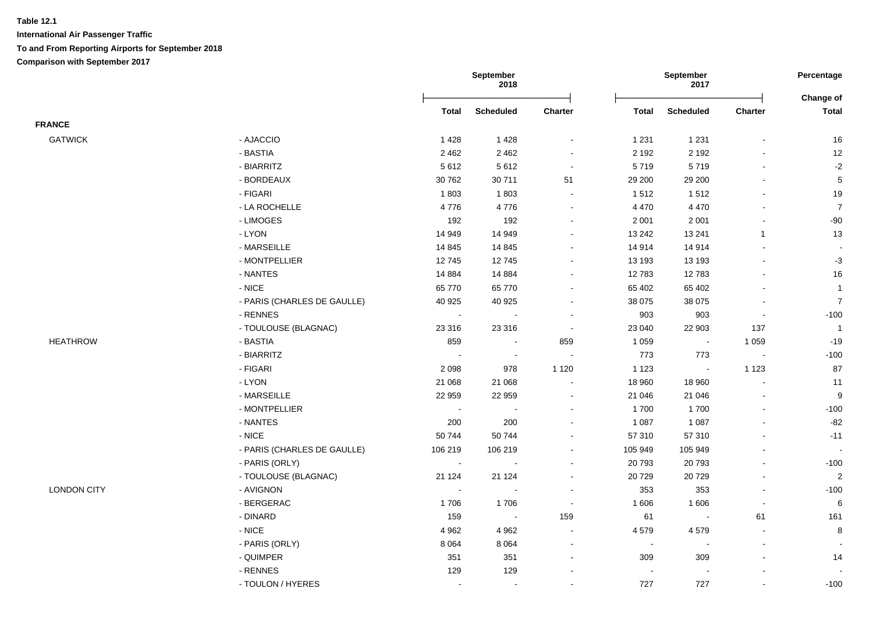|                    |                             |                | <b>September</b><br>2018 |                          |                          | September<br>2017        |                |                           |
|--------------------|-----------------------------|----------------|--------------------------|--------------------------|--------------------------|--------------------------|----------------|---------------------------|
|                    |                             | <b>Total</b>   | <b>Scheduled</b>         | Charter                  | <b>Total</b>             | <b>Scheduled</b>         | Charter        | Change of<br><b>Total</b> |
| <b>FRANCE</b>      |                             |                |                          |                          |                          |                          |                |                           |
| <b>GATWICK</b>     | - AJACCIO                   | 1428           | 1 4 2 8                  | $\overline{\phantom{a}}$ | 1 2 3 1                  | 1 2 3 1                  |                | 16                        |
|                    | - BASTIA                    | 2 4 6 2        | 2 4 6 2                  | $\blacksquare$           | 2 1 9 2                  | 2 1 9 2                  |                | 12                        |
|                    | - BIARRITZ                  | 5612           | 5612                     | $\sim$                   | 5719                     | 5719                     |                | $-2$                      |
|                    | - BORDEAUX                  | 30 762         | 30711                    | 51                       | 29 200                   | 29 200                   |                | $\,$ 5 $\,$               |
|                    | - FIGARI                    | 1803           | 1803                     | $\sim$                   | 1512                     | 1512                     |                | 19                        |
|                    | - LA ROCHELLE               | 4776           | 4776                     | $\sim$                   | 4 4 7 0                  | 4 4 7 0                  |                | $\boldsymbol{7}$          |
|                    | - LIMOGES                   | 192            | 192                      | $\sim$                   | 2 0 0 1                  | 2 0 0 1                  |                | $-90$                     |
|                    | - LYON                      | 14 949         | 14 949                   | $\blacksquare$           | 13 24 2                  | 13 241                   | $\mathbf{1}$   | 13                        |
|                    | - MARSEILLE                 | 14 8 45        | 14 8 45                  | $\sim$                   | 14 914                   | 14 914                   |                |                           |
|                    | - MONTPELLIER               | 12745          | 12745                    | $\blacksquare$           | 13 193                   | 13 193                   |                | $-3$                      |
|                    | - NANTES                    | 14 8 84        | 14 8 84                  | $\sim$                   | 12783                    | 12783                    |                | 16                        |
|                    | $-NICE$                     | 65 770         | 65 770                   | $\sim$                   | 65 402                   | 65 402                   |                | $\mathbf{1}$              |
|                    | - PARIS (CHARLES DE GAULLE) | 40 925         | 40 925                   | $\blacksquare$           | 38 075                   | 38 0 75                  |                | $\overline{7}$            |
|                    | - RENNES                    | $\blacksquare$ | $\sim$                   | $\blacksquare$           | 903                      | 903                      | $\blacksquare$ | $-100$                    |
|                    | - TOULOUSE (BLAGNAC)        | 23 316         | 23 316                   | $\blacksquare$           | 23 040                   | 22 903                   | 137            | $\overline{1}$            |
| <b>HEATHROW</b>    | - BASTIA                    | 859            | $\sim$                   | 859                      | 1 0 5 9                  | $\sim$                   | 1 0 5 9        | $-19$                     |
|                    | - BIARRITZ                  | $\sim$         | $\sim$                   | $\tilde{\phantom{a}}$    | 773                      | 773                      | $\sim$         | $-100$                    |
|                    | - FIGARI                    | 2 0 9 8        | 978                      | 1 1 2 0                  | 1 1 2 3                  | $\sim$                   | 1 1 2 3        | 87                        |
|                    | - LYON                      | 21 068         | 21 068                   | $\blacksquare$           | 18 960                   | 18 960                   |                | 11                        |
|                    | - MARSEILLE                 | 22 959         | 22 959                   | $\blacksquare$           | 21 046                   | 21 046                   | $\blacksquare$ | 9                         |
|                    | - MONTPELLIER               | $\blacksquare$ | $\sim$                   | $\blacksquare$           | 1700                     | 1700                     | $\sim$         | $-100$                    |
|                    | - NANTES                    | 200            | 200                      | $\blacksquare$           | 1 0 8 7                  | 1 0 8 7                  |                | $-82$                     |
|                    | - NICE                      | 50744          | 50744                    | $\blacksquare$           | 57 310                   | 57 310                   |                | $-11$                     |
|                    | - PARIS (CHARLES DE GAULLE) | 106 219        | 106 219                  | $\blacksquare$           | 105 949                  | 105 949                  |                | $\sim$                    |
|                    | - PARIS (ORLY)              | $\sim$         |                          | $\sim$                   | 20 793                   | 20793                    |                | $-100$                    |
|                    | - TOULOUSE (BLAGNAC)        | 21 1 24        | 21 1 24                  | $\sim$                   | 20729                    | 20729                    | $\sim$         | $\sqrt{2}$                |
| <b>LONDON CITY</b> | - AVIGNON                   | $\sim$         | $\overline{\phantom{a}}$ | $\blacksquare$           | 353                      | 353                      | $\blacksquare$ | $-100$                    |
|                    | - BERGERAC                  | 1706           | 1706                     | $\sim$                   | 1 606                    | 1 60 6                   | $\sim$         | 6                         |
|                    | - DINARD                    | 159            | $\blacksquare$           | 159                      | 61                       | $\sim$                   | 61             | 161                       |
|                    | - NICE                      | 4 9 6 2        | 4 9 6 2                  | $\sim$                   | 4579                     | 4579                     | $\blacksquare$ | 8                         |
|                    | - PARIS (ORLY)              | 8 0 6 4        | 8 0 6 4                  | $\blacksquare$           | $\blacksquare$           | $\blacksquare$           | $\blacksquare$ |                           |
|                    | - QUIMPER                   | 351            | 351                      | $\blacksquare$           | 309                      | 309                      | $\blacksquare$ | 14                        |
|                    | - RENNES                    | 129            | 129                      |                          | $\overline{\phantom{a}}$ | $\overline{\phantom{a}}$ |                |                           |
|                    | - TOULON / HYERES           | $\blacksquare$ | $\blacksquare$           | $\overline{\phantom{a}}$ | 727                      | 727                      |                | $-100$                    |
|                    |                             |                |                          |                          |                          |                          |                |                           |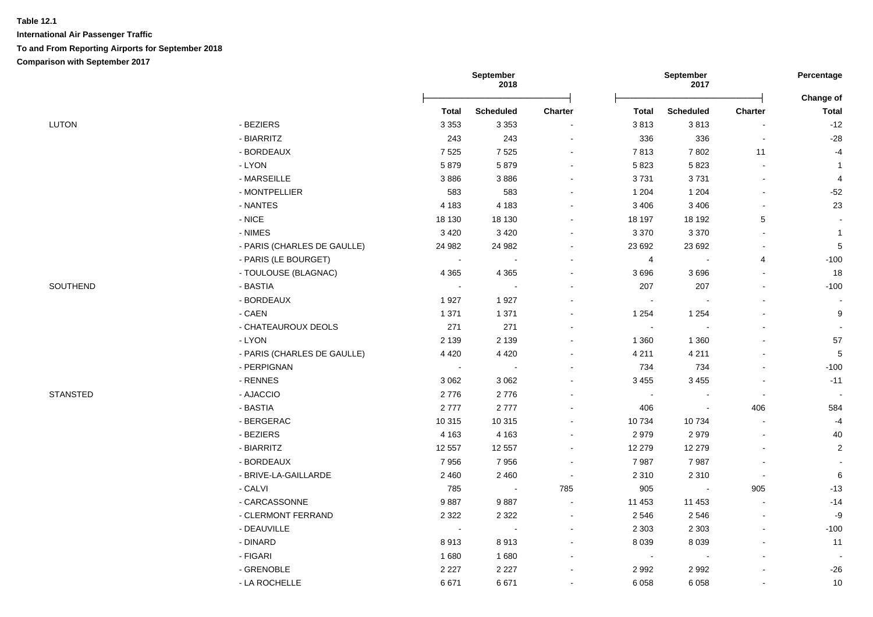|                 |                             |                | September<br>2018 |                |                | September<br>2017        |                          | Percentage                |
|-----------------|-----------------------------|----------------|-------------------|----------------|----------------|--------------------------|--------------------------|---------------------------|
|                 |                             | <b>Total</b>   | <b>Scheduled</b>  | Charter        | Total          | <b>Scheduled</b>         | <b>Charter</b>           | Change of<br><b>Total</b> |
| <b>LUTON</b>    | - BEZIERS                   | 3 3 5 3        | 3 3 5 3           |                | 3813           | 3813                     | $\blacksquare$           | $-12$                     |
|                 | - BIARRITZ                  | 243            | 243               | $\sim$         | 336            | 336                      | $\overline{\phantom{a}}$ | $-28$                     |
|                 | - BORDEAUX                  | 7525           | 7525              | $\sim$         | 7813           | 7802                     | 11                       | $-4$                      |
|                 | - LYON                      | 5879           | 5879              |                | 5823           | 5823                     | $\blacksquare$           | $\mathbf{1}$              |
|                 | - MARSEILLE                 | 3886           | 3886              |                | 3731           | 3731                     | $\blacksquare$           | 4                         |
|                 | - MONTPELLIER               | 583            | 583               |                | 1 204          | 1 204                    | $\overline{\phantom{a}}$ | $-52$                     |
|                 | - NANTES                    | 4 1 8 3        | 4 1 8 3           |                | 3 4 0 6        | 3 4 0 6                  | $\blacksquare$           | 23                        |
|                 | $\text{-}\,\textsf{NICE}$   | 18 130         | 18 130            |                | 18 197         | 18 192                   | $\sqrt{5}$               |                           |
|                 | - NIMES                     | 3 4 2 0        | 3 4 2 0           | $\sim$         | 3 3 7 0        | 3 3 7 0                  | $\blacksquare$           | $\mathbf{1}$              |
|                 | - PARIS (CHARLES DE GAULLE) | 24 982         | 24 982            | $\sim$         | 23 692         | 23 692                   | $\sim$                   | $\sqrt{5}$                |
|                 | - PARIS (LE BOURGET)        | $\sim$         | $\sim$            | $\blacksquare$ | $\overline{4}$ | $\overline{\phantom{a}}$ | 4                        | $-100$                    |
|                 | - TOULOUSE (BLAGNAC)        | 4 3 6 5        | 4 3 6 5           |                | 3696           | 3696                     | $\blacksquare$           | 18                        |
| SOUTHEND        | - BASTIA                    | $\blacksquare$ | $\sim$            | $\blacksquare$ | 207            | 207                      | $\blacksquare$           | $-100$                    |
|                 | - BORDEAUX                  | 1927           | 1927              |                | $\blacksquare$ | $\overline{\phantom{a}}$ |                          |                           |
|                 | $-CAEN$                     | 1 3 7 1        | 1 3 7 1           |                | 1 2 5 4        | 1 2 5 4                  | $\blacksquare$           | 9                         |
|                 | - CHATEAUROUX DEOLS         | 271            | 271               |                | $\blacksquare$ |                          |                          |                           |
|                 | - LYON                      | 2 1 3 9        | 2 1 3 9           |                | 1 3 6 0        | 1 3 6 0                  |                          | 57                        |
|                 | - PARIS (CHARLES DE GAULLE) | 4 4 2 0        | 4 4 2 0           |                | 4 2 1 1        | 4 2 1 1                  | $\overline{\phantom{a}}$ | $\sqrt{5}$                |
|                 | - PERPIGNAN                 | $\sim$         |                   | $\blacksquare$ | 734            | 734                      | $\blacksquare$           | $-100$                    |
|                 | - RENNES                    | 3 0 6 2        | 3 0 6 2           |                | 3 4 5 5        | 3 4 5 5                  |                          | $-11$                     |
| <b>STANSTED</b> | - AJACCIO                   | 2776           | 2776              |                | $\sim$         | $\overline{\phantom{a}}$ | $\overline{\phantom{a}}$ | $\overline{\phantom{a}}$  |
|                 | - BASTIA                    | 2777           | 2777              |                | 406            | $\overline{\phantom{a}}$ | 406                      | 584                       |
|                 | - BERGERAC                  | 10 315         | 10 315            |                | 10734          | 10734                    | ÷,                       | $-4$                      |
|                 | - BEZIERS                   | 4 1 6 3        | 4 1 6 3           | $\sim$         | 2979           | 2979                     | $\blacksquare$           | 40                        |
|                 | - BIARRITZ                  | 12 557         | 12 557            | $\sim$         | 12 279         | 12 279                   | $\overline{\phantom{a}}$ | $\overline{c}$            |
|                 | - BORDEAUX                  | 7956           | 7956              | $\sim$         | 7987           | 7987                     | $\blacksquare$           |                           |
|                 | - BRIVE-LA-GAILLARDE        | 2 4 6 0        | 2 4 6 0           | $\sim$         | 2 3 1 0        | 2 3 1 0                  | $\blacksquare$           | 6                         |
|                 | - CALVI                     | 785            | $\sim$            | 785            | 905            | $\blacksquare$           | 905                      | $-13$                     |
|                 | - CARCASSONNE               | 9887           | 9887              | $\sim$         | 11 453         | 11 453                   | $\blacksquare$           | $-14$                     |
|                 | - CLERMONT FERRAND          | 2 3 2 2        | 2 3 2 2           | $\blacksquare$ | 2546           | 2546                     | $\blacksquare$           | -9                        |
|                 | - DEAUVILLE                 | $\sim$         |                   |                | 2 3 0 3        | 2 3 0 3                  | $\blacksquare$           | $-100$                    |
|                 | - DINARD                    | 8913           | 8913              | $\sim$         | 8 0 3 9        | 8 0 3 9                  | $\blacksquare$           | 11                        |
|                 | - FIGARI                    | 1680           | 1680              | $\blacksquare$ | $\sim$         |                          | $\overline{\phantom{a}}$ |                           |
|                 | - GRENOBLE                  | 2 2 2 7        | 2 2 2 7           | $\sim$         | 2 9 9 2        | 2 9 9 2                  | $\blacksquare$           | $-26$                     |
|                 | - LA ROCHELLE               | 6671           | 6671              |                | 6 0 5 8        | 6 0 5 8                  |                          | 10                        |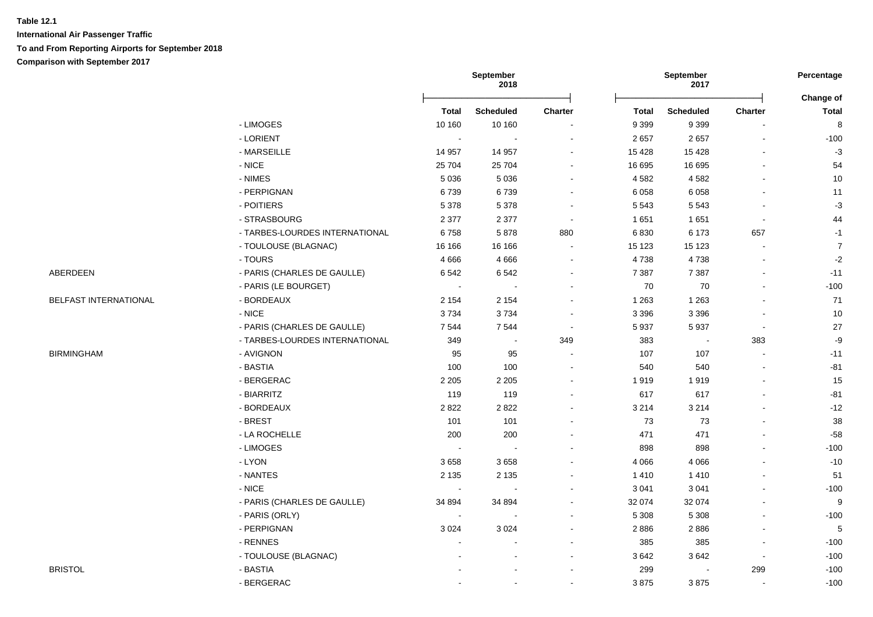**International Air Passenger Traffic To and From Reporting Airports for September 2018 Comparison with September 2017**

|                       |                                |              | September<br>2018 |         |              | September<br>2017        |                | Percentage                |
|-----------------------|--------------------------------|--------------|-------------------|---------|--------------|--------------------------|----------------|---------------------------|
|                       |                                | <b>Total</b> | <b>Scheduled</b>  | Charter | <b>Total</b> | <b>Scheduled</b>         | Charter        | Change of<br><b>Total</b> |
|                       | - LIMOGES                      | 10 160       | 10 160            |         | 9 3 9 9      | 9 3 9 9                  | $\overline{a}$ | 8                         |
|                       | - LORIENT                      | $\sim$       | $\sim$            |         | 2657         | 2657                     | $\blacksquare$ | $-100$                    |
|                       | - MARSEILLE                    | 14 957       | 14 957            |         | 15 4 28      | 15 4 28                  | $\blacksquare$ | $-3$                      |
|                       | $-NICE$                        | 25 704       | 25 704            |         | 16 695       | 16 695                   | $\sim$         | 54                        |
|                       | - NIMES                        | 5 0 3 6      | 5 0 3 6           | $\sim$  | 4 5 8 2      | 4582                     | $\sim$         | $10$                      |
|                       | - PERPIGNAN                    | 6739         | 6739              |         | 6 0 5 8      | 6 0 5 8                  | $\blacksquare$ | 11                        |
|                       | - POITIERS                     | 5 3 7 8      | 5 3 7 8           |         | 5 5 4 3      | 5 5 4 3                  | $\blacksquare$ | $-3$                      |
|                       | - STRASBOURG                   | 2 3 7 7      | 2 3 7 7           | $\sim$  | 1651         | 1 6 5 1                  | $\sim$         | 44                        |
|                       | - TARBES-LOURDES INTERNATIONAL | 6758         | 5878              | 880     | 6830         | 6 1 7 3                  | 657            | $-1$                      |
|                       | - TOULOUSE (BLAGNAC)           | 16 16 6      | 16 16 6           | $\sim$  | 15 123       | 15 1 23                  | $\sim$         | $\boldsymbol{7}$          |
|                       | - TOURS                        | 4666         | 4 6 6 6           | $\sim$  | 4738         | 4738                     | $\blacksquare$ | $-2$                      |
| ABERDEEN              | - PARIS (CHARLES DE GAULLE)    | 6542         | 6542              |         | 7 3 8 7      | 7 3 8 7                  | $\blacksquare$ | $-11$                     |
|                       | - PARIS (LE BOURGET)           | $\sim$       |                   |         | 70           | 70                       | $\overline{a}$ | $-100$                    |
| BELFAST INTERNATIONAL | - BORDEAUX                     | 2 1 5 4      | 2 1 5 4           |         | 1 2 6 3      | 1 2 6 3                  | $\blacksquare$ | 71                        |
|                       | $-$ NICE                       | 3734         | 3734              |         | 3 3 9 6      | 3 3 9 6                  | $\sim$         | 10                        |
|                       | - PARIS (CHARLES DE GAULLE)    | 7544         | 7544              |         | 5 9 3 7      | 5937                     | $\sim$         | 27                        |
|                       | - TARBES-LOURDES INTERNATIONAL | 349          | $\sim$            | 349     | 383          | $\overline{\phantom{a}}$ | 383            | $-9$                      |
| <b>BIRMINGHAM</b>     | - AVIGNON                      | 95           | 95                |         | 107          | 107                      | $\sim$         | $-11$                     |
|                       | - BASTIA                       | 100          | 100               |         | 540          | 540                      |                | $-81$                     |
|                       | - BERGERAC                     | 2 2 0 5      | 2 2 0 5           |         | 1919         | 1919                     | $\blacksquare$ | 15                        |
|                       | - BIARRITZ                     | 119          | 119               |         | 617          | 617                      | $\blacksquare$ | $-81$                     |
|                       | - BORDEAUX                     | 2822         | 2822              |         | 3 2 1 4      | 3 2 1 4                  |                | $-12$                     |
|                       | - BREST                        | 101          | 101               |         | 73           | 73                       | $\blacksquare$ | 38                        |
|                       | - LA ROCHELLE                  | 200          | 200               |         | 471          | 471                      |                | $-58$                     |
|                       | - LIMOGES                      | $\sim$       | $\sim$            |         | 898          | 898                      | $\overline{a}$ | $-100$                    |
|                       | - LYON                         | 3658         | 3658              |         | 4 0 6 6      | 4 0 6 6                  | $\blacksquare$ | $-10$                     |
|                       | - NANTES                       | 2 1 3 5      | 2 1 3 5           |         | 1 4 1 0      | 1410                     | $\blacksquare$ | 51                        |
|                       | $-$ NICE                       | $\sim$       |                   |         | 3 0 4 1      | 3 0 4 1                  | $\blacksquare$ | $-100$                    |
|                       | - PARIS (CHARLES DE GAULLE)    | 34 894       | 34 894            |         | 32 074       | 32 074                   | $\overline{a}$ | 9                         |
|                       | - PARIS (ORLY)                 | $\sim$       |                   |         | 5 3 0 8      | 5 3 0 8                  | $\blacksquare$ | $-100$                    |
|                       | - PERPIGNAN                    | 3 0 2 4      | 3 0 2 4           |         | 2886         | 2886                     |                | $\sqrt{5}$                |
|                       | - RENNES                       |              |                   |         | 385          | 385                      | $\blacksquare$ | $-100$                    |
|                       | - TOULOUSE (BLAGNAC)           |              | $\overline{a}$    |         | 3642         | 3642                     | $\blacksquare$ | $-100$                    |
| <b>BRISTOL</b>        | - BASTIA                       |              |                   |         | 299          |                          | 299            | $-100$                    |
|                       | - BERGERAC                     |              | $\sim$            |         | 3875         | 3875                     | $\overline{a}$ | $-100$                    |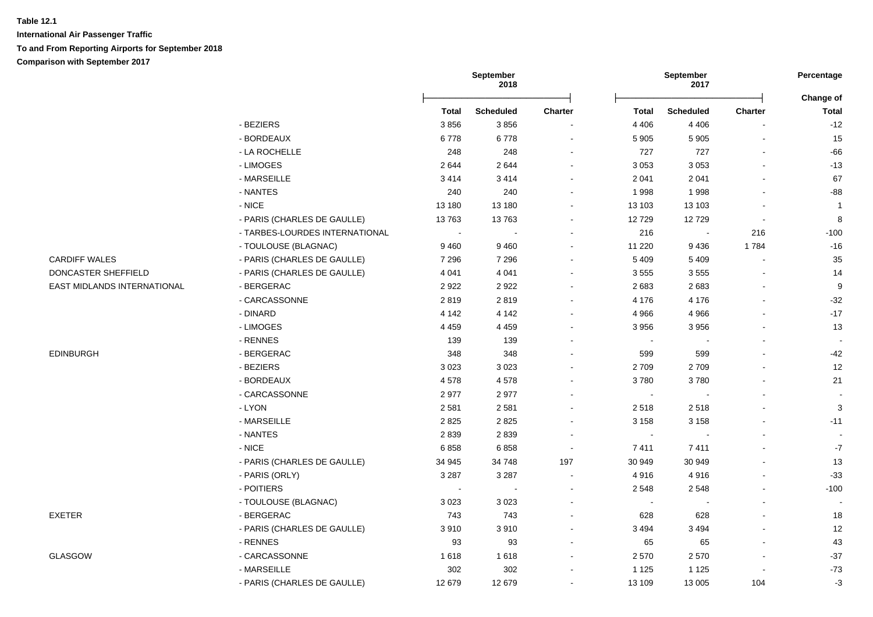|                             |                                | September<br>2018        |                  | September<br>2017        |                |                  | Percentage     |                           |
|-----------------------------|--------------------------------|--------------------------|------------------|--------------------------|----------------|------------------|----------------|---------------------------|
|                             |                                | <b>Total</b>             | <b>Scheduled</b> | Charter                  | <b>Total</b>   | <b>Scheduled</b> | Charter        | Change of<br><b>Total</b> |
|                             | - BEZIERS                      | 3856                     | 3856             | $\blacksquare$           | 4 4 0 6        | 4 4 0 6          |                | $-12$                     |
|                             | - BORDEAUX                     | 6778                     | 6778             | $\sim$                   | 5 9 0 5        | 5 9 0 5          |                | 15                        |
|                             |                                |                          | 248              |                          |                | 727              |                | $-66$                     |
|                             | - LA ROCHELLE<br>- LIMOGES     | 248<br>2644              | 2644             | $\blacksquare$           | 727<br>3 0 5 3 | 3 0 5 3          |                | $-13$                     |
|                             | - MARSEILLE                    |                          |                  |                          |                |                  |                | 67                        |
|                             | - NANTES                       | 3414                     | 3414             |                          | 2 0 4 1        | 2 0 4 1          |                | $-88$                     |
|                             | - NICE                         | 240<br>13 180            | 240<br>13 180    |                          | 1998           | 1998             |                | $\overline{1}$            |
|                             |                                |                          |                  |                          | 13 103         | 13 103           |                |                           |
|                             | - PARIS (CHARLES DE GAULLE)    | 13763                    | 13763            |                          | 12729          | 12729            | $\blacksquare$ | 8                         |
|                             | - TARBES-LOURDES INTERNATIONAL | $\sim$                   |                  |                          | 216            |                  | 216            | $-100$                    |
|                             | - TOULOUSE (BLAGNAC)           | 9 4 6 0                  | 9460             |                          | 11 2 20        | 9436             | 1784           | $-16$                     |
| <b>CARDIFF WALES</b>        | - PARIS (CHARLES DE GAULLE)    | 7 2 9 6                  | 7 2 9 6          |                          | 5 4 0 9        | 5 4 0 9          |                | 35                        |
| DONCASTER SHEFFIELD         | - PARIS (CHARLES DE GAULLE)    | 4 0 4 1                  | 4 0 4 1          |                          | 3555           | 3555             |                | 14                        |
| EAST MIDLANDS INTERNATIONAL | - BERGERAC                     | 2922                     | 2922             |                          | 2683           | 2683             |                | $\boldsymbol{9}$          |
|                             | - CARCASSONNE                  | 2819                     | 2819             |                          | 4 1 7 6        | 4 1 7 6          |                | $-32$                     |
|                             | - DINARD                       | 4 1 4 2                  | 4 1 4 2          |                          | 4 9 6 6        | 4 9 6 6          |                | $-17$                     |
|                             | - LIMOGES                      | 4 4 5 9                  | 4 4 5 9          |                          | 3 9 5 6        | 3956             |                | 13                        |
|                             | - RENNES                       | 139                      | 139              |                          | $\sim$         |                  |                |                           |
| EDINBURGH                   | - BERGERAC                     | 348                      | 348              |                          | 599            | 599              |                | $-42$                     |
|                             | - BEZIERS                      | 3 0 2 3                  | 3023             |                          | 2709           | 2709             |                | 12                        |
|                             | - BORDEAUX                     | 4578                     | 4578             |                          | 3780           | 3780             |                | 21                        |
|                             | - CARCASSONNE                  | 2977                     | 2977             |                          | $\blacksquare$ |                  |                |                           |
|                             | - LYON                         | 2 5 8 1                  | 2581             |                          | 2518           | 2518             |                | 3                         |
|                             | - MARSEILLE                    | 2825                     | 2825             |                          | 3 1 5 8        | 3 1 5 8          |                | $-11$                     |
|                             | - NANTES                       | 2839                     | 2839             | $\overline{\phantom{a}}$ | $\sim$         |                  |                | $\sim$                    |
|                             | - NICE                         | 6858                     | 6858             | $\overline{\phantom{a}}$ | 7411           | 7411             |                | $-7$                      |
|                             | - PARIS (CHARLES DE GAULLE)    | 34 945                   | 34 748           | 197                      | 30 949         | 30 949           |                | 13                        |
|                             | - PARIS (ORLY)                 | 3 2 8 7                  | 3 2 8 7          |                          | 4916           | 4916             |                | $-33$                     |
|                             | - POITIERS                     | $\overline{\phantom{a}}$ |                  |                          | 2 5 4 8        | 2548             |                | $-100$                    |
|                             | - TOULOUSE (BLAGNAC)           | 3023                     | 3 0 2 3          |                          | $\sim$         |                  |                |                           |
| EXETER                      | - BERGERAC                     | 743                      | 743              |                          | 628            | 628              |                | 18                        |
|                             | - PARIS (CHARLES DE GAULLE)    | 3910                     | 3910             |                          | 3 4 9 4        | 3 4 9 4          |                | 12                        |
|                             | - RENNES                       | 93                       | 93               | $\blacksquare$           | 65             | 65               |                | 43                        |
| GLASGOW                     | - CARCASSONNE                  | 1618                     | 1618             | $\sim$                   | 2570           | 2570             |                | $-37$                     |
|                             | - MARSEILLE                    | 302                      | 302              |                          | 1 1 2 5        | 1 1 2 5          |                | $-73$                     |
|                             | - PARIS (CHARLES DE GAULLE)    | 12 679                   | 12 679           |                          | 13 109         | 13 005           | 104            | $-3$                      |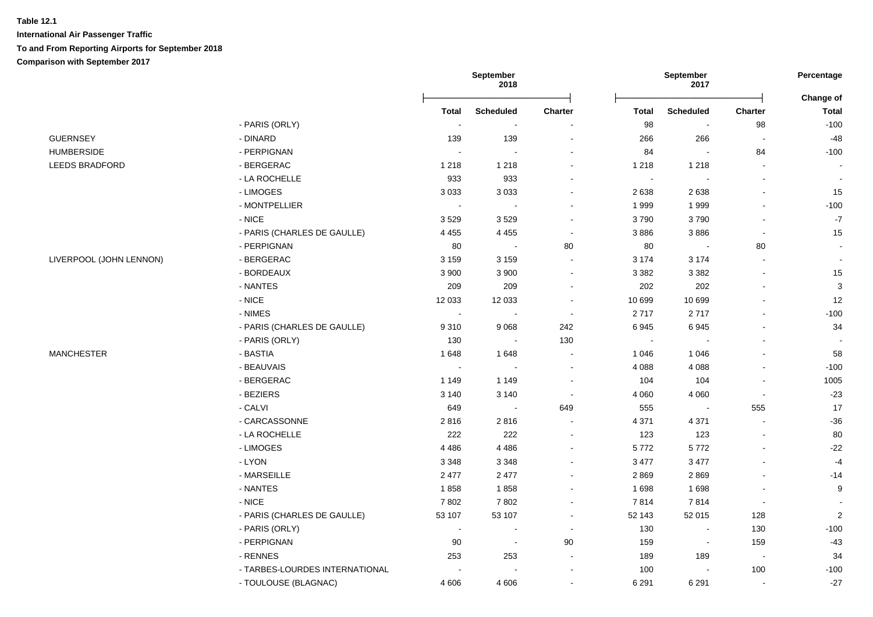|                         |                                |                | September<br>2018 |                |                | September<br>2017        |                          | Percentage                |
|-------------------------|--------------------------------|----------------|-------------------|----------------|----------------|--------------------------|--------------------------|---------------------------|
|                         |                                | <b>Total</b>   | <b>Scheduled</b>  | Charter        | <b>Total</b>   | <b>Scheduled</b>         | <b>Charter</b>           | Change of<br><b>Total</b> |
|                         | - PARIS (ORLY)                 | $\blacksquare$ | $\blacksquare$    |                | 98             | $\overline{\phantom{a}}$ | 98                       | $-100$                    |
| <b>GUERNSEY</b>         | - DINARD                       | 139            | 139               |                | 266            | 266                      | $\overline{\phantom{a}}$ | $-48$                     |
| <b>HUMBERSIDE</b>       | - PERPIGNAN                    | $\sim$         | $\overline{a}$    |                | 84             | $\sim$                   | 84                       | $-100$                    |
| <b>LEEDS BRADFORD</b>   | - BERGERAC                     | 1 2 1 8        | 1 2 1 8           | $\sim$         | 1 2 1 8        | 1 2 1 8                  | $\blacksquare$           |                           |
|                         | - LA ROCHELLE                  | 933            | 933               |                | $\blacksquare$ | $\blacksquare$           | $\blacksquare$           |                           |
|                         | - LIMOGES                      | 3 0 3 3        | 3 0 3 3           | $\blacksquare$ | 2638           | 2638                     | $\blacksquare$           | 15                        |
|                         | - MONTPELLIER                  | $\sim$         |                   |                | 1 9 9 9        | 1999                     | $\blacksquare$           | $-100$                    |
|                         | - NICE                         | 3529           | 3529              |                | 3790           | 3790                     | $\blacksquare$           | $-7$                      |
|                         | - PARIS (CHARLES DE GAULLE)    | 4 4 5 5        | 4 4 5 5           | $\sim$         | 3886           | 3886                     | $\blacksquare$           | 15                        |
|                         | - PERPIGNAN                    | 80             |                   | 80             | 80             | $\overline{\phantom{a}}$ | 80                       |                           |
| LIVERPOOL (JOHN LENNON) | - BERGERAC                     | 3 1 5 9        | 3 1 5 9           | $\sim$         | 3 1 7 4        | 3 1 7 4                  | $\blacksquare$           |                           |
|                         | - BORDEAUX                     | 3 9 0 0        | 3 9 0 0           |                | 3 3 8 2        | 3 3 8 2                  | $\blacksquare$           | 15                        |
|                         | - NANTES                       | 209            | 209               |                | 202            | 202                      |                          | 3                         |
|                         | $-$ NICE                       | 12 033         | 12 033            |                | 10 699         | 10 699                   | $\blacksquare$           | 12                        |
|                         | - NIMES                        | $\sim$         |                   | $\sim$         | 2717           | 2717                     | $\overline{a}$           | $-100$                    |
|                         | - PARIS (CHARLES DE GAULLE)    | 9310           | 9068              | 242            | 6945           | 6945                     |                          | 34                        |
|                         | - PARIS (ORLY)                 | 130            | $\sim$            | 130            | $\blacksquare$ | $\overline{\phantom{a}}$ | ÷,                       |                           |
| <b>MANCHESTER</b>       | - BASTIA                       | 1648           | 1648              | $\sim$         | 1 0 4 6        | 1 0 4 6                  | $\blacksquare$           | 58                        |
|                         | - BEAUVAIS                     | $\sim$         | $\sim$            |                | 4 0 8 8        | 4 0 8 8                  | $\blacksquare$           | $-100$                    |
|                         | - BERGERAC                     | 1 1 4 9        | 1 1 4 9           |                | 104            | 104                      | $\overline{\phantom{a}}$ | 1005                      |
|                         | - BEZIERS                      | 3 1 4 0        | 3 1 4 0           |                | 4 0 6 0        | 4 0 6 0                  | $\blacksquare$           | $-23$                     |
|                         | - CALVI                        | 649            | $\sim$            | 649            | 555            | $\overline{\phantom{a}}$ | 555                      | 17                        |
|                         | - CARCASSONNE                  | 2816           | 2816              |                | 4 3 7 1        | 4 3 7 1                  | $\blacksquare$           | $-36$                     |
|                         | - LA ROCHELLE                  | 222            | 222               | $\sim$         | 123            | 123                      | $\blacksquare$           | 80                        |
|                         | - LIMOGES                      | 4 4 8 6        | 4 4 8 6           |                | 5772           | 5772                     | $\blacksquare$           | $-22$                     |
|                         | - LYON                         | 3 3 4 8        | 3 3 4 8           |                | 3 4 7 7        | 3 4 7 7                  |                          | $-4$                      |
|                         | - MARSEILLE                    | 2 4 7 7        | 2 4 7 7           |                | 2869           | 2869                     | ÷,                       | $-14$                     |
|                         | - NANTES                       | 1858           | 1858              | $\sim$         | 1 6 9 8        | 1698                     | $\sim$                   | 9                         |
|                         | $-$ NICE                       | 7802           | 7802              | $\blacksquare$ | 7814           | 7814                     | $\sim$                   |                           |
|                         | - PARIS (CHARLES DE GAULLE)    | 53 107         | 53 107            | $\blacksquare$ | 52 143         | 52 015                   | 128                      | $\overline{c}$            |
|                         | - PARIS (ORLY)                 | $\sim$         | $\blacksquare$    | $\sim$         | 130            | $\blacksquare$           | 130                      | $-100$                    |
|                         | - PERPIGNAN                    | 90             | $\sim$            | 90             | 159            | $\blacksquare$           | 159                      | $-43$                     |
|                         | - RENNES                       | 253            | 253               | $\sim$         | 189            | 189                      | $\bullet$                | 34                        |
|                         | - TARBES-LOURDES INTERNATIONAL |                |                   |                | 100            |                          | 100                      | $-100$                    |
|                         | - TOULOUSE (BLAGNAC)           | 4 6 0 6        | 4606              |                | 6 2 9 1        | 6 2 9 1                  | $\sim$                   | $-27$                     |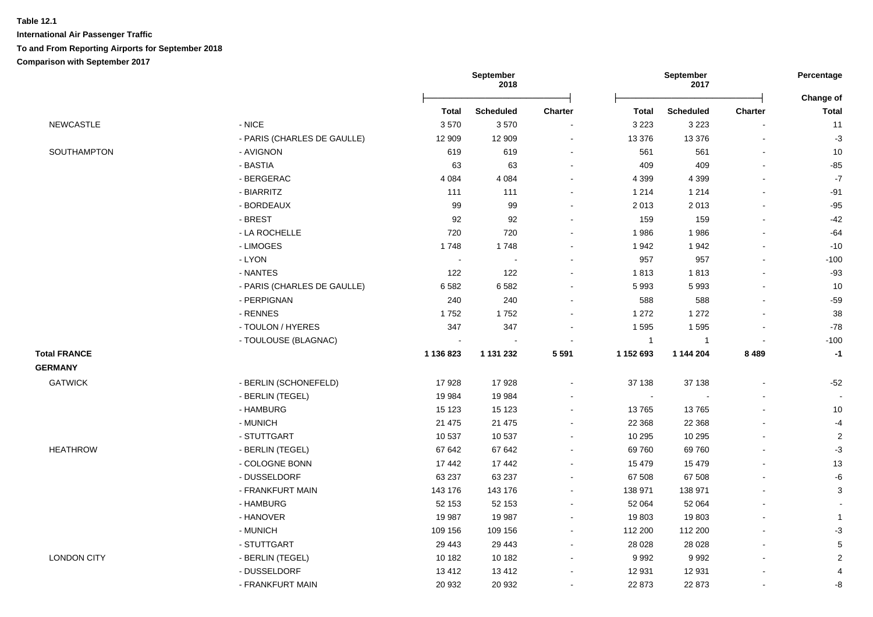| <b>Scheduled</b><br><b>Scheduled</b><br><b>Total</b><br><b>Charter</b><br><b>Total</b><br><b>Charter</b><br><b>NEWCASTLE</b><br>- NICE<br>3570<br>3570<br>3 2 2 3<br>3 2 2 3<br>- PARIS (CHARLES DE GAULLE)<br>12 909<br>12 909<br>13 376<br>13 3 76<br>$\blacksquare$<br>$\blacksquare$<br>- AVIGNON<br>619<br>561<br>SOUTHAMPTON<br>619<br>561<br>$\sim$<br>$\blacksquare$<br>- BASTIA<br>63<br>63<br>409<br>409<br>- BERGERAC<br>4 0 8 4<br>4 0 8 4<br>4 3 9 9<br>4 3 9 9<br>$\overline{a}$<br>- BIARRITZ<br>111<br>1 2 1 4<br>1 2 1 4<br>111<br>- BORDEAUX<br>99<br>99<br>2 0 1 3<br>2013<br>- BREST<br>92<br>92<br>159<br>159<br>$\blacksquare$<br>$\overline{\phantom{a}}$<br>720<br>- LA ROCHELLE<br>720<br>1986<br>1986<br>- LIMOGES<br>1748<br>1942<br>1942<br>1748<br>- LYON<br>957<br>957<br>$\sim$<br>$\sim$<br>ä,<br>$\blacksquare$<br>- NANTES<br>122<br>122<br>1813<br>1813<br>$\blacksquare$<br>- PARIS (CHARLES DE GAULLE)<br>6582<br>5 9 9 3<br>5993<br>6582<br>- PERPIGNAN<br>240<br>588<br>588<br>240<br>- RENNES<br>1752<br>1752<br>1 2 7 2<br>1 2 7 2<br>347<br>- TOULON / HYERES<br>347<br>1595<br>1 5 9 5<br>$\blacksquare$<br>- TOULOUSE (BLAGNAC)<br>$\mathbf{1}$<br>$\overline{1}$<br>$\sim$<br>$\overline{\phantom{a}}$<br>$\overline{\phantom{a}}$<br><b>Total FRANCE</b><br>5 5 9 1<br>1 152 693<br>8 4 8 9<br>1 136 823<br>1 131 232<br>1 144 204<br><b>GERMANY</b><br><b>GATWICK</b><br>- BERLIN (SCHONEFELD)<br>17928<br>37 138<br>37 138<br>17928<br>÷,<br>- BERLIN (TEGEL)<br>19 9 84<br>19 984<br>$\blacksquare$<br>$\blacksquare$<br>- HAMBURG<br>15 1 23<br>15 1 23<br>13765<br>13765<br>21 4 7 5<br>- MUNICH<br>21 475<br>22 3 68<br>22 3 68<br>- STUTTGART<br>10 537<br>10 537<br>10 295<br>10 295<br><b>HEATHROW</b><br>67 642<br>67 642<br>69 760<br>69760<br>- BERLIN (TEGEL)<br>$\blacksquare$<br>- COLOGNE BONN<br>17 442<br>17 442<br>15 4 79<br>15 4 79<br>$\blacksquare$<br>- DUSSELDORF<br>63 237<br>63 237<br>67 508<br>67 508<br>ä,<br>$\blacksquare$<br>- FRANKFURT MAIN<br>138 971<br>138 971<br>143 176<br>143 176<br>$\blacksquare$<br>ä,<br>- HAMBURG<br>52 153<br>52 153<br>52 064<br>52 064<br>۰<br>- HANOVER<br>19 987<br>19 987<br>19803<br>19803<br>$\blacksquare$<br>$\blacksquare$<br>- MUNICH<br>109 156<br>109 156<br>112 200<br>112 200<br>$\blacksquare$<br>$\blacksquare$<br>- STUTTGART<br>29 4 43<br>29 4 43<br>28 0 28<br>28 0 28<br>۰<br><b>LONDON CITY</b><br>- BERLIN (TEGEL)<br>10 182<br>10 182<br>9992<br>9992<br>$\blacksquare$<br>- DUSSELDORF<br>13412<br>13 4 12<br>12 931<br>12 931 |                  | September<br>2018 |        |        | September<br>2017 |  |                           |
|-----------------------------------------------------------------------------------------------------------------------------------------------------------------------------------------------------------------------------------------------------------------------------------------------------------------------------------------------------------------------------------------------------------------------------------------------------------------------------------------------------------------------------------------------------------------------------------------------------------------------------------------------------------------------------------------------------------------------------------------------------------------------------------------------------------------------------------------------------------------------------------------------------------------------------------------------------------------------------------------------------------------------------------------------------------------------------------------------------------------------------------------------------------------------------------------------------------------------------------------------------------------------------------------------------------------------------------------------------------------------------------------------------------------------------------------------------------------------------------------------------------------------------------------------------------------------------------------------------------------------------------------------------------------------------------------------------------------------------------------------------------------------------------------------------------------------------------------------------------------------------------------------------------------------------------------------------------------------------------------------------------------------------------------------------------------------------------------------------------------------------------------------------------------------------------------------------------------------------------------------------------------------------------------------------------------------------------------------------------------------------------------------------------------------------------------------------------------------------------------------------------------------------------------------------------------------|------------------|-------------------|--------|--------|-------------------|--|---------------------------|
|                                                                                                                                                                                                                                                                                                                                                                                                                                                                                                                                                                                                                                                                                                                                                                                                                                                                                                                                                                                                                                                                                                                                                                                                                                                                                                                                                                                                                                                                                                                                                                                                                                                                                                                                                                                                                                                                                                                                                                                                                                                                                                                                                                                                                                                                                                                                                                                                                                                                                                                                                                       |                  |                   |        |        |                   |  | Change of<br><b>Total</b> |
|                                                                                                                                                                                                                                                                                                                                                                                                                                                                                                                                                                                                                                                                                                                                                                                                                                                                                                                                                                                                                                                                                                                                                                                                                                                                                                                                                                                                                                                                                                                                                                                                                                                                                                                                                                                                                                                                                                                                                                                                                                                                                                                                                                                                                                                                                                                                                                                                                                                                                                                                                                       |                  |                   |        |        |                   |  | 11                        |
|                                                                                                                                                                                                                                                                                                                                                                                                                                                                                                                                                                                                                                                                                                                                                                                                                                                                                                                                                                                                                                                                                                                                                                                                                                                                                                                                                                                                                                                                                                                                                                                                                                                                                                                                                                                                                                                                                                                                                                                                                                                                                                                                                                                                                                                                                                                                                                                                                                                                                                                                                                       |                  |                   |        |        |                   |  | $-3$                      |
|                                                                                                                                                                                                                                                                                                                                                                                                                                                                                                                                                                                                                                                                                                                                                                                                                                                                                                                                                                                                                                                                                                                                                                                                                                                                                                                                                                                                                                                                                                                                                                                                                                                                                                                                                                                                                                                                                                                                                                                                                                                                                                                                                                                                                                                                                                                                                                                                                                                                                                                                                                       |                  |                   |        |        |                   |  | 10                        |
|                                                                                                                                                                                                                                                                                                                                                                                                                                                                                                                                                                                                                                                                                                                                                                                                                                                                                                                                                                                                                                                                                                                                                                                                                                                                                                                                                                                                                                                                                                                                                                                                                                                                                                                                                                                                                                                                                                                                                                                                                                                                                                                                                                                                                                                                                                                                                                                                                                                                                                                                                                       |                  |                   |        |        |                   |  | $-85$                     |
|                                                                                                                                                                                                                                                                                                                                                                                                                                                                                                                                                                                                                                                                                                                                                                                                                                                                                                                                                                                                                                                                                                                                                                                                                                                                                                                                                                                                                                                                                                                                                                                                                                                                                                                                                                                                                                                                                                                                                                                                                                                                                                                                                                                                                                                                                                                                                                                                                                                                                                                                                                       |                  |                   |        |        |                   |  | $\mathbf{-7}$             |
|                                                                                                                                                                                                                                                                                                                                                                                                                                                                                                                                                                                                                                                                                                                                                                                                                                                                                                                                                                                                                                                                                                                                                                                                                                                                                                                                                                                                                                                                                                                                                                                                                                                                                                                                                                                                                                                                                                                                                                                                                                                                                                                                                                                                                                                                                                                                                                                                                                                                                                                                                                       |                  |                   |        |        |                   |  | $-91$                     |
|                                                                                                                                                                                                                                                                                                                                                                                                                                                                                                                                                                                                                                                                                                                                                                                                                                                                                                                                                                                                                                                                                                                                                                                                                                                                                                                                                                                                                                                                                                                                                                                                                                                                                                                                                                                                                                                                                                                                                                                                                                                                                                                                                                                                                                                                                                                                                                                                                                                                                                                                                                       |                  |                   |        |        |                   |  | $-95$                     |
|                                                                                                                                                                                                                                                                                                                                                                                                                                                                                                                                                                                                                                                                                                                                                                                                                                                                                                                                                                                                                                                                                                                                                                                                                                                                                                                                                                                                                                                                                                                                                                                                                                                                                                                                                                                                                                                                                                                                                                                                                                                                                                                                                                                                                                                                                                                                                                                                                                                                                                                                                                       |                  |                   |        |        |                   |  | $-42$                     |
|                                                                                                                                                                                                                                                                                                                                                                                                                                                                                                                                                                                                                                                                                                                                                                                                                                                                                                                                                                                                                                                                                                                                                                                                                                                                                                                                                                                                                                                                                                                                                                                                                                                                                                                                                                                                                                                                                                                                                                                                                                                                                                                                                                                                                                                                                                                                                                                                                                                                                                                                                                       |                  |                   |        |        |                   |  | $-64$                     |
|                                                                                                                                                                                                                                                                                                                                                                                                                                                                                                                                                                                                                                                                                                                                                                                                                                                                                                                                                                                                                                                                                                                                                                                                                                                                                                                                                                                                                                                                                                                                                                                                                                                                                                                                                                                                                                                                                                                                                                                                                                                                                                                                                                                                                                                                                                                                                                                                                                                                                                                                                                       |                  |                   |        |        |                   |  | $-10$                     |
|                                                                                                                                                                                                                                                                                                                                                                                                                                                                                                                                                                                                                                                                                                                                                                                                                                                                                                                                                                                                                                                                                                                                                                                                                                                                                                                                                                                                                                                                                                                                                                                                                                                                                                                                                                                                                                                                                                                                                                                                                                                                                                                                                                                                                                                                                                                                                                                                                                                                                                                                                                       |                  |                   |        |        |                   |  | $-100$                    |
|                                                                                                                                                                                                                                                                                                                                                                                                                                                                                                                                                                                                                                                                                                                                                                                                                                                                                                                                                                                                                                                                                                                                                                                                                                                                                                                                                                                                                                                                                                                                                                                                                                                                                                                                                                                                                                                                                                                                                                                                                                                                                                                                                                                                                                                                                                                                                                                                                                                                                                                                                                       |                  |                   |        |        |                   |  | $-93$                     |
|                                                                                                                                                                                                                                                                                                                                                                                                                                                                                                                                                                                                                                                                                                                                                                                                                                                                                                                                                                                                                                                                                                                                                                                                                                                                                                                                                                                                                                                                                                                                                                                                                                                                                                                                                                                                                                                                                                                                                                                                                                                                                                                                                                                                                                                                                                                                                                                                                                                                                                                                                                       |                  |                   |        |        |                   |  | 10                        |
|                                                                                                                                                                                                                                                                                                                                                                                                                                                                                                                                                                                                                                                                                                                                                                                                                                                                                                                                                                                                                                                                                                                                                                                                                                                                                                                                                                                                                                                                                                                                                                                                                                                                                                                                                                                                                                                                                                                                                                                                                                                                                                                                                                                                                                                                                                                                                                                                                                                                                                                                                                       |                  |                   |        |        |                   |  | $-59$                     |
|                                                                                                                                                                                                                                                                                                                                                                                                                                                                                                                                                                                                                                                                                                                                                                                                                                                                                                                                                                                                                                                                                                                                                                                                                                                                                                                                                                                                                                                                                                                                                                                                                                                                                                                                                                                                                                                                                                                                                                                                                                                                                                                                                                                                                                                                                                                                                                                                                                                                                                                                                                       |                  |                   |        |        |                   |  | 38                        |
|                                                                                                                                                                                                                                                                                                                                                                                                                                                                                                                                                                                                                                                                                                                                                                                                                                                                                                                                                                                                                                                                                                                                                                                                                                                                                                                                                                                                                                                                                                                                                                                                                                                                                                                                                                                                                                                                                                                                                                                                                                                                                                                                                                                                                                                                                                                                                                                                                                                                                                                                                                       |                  |                   |        |        |                   |  | $-78$                     |
|                                                                                                                                                                                                                                                                                                                                                                                                                                                                                                                                                                                                                                                                                                                                                                                                                                                                                                                                                                                                                                                                                                                                                                                                                                                                                                                                                                                                                                                                                                                                                                                                                                                                                                                                                                                                                                                                                                                                                                                                                                                                                                                                                                                                                                                                                                                                                                                                                                                                                                                                                                       |                  |                   |        |        |                   |  | $-100$                    |
|                                                                                                                                                                                                                                                                                                                                                                                                                                                                                                                                                                                                                                                                                                                                                                                                                                                                                                                                                                                                                                                                                                                                                                                                                                                                                                                                                                                                                                                                                                                                                                                                                                                                                                                                                                                                                                                                                                                                                                                                                                                                                                                                                                                                                                                                                                                                                                                                                                                                                                                                                                       |                  |                   |        |        |                   |  | $-1$                      |
|                                                                                                                                                                                                                                                                                                                                                                                                                                                                                                                                                                                                                                                                                                                                                                                                                                                                                                                                                                                                                                                                                                                                                                                                                                                                                                                                                                                                                                                                                                                                                                                                                                                                                                                                                                                                                                                                                                                                                                                                                                                                                                                                                                                                                                                                                                                                                                                                                                                                                                                                                                       |                  |                   |        |        |                   |  |                           |
|                                                                                                                                                                                                                                                                                                                                                                                                                                                                                                                                                                                                                                                                                                                                                                                                                                                                                                                                                                                                                                                                                                                                                                                                                                                                                                                                                                                                                                                                                                                                                                                                                                                                                                                                                                                                                                                                                                                                                                                                                                                                                                                                                                                                                                                                                                                                                                                                                                                                                                                                                                       |                  |                   |        |        |                   |  | $-52$                     |
|                                                                                                                                                                                                                                                                                                                                                                                                                                                                                                                                                                                                                                                                                                                                                                                                                                                                                                                                                                                                                                                                                                                                                                                                                                                                                                                                                                                                                                                                                                                                                                                                                                                                                                                                                                                                                                                                                                                                                                                                                                                                                                                                                                                                                                                                                                                                                                                                                                                                                                                                                                       |                  |                   |        |        |                   |  |                           |
|                                                                                                                                                                                                                                                                                                                                                                                                                                                                                                                                                                                                                                                                                                                                                                                                                                                                                                                                                                                                                                                                                                                                                                                                                                                                                                                                                                                                                                                                                                                                                                                                                                                                                                                                                                                                                                                                                                                                                                                                                                                                                                                                                                                                                                                                                                                                                                                                                                                                                                                                                                       |                  |                   |        |        |                   |  | 10                        |
|                                                                                                                                                                                                                                                                                                                                                                                                                                                                                                                                                                                                                                                                                                                                                                                                                                                                                                                                                                                                                                                                                                                                                                                                                                                                                                                                                                                                                                                                                                                                                                                                                                                                                                                                                                                                                                                                                                                                                                                                                                                                                                                                                                                                                                                                                                                                                                                                                                                                                                                                                                       |                  |                   |        |        |                   |  | $-4$                      |
|                                                                                                                                                                                                                                                                                                                                                                                                                                                                                                                                                                                                                                                                                                                                                                                                                                                                                                                                                                                                                                                                                                                                                                                                                                                                                                                                                                                                                                                                                                                                                                                                                                                                                                                                                                                                                                                                                                                                                                                                                                                                                                                                                                                                                                                                                                                                                                                                                                                                                                                                                                       |                  |                   |        |        |                   |  | $\overline{2}$            |
|                                                                                                                                                                                                                                                                                                                                                                                                                                                                                                                                                                                                                                                                                                                                                                                                                                                                                                                                                                                                                                                                                                                                                                                                                                                                                                                                                                                                                                                                                                                                                                                                                                                                                                                                                                                                                                                                                                                                                                                                                                                                                                                                                                                                                                                                                                                                                                                                                                                                                                                                                                       |                  |                   |        |        |                   |  | $-3$                      |
|                                                                                                                                                                                                                                                                                                                                                                                                                                                                                                                                                                                                                                                                                                                                                                                                                                                                                                                                                                                                                                                                                                                                                                                                                                                                                                                                                                                                                                                                                                                                                                                                                                                                                                                                                                                                                                                                                                                                                                                                                                                                                                                                                                                                                                                                                                                                                                                                                                                                                                                                                                       |                  |                   |        |        |                   |  | 13                        |
|                                                                                                                                                                                                                                                                                                                                                                                                                                                                                                                                                                                                                                                                                                                                                                                                                                                                                                                                                                                                                                                                                                                                                                                                                                                                                                                                                                                                                                                                                                                                                                                                                                                                                                                                                                                                                                                                                                                                                                                                                                                                                                                                                                                                                                                                                                                                                                                                                                                                                                                                                                       |                  |                   |        |        |                   |  | $\mbox{-}6$               |
|                                                                                                                                                                                                                                                                                                                                                                                                                                                                                                                                                                                                                                                                                                                                                                                                                                                                                                                                                                                                                                                                                                                                                                                                                                                                                                                                                                                                                                                                                                                                                                                                                                                                                                                                                                                                                                                                                                                                                                                                                                                                                                                                                                                                                                                                                                                                                                                                                                                                                                                                                                       |                  |                   |        |        |                   |  | 3                         |
|                                                                                                                                                                                                                                                                                                                                                                                                                                                                                                                                                                                                                                                                                                                                                                                                                                                                                                                                                                                                                                                                                                                                                                                                                                                                                                                                                                                                                                                                                                                                                                                                                                                                                                                                                                                                                                                                                                                                                                                                                                                                                                                                                                                                                                                                                                                                                                                                                                                                                                                                                                       |                  |                   |        |        |                   |  |                           |
|                                                                                                                                                                                                                                                                                                                                                                                                                                                                                                                                                                                                                                                                                                                                                                                                                                                                                                                                                                                                                                                                                                                                                                                                                                                                                                                                                                                                                                                                                                                                                                                                                                                                                                                                                                                                                                                                                                                                                                                                                                                                                                                                                                                                                                                                                                                                                                                                                                                                                                                                                                       |                  |                   |        |        |                   |  | $\mathbf{1}$              |
|                                                                                                                                                                                                                                                                                                                                                                                                                                                                                                                                                                                                                                                                                                                                                                                                                                                                                                                                                                                                                                                                                                                                                                                                                                                                                                                                                                                                                                                                                                                                                                                                                                                                                                                                                                                                                                                                                                                                                                                                                                                                                                                                                                                                                                                                                                                                                                                                                                                                                                                                                                       |                  |                   |        |        |                   |  | $-3$                      |
|                                                                                                                                                                                                                                                                                                                                                                                                                                                                                                                                                                                                                                                                                                                                                                                                                                                                                                                                                                                                                                                                                                                                                                                                                                                                                                                                                                                                                                                                                                                                                                                                                                                                                                                                                                                                                                                                                                                                                                                                                                                                                                                                                                                                                                                                                                                                                                                                                                                                                                                                                                       |                  |                   |        |        |                   |  | $\,$ 5 $\,$               |
|                                                                                                                                                                                                                                                                                                                                                                                                                                                                                                                                                                                                                                                                                                                                                                                                                                                                                                                                                                                                                                                                                                                                                                                                                                                                                                                                                                                                                                                                                                                                                                                                                                                                                                                                                                                                                                                                                                                                                                                                                                                                                                                                                                                                                                                                                                                                                                                                                                                                                                                                                                       |                  |                   |        |        |                   |  | $\sqrt{2}$                |
|                                                                                                                                                                                                                                                                                                                                                                                                                                                                                                                                                                                                                                                                                                                                                                                                                                                                                                                                                                                                                                                                                                                                                                                                                                                                                                                                                                                                                                                                                                                                                                                                                                                                                                                                                                                                                                                                                                                                                                                                                                                                                                                                                                                                                                                                                                                                                                                                                                                                                                                                                                       |                  |                   |        |        |                   |  | 4                         |
|                                                                                                                                                                                                                                                                                                                                                                                                                                                                                                                                                                                                                                                                                                                                                                                                                                                                                                                                                                                                                                                                                                                                                                                                                                                                                                                                                                                                                                                                                                                                                                                                                                                                                                                                                                                                                                                                                                                                                                                                                                                                                                                                                                                                                                                                                                                                                                                                                                                                                                                                                                       | - FRANKFURT MAIN | 20 932            | 20 932 | 22 873 | 22 873            |  | -8                        |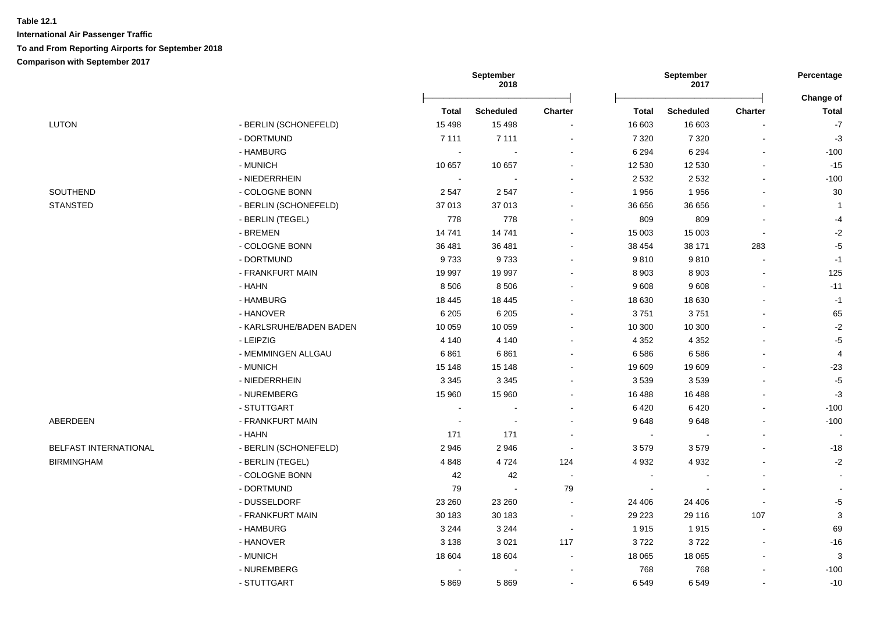|                              |                         | September<br>2018 |                  |                |                | September<br>2017        |                          | Percentage<br>Change of  |
|------------------------------|-------------------------|-------------------|------------------|----------------|----------------|--------------------------|--------------------------|--------------------------|
|                              |                         | <b>Total</b>      | <b>Scheduled</b> | <b>Charter</b> | Total          | <b>Scheduled</b>         | <b>Charter</b>           | <b>Total</b>             |
| <b>LUTON</b>                 | - BERLIN (SCHONEFELD)   | 15 4 98           | 15 4 98          |                | 16 603         | 16 603                   |                          | $-7$                     |
|                              | - DORTMUND              | 7 1 1 1           | 7 1 1 1          | $\blacksquare$ | 7 3 2 0        | 7 3 2 0                  | $\blacksquare$           | $-3$                     |
|                              | - HAMBURG               | $\sim$            |                  |                | 6 2 9 4        | 6 2 9 4                  | $\blacksquare$           | $-100$                   |
|                              | - MUNICH                | 10 657            | 10 657           | $\sim$         | 12 530         | 12 530                   | $\blacksquare$           | $-15$                    |
|                              | - NIEDERRHEIN           | $\sim$            |                  |                | 2 5 3 2        | 2 5 3 2                  | $\blacksquare$           | $-100$                   |
| SOUTHEND                     | - COLOGNE BONN          | 2547              | 2547             |                | 1956           | 1956                     | $\blacksquare$           | 30                       |
| <b>STANSTED</b>              | - BERLIN (SCHONEFELD)   | 37 013            | 37 013           | $\sim$         | 36 656         | 36 656                   | $\sim$                   | $\mathbf{1}$             |
|                              | - BERLIN (TEGEL)        | 778               | 778              |                | 809            | 809                      | $\blacksquare$           | $-4$                     |
|                              | - BREMEN                | 14741             | 14741            |                | 15 003         | 15 003                   | ÷,                       | $-2$                     |
|                              | - COLOGNE BONN          | 36 481            | 36 481           | $\sim$         | 38 454         | 38 171                   | 283                      | $-5$                     |
|                              | - DORTMUND              | 9733              | 9733             | $\overline{a}$ | 9810           | 9810                     | $\sim$                   | $-1$                     |
|                              | - FRANKFURT MAIN        | 19 997            | 19 997           | $\blacksquare$ | 8 9 0 3        | 8 9 0 3                  | $\blacksquare$           | 125                      |
|                              | - HAHN                  | 8 5 0 6           | 8 5 0 6          |                | 9608           | 9608                     | $\overline{\phantom{a}}$ | $-11$                    |
|                              | - HAMBURG               | 18 4 45           | 18 4 45          | $\sim$         | 18 630         | 18 630                   | $\blacksquare$           | $-1$                     |
|                              | - HANOVER               | 6 2 0 5           | 6 2 0 5          |                | 3751           | 3751                     | $\sim$                   | 65                       |
|                              | - KARLSRUHE/BADEN BADEN | 10 059            | 10 059           |                | 10 300         | 10 300                   |                          | $-2$                     |
|                              | - LEIPZIG               | 4 1 4 0           | 4 1 4 0          |                | 4 3 5 2        | 4 3 5 2                  |                          | $-5$                     |
|                              | - MEMMINGEN ALLGAU      | 6861              | 6861             |                | 6586           | 6586                     | $\sim$                   | $\overline{4}$           |
|                              | - MUNICH                | 15 148            | 15 148           | $\sim$         | 19 609         | 19 609                   |                          | $-23$                    |
|                              | - NIEDERRHEIN           | 3 3 4 5           | 3 3 4 5          |                | 3 5 3 9        | 3539                     |                          | $-5$                     |
|                              | - NUREMBERG             | 15 960            | 15 960           | $\blacksquare$ | 16 488         | 16 488                   | $\blacksquare$           | $-3$                     |
|                              | - STUTTGART             | $\sim$            |                  |                | 6 4 20         | 6420                     | $\blacksquare$           | $-100$                   |
| ABERDEEN                     | - FRANKFURT MAIN        | $\sim$            |                  |                | 9648           | 9648                     |                          | $-100$                   |
|                              | - HAHN                  | 171               | 171              |                | $\blacksquare$ |                          | ÷,                       | $\overline{\phantom{a}}$ |
| <b>BELFAST INTERNATIONAL</b> | - BERLIN (SCHONEFELD)   | 2946              | 2946             | $\sim$         | 3579           | 3579                     | $\sim$                   | $-18$                    |
| <b>BIRMINGHAM</b>            | - BERLIN (TEGEL)        | 4848              | 4724             | 124            | 4 9 3 2        | 4 9 3 2                  | $\sim$                   | $-2$                     |
|                              | - COLOGNE BONN          | 42                | 42               | $\sim$         | $\blacksquare$ | $\overline{\phantom{a}}$ | $\blacksquare$           | $\sim$                   |
|                              | - DORTMUND              | 79                | $\sim$           | 79             | $\blacksquare$ | $\blacksquare$           | $\blacksquare$           |                          |
|                              | - DUSSELDORF            | 23 260            | 23 260           | $\sim$         | 24 40 6        | 24 40 6                  | $\blacksquare$           | $-5$                     |
|                              | - FRANKFURT MAIN        | 30 183            | 30 183           | $\sim$         | 29 223         | 29 116                   | 107                      | $\mathsf 3$              |
|                              | - HAMBURG               | 3 2 4 4           | 3 2 4 4          | $\sim$         | 1915           | 1915                     | $\blacksquare$           | 69                       |
|                              | - HANOVER               | 3 1 3 8           | 3 0 21           | 117            | 3722           | 3722                     | $\blacksquare$           | $-16$                    |
|                              | - MUNICH                | 18 604            | 18 604           | $\sim$         | 18 0 65        | 18 0 65                  | $\blacksquare$           | 3                        |
|                              | - NUREMBERG             |                   |                  |                | 768            | 768                      | $\sim$                   | $-100$                   |
|                              |                         |                   |                  |                |                |                          |                          |                          |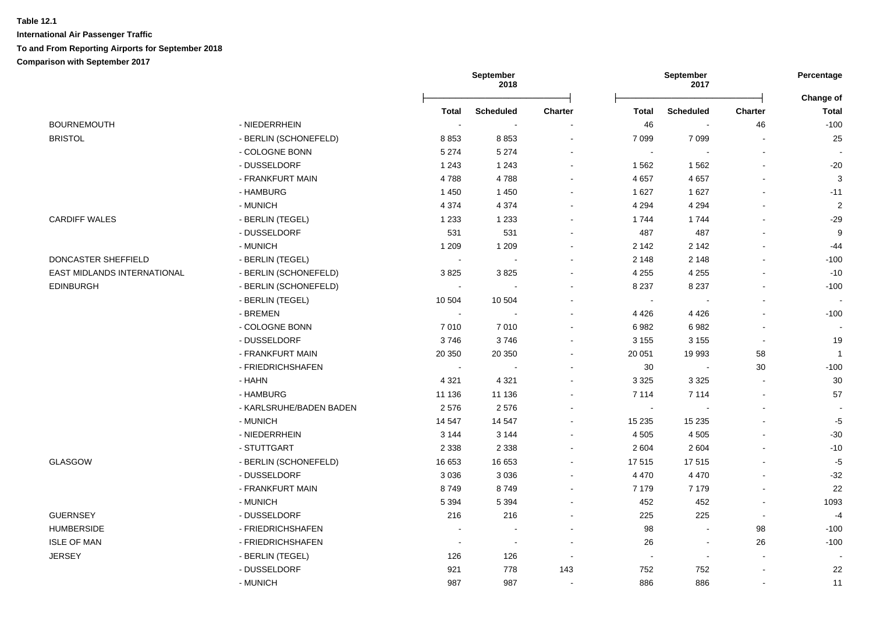|                             |                         |                | September<br>2018 |                |                       | September<br>2017        |                          | Percentage                |
|-----------------------------|-------------------------|----------------|-------------------|----------------|-----------------------|--------------------------|--------------------------|---------------------------|
|                             |                         | <b>Total</b>   | <b>Scheduled</b>  | <b>Charter</b> | <b>Total</b>          | <b>Scheduled</b>         | <b>Charter</b>           | Change of<br><b>Total</b> |
| <b>BOURNEMOUTH</b>          | - NIEDERRHEIN           | $\sim$         | $\sim$            |                | 46                    |                          | 46                       | $-100$                    |
| <b>BRISTOL</b>              | - BERLIN (SCHONEFELD)   | 8853           | 8853              | $\sim$         | 7 0 9 9               | 7 0 9 9                  | $\overline{a}$           | 25                        |
|                             | - COLOGNE BONN          | 5 2 7 4        | 5 2 7 4           |                | $\tilde{\phantom{a}}$ | ÷.                       | $\blacksquare$           | $\sim$                    |
|                             | - DUSSELDORF            | 1 2 4 3        | 1 2 4 3           |                | 1 5 6 2               | 1562                     | $\blacksquare$           | $-20$                     |
|                             | - FRANKFURT MAIN        | 4788           | 4788              |                | 4 6 5 7               | 4657                     | $\blacksquare$           | $\mathbf{3}$              |
|                             | - HAMBURG               | 1450           | 1450              |                | 1 6 2 7               | 1627                     | $\overline{\phantom{a}}$ | $-11$                     |
|                             | - MUNICH                | 4 3 7 4        | 4 3 7 4           |                | 4 2 9 4               | 4 2 9 4                  |                          | $\overline{2}$            |
| <b>CARDIFF WALES</b>        | - BERLIN (TEGEL)        | 1 2 3 3        | 1 2 3 3           |                | 1744                  | 1744                     | $\overline{a}$           | $-29$                     |
|                             | - DUSSELDORF            | 531            | 531               |                | 487                   | 487                      | $\blacksquare$           | 9                         |
|                             | - MUNICH                | 1 2 0 9        | 1 2 0 9           |                | 2 1 4 2               | 2 1 4 2                  | $\sim$                   | $-44$                     |
| DONCASTER SHEFFIELD         | - BERLIN (TEGEL)        | $\blacksquare$ | $\sim$            |                | 2 1 4 8               | 2 1 4 8                  | $\sim$                   | $-100$                    |
| EAST MIDLANDS INTERNATIONAL | - BERLIN (SCHONEFELD)   | 3825           | 3825              |                | 4 2 5 5               | 4 2 5 5                  | $\blacksquare$           | $-10$                     |
| <b>EDINBURGH</b>            | - BERLIN (SCHONEFELD)   | $\sim$         | $\sim$            |                | 8 2 3 7               | 8 2 3 7                  | $\blacksquare$           | $-100$                    |
|                             | - BERLIN (TEGEL)        | 10 504         | 10 504            |                | $\blacksquare$        | $\overline{\phantom{a}}$ | $\blacksquare$           | $\sim$                    |
|                             | - BREMEN                | $\sim$         |                   |                | 4 4 2 6               | 4 4 2 6                  | $\blacksquare$           | $-100$                    |
|                             | - COLOGNE BONN          | 7010           | 7010              |                | 6982                  | 6982                     | $\blacksquare$           | $\overline{\phantom{a}}$  |
|                             | - DUSSELDORF            | 3746           | 3746              |                | 3 1 5 5               | 3 1 5 5                  | $\overline{\phantom{a}}$ | 19                        |
|                             | - FRANKFURT MAIN        | 20 350         | 20 350            |                | 20 051                | 19 993                   | 58                       | $\overline{1}$            |
|                             | - FRIEDRICHSHAFEN       | $\sim$         |                   |                | 30                    | $\sim$                   | 30                       | $-100$                    |
|                             | - HAHN                  | 4 3 2 1        | 4 3 2 1           |                | 3 3 2 5               | 3 3 2 5                  | $\blacksquare$           | 30                        |
|                             | - HAMBURG               | 11 136         | 11 136            |                | 7 1 1 4               | 7 1 1 4                  | $\sim$                   | 57                        |
|                             | - KARLSRUHE/BADEN BADEN | 2576           | 2576              |                | $\sim$                |                          | $\blacksquare$           |                           |
|                             | - MUNICH                | 14 5 47        | 14 5 47           |                | 15 2 35               | 15 2 35                  |                          | $-5$                      |
|                             | - NIEDERRHEIN           | 3 1 4 4        | 3 1 4 4           | $\sim$         | 4 5 0 5               | 4 5 0 5                  | $\sim$                   | $-30$                     |
|                             | - STUTTGART             | 2 3 3 8        | 2 3 3 8           |                | 2 6 0 4               | 2 6 0 4                  | $\overline{a}$           | $-10$                     |
| GLASGOW                     | - BERLIN (SCHONEFELD)   | 16 653         | 16 653            | $\sim$         | 17 515                | 17515                    | $\blacksquare$           | $-5$                      |
|                             | - DUSSELDORF            | 3 0 3 6        | 3036              | $\sim$         | 4 4 7 0               | 4 4 7 0                  | $\blacksquare$           | $-32$                     |
|                             | - FRANKFURT MAIN        | 8749           | 8749              | $\sim$         | 7 1 7 9               | 7 1 7 9                  | $\blacksquare$           | 22                        |
|                             | - MUNICH                | 5 3 9 4        | 5 3 9 4           |                | 452                   | 452                      | $\blacksquare$           | 1093                      |
| <b>GUERNSEY</b>             | - DUSSELDORF            | 216            | 216               |                | 225                   | 225                      | $\mathbf{r}$             | $-4$                      |
| <b>HUMBERSIDE</b>           | - FRIEDRICHSHAFEN       |                |                   |                | 98                    | $\overline{\phantom{a}}$ | 98                       | $-100$                    |
| <b>ISLE OF MAN</b>          | - FRIEDRICHSHAFEN       | $\sim$         | $\sim$            |                | 26                    | $\blacksquare$           | 26                       | $-100$                    |
| <b>JERSEY</b>               | - BERLIN (TEGEL)        | 126            | 126               | $\sim$         | $\blacksquare$        | $\blacksquare$           | $\sim$                   | $\overline{\phantom{a}}$  |
|                             | - DUSSELDORF            | 921            | 778               | 143            | 752                   | 752                      | $\sim$                   | 22                        |
|                             | - MUNICH                | 987            | 987               |                | 886                   | 886                      | $\ddot{\phantom{a}}$     | 11                        |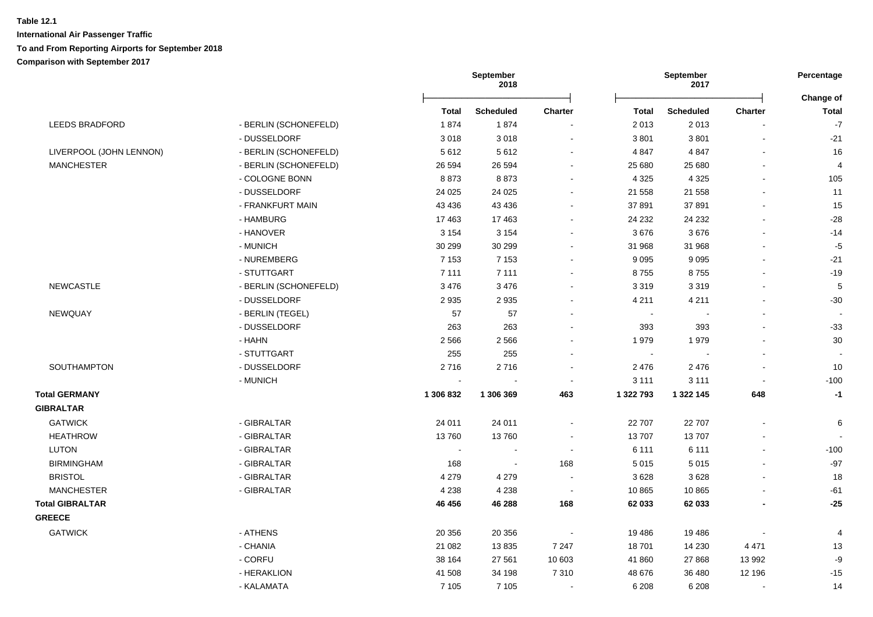|                         |                       | September<br>September<br>2018<br>2017 |                  | Percentage<br>Change of  |              |                  |                |               |
|-------------------------|-----------------------|----------------------------------------|------------------|--------------------------|--------------|------------------|----------------|---------------|
|                         |                       | <b>Total</b>                           | <b>Scheduled</b> | <b>Charter</b>           | <b>Total</b> | <b>Scheduled</b> | <b>Charter</b> | <b>Total</b>  |
| LEEDS BRADFORD          | - BERLIN (SCHONEFELD) | 1874                                   | 1874             |                          | 2013         | 2013             | $\sim$         | $\mathbf{-7}$ |
|                         | - DUSSELDORF          | 3018                                   | 3018             | $\sim$                   | 3801         | 3801             | $\blacksquare$ | $-21$         |
| LIVERPOOL (JOHN LENNON) | - BERLIN (SCHONEFELD) | 5612                                   | 5612             |                          | 4 8 4 7      | 4 8 4 7          |                | 16            |
| <b>MANCHESTER</b>       | - BERLIN (SCHONEFELD) | 26 594                                 | 26 594           | $\blacksquare$           | 25 680       | 25 680           | $\sim$         | 4             |
|                         | - COLOGNE BONN        | 8873                                   | 8873             |                          | 4 3 2 5      | 4 3 2 5          | $\blacksquare$ | 105           |
|                         | - DUSSELDORF          | 24 0 25                                | 24 0 25          |                          | 21 558       | 21 558           |                | 11            |
|                         | - FRANKFURT MAIN      | 43 4 36                                | 43 4 36          |                          | 37 891       | 37891            |                | 15            |
|                         | - HAMBURG             | 17463                                  | 17463            |                          | 24 232       | 24 232           |                | $-28$         |
|                         | - HANOVER             | 3 1 5 4                                | 3 1 5 4          |                          | 3676         | 3676             |                | $-14$         |
|                         | - MUNICH              | 30 299                                 | 30 299           |                          | 31 968       | 31 968           |                | $-5$          |
|                         | - NUREMBERG           | 7 1 5 3                                | 7 1 5 3          |                          | 9 0 9 5      | 9 0 9 5          |                | $-21$         |
|                         | - STUTTGART           | 7 1 1 1                                | 7 1 1 1          |                          | 8755         | 8755             |                | $-19$         |
| <b>NEWCASTLE</b>        | - BERLIN (SCHONEFELD) | 3 4 7 6                                | 3 4 7 6          | $\sim$                   | 3 3 1 9      | 3319             | $\blacksquare$ | $\sqrt{5}$    |
|                         | - DUSSELDORF          | 2935                                   | 2 9 3 5          | $\sim$                   | 4 2 1 1      | 4 2 1 1          |                | $-30$         |
| NEWQUAY                 | - BERLIN (TEGEL)      | 57                                     | 57               |                          | $\sim$       |                  |                |               |
|                         | - DUSSELDORF          | 263                                    | 263              |                          | 393          | 393              |                | $-33$         |
|                         | - HAHN                | 2566                                   | 2566             |                          | 1979         | 1979             |                | $30\,$        |
|                         | - STUTTGART           | 255                                    | 255              |                          | $\sim$       |                  | $\blacksquare$ |               |
| SOUTHAMPTON             | - DUSSELDORF          | 2716                                   | 2716             |                          | 2476         | 2 4 7 6          | $\sim$         | 10            |
|                         | - MUNICH              | $\sim$                                 |                  | $\overline{\phantom{a}}$ | 3 1 1 1      | 3 1 1 1          | $\blacksquare$ | $-100$        |
| <b>Total GERMANY</b>    |                       | 1 306 832                              | 1 306 369        | 463                      | 1 322 793    | 1 322 145        | 648            | $-1$          |
| <b>GIBRALTAR</b>        |                       |                                        |                  |                          |              |                  |                |               |
| <b>GATWICK</b>          | - GIBRALTAR           | 24 011                                 | 24 011           | $\sim$                   | 22 707       | 22 707           | $\sim$         | 6             |
| <b>HEATHROW</b>         | - GIBRALTAR           | 13760                                  | 13760            |                          | 13707        | 13707            | ä,             |               |
| <b>LUTON</b>            | - GIBRALTAR           | $\sim$                                 | $\blacksquare$   | $\blacksquare$           | 6 1 1 1      | 6 1 1 1          | ä,             | $-100$        |
| <b>BIRMINGHAM</b>       | - GIBRALTAR           | 168                                    | $\sim$           | 168                      | 5 0 1 5      | 5015             |                | $-97$         |
| <b>BRISTOL</b>          | - GIBRALTAR           | 4 2 7 9                                | 4 2 7 9          |                          | 3628         | 3628             |                | 18            |
| <b>MANCHESTER</b>       | - GIBRALTAR           | 4 2 3 8                                | 4 2 3 8          | $\sim$                   | 10 865       | 10 865           |                | $-61$         |
| <b>Total GIBRALTAR</b>  |                       | 46 456                                 | 46 288           | 168                      | 62 033       | 62 033           |                | $-25$         |
| <b>GREECE</b>           |                       |                                        |                  |                          |              |                  |                |               |
| <b>GATWICK</b>          | - ATHENS              | 20 356                                 | 20 356           |                          | 19 4 86      | 19486            |                | 4             |
|                         | - CHANIA              | 21 082                                 | 13835            | 7 2 4 7                  | 18701        | 14 2 30          | 4 4 7 1        | 13            |
|                         | - CORFU               | 38 164                                 | 27 561           | 10 603                   | 41 860       | 27 868           | 13 992         | -9            |
|                         | - HERAKLION           | 41 508                                 | 34 198           | 7 3 1 0                  | 48 676       | 36 480           | 12 196         | $-15$         |
|                         | - KALAMATA            | 7 1 0 5                                | 7 1 0 5          | $\blacksquare$           | 6 2 0 8      | 6 2 0 8          | $\sim$         | 14            |
|                         |                       |                                        |                  |                          |              |                  |                |               |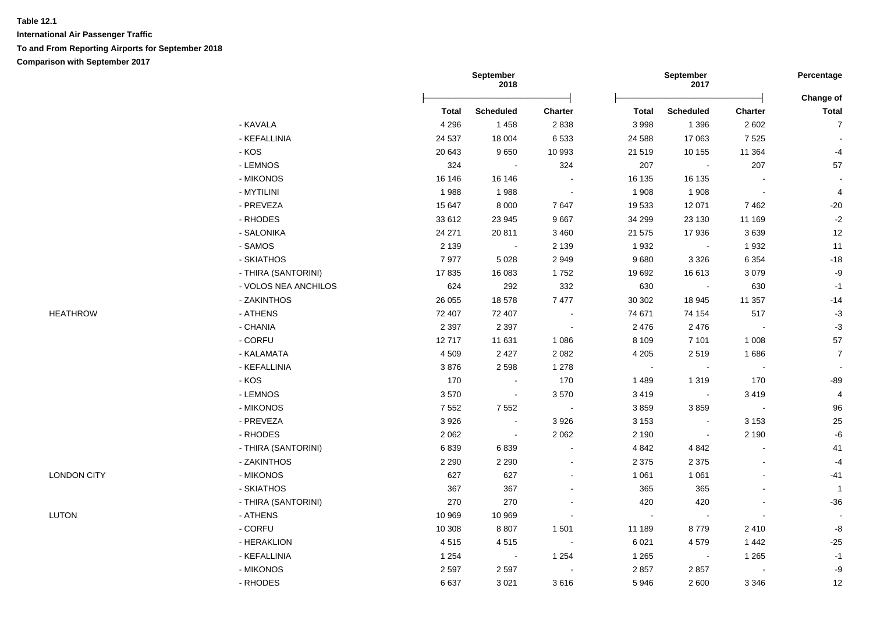|                    |                      |              | September<br>2018 |                          |                | September<br>2017        |                | Percentage     |  |
|--------------------|----------------------|--------------|-------------------|--------------------------|----------------|--------------------------|----------------|----------------|--|
|                    |                      |              |                   |                          |                |                          |                | Change of      |  |
|                    |                      | <b>Total</b> | <b>Scheduled</b>  | Charter                  | <b>Total</b>   | <b>Scheduled</b>         | <b>Charter</b> | <b>Total</b>   |  |
|                    | - KAVALA             | 4 2 9 6      | 1 4 5 8           | 2838                     | 3 9 9 8        | 1 3 9 6                  | 2 6 0 2        | $\overline{7}$ |  |
|                    | - KEFALLINIA         | 24 5 37      | 18 004            | 6 5 3 3                  | 24 5 88        | 17 063                   | 7525           |                |  |
|                    | - KOS                | 20 643       | 9650              | 10 993                   | 21 519         | 10 155                   | 11 364         | $-4$           |  |
|                    | - LEMNOS             | 324          | $\blacksquare$    | 324                      | 207            | $\blacksquare$           | 207            | 57             |  |
|                    | - MIKONOS            | 16 146       | 16 146            |                          | 16 135         | 16 135                   |                |                |  |
|                    | - MYTILINI           | 1988         | 1988              | $\overline{\phantom{a}}$ | 1 9 0 8        | 1 908                    | $\blacksquare$ | 4              |  |
|                    | - PREVEZA            | 15 647       | 8 0 0 0           | 7647                     | 19 533         | 12 071                   | 7462           | $-20$          |  |
|                    | - RHODES             | 33 612       | 23 945            | 9667                     | 34 299         | 23 130                   | 11 169         | $-2$           |  |
|                    | - SALONIKA           | 24 271       | 20811             | 3 4 6 0                  | 21 575         | 17936                    | 3639           | 12             |  |
|                    | - SAMOS              | 2 1 3 9      | $\sim$            | 2 1 3 9                  | 1932           |                          | 1932           | 11             |  |
|                    | - SKIATHOS           | 7977         | 5 0 28            | 2949                     | 9680           | 3 3 2 6                  | 6 3 5 4        | $-18$          |  |
|                    | - THIRA (SANTORINI)  | 17835        | 16 083            | 1752                     | 19 692         | 16 613                   | 3079           | $-9$           |  |
|                    | - VOLOS NEA ANCHILOS | 624          | 292               | 332                      | 630            | $\sim$                   | 630            | $-1$           |  |
|                    | - ZAKINTHOS          | 26 055       | 18578             | 7477                     | 30 30 2        | 18 945                   | 11 357         | $-14$          |  |
| <b>HEATHROW</b>    | - ATHENS             | 72 407       | 72 407            | $\sim$                   | 74 671         | 74 154                   | 517            | $-3$           |  |
|                    | - CHANIA             | 2 3 9 7      | 2 3 9 7           | $\sim$                   | 2 4 7 6        | 2 4 7 6                  | $\blacksquare$ | $-3$           |  |
|                    | - CORFU              | 12717        | 11 631            | 1 0 8 6                  | 8 1 0 9        | 7 1 0 1                  | 1 0 0 8        | 57             |  |
|                    | - KALAMATA           | 4509         | 2 4 2 7           | 2 0 8 2                  | 4 2 0 5        | 2519                     | 1686           | $\overline{7}$ |  |
|                    | - KEFALLINIA         | 3876         | 2598              | 1 2 7 8                  | $\blacksquare$ | $\blacksquare$           | $\blacksquare$ |                |  |
|                    | - KOS                | 170          | $\sim$            | 170                      | 1 4 8 9        | 1 3 1 9                  | 170            | $-89$          |  |
|                    | - LEMNOS             | 3570         | $\blacksquare$    | 3570                     | 3 4 1 9        | $\blacksquare$           | 3419           | $\overline{4}$ |  |
|                    | - MIKONOS            | 7 5 5 2      | 7552              | $\sim$                   | 3859           | 3859                     | $\mathbf{r}$   | 96             |  |
|                    | - PREVEZA            | 3926         | $\blacksquare$    | 3 9 2 6                  | 3 1 5 3        |                          | 3 1 5 3        | $25\,$         |  |
|                    | - RHODES             | 2 0 6 2      | $\sim$            | 2 0 6 2                  | 2 1 9 0        | $\overline{\phantom{a}}$ | 2 1 9 0        | $-6$           |  |
|                    | - THIRA (SANTORINI)  | 6839         | 6839              |                          | 4 8 4 2        | 4 8 4 2                  |                | 41             |  |
|                    | - ZAKINTHOS          | 2 2 9 0      | 2 2 9 0           |                          | 2 3 7 5        | 2 3 7 5                  |                | $-4$           |  |
| <b>LONDON CITY</b> | - MIKONOS            | 627          | 627               |                          | 1 0 6 1        | 1 0 6 1                  |                | $-41$          |  |
|                    | - SKIATHOS           | 367          | 367               |                          | 365            | 365                      |                | $\overline{1}$ |  |
|                    | - THIRA (SANTORINI)  | 270          | 270               |                          | 420            | 420                      |                | $-36$          |  |
| <b>LUTON</b>       | - ATHENS             | 10 969       | 10 969            |                          | $\sim$         |                          |                |                |  |
|                    | - CORFU              | 10 308       | 8807              | 1 5 0 1                  | 11 189         | 8779                     | 2410           | $\mbox{-}8$    |  |
|                    | - HERAKLION          | 4515         | 4515              | $\blacksquare$           | 6 0 21         | 4579                     | 1 4 4 2        | $-25$          |  |
|                    | - KEFALLINIA         | 1 2 5 4      | $\sim$            | 1 2 5 4                  | 1 2 6 5        | $\blacksquare$           | 1 2 6 5        | $-1$           |  |
|                    | - MIKONOS            | 2 5 9 7      | 2597              | $\blacksquare$           | 2 8 5 7        | 2857                     | $\sim$         | $-9$           |  |
|                    | - RHODES             | 6637         | 3 0 21            | 3616                     | 5946           | 2 600                    | 3 3 4 6        | 12             |  |
|                    |                      |              |                   |                          |                |                          |                |                |  |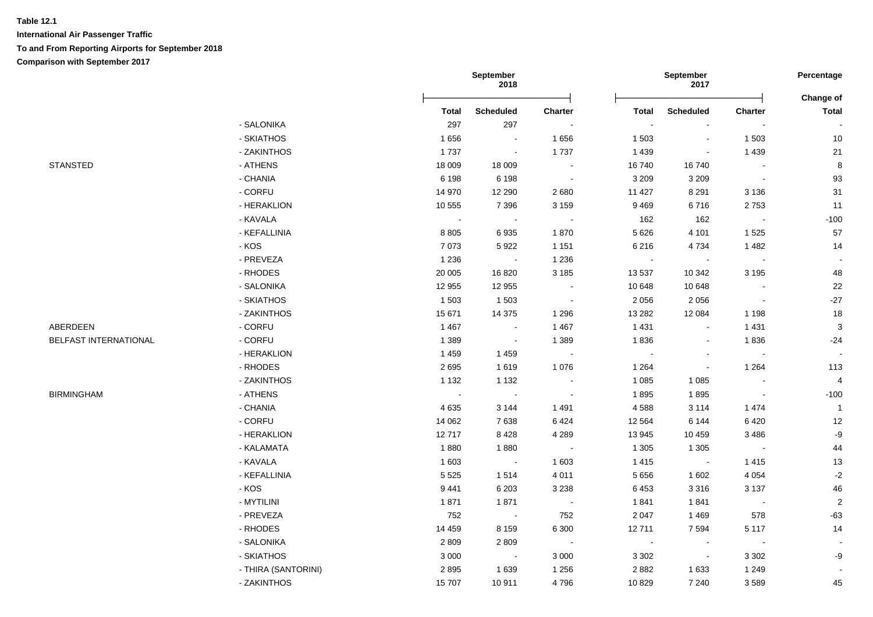|                       |                     | September<br>September<br>2018<br>2017 |                  | Percentage               |              |                          |                |                           |
|-----------------------|---------------------|----------------------------------------|------------------|--------------------------|--------------|--------------------------|----------------|---------------------------|
|                       |                     | <b>Total</b>                           | <b>Scheduled</b> | <b>Charter</b>           | <b>Total</b> | <b>Scheduled</b>         | <b>Charter</b> | Change of<br><b>Total</b> |
|                       | - SALONIKA          | 297                                    | 297              | $\overline{\phantom{a}}$ |              |                          |                |                           |
|                       | - SKIATHOS          | 1656                                   | $\sim$           | 1656                     | 1 503        | $\sim$                   | 1 503          | 10                        |
|                       | - ZAKINTHOS         | 1737                                   | $\blacksquare$   | 1737                     | 1 4 3 9      |                          | 1 4 3 9        | 21                        |
| <b>STANSTED</b>       | - ATHENS            | 18 009                                 | 18 009           | $\blacksquare$           | 16740        | 16740                    |                | 8                         |
|                       | - CHANIA            | 6 1 9 8                                | 6 1 9 8          | $\sim$                   | 3 2 0 9      | 3 2 0 9                  | $\sim$         | 93                        |
|                       | - CORFU             | 14 970                                 | 12 290           | 2680                     | 11 427       | 8 2 9 1                  | 3 1 3 6        | 31                        |
|                       | - HERAKLION         | 10 555                                 | 7 3 9 6          | 3 1 5 9                  | 9469         | 6716                     | 2753           | 11                        |
|                       | - KAVALA            | $\sim$                                 | $\sim$           | $\sim$                   | 162          | 162                      | $\sim$         | $-100$                    |
|                       | - KEFALLINIA        | 8 8 0 5                                | 6935             | 1870                     | 5 6 2 6      | 4 1 0 1                  | 1 5 2 5        | 57                        |
|                       | - KOS               | 7073                                   | 5922             | 1 1 5 1                  | 6 2 1 6      | 4734                     | 1482           | 14                        |
|                       | - PREVEZA           | 1 2 3 6                                | $\sim$           | 1 2 3 6                  | $\sim$       | $\overline{\phantom{a}}$ | $\sim$         |                           |
|                       | - RHODES            | 20 005                                 | 16820            | 3 1 8 5                  | 13 537       | 10 342                   | 3 1 9 5        | 48                        |
|                       | - SALONIKA          | 12 955                                 | 12 955           | $\blacksquare$           | 10 648       | 10 648                   |                | 22                        |
|                       | - SKIATHOS          | 1 503                                  | 1 503            | $\sim$                   | 2 0 5 6      | 2056                     | $\sim$         | $-27$                     |
|                       | - ZAKINTHOS         | 15 671                                 | 14 3 75          | 1 2 9 6                  | 13 2 8 2     | 12 084                   | 1 1 9 8        | 18                        |
| ABERDEEN              | - CORFU             | 1 4 6 7                                | $\sim$           | 1 4 6 7                  | 1 4 3 1      | $\sim$                   | 1 4 3 1        | $\mathbf{3}$              |
| BELFAST INTERNATIONAL | - CORFU             | 1 3 8 9                                | $\blacksquare$   | 1 3 8 9                  | 1836         |                          | 1836           | $-24$                     |
|                       | - HERAKLION         | 1459                                   | 1459             | $\sim$                   | $\sim$       | $\overline{\phantom{a}}$ | $\sim$         | $\sim$                    |
|                       | - RHODES            | 2695                                   | 1619             | 1 0 7 6                  | 1 2 6 4      |                          | 1 2 6 4        | 113                       |
|                       | - ZAKINTHOS         | 1 1 3 2                                | 1 1 3 2          | $\sim$                   | 1 0 8 5      | 1 0 8 5                  |                | 4                         |
| <b>BIRMINGHAM</b>     | - ATHENS            | $\sim$                                 | $\sim$           | $\overline{\phantom{a}}$ | 1895         | 1895                     | $\sim$         | $-100$                    |
|                       | - CHANIA            | 4635                                   | 3 1 4 4          | 1 4 9 1                  | 4588         | 3 1 1 4                  | 1474           | $\overline{1}$            |
|                       | - CORFU             | 14 062                                 | 7638             | 6424                     | 12 5 64      | 6 1 4 4                  | 6420           | 12                        |
|                       | - HERAKLION         | 12717                                  | 8428             | 4 2 8 9                  | 13 945       | 10 459                   | 3 4 8 6        | $-9$                      |
|                       | - KALAMATA          | 1880                                   | 1880             | $\sim 10$                | 1 3 0 5      | 1 3 0 5                  | $\sim$         | 44                        |
|                       | - KAVALA            | 1 603                                  | $\sim$ 100 $\pm$ | 1 603                    | 1 4 1 5      | $\sim$                   | 1 4 1 5        | 13                        |
|                       | - KEFALLINIA        | 5 5 2 5                                | 1514             | 4 0 1 1                  | 5 6 5 6      | 1 602                    | 4 0 5 4        | $-2$                      |
|                       | - KOS               | 9441                                   | 6 2 0 3          | 3 2 3 8                  | 6 4 5 3      | 3 3 1 6                  | 3 1 3 7        | 46                        |
|                       | - MYTILINI          | 1871                                   | 1871             | $\sim$ 100 $\pm$         | 1841         | 1841                     | $\sim$ $-$     | $\overline{2}$            |
|                       | - PREVEZA           | 752                                    | $\sim 100$       | 752                      | 2 0 4 7      | 1469                     | 578            | $-63$                     |
|                       | - RHODES            | 14 4 5 9                               | 8 1 5 9          | 6 3 0 0                  | 12711        | 7594                     | 5 1 1 7        | 14                        |
|                       | - SALONIKA          | 2 8 0 9                                | 2809             | $\sim$ $-$               |              |                          |                |                           |
|                       | - SKIATHOS          | 3 0 0 0                                | $\blacksquare$   | 3 0 0 0                  | 3 3 0 2      | $\overline{\phantom{a}}$ | 3 3 0 2        | -9                        |
|                       | - THIRA (SANTORINI) | 2895                                   | 1639             | 1 2 5 6                  | 2882         | 1 6 3 3                  | 1 2 4 9        | $\sim$                    |
|                       | - ZAKINTHOS         | 15707                                  | 10911            | 4796                     | 10 829       | 7 2 4 0                  | 3589           | 45                        |
|                       |                     |                                        |                  |                          |              |                          |                |                           |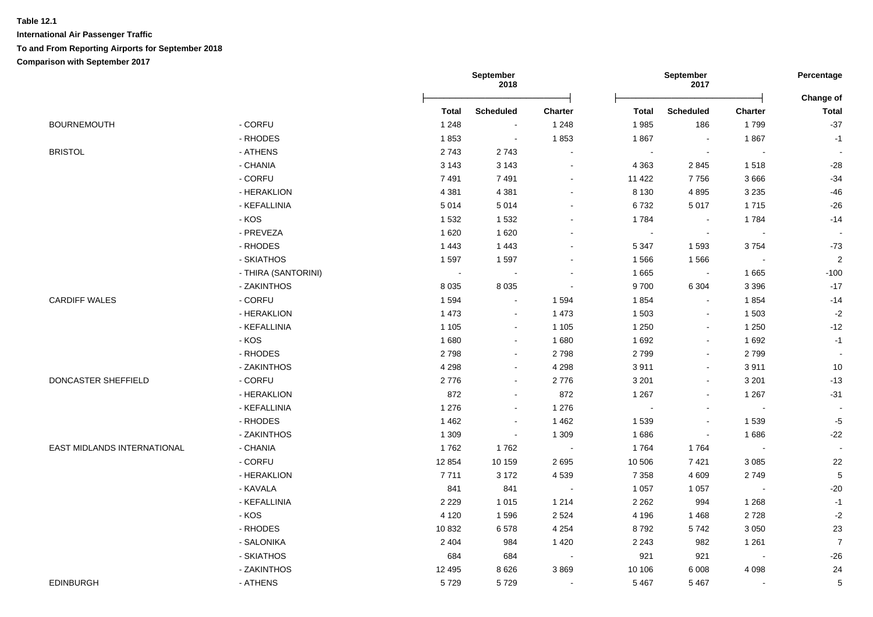|                             |                     | September<br>September<br>2018<br>2017 |                  |                | Percentage<br>Change of |                          |                |                          |
|-----------------------------|---------------------|----------------------------------------|------------------|----------------|-------------------------|--------------------------|----------------|--------------------------|
|                             |                     | <b>Total</b>                           | <b>Scheduled</b> | <b>Charter</b> | Total                   | <b>Scheduled</b>         | <b>Charter</b> | <b>Total</b>             |
| <b>BOURNEMOUTH</b>          | - CORFU             | 1 2 4 8                                | $\sim$           | 1 2 4 8        | 1985                    | 186                      | 1799           | $-37$                    |
|                             | - RHODES            | 1853                                   | $\sim$           | 1853           | 1867                    | $\blacksquare$           | 1867           | $-1$                     |
| <b>BRISTOL</b>              | - ATHENS            | 2743                                   | 2743             |                | $\omega$                |                          | $\blacksquare$ | $\overline{\phantom{a}}$ |
|                             | - CHANIA            | 3 1 4 3                                | 3 1 4 3          | $\sim$         | 4 3 6 3                 | 2845                     | 1518           | $-28$                    |
|                             | - CORFU             | 7491                                   | 7491             | $\sim$         | 11 422                  | 7756                     | 3666           | $-34$                    |
|                             | - HERAKLION         | 4 3 8 1                                | 4 3 8 1          |                | 8 1 3 0                 | 4895                     | 3 2 3 5        | $-46$                    |
|                             | - KEFALLINIA        | 5014                                   | 5014             |                | 6732                    | 5017                     | 1715           | $-26$                    |
|                             | - KOS               | 1532                                   | 1532             |                | 1784                    | $\sim$                   | 1784           | $-14$                    |
|                             | - PREVEZA           | 1620                                   | 1 6 2 0          |                | $\blacksquare$          |                          | $\sim$         |                          |
|                             | - RHODES            | 1 4 4 3                                | 1 4 4 3          |                | 5 3 4 7                 | 1593                     | 3754           | $-73$                    |
|                             | - SKIATHOS          | 1597                                   | 1597             |                | 1566                    | 1566                     | $\sim$         | 2                        |
|                             | - THIRA (SANTORINI) | $\sim$                                 | $\sim$           | $\sim$         | 1665                    | $\sim$                   | 1665           | $-100$                   |
|                             | - ZAKINTHOS         | 8 0 3 5                                | 8 0 3 5          | $\sim$         | 9700                    | 6 3 0 4                  | 3 3 9 6        | $-17$                    |
| <b>CARDIFF WALES</b>        | - CORFU             | 1 5 9 4                                | $\sim$           | 1 5 9 4        | 1854                    | $\sim$                   | 1854           | $-14$                    |
|                             | - HERAKLION         | 1 4 7 3                                | $\sim$           | 1 4 7 3        | 1 503                   | $\sim$                   | 1 503          | $-2$                     |
|                             | - KEFALLINIA        | 1 1 0 5                                | $\sim$           | 1 1 0 5        | 1 2 5 0                 | $\sim$                   | 1 2 5 0        | $-12$                    |
|                             | - KOS               | 1680                                   | $\blacksquare$   | 1 680          | 1692                    | $\blacksquare$           | 1 6 9 2        | $-1$                     |
|                             | - RHODES            | 2798                                   | $\blacksquare$   | 2798           | 2799                    | $\blacksquare$           | 2799           | $\blacksquare$           |
|                             | - ZAKINTHOS         | 4 2 9 8                                | $\sim$           | 4 2 9 8        | 3911                    | $\overline{\phantom{a}}$ | 3911           | 10                       |
| DONCASTER SHEFFIELD         | - CORFU             | 2776                                   | $\sim$           | 2776           | 3 2 0 1                 | $\blacksquare$           | 3 2 0 1        | $-13$                    |
|                             | - HERAKLION         | 872                                    | $\blacksquare$   | 872            | 1 2 6 7                 | $\blacksquare$           | 1 2 6 7        | $-31$                    |
|                             | - KEFALLINIA        | 1 2 7 6                                | $\sim$           | 1 2 7 6        | $\blacksquare$          | $\blacksquare$           | $\sim$         | $\sim$                   |
|                             | - RHODES            | 1 4 6 2                                | $\blacksquare$   | 1 4 6 2        | 1 5 3 9                 |                          | 1539           | $-5$                     |
|                             | - ZAKINTHOS         | 1 3 0 9                                | $\sim$           | 1 3 0 9        | 1686                    |                          | 1686           | $-22$                    |
| EAST MIDLANDS INTERNATIONAL | - CHANIA            | 1762                                   | 1762             |                | 1764                    | 1764                     | $\sim$         |                          |
|                             | - CORFU             | 12 8 54                                | 10 159           | 2695           | 10 506                  | 7421                     | 3 0 8 5        | 22                       |
|                             | - HERAKLION         | 7711                                   | 3 1 7 2          | 4539           | 7 3 5 8                 | 4 6 0 9                  | 2749           | $\overline{5}$           |
|                             | - KAVALA            | 841                                    | 841              | $\sim$         | 1 0 5 7                 | 1 0 5 7                  | $\blacksquare$ | $-20$                    |
|                             | - KEFALLINIA        | 2 2 2 9                                | 1015             | 1 2 1 4        | 2 2 6 2                 | 994                      | 1 2 6 8        | $-1$                     |
|                             | - KOS               | 4 1 2 0                                | 1596             | 2 5 2 4        | 4 1 9 6                 | 1468                     | 2728           | $-2$                     |
|                             | - RHODES            | 10832                                  | 6578             | 4 2 5 4        | 8792                    | 5742                     | 3 0 5 0        | 23                       |
|                             | - SALONIKA          | 2 4 0 4                                | 984              | 1 4 2 0        | 2 2 4 3                 | 982                      | 1 2 6 1        | $\overline{7}$           |
|                             | - SKIATHOS          | 684                                    | 684              | $\sim$         | 921                     | 921                      | $\sim$         | $-26$                    |
|                             | - ZAKINTHOS         | 12 4 9 5                               | 8626             | 3869           | 10 10 6                 | 6 0 0 8                  | 4 0 9 8        | 24                       |
| <b>EDINBURGH</b>            | - ATHENS            | 5729                                   | 5729             |                | 5 4 6 7                 | 5467                     | $\blacksquare$ | 5                        |
|                             |                     |                                        |                  |                |                         |                          |                |                          |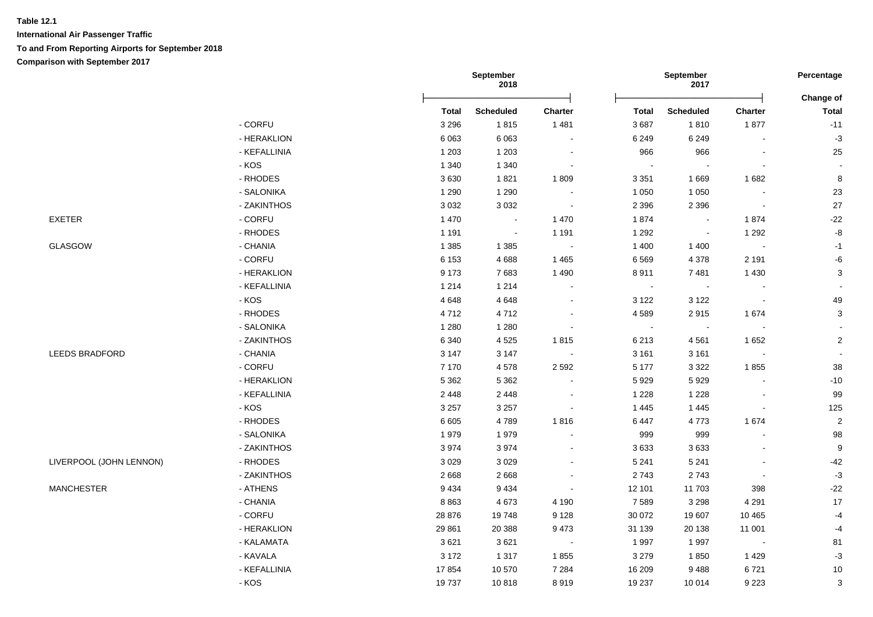|                         |              | September<br>2018 |                  |                | September<br>2017           |                  | Percentage     |                           |
|-------------------------|--------------|-------------------|------------------|----------------|-----------------------------|------------------|----------------|---------------------------|
|                         |              | <b>Total</b>      | <b>Scheduled</b> | <b>Charter</b> | <b>Total</b>                | <b>Scheduled</b> | <b>Charter</b> | Change of<br><b>Total</b> |
|                         | - CORFU      | 3 2 9 6           | 1815             | 1 4 8 1        | 3687                        | 1810             | 1877           | $-11$                     |
|                         | - HERAKLION  | 6063              | 6 0 6 3          | $\blacksquare$ | 6 2 4 9                     | 6 2 4 9          | $\blacksquare$ | $-3$                      |
|                         | - KEFALLINIA | 1 2 0 3           | 1 2 0 3          | $\sim$         | 966                         | 966              | $\blacksquare$ | 25                        |
|                         | - KOS        | 1 3 4 0           | 1 3 4 0          | $\sim$         | $\mathcal{L}_{\mathbf{r}}$  | $\blacksquare$   | $\blacksquare$ |                           |
|                         | - RHODES     | 3630              | 1821             | 1809           | 3 3 5 1                     | 1669             | 1682           | $\bf 8$                   |
|                         | - SALONIKA   | 1 2 9 0           | 1 2 9 0          |                | 1 0 5 0                     | 1 0 5 0          |                | 23                        |
|                         | - ZAKINTHOS  | 3 0 3 2           | 3 0 3 2          | $\bullet$      | 2 3 9 6                     | 2 3 9 6          | $\blacksquare$ | 27                        |
| <b>EXETER</b>           | - CORFU      | 1 4 7 0           | $\sim$           | 1470           | 1874                        | $\sim$ $\sim$    | 1874           | $-22$                     |
|                         | - RHODES     | 1 1 9 1           | $\sim$           | 1 1 9 1        | 1 2 9 2                     | $\sim$ $-$       | 1 2 9 2        | $\mbox{-}8$               |
| GLASGOW                 | - CHANIA     | 1 3 8 5           | 1 3 8 5          | $\sim$         | 1 4 0 0                     | 1 4 0 0          | $\sim$         | $-1$                      |
|                         | $-CORFU$     | 6 1 5 3           | 4688             | 1 4 6 5        | 6 5 6 9                     | 4 3 7 8          | 2 1 9 1        | $-6$                      |
|                         | - HERAKLION  | 9 1 7 3           | 7683             | 1 4 9 0        | 8911                        | 7 4 8 1          | 1 4 3 0        | $\mathbf{3}$              |
|                         | - KEFALLINIA | 1 2 1 4           | 1 2 1 4          | $\blacksquare$ | $\sim$                      | $\sim$           |                |                           |
|                         | - KOS        | 4648              | 4648             | $\sim$         | 3 1 2 2                     | 3 1 2 2          | $\sim$         | 49                        |
|                         | - RHODES     | 4712              | 4712             | $\blacksquare$ | 4589                        | 2915             | 1674           | $\mathbf{3}$              |
|                         | - SALONIKA   | 1 2 8 0           | 1 2 8 0          | $\blacksquare$ | $\mathcal{L}_{\mathcal{A}}$ | $\sim$           | $\blacksquare$ |                           |
|                         | - ZAKINTHOS  | 6 3 4 0           | 4525             | 1815           | 6 2 1 3                     | 4561             | 1652           | $\mathbf{2}$              |
| <b>LEEDS BRADFORD</b>   | - CHANIA     | 3 1 4 7           | 3 1 4 7          | $\sim$         | 3 1 6 1                     | 3 1 6 1          | $\blacksquare$ |                           |
|                         | - CORFU      | 7 1 7 0           | 4578             | 2 5 9 2        | 5 1 7 7                     | 3 3 2 2          | 1855           | 38                        |
|                         | - HERAKLION  | 5 3 6 2           | 5 3 6 2          | $\blacksquare$ | 5929                        | 5929             |                | $-10$                     |
|                         | - KEFALLINIA | 2 4 4 8           | 2 4 4 8          | $\sim$         | 1 2 2 8                     | 1 2 2 8          |                | 99                        |
|                         | - KOS        | 3 2 5 7           | 3 2 5 7          | $\blacksquare$ | 1 4 4 5                     | 1 4 4 5          | $\blacksquare$ | 125                       |
|                         | - RHODES     | 6 6 0 5           | 4789             | 1816           | 6 4 4 7                     | 4773             | 1674           | $\overline{2}$            |
|                         | - SALONIKA   | 1979              | 1979             |                | 999                         | 999              |                | 98                        |
|                         | - ZAKINTHOS  | 3974              | 3974             | $\blacksquare$ | 3633                        | 3633             |                | $\boldsymbol{9}$          |
| LIVERPOOL (JOHN LENNON) | - RHODES     | 3 0 2 9           | 3 0 2 9          | $\blacksquare$ | 5 2 4 1                     | 5 2 4 1          |                | $-42$                     |
|                         | - ZAKINTHOS  | 2668              | 2668             | $\blacksquare$ | 2743                        | 2743             | $\blacksquare$ | $-3$                      |
| <b>MANCHESTER</b>       | - ATHENS     | 9434              | 9434             | $\blacksquare$ | 12 101                      | 11703            | 398            | $-22$                     |
|                         | - CHANIA     | 8863              | 4673             | 4 1 9 0        | 7 5 8 9                     | 3 2 9 8          | 4 2 9 1        | 17                        |
|                         | - CORFU      | 28 876            | 19748            | 9 1 2 8        | 30 072                      | 19 607           | 10 4 65        | $-4$                      |
|                         | - HERAKLION  | 29 861            | 20 388           | 9 4 7 3        | 31 139                      | 20 138           | 11 001         | $-4$                      |
|                         | - KALAMATA   | 3621              | 3621             | $\sim$ $-$     | 1 9 9 7                     | 1997             | $\sim$ $-$     | 81                        |
|                         | - KAVALA     | 3 1 7 2           | 1 3 1 7          | 1855           | 3 2 7 9                     | 1850             | 1 4 2 9        | $-3$                      |
|                         | - KEFALLINIA | 17854             | 10 570           | 7 2 8 4        | 16 209                      | 9488             | 6721           | $10$                      |
|                         | - KOS        | 19737             | 10818            | 8919           | 19 237                      | 10 014           | 9 2 2 3        | 3                         |
|                         |              |                   |                  |                |                             |                  |                |                           |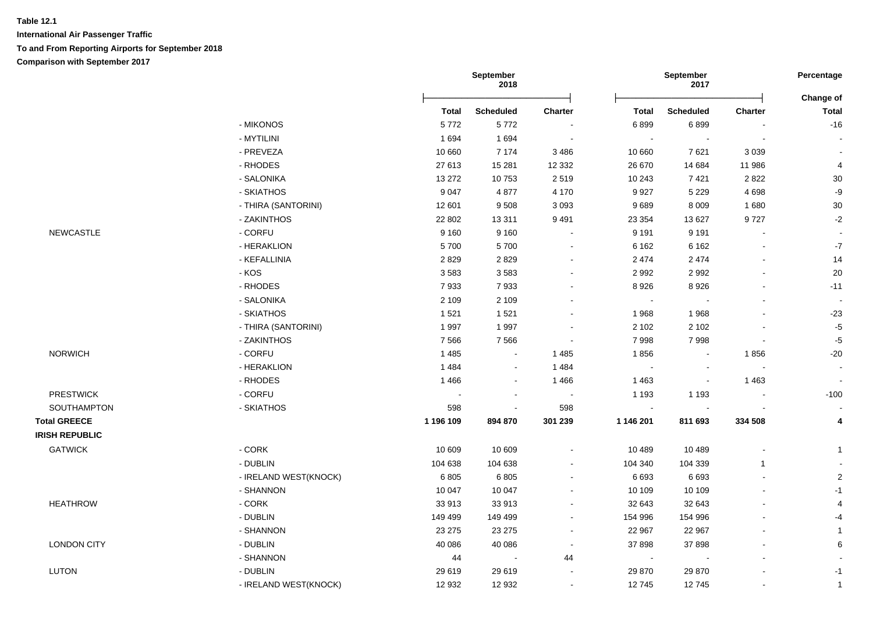|                       |                       | September<br>2018 |                  |                          | September<br>2017 | Percentage               |                |                           |
|-----------------------|-----------------------|-------------------|------------------|--------------------------|-------------------|--------------------------|----------------|---------------------------|
|                       |                       | <b>Total</b>      | <b>Scheduled</b> | <b>Charter</b>           | <b>Total</b>      | Scheduled                | Charter        | Change of<br><b>Total</b> |
|                       | - MIKONOS             | 5772              | 5772             |                          | 6899              | 6899                     |                | $-16$                     |
|                       | - MYTILINI            | 1694              | 1694             | $\sim$                   | $\sim$            | $\blacksquare$           | $\blacksquare$ |                           |
|                       | - PREVEZA             | 10 660            | 7 1 7 4          | 3 4 8 6                  | 10 660            | 7621                     | 3 0 3 9        |                           |
|                       | - RHODES              | 27 613            | 15 281           | 12 3 32                  | 26 670            | 14 684                   | 11 986         | 4                         |
|                       | - SALONIKA            | 13 27 2           | 10753            | 2519                     | 10 243            | 7421                     | 2822           | $30\,$                    |
|                       | - SKIATHOS            | 9 0 4 7           | 4877             | 4 170                    | 9927              | 5 2 2 9                  | 4698           | -9                        |
|                       | - THIRA (SANTORINI)   | 12 601            | 9508             | 3 0 9 3                  | 9689              | 8 0 0 9                  | 1680           | $30\,$                    |
|                       | - ZAKINTHOS           | 22 802            | 13 3 11          | 9 4 9 1                  | 23 354            | 13 627                   | 9727           | $-2$                      |
| <b>NEWCASTLE</b>      | - CORFU               | 9 1 6 0           | 9 1 6 0          | $\blacksquare$           | 9 1 9 1           | 9 1 9 1                  | $\blacksquare$ |                           |
|                       | - HERAKLION           | 5700              | 5700             |                          | 6 1 6 2           | 6 1 6 2                  |                | $-7$                      |
|                       | - KEFALLINIA          | 2829              | 2829             |                          | 2 4 7 4           | 2 4 7 4                  |                | 14                        |
|                       | $-KOS$                | 3583              | 3583             |                          | 2 9 9 2           | 2992                     |                | 20                        |
|                       | - RHODES              | 7933              | 7933             |                          | 8 9 2 6           | 8926                     |                | $-11$                     |
|                       | - SALONIKA            | 2 1 0 9           | 2 1 0 9          |                          | $\sim$            |                          |                |                           |
|                       | - SKIATHOS            | 1521              | 1521             | $\blacksquare$           | 1968              | 1968                     |                | $-23$                     |
|                       | - THIRA (SANTORINI)   | 1997              | 1997             | $\blacksquare$           | 2 1 0 2           | 2 1 0 2                  |                | $-5$                      |
|                       | - ZAKINTHOS           | 7566              | 7566             | $\blacksquare$           | 7998              | 7998                     | $\blacksquare$ | $-5$                      |
| <b>NORWICH</b>        | - CORFU               | 1485              | $\blacksquare$   | 1 4 8 5                  | 1856              | $\blacksquare$           | 1856           | $-20$                     |
|                       | - HERAKLION           | 1484              | $\blacksquare$   | 1484                     | $\blacksquare$    | $\blacksquare$           | $\blacksquare$ |                           |
|                       | - RHODES              | 1466              | $\blacksquare$   | 1466                     | 1 4 6 3           | $\blacksquare$           | 1463           | $\sim$                    |
| <b>PRESTWICK</b>      | - CORFU               |                   | $\sim$           | $\overline{\phantom{a}}$ | 1 1 9 3           | 1 1 9 3                  | $\blacksquare$ | $-100$                    |
| SOUTHAMPTON           | - SKIATHOS            | 598               | $\blacksquare$   | 598                      | $\blacksquare$    | $\overline{\phantom{a}}$ |                |                           |
| <b>Total GREECE</b>   |                       | 1 196 109         | 894 870          | 301 239                  | 1 146 201         | 811 693                  | 334 508        | 4                         |
| <b>IRISH REPUBLIC</b> |                       |                   |                  |                          |                   |                          |                |                           |
| <b>GATWICK</b>        | $-CORK$               | 10 609            | 10 609           | $\blacksquare$           | 10 489            | 10 489                   | $\blacksquare$ | $\overline{1}$            |
|                       | - DUBLIN              | 104 638           | 104 638          | $\blacksquare$           | 104 340           | 104 339                  | $\mathbf{1}$   |                           |
|                       | - IRELAND WEST(KNOCK) | 6805              | 6805             | $\blacksquare$           | 6 6 9 3           | 6693                     |                | $\overline{2}$            |
|                       | - SHANNON             | 10 047            | 10 047           |                          | 10 109            | 10 109                   |                | $-1$                      |
| <b>HEATHROW</b>       | $-CORK$               | 33 913            | 33 913           |                          | 32 643            | 32 643                   |                | $\overline{4}$            |
|                       | - DUBLIN              | 149 499           | 149 499          |                          | 154 996           | 154 996                  |                | $-4$                      |
|                       | - SHANNON             | 23 275            | 23 275           | $\overline{\phantom{a}}$ | 22 967            | 22 967                   |                | $\overline{1}$            |
| <b>LONDON CITY</b>    | - DUBLIN              | 40 086            | 40 086           | $\overline{\phantom{a}}$ | 37 898            | 37898                    |                | 6                         |
|                       | - SHANNON             | 44                | $\sim$           | 44                       | $\sim$            |                          |                |                           |
| <b>LUTON</b>          | - DUBLIN              | 29 619            | 29 619           |                          | 29 870            | 29 870                   |                | $-1$                      |
|                       | - IRELAND WEST(KNOCK) | 12 932            | 12 932           | $\blacksquare$           | 12745             | 12745                    | $\blacksquare$ | $\mathbf{1}$              |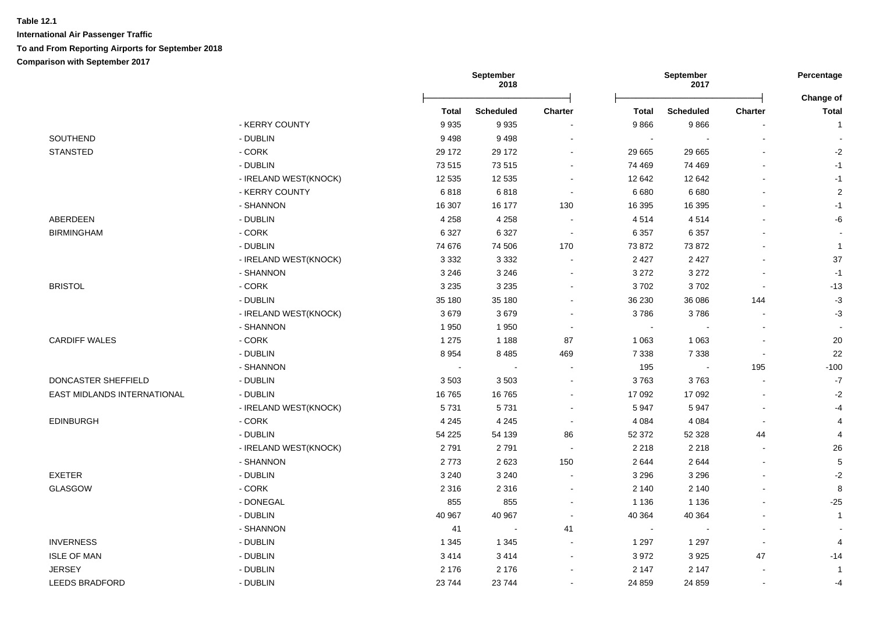|                             |                       | September<br>September<br>2018<br>2017 |                  | Percentage<br>Change of  |              |                          |                          |                |
|-----------------------------|-----------------------|----------------------------------------|------------------|--------------------------|--------------|--------------------------|--------------------------|----------------|
|                             |                       | <b>Total</b>                           | <b>Scheduled</b> | <b>Charter</b>           | <b>Total</b> | <b>Scheduled</b>         | Charter                  | <b>Total</b>   |
|                             | - KERRY COUNTY        | 9935                                   | 9935             |                          | 9866         | 9866                     |                          | $\mathbf{1}$   |
| SOUTHEND                    | - DUBLIN              | 9498                                   | 9498             |                          | $\sim$       | $\overline{\phantom{a}}$ |                          |                |
| <b>STANSTED</b>             | - CORK                | 29 172                                 | 29 172           |                          | 29 665       | 29 665                   |                          | $-2$           |
|                             | - DUBLIN              | 73515                                  | 73515            |                          | 74 469       | 74 469                   |                          | $-1$           |
|                             | - IRELAND WEST(KNOCK) | 12 535                                 | 12 5 35          |                          | 12 642       | 12 642                   |                          | $-1$           |
|                             | - KERRY COUNTY        | 6818                                   | 6818             | $\sim$                   | 6680         | 6 6 8 0                  |                          | $\overline{c}$ |
|                             | - SHANNON             | 16 307                                 | 16 177           | 130                      | 16 395       | 16 395                   |                          | $-1$           |
| ABERDEEN                    | - DUBLIN              | 4 2 5 8                                | 4 2 5 8          |                          | 4514         | 4514                     |                          | -6             |
| <b>BIRMINGHAM</b>           | - CORK                | 6 3 2 7                                | 6 3 2 7          | $\overline{\phantom{a}}$ | 6 3 5 7      | 6 3 5 7                  |                          |                |
|                             | - DUBLIN              | 74 676                                 | 74 506           | 170                      | 73 872       | 73 872                   |                          | $\mathbf{1}$   |
|                             | - IRELAND WEST(KNOCK) | 3 3 3 2                                | 3 3 3 2          |                          | 2 4 2 7      | 2 4 2 7                  |                          | 37             |
|                             | - SHANNON             | 3 2 4 6                                | 3 2 4 6          |                          | 3 2 7 2      | 3 2 7 2                  |                          | $-1$           |
| <b>BRISTOL</b>              | $-CORK$               | 3 2 3 5                                | 3 2 3 5          |                          | 3702         | 3702                     | $\blacksquare$           | $-13$          |
|                             | - DUBLIN              | 35 180                                 | 35 180           |                          | 36 230       | 36 086                   | 144                      | $-3$           |
|                             | - IRELAND WEST(KNOCK) | 3679                                   | 3679             |                          | 3786         | 3786                     |                          | $-3$           |
|                             | - SHANNON             | 1950                                   | 1950             |                          | $\sim$       |                          |                          |                |
| <b>CARDIFF WALES</b>        | $-CORK$               | 1 2 7 5                                | 1 1 8 8          | 87                       | 1 0 6 3      | 1 0 6 3                  |                          | 20             |
|                             | - DUBLIN              | 8 9 5 4                                | 8 4 8 5          | 469                      | 7 3 3 8      | 7 3 3 8                  | $\overline{\phantom{a}}$ | 22             |
|                             | - SHANNON             | $\sim$                                 | $\blacksquare$   |                          | 195          | $\sim$                   | 195                      | $-100$         |
| DONCASTER SHEFFIELD         | - DUBLIN              | 3503                                   | 3503             |                          | 3763         | 3763                     | $\overline{a}$           | $\mathbf{-7}$  |
| EAST MIDLANDS INTERNATIONAL | - DUBLIN              | 16765                                  | 16765            |                          | 17 092       | 17 092                   |                          | $-2$           |
|                             | - IRELAND WEST(KNOCK) | 5731                                   | 5731             |                          | 5947         | 5947                     |                          | $-4$           |
| <b>EDINBURGH</b>            | - CORK                | 4 2 4 5                                | 4 2 4 5          |                          | 4 0 8 4      | 4 0 8 4                  | $\mathbf{r}$             | $\overline{4}$ |
|                             | - DUBLIN              | 54 225                                 | 54 139           | 86                       | 52 372       | 52 328                   | 44                       | $\overline{4}$ |
|                             | - IRELAND WEST(KNOCK) | 2791                                   | 2791             |                          | 2 2 1 8      | 2 2 1 8                  |                          | 26             |
|                             | - SHANNON             | 2773                                   | 2623             | 150                      | 2 6 4 4      | 2644                     | $\overline{a}$           | 5              |
| <b>EXETER</b>               | - DUBLIN              | 3 2 4 0                                | 3 2 4 0          |                          | 3 2 9 6      | 3 2 9 6                  |                          | $-2$           |
| <b>GLASGOW</b>              | - CORK                | 2 3 1 6                                | 2 3 1 6          |                          | 2 140        | 2 1 4 0                  |                          | 8              |
|                             | - DONEGAL             | 855                                    | 855              |                          | 1 1 3 6      | 1 1 3 6                  |                          | $-25$          |
|                             | - DUBLIN              | 40 967                                 | 40 967           |                          | 40 364       | 40 364                   |                          | $\mathbf{1}$   |
|                             | - SHANNON             | 41                                     | $\sim$           | 41                       | $\sim$       | $\overline{a}$           | $\overline{a}$           |                |
| <b>INVERNESS</b>            | - DUBLIN              | 1 3 4 5                                | 1 3 4 5          |                          | 1 2 9 7      | 1 2 9 7                  | $\overline{\phantom{a}}$ |                |
| <b>ISLE OF MAN</b>          | - DUBLIN              | 3414                                   | 3414             |                          | 3 9 7 2      | 3925                     | 47                       | $-14$          |
| <b>JERSEY</b>               | - DUBLIN              | 2 1 7 6                                | 2 1 7 6          |                          | 2 1 4 7      | 2 1 4 7                  | $\overline{a}$           | $\mathbf 1$    |
| <b>LEEDS BRADFORD</b>       | - DUBLIN              | 23744                                  | 23744            |                          | 24 859       | 24 859                   | $\blacksquare$           | -4             |
|                             |                       |                                        |                  |                          |              |                          |                          |                |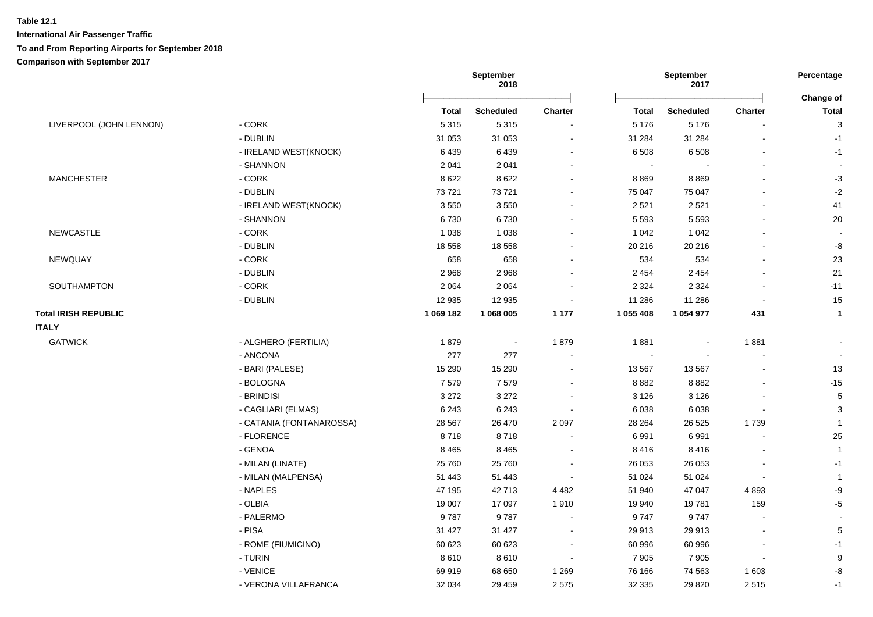|                             |                          | September<br>2018 |                  |                          | September<br>2017 |                  | Percentage<br>Change of |                 |
|-----------------------------|--------------------------|-------------------|------------------|--------------------------|-------------------|------------------|-------------------------|-----------------|
|                             |                          | <b>Total</b>      | <b>Scheduled</b> | <b>Charter</b>           | <b>Total</b>      | <b>Scheduled</b> | Charter                 | <b>Total</b>    |
| LIVERPOOL (JOHN LENNON)     | $-CORK$                  | 5 3 1 5           | 5315             |                          | 5 1 7 6           | 5 1 7 6          |                         | 3               |
|                             | - DUBLIN                 | 31 053            | 31 053           | $\overline{a}$           | 31 284            | 31 284           |                         | $-1$            |
|                             | - IRELAND WEST(KNOCK)    | 6439              | 6439             | $\blacksquare$           | 6 5 0 8           | 6 5 0 8          |                         | $-1$            |
|                             | - SHANNON                | 2 0 4 1           | 2 0 4 1          | $\overline{\phantom{a}}$ |                   |                  |                         |                 |
| <b>MANCHESTER</b>           | - CORK                   | 8 6 22            | 8622             | $\blacksquare$           | 8869              | 8869             |                         | $-3$            |
|                             | - DUBLIN                 | 73721             | 73721            | $\blacksquare$           | 75 047            | 75 047           |                         | $-2$            |
|                             | - IRELAND WEST(KNOCK)    | 3550              | 3550             |                          | 2 5 21            | 2 5 2 1          |                         | 41              |
|                             | - SHANNON                | 6730              | 6730             |                          | 5 5 9 3           | 5 5 9 3          |                         | 20              |
| <b>NEWCASTLE</b>            | $-CORK$                  | 1 0 3 8           | 1 0 3 8          | $\overline{a}$           | 1 0 4 2           | 1 0 4 2          |                         |                 |
|                             | - DUBLIN                 | 18 5 58           | 18 5 58          | ÷,                       | 20 216            | 20 216           |                         | -8              |
| NEWQUAY                     | - CORK                   | 658               | 658              | $\overline{a}$           | 534               | 534              |                         | 23              |
|                             | - DUBLIN                 | 2968              | 2968             | $\overline{a}$           | 2 4 5 4           | 2 4 5 4          |                         | 21              |
| SOUTHAMPTON                 | $-CORK$                  | 2 0 6 4           | 2 0 6 4          | $\blacksquare$           | 2 3 2 4           | 2 3 2 4          |                         | $-11$           |
|                             | - DUBLIN                 | 12 935            | 12 935           | $\blacksquare$           | 11 286            | 11 286           |                         | 15              |
| <b>Total IRISH REPUBLIC</b> |                          | 1 069 182         | 1 068 005        | 1 1 7 7                  | 1 055 408         | 1 054 977        | 431                     | $\mathbf{1}$    |
| <b>ITALY</b>                |                          |                   |                  |                          |                   |                  |                         |                 |
| <b>GATWICK</b>              | - ALGHERO (FERTILIA)     | 1879              | $\sim$           | 1879                     | 1881              |                  | 1881                    |                 |
|                             | - ANCONA                 | 277               | 277              | $\overline{a}$           |                   |                  |                         |                 |
|                             | - BARI (PALESE)          | 15 290            | 15 290           | $\overline{a}$           | 13 567            | 13 5 67          |                         | 13              |
|                             | - BOLOGNA                | 7579              | 7579             |                          | 8882              | 8882             |                         | $-15$           |
|                             | - BRINDISI               | 3 2 7 2           | 3 2 7 2          |                          | 3 1 2 6           | 3 1 2 6          |                         | $5\phantom{.0}$ |
|                             | - CAGLIARI (ELMAS)       | 6 2 4 3           | 6 2 4 3          | $\blacksquare$           | 6 0 38            | 6 0 38           |                         | 3               |
|                             | - CATANIA (FONTANAROSSA) | 28 567            | 26 470           | 2 0 9 7                  | 28 264            | 26 5 25          | 1739                    | $\mathbf{1}$    |
|                             | - FLORENCE               | 8718              | 8718             |                          | 6991              | 6991             |                         | 25              |
|                             | - GENOA                  | 8 4 6 5           | 8465             |                          | 8416              | 8416             |                         | $\mathbf{1}$    |
|                             | - MILAN (LINATE)         | 25 760            | 25 760           |                          | 26 053            | 26 053           |                         | $-1$            |
|                             | - MILAN (MALPENSA)       | 51 443            | 51 443           | $\blacksquare$           | 51 024            | 51 024           |                         | $\mathbf{1}$    |
|                             | - NAPLES                 | 47 195            | 42713            | 4 4 8 2                  | 51 940            | 47 047           | 4893                    | $-9$            |
|                             | - OLBIA                  | 19 007            | 17 097           | 1910                     | 19 940            | 19781            | 159                     | $-5$            |
|                             | - PALERMO                | 9787              | 9787             | $\overline{a}$           | 9747              | 9747             |                         |                 |
|                             | - PISA                   | 31 4 27           | 31 4 27          | $\blacksquare$           | 29 913            | 29 913           |                         | $5\phantom{.0}$ |
|                             | - ROME (FIUMICINO)       | 60 623            | 60 623           | $\overline{\phantom{a}}$ | 60 996            | 60 996           |                         | $-1$            |
|                             | - TURIN                  | 8610              | 8610             | $\overline{\phantom{a}}$ | 7 9 0 5           | 7 9 0 5          | $\blacksquare$          | 9               |
|                             | - VENICE                 | 69919             | 68 650           | 1 2 6 9                  | 76 166            | 74 563           | 1 603                   | -8              |
|                             |                          |                   |                  |                          |                   |                  |                         |                 |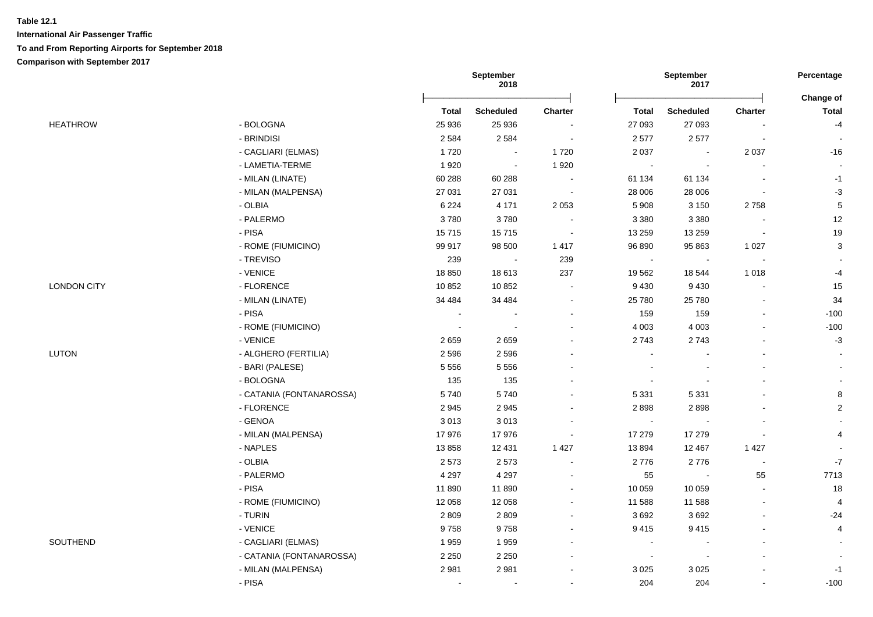|                    |                          | September<br>2018 |                |                          | September<br>2017 |                  |                          |                           |
|--------------------|--------------------------|-------------------|----------------|--------------------------|-------------------|------------------|--------------------------|---------------------------|
|                    |                          | <b>Total</b>      | Scheduled      | <b>Charter</b>           | <b>Total</b>      | <b>Scheduled</b> | <b>Charter</b>           | Change of<br><b>Total</b> |
| <b>HEATHROW</b>    | - BOLOGNA                | 25 936            | 25 936         | $\overline{\phantom{a}}$ | 27 093            | 27 093           |                          | $-4$                      |
|                    | - BRINDISI               | 2 5 8 4           | 2 5 8 4        | $\sim$                   | 2577              | 2577             | $\overline{\phantom{a}}$ |                           |
|                    | - CAGLIARI (ELMAS)       | 1720              | $\sim$         | 1720                     | 2 0 3 7           | $\sim$           | 2 0 3 7                  | $-16$                     |
|                    | - LAMETIA-TERME          | 1920              | $\sim$         | 1920                     | $\sim$            |                  |                          |                           |
|                    | - MILAN (LINATE)         | 60 288            | 60 288         | $\sim$                   | 61 134            | 61 134           |                          | $-1$                      |
|                    | - MILAN (MALPENSA)       | 27 031            | 27 031         | $\sim$                   | 28 006            | 28 006           |                          | $-3$                      |
|                    | - OLBIA                  | 6 2 2 4           | 4 1 7 1        | 2 0 5 3                  | 5 9 0 8           | 3 1 5 0          | 2758                     | $\sqrt{5}$                |
|                    | - PALERMO                | 3780              | 3780           |                          | 3 3 8 0           | 3 3 8 0          |                          | 12                        |
|                    | - PISA                   | 15715             | 15715          | $\sim$                   | 13 259            | 13 259           | $\sim$                   | 19                        |
|                    | - ROME (FIUMICINO)       | 99 917            | 98 500         | 1 4 1 7                  | 96 890            | 95 863           | 1 0 2 7                  | $\sqrt{3}$                |
|                    | - TREVISO                | 239               | $\sim$         | 239                      | $\sim$            | $\sim$           | $\sim$                   |                           |
|                    | - VENICE                 | 18 850            | 18613          | 237                      | 19 5 62           | 18 544           | 1018                     | $-4$                      |
| <b>LONDON CITY</b> | - FLORENCE               | 10852             | 10852          | $\sim$                   | 9 4 3 0           | 9 4 3 0          |                          | 15                        |
|                    | - MILAN (LINATE)         | 34 484            | 34 484         | $\blacksquare$           | 25 780            | 25 780           |                          | 34                        |
|                    | - PISA                   | $\blacksquare$    | $\blacksquare$ | ۰                        | 159               | 159              |                          | $-100$                    |
|                    | - ROME (FIUMICINO)       |                   |                |                          | 4 0 0 3           | 4 0 0 3          |                          | $-100$                    |
|                    | - VENICE                 | 2659              | 2659           | ÷                        | 2743              | 2743             |                          | $-3$                      |
| LUTON              | - ALGHERO (FERTILIA)     | 2 5 9 6           | 2596           |                          |                   |                  |                          |                           |
|                    | - BARI (PALESE)          | 5 5 5 6           | 5 5 5 6        | ä,                       |                   |                  |                          |                           |
|                    | - BOLOGNA                | 135               | 135            | $\overline{\phantom{0}}$ |                   |                  |                          |                           |
|                    | - CATANIA (FONTANAROSSA) | 5740              | 5740           | ÷                        | 5 3 3 1           | 5 3 3 1          |                          | $\bf8$                    |
|                    | - FLORENCE               | 2945              | 2945           |                          | 2898              | 2898             |                          | $\overline{2}$            |
|                    | - GENOA                  | 3013              | 3013           |                          | $\sim$            |                  |                          |                           |
|                    | - MILAN (MALPENSA)       | 17976             | 17976          | $\blacksquare$           | 17 279            | 17 279           |                          | 4                         |
|                    | - NAPLES                 | 13858             | 12 4 31        | 1 4 2 7                  | 13894             | 12 4 67          | 1 4 2 7                  |                           |
|                    | - OLBIA                  | 2573              | 2573           | $\blacksquare$           | 2776              | 2776             | $\sim$                   | $\mathbf{-7}$             |
|                    | - PALERMO                | 4 2 9 7           | 4 2 9 7        | $\blacksquare$           | 55                | $\sim$           | 55                       | 7713                      |
|                    | - PISA                   | 11 890            | 11890          | $\blacksquare$           | 10 059            | 10 059           | $\blacksquare$           | 18                        |
|                    | - ROME (FIUMICINO)       | 12 0 58           | 12 0 58        | $\sim$                   | 11 588            | 11 588           | $\sim$                   | 4                         |
|                    | - TURIN                  | 2809              | 2809           | $\blacksquare$           | 3692              | 3692             |                          | $-24$                     |
|                    | - VENICE                 | 9758              | 9758           |                          | 9 4 1 5           | 9415             |                          | $\overline{4}$            |
| SOUTHEND           | - CAGLIARI (ELMAS)       | 1959              | 1959           | $\blacksquare$           | $\sim$            |                  | $\overline{\phantom{a}}$ |                           |
|                    | - CATANIA (FONTANAROSSA) | 2 2 5 0           | 2 2 5 0        | $\blacksquare$           | $\blacksquare$    |                  |                          |                           |
|                    | - MILAN (MALPENSA)       | 2981              | 2981           | $\blacksquare$           | 3 0 25            | 3 0 2 5          |                          | $-1$                      |
|                    | - PISA                   | $\blacksquare$    | $\blacksquare$ |                          | 204               | 204              |                          | $-100$                    |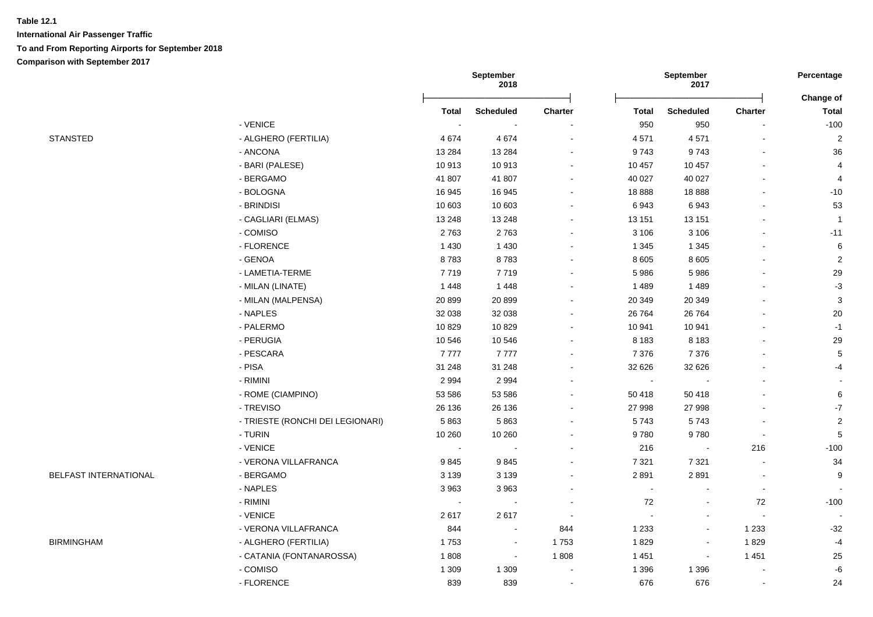|                       |                                  |                          | September<br>2018 |                          |                | September<br>2017 |                | Percentage                |
|-----------------------|----------------------------------|--------------------------|-------------------|--------------------------|----------------|-------------------|----------------|---------------------------|
|                       |                                  | <b>Total</b>             | <b>Scheduled</b>  | <b>Charter</b>           | <b>Total</b>   | <b>Scheduled</b>  | Charter        | Change of<br><b>Total</b> |
|                       | - VENICE                         | $\overline{\phantom{a}}$ |                   |                          | 950            | 950               |                | $-100$                    |
| <b>STANSTED</b>       | - ALGHERO (FERTILIA)             | 4674                     | 4674              | ÷,                       | 4571           | 4571              |                | $\overline{2}$            |
|                       | - ANCONA                         | 13 2 84                  | 13 2 84           |                          | 9743           | 9743              |                | 36                        |
|                       | - BARI (PALESE)                  | 10913                    | 10913             | $\sim$                   | 10 457         | 10 457            |                | 4                         |
|                       | - BERGAMO                        | 41 807                   | 41 807            | $\blacksquare$           | 40 027         | 40 0 27           |                | $\overline{4}$            |
|                       | - BOLOGNA                        | 16 945                   | 16 945            | $\blacksquare$           | 18888          | 18888             |                | $-10$                     |
|                       | - BRINDISI                       | 10 603                   | 10 603            |                          | 6943           | 6943              |                | 53                        |
|                       | - CAGLIARI (ELMAS)               | 13 248                   | 13 248            |                          | 13 151         | 13 151            |                | $\overline{1}$            |
|                       | - COMISO                         | 2763                     | 2763              |                          | 3 1 0 6        | 3 1 0 6           |                | $-11$                     |
|                       | - FLORENCE                       | 1 4 3 0                  | 1 4 3 0           |                          | 1 3 4 5        | 1 3 4 5           |                | 6                         |
|                       | - GENOA                          | 8783                     | 8783              |                          | 8 6 0 5        | 8 6 0 5           |                | $\overline{2}$            |
|                       | - LAMETIA-TERME                  | 7719                     | 7719              |                          | 5986           | 5986              |                | 29                        |
|                       | - MILAN (LINATE)                 | 1 4 4 8                  | 1 4 4 8           | ۰.                       | 1 4 8 9        | 1 4 8 9           |                | $-3$                      |
|                       | - MILAN (MALPENSA)               | 20899                    | 20 899            | $\blacksquare$           | 20 349         | 20 349            |                | $\mathbf{3}$              |
|                       | - NAPLES                         | 32 038                   | 32 038            | $\sim$                   | 26 764         | 26 7 64           |                | $20\,$                    |
|                       | - PALERMO                        | 10829                    | 10829             | $\sim$                   | 10 941         | 10 941            |                | $-1$                      |
|                       | - PERUGIA                        | 10 546                   | 10 546            | $\blacksquare$           | 8 1 8 3        | 8 1 8 3           |                | 29                        |
|                       | - PESCARA                        | 7777                     | 7777              | $\blacksquare$           | 7 3 7 6        | 7 3 7 6           |                | $\,$ 5 $\,$               |
|                       | - PISA                           | 31 248                   | 31 248            | $\sim$                   | 32 6 26        | 32 626            |                | $-4$                      |
|                       | - RIMINI                         | 2 9 9 4                  | 2 9 9 4           |                          | $\sim$         |                   |                |                           |
|                       | - ROME (CIAMPINO)                | 53 586                   | 53 586            |                          | 50 418         | 50 418            |                | $\,6$                     |
|                       | - TREVISO                        | 26 136                   | 26 136            |                          | 27 998         | 27 998            |                | $\mathbf{-7}$             |
|                       | - TRIESTE (RONCHI DEI LEGIONARI) | 5863                     | 5863              | $\overline{\phantom{a}}$ | 5743           | 5743              |                | $\overline{2}$            |
|                       | - TURIN                          | 10 260                   | 10 260            |                          | 9780           | 9780              | $\blacksquare$ | $\sqrt{5}$                |
|                       | - VENICE                         | $\sim$                   | $\sim$            |                          | 216            |                   | 216            | $-100$                    |
|                       | - VERONA VILLAFRANCA             | 9845                     | 9845              |                          | 7 3 2 1        | 7 3 2 1           |                | 34                        |
| BELFAST INTERNATIONAL | - BERGAMO                        | 3 1 3 9                  | 3 1 3 9           |                          | 2891           | 2891              |                | 9                         |
|                       | - NAPLES                         | 3963                     | 3963              |                          | $\blacksquare$ |                   | $\blacksquare$ |                           |
|                       | - RIMINI                         | $\overline{\phantom{a}}$ |                   |                          | 72             |                   | 72             | $-100$                    |
|                       | - VENICE                         | 2617                     | 2617              |                          |                |                   |                |                           |
|                       | - VERONA VILLAFRANCA             | 844                      |                   | 844                      | 1 2 3 3        | $\blacksquare$    | 1 2 3 3        | $-32$                     |
| <b>BIRMINGHAM</b>     | - ALGHERO (FERTILIA)             | 1753                     | $\blacksquare$    | 1753                     | 1829           | $\blacksquare$    | 1829           | $-4$                      |
|                       | - CATANIA (FONTANAROSSA)         | 1808                     | $\sim$            | 1808                     | 1 4 5 1        | $\blacksquare$    | 1 4 5 1        | 25                        |
|                       | - COMISO                         | 1 3 0 9                  | 1 3 0 9           | $\overline{\phantom{a}}$ | 1 3 9 6        | 1 3 9 6           |                | $-6$                      |
|                       | - FLORENCE                       | 839                      | 839               | $\sim$                   | 676            | 676               |                | 24                        |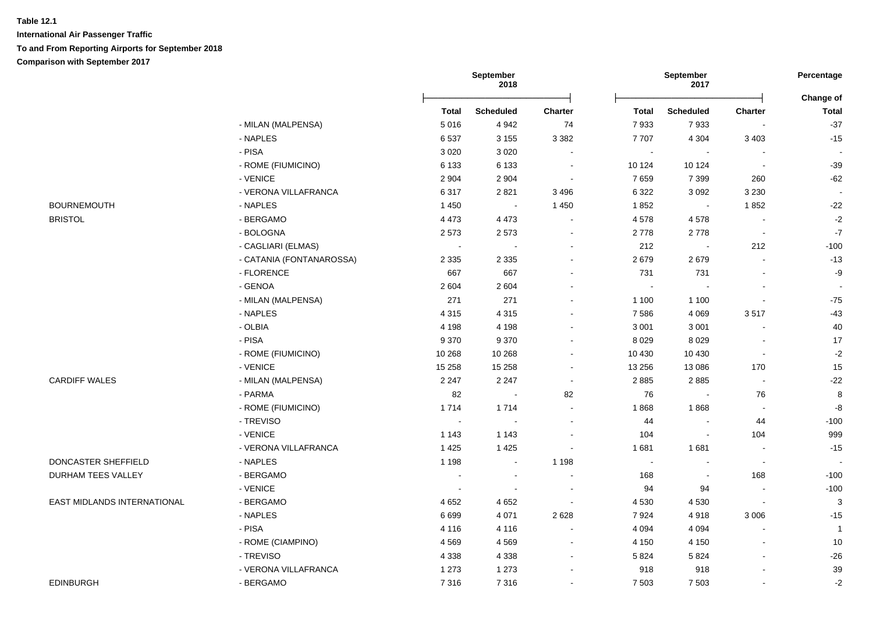|                             |                          |                          | September<br>2018 |                          |         | September<br>2017        |                | Percentage                |
|-----------------------------|--------------------------|--------------------------|-------------------|--------------------------|---------|--------------------------|----------------|---------------------------|
|                             |                          | <b>Total</b>             | <b>Scheduled</b>  | Charter                  | Total   | <b>Scheduled</b>         | Charter        | Change of<br><b>Total</b> |
|                             | - MILAN (MALPENSA)       | 5016                     | 4 9 4 2           | 74                       | 7933    | 7933                     | $\blacksquare$ | $-37$                     |
|                             | - NAPLES                 | 6537                     | 3 1 5 5           | 3 3 8 2                  | 7707    | 4 3 0 4                  | 3 4 0 3        | $-15$                     |
|                             | - PISA                   | 3 0 2 0                  | 3 0 2 0           |                          | $\sim$  | $\sim$                   |                |                           |
|                             | - ROME (FIUMICINO)       | 6 1 3 3                  | 6 1 3 3           | $\blacksquare$           | 10 124  | 10 124                   | $\blacksquare$ | $-39$                     |
|                             | - VENICE                 | 2 9 0 4                  | 2 9 0 4           | $\overline{\phantom{a}}$ | 7659    | 7 3 9 9                  | 260            | $-62$                     |
|                             | - VERONA VILLAFRANCA     | 6317                     | 2821              | 3 4 9 6                  | 6 3 2 2 | 3 0 9 2                  | 3 2 3 0        | $\sim$                    |
| <b>BOURNEMOUTH</b>          | - NAPLES                 | 1 4 5 0                  | $\sim$            | 1 4 5 0                  | 1852    |                          | 1852           | $-22$                     |
| <b>BRISTOL</b>              | - BERGAMO                | 4 4 7 3                  | 4 4 7 3           |                          | 4578    | 4578                     | $\blacksquare$ | $-2$                      |
|                             | - BOLOGNA                | 2573                     | 2573              | $\blacksquare$           | 2778    | 2778                     | $\blacksquare$ | $\mathbf{-7}$             |
|                             | - CAGLIARI (ELMAS)       |                          |                   |                          | 212     | $\overline{\phantom{a}}$ | 212            | $-100$                    |
|                             | - CATANIA (FONTANAROSSA) | 2 3 3 5                  | 2 3 3 5           |                          | 2679    | 2679                     |                | $-13$                     |
|                             | - FLORENCE               | 667                      | 667               |                          | 731     | 731                      |                | -9                        |
|                             | - GENOA                  | 2 6 0 4                  | 2 6 0 4           |                          | $\sim$  |                          |                |                           |
|                             | - MILAN (MALPENSA)       | 271                      | 271               |                          | 1 100   | 1 1 0 0                  | $\blacksquare$ | $-75$                     |
|                             | - NAPLES                 | 4 3 1 5                  | 4 3 1 5           |                          | 7586    | 4 0 6 9                  | 3517           | $-43$                     |
|                             | - OLBIA                  | 4 1 9 8                  | 4 1 9 8           |                          | 3 0 0 1 | 3 0 0 1                  |                | $40\,$                    |
|                             | - PISA                   | 9 3 7 0                  | 9 3 7 0           |                          | 8 0 2 9 | 8 0 2 9                  | $\blacksquare$ | 17                        |
|                             | - ROME (FIUMICINO)       | 10 268                   | 10 268            |                          | 10 4 30 | 10 4 30                  | $\blacksquare$ | $-2$                      |
|                             | - VENICE                 | 15 258                   | 15 2 58           | $\sim$                   | 13 25 6 | 13 0 86                  | 170            | 15                        |
| <b>CARDIFF WALES</b>        | - MILAN (MALPENSA)       | 2 2 4 7                  | 2 2 4 7           | $\sim$                   | 2885    | 2885                     | $\blacksquare$ | $-22$                     |
|                             | - PARMA                  | 82                       | $\sim$            | 82                       | 76      |                          | 76             | 8                         |
|                             | - ROME (FIUMICINO)       | 1714                     | 1714              |                          | 1868    | 1868                     | $\sim$         | $-8$                      |
|                             | - TREVISO                | $\sim$                   | $\sim$            | $\overline{a}$           | 44      |                          | 44             | $-100$                    |
|                             | - VENICE                 | 1 1 4 3                  | 1 1 4 3           |                          | 104     |                          | 104            | 999                       |
|                             | - VERONA VILLAFRANCA     | 1 4 2 5                  | 1 4 2 5           |                          | 1681    | 1681                     | $\blacksquare$ | $-15$                     |
| DONCASTER SHEFFIELD         | - NAPLES                 | 1 1 9 8                  | $\sim$            | 1 1 9 8                  | $\sim$  |                          | $\sim$         | ÷.                        |
| DURHAM TEES VALLEY          | - BERGAMO                | $\overline{\phantom{a}}$ | $\blacksquare$    |                          | 168     | $\overline{a}$           | 168            | $-100$                    |
|                             | - VENICE                 | $\overline{\phantom{a}}$ |                   |                          | 94      | 94                       |                | $-100$                    |
| EAST MIDLANDS INTERNATIONAL | - BERGAMO                | 4 6 5 2                  | 4 6 5 2           |                          | 4 5 3 0 | 4 5 3 0                  | $\blacksquare$ | $\mathbf{3}$              |
|                             | - NAPLES                 | 6699                     | 4 0 7 1           | 2 6 2 8                  | 7924    | 4918                     | 3 0 0 6        | $-15$                     |
|                             | - PISA                   | 4 1 1 6                  | 4 1 1 6           |                          | 4 0 9 4 | 4 0 9 4                  |                | $\overline{1}$            |
|                             | - ROME (CIAMPINO)        | 4569                     | 4569              | $\overline{\phantom{a}}$ | 4 1 5 0 | 4 1 5 0                  |                | 10                        |
|                             | - TREVISO                | 4 3 3 8                  | 4 3 3 8           | $\blacksquare$           | 5 8 2 4 | 5824                     |                | $-26$                     |
|                             | - VERONA VILLAFRANCA     | 1 2 7 3                  | 1 2 7 3           |                          | 918     | 918                      |                | $39\,$                    |
| <b>EDINBURGH</b>            | - BERGAMO                | 7316                     | 7316              |                          | 7 5 0 3 | 7 5 0 3                  |                | $\textnormal{-}2$         |
|                             |                          |                          |                   |                          |         |                          |                |                           |

| EDINBURGH |  |
|-----------|--|
|           |  |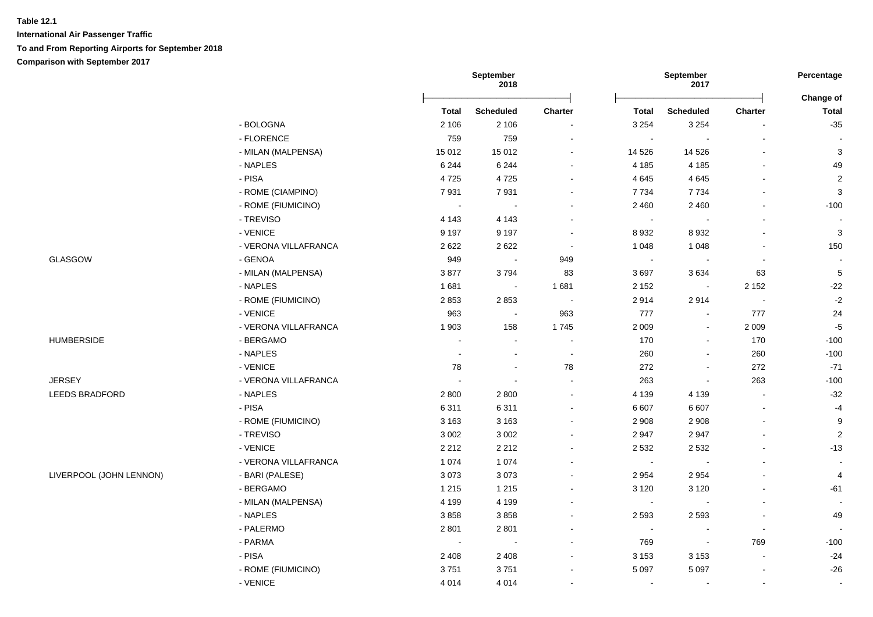**International Air Passenger Traffic To and From Reporting Airports for September 2018 Comparison with September 2017**

|                         |                      |                       | September<br>2018        |                |                | September<br>2017 |                              | Percentage                |
|-------------------------|----------------------|-----------------------|--------------------------|----------------|----------------|-------------------|------------------------------|---------------------------|
|                         |                      | <b>Total</b>          | <b>Scheduled</b>         | Charter        | <b>Total</b>   | <b>Scheduled</b>  | <b>Charter</b>               | Change of<br><b>Total</b> |
|                         | - BOLOGNA            | 2 10 6                | 2 1 0 6                  |                | 3 2 5 4        | 3 2 5 4           |                              | $-35$                     |
|                         | - FLORENCE           | 759                   | 759                      |                | $\sim$         |                   |                              |                           |
|                         | - MILAN (MALPENSA)   | 15 012                | 15 012                   |                | 14 5 26        | 14 5 26           |                              | $\mathsf 3$               |
|                         | - NAPLES             | 6 2 4 4               | 6 2 4 4                  |                | 4 185          | 4 1 8 5           |                              | 49                        |
|                         | - PISA               | 4725                  | 4725                     |                | 4 6 4 5        | 4645              | $\blacksquare$               | $\sqrt{2}$                |
|                         | - ROME (CIAMPINO)    | 7931                  | 7931                     |                | 7 7 3 4        | 7 7 3 4           |                              | $\mathsf 3$               |
|                         | - ROME (FIUMICINO)   | $\tilde{\phantom{a}}$ |                          |                | 2 4 6 0        | 2 4 6 0           | $\blacksquare$               | $-100$                    |
|                         | - TREVISO            | 4 1 4 3               | 4 1 4 3                  |                | $\blacksquare$ |                   | $\blacksquare$               |                           |
|                         | - VENICE             | 9 1 9 7               | 9 1 9 7                  | $\sim$         | 8 9 3 2        | 8932              | $\blacksquare$               | $\mathbf{3}$              |
|                         | - VERONA VILLAFRANCA | 2622                  | 2622                     | $\sim$         | 1 0 4 8        | 1 0 4 8           | $\overline{a}$               | 150                       |
| GLASGOW                 | - GENOA              | 949                   |                          | 949            | $\sim$         |                   | $\blacksquare$               |                           |
|                         | - MILAN (MALPENSA)   | 3877                  | 3794                     | 83             | 3697           | 3634              | 63                           | $\sqrt{5}$                |
|                         | - NAPLES             | 1681                  | $\overline{\phantom{a}}$ | 1681           | 2 1 5 2        | $\sim$            | 2 1 5 2                      | $-22$                     |
|                         | - ROME (FIUMICINO)   | 2853                  | 2853                     | $\sim$         | 2914           | 2914              | $\overline{\phantom{a}}$     | $-2$                      |
|                         | - VENICE             | 963                   | $\sim$                   | 963            | 777            | $\sim$            | 777                          | 24                        |
|                         | - VERONA VILLAFRANCA | 1 903                 | 158                      | 1745           | 2 0 0 9        | $\blacksquare$    | 2 0 0 9                      | $-5$                      |
| <b>HUMBERSIDE</b>       | - BERGAMO            | $\sim$                | $\sim$                   | $\sim$         | 170            | $\blacksquare$    | 170                          | $-100$                    |
|                         | - NAPLES             | $\ddot{\phantom{0}}$  | $\blacksquare$           | $\blacksquare$ | 260            |                   | 260                          | $-100$                    |
|                         | - VENICE             | 78                    | $\sim$                   | 78             | 272            |                   | 272                          | $-71$                     |
| <b>JERSEY</b>           | - VERONA VILLAFRANCA |                       |                          |                | 263            | $\sim$            | 263                          | $-100$                    |
| LEEDS BRADFORD          | - NAPLES             | 2800                  | 2800                     |                | 4 1 3 9        | 4 1 3 9           | $\blacksquare$               | $-32$                     |
|                         | - PISA               | 6311                  | 6311                     |                | 6 607          | 6 607             | $\overline{\phantom{a}}$     | $-4$                      |
|                         | - ROME (FIUMICINO)   | 3 1 6 3               | 3 1 6 3                  |                | 2 9 0 8        | 2 9 0 8           | $\blacksquare$               | $\boldsymbol{9}$          |
|                         | - TREVISO            | 3 0 0 2               | 3 0 0 2                  |                | 2 9 4 7        | 2947              | ä,                           | $\sqrt{2}$                |
|                         | - VENICE             | 2 2 1 2               | 2 2 1 2                  |                | 2 5 3 2        | 2 5 3 2           | $\qquad \qquad \blacksquare$ | $-13$                     |
|                         | - VERONA VILLAFRANCA | 1 0 7 4               | 1 0 7 4                  |                | $\blacksquare$ |                   |                              | $\sim$                    |
| LIVERPOOL (JOHN LENNON) | - BARI (PALESE)      | 3073                  | 3073                     |                | 2 9 5 4        | 2 9 5 4           |                              | 4                         |
|                         | - BERGAMO            | 1 2 1 5               | 1 2 1 5                  |                | 3 1 2 0        | 3 1 2 0           |                              | $-61$                     |
|                         | - MILAN (MALPENSA)   | 4 1 9 9               | 4 1 9 9                  |                | $\sim$         |                   | $\overline{a}$               | $\sim$                    |
|                         | - NAPLES             | 3858                  | 3858                     |                | 2 5 9 3        | 2 5 9 3           | $\blacksquare$               | 49                        |
|                         | - PALERMO            | 2 8 0 1               | 2801                     |                | $\sim$         |                   | $\blacksquare$               |                           |
|                         | - PARMA              | $\sim$                | $\sim$                   |                | 769            | $\blacksquare$    | 769                          | $-100$                    |
|                         | - PISA               | 2 4 0 8               | 2 4 0 8                  |                | 3 1 5 3        | 3 1 5 3           | $\blacksquare$               | $-24$                     |
|                         | - ROME (FIUMICINO)   | 3751                  | 3751                     |                | 5 0 9 7        | 5 0 9 7           |                              | $-26$                     |
|                         | - VENICE             | 4 0 1 4               | 4014                     |                | $\sim$         |                   | $\sim$                       | $\blacksquare$            |
|                         |                      |                       |                          |                |                |                   |                              |                           |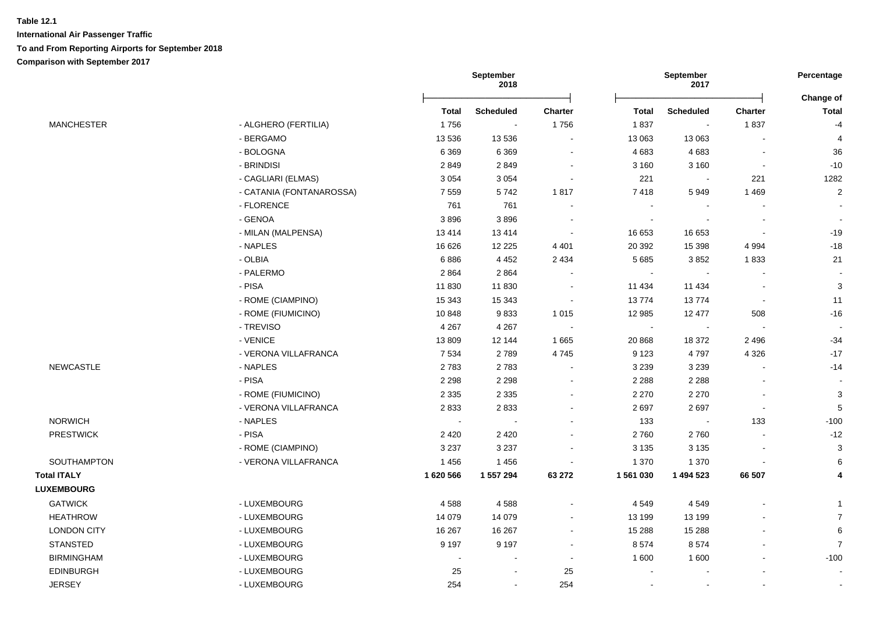|                    |                          |              | September<br>2018 |                |              | September<br>2017 |                | Percentage                |  |
|--------------------|--------------------------|--------------|-------------------|----------------|--------------|-------------------|----------------|---------------------------|--|
|                    |                          | <b>Total</b> | <b>Scheduled</b>  | <b>Charter</b> | <b>Total</b> | <b>Scheduled</b>  | <b>Charter</b> | Change of<br><b>Total</b> |  |
| <b>MANCHESTER</b>  | - ALGHERO (FERTILIA)     | 1756         | $\bullet$         | 1756           | 1837         | $\sim$            | 1837           | $-4$                      |  |
|                    | - BERGAMO                | 13 536       | 13 5 36           | $\blacksquare$ | 13 063       | 13 063            |                | $\overline{4}$            |  |
|                    | - BOLOGNA                | 6 3 6 9      | 6 3 6 9           | $\sim$         | 4 6 8 3      | 4683              |                | 36                        |  |
|                    | - BRINDISI               | 2849         | 2849              |                | 3 1 6 0      | 3 1 6 0           |                | $-10$                     |  |
|                    | - CAGLIARI (ELMAS)       | 3 0 5 4      | 3 0 5 4           |                | 221          |                   | 221            | 1282                      |  |
|                    | - CATANIA (FONTANAROSSA) | 7559         | 5742              | 1817           | 7418         | 5949              | 1469           | $\sqrt{2}$                |  |
|                    | - FLORENCE               | 761          | 761               |                | $\sim$       |                   |                | $\blacksquare$            |  |
|                    | - GENOA                  | 3896         | 3896              |                | $\sim$       |                   |                | $\blacksquare$            |  |
|                    | - MILAN (MALPENSA)       | 13414        | 13414             |                | 16 653       | 16 653            |                | $-19$                     |  |
|                    | - NAPLES                 | 16 626       | 12 2 2 5          | 4 4 0 1        | 20 392       | 15 3 98           | 4 9 9 4        | $-18$                     |  |
|                    | - OLBIA                  | 6886         | 4 4 5 2           | 2 4 3 4        | 5 6 8 5      | 3852              | 1833           | 21                        |  |
|                    | - PALERMO                | 2864         | 2864              |                |              |                   |                |                           |  |
|                    | - PISA                   | 11830        | 11 830            |                | 11 434       | 11 4 34           |                | $\mathbf{3}$              |  |
|                    | - ROME (CIAMPINO)        | 15 343       | 15 343            |                | 13774        | 13774             | $\sim$         | 11                        |  |
|                    | - ROME (FIUMICINO)       | 10848        | 9833              | 1 0 1 5        | 12 985       | 12 477            | 508            | $-16$                     |  |
|                    | - TREVISO                | 4 2 6 7      | 4 2 6 7           |                | $\sim$       |                   |                |                           |  |
|                    | - VENICE                 | 13 809       | 12 144            | 1 6 6 5        | 20 868       | 18 372            | 2 4 9 6        | $-34$                     |  |
|                    | - VERONA VILLAFRANCA     | 7 5 3 4      | 2789              | 4745           | 9 1 2 3      | 4797              | 4 3 2 6        | $-17$                     |  |
| <b>NEWCASTLE</b>   | - NAPLES                 | 2783         | 2783              |                | 3 2 3 9      | 3 2 3 9           |                | $-14$                     |  |
|                    | - PISA                   | 2 2 9 8      | 2 2 9 8           | $\sim$         | 2 2 8 8      | 2 2 8 8           |                | $\sim$                    |  |
|                    | - ROME (FIUMICINO)       | 2 3 3 5      | 2 3 3 5           |                | 2 2 7 0      | 2 2 7 0           |                | $\mathbf{3}$              |  |
|                    | - VERONA VILLAFRANCA     | 2833         | 2833              |                | 2697         | 2697              | $\sim$         | $\sqrt{5}$                |  |
| <b>NORWICH</b>     | - NAPLES                 | $\sim$       |                   |                | 133          |                   | 133            | $-100$                    |  |
| <b>PRESTWICK</b>   | - PISA                   | 2 4 2 0      | 2 4 2 0           |                | 2760         | 2760              |                | $-12$                     |  |
|                    | - ROME (CIAMPINO)        | 3 2 3 7      | 3 2 3 7           |                | 3 1 3 5      | 3 1 3 5           |                | $\mathbf{3}$              |  |
| SOUTHAMPTON        | - VERONA VILLAFRANCA     | 1456         | 1456              |                | 1 370        | 1 3 7 0           |                | 6                         |  |
| <b>Total ITALY</b> |                          | 1 620 566    | 1 557 294         | 63 27 2        | 1 561 030    | 1 494 523         | 66 507         | 4                         |  |
| <b>LUXEMBOURG</b>  |                          |              |                   |                |              |                   |                |                           |  |
| <b>GATWICK</b>     | - LUXEMBOURG             | 4588         | 4588              |                | 4 5 4 9      | 4549              |                | $\mathbf{1}$              |  |
| <b>HEATHROW</b>    | - LUXEMBOURG             | 14 0 79      | 14 0 79           |                | 13 199       | 13 199            |                | $\overline{7}$            |  |
| <b>LONDON CITY</b> | - LUXEMBOURG             | 16 267       | 16 267            |                | 15 288       | 15 2 88           |                | $\,6\,$                   |  |
| STANSTED           | - LUXEMBOURG             | 9 1 9 7      | 9 1 9 7           |                | 8574         | 8574              |                | $\overline{7}$            |  |
| <b>BIRMINGHAM</b>  | - LUXEMBOURG             |              |                   |                | 1 600        | 1 600             |                | $-100$                    |  |
| <b>EDINBURGH</b>   | - LUXEMBOURG             | 25           |                   | 25             |              |                   |                |                           |  |
| <b>JERSEY</b>      | - LUXEMBOURG             | 254          |                   | 254            |              |                   |                |                           |  |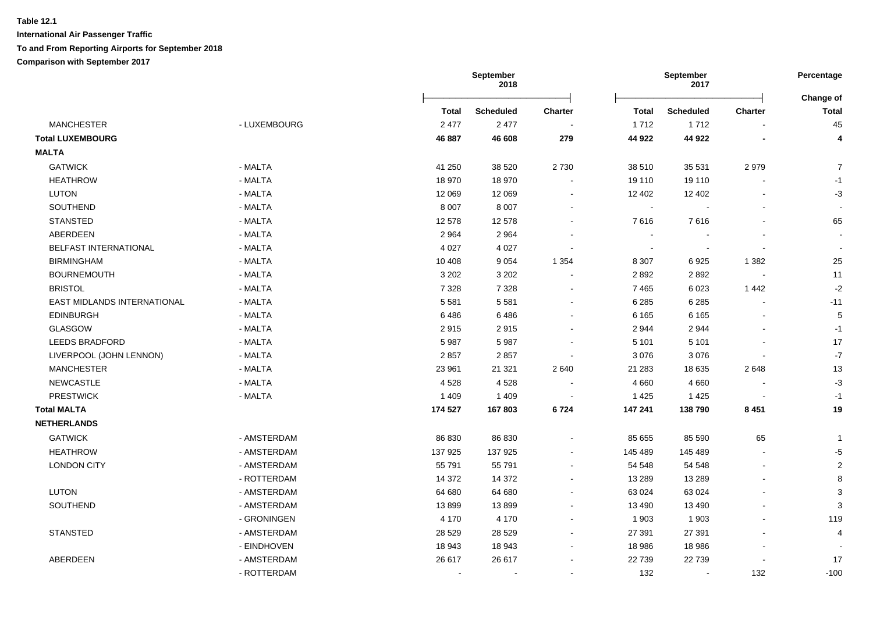**International Air Passenger Traffic To and From Reporting Airports for September 2018**

# **Comparison with September 2017**

|                             |              | September<br>2018 |                  |                          | September<br>2017 |                          |                |                           |
|-----------------------------|--------------|-------------------|------------------|--------------------------|-------------------|--------------------------|----------------|---------------------------|
|                             |              | <b>Total</b>      | <b>Scheduled</b> | <b>Charter</b>           | <b>Total</b>      | <b>Scheduled</b>         | <b>Charter</b> | Change of<br><b>Total</b> |
| <b>MANCHESTER</b>           | - LUXEMBOURG | 2 4 7 7           | 2 4 7 7          |                          | 1712              | 1712                     |                | 45                        |
| <b>Total LUXEMBOURG</b>     |              | 46 887            | 46 608           | 279                      | 44 922            | 44 922                   |                | 4                         |
| <b>MALTA</b>                |              |                   |                  |                          |                   |                          |                |                           |
| <b>GATWICK</b>              | - MALTA      | 41 250            | 38 5 20          | 2730                     | 38 510            | 35 5 31                  | 2979           | $\overline{7}$            |
| <b>HEATHROW</b>             | - MALTA      | 18 970            | 18 970           |                          | 19 110            | 19 110                   |                | $-1$                      |
| <b>LUTON</b>                | - MALTA      | 12 069            | 12 069           |                          | 12 402            | 12 402                   |                | $-3$                      |
| <b>SOUTHEND</b>             | - MALTA      | 8 0 0 7           | 8 0 0 7          |                          | $\sim$            |                          |                |                           |
| <b>STANSTED</b>             | - MALTA      | 12 578            | 12 578           |                          | 7616              | 7616                     |                | 65                        |
| ABERDEEN                    | - MALTA      | 2 9 6 4           | 2 9 6 4          |                          | $\sim$            |                          |                |                           |
| BELFAST INTERNATIONAL       | - MALTA      | 4 0 2 7           | 4 0 27           |                          | $\blacksquare$    | $\overline{\phantom{a}}$ | $\blacksquare$ |                           |
| <b>BIRMINGHAM</b>           | - MALTA      | 10 408            | 9 0 5 4          | 1 3 5 4                  | 8 3 0 7           | 6925                     | 1 3 8 2        | 25                        |
| <b>BOURNEMOUTH</b>          | - MALTA      | 3 2 0 2           | 3 2 0 2          |                          | 2892              | 2892                     | $\blacksquare$ | 11                        |
| <b>BRISTOL</b>              | - MALTA      | 7 3 2 8           | 7 3 2 8          |                          | 7465              | 6023                     | 1442           | $-2$                      |
| EAST MIDLANDS INTERNATIONAL | - MALTA      | 5 5 8 1           | 5581             |                          | 6 2 8 5           | 6 2 8 5                  | $\overline{a}$ | $-11$                     |
| EDINBURGH                   | - MALTA      | 6486              | 6486             |                          | 6 1 6 5           | 6 1 6 5                  |                | 5                         |
| GLASGOW                     | - MALTA      | 2915              | 2915             |                          | 2944              | 2944                     |                | $-1$                      |
| <b>LEEDS BRADFORD</b>       | - MALTA      | 5987              | 5987             |                          | 5 1 0 1           | 5 1 0 1                  |                | 17                        |
| LIVERPOOL (JOHN LENNON)     | - MALTA      | 2857              | 2857             |                          | 3 0 7 6           | 3076                     |                | $-7$                      |
| <b>MANCHESTER</b>           | - MALTA      | 23 961            | 21 3 21          | 2 6 4 0                  | 21 28 3           | 18 635                   | 2648           | 13                        |
| <b>NEWCASTLE</b>            | - MALTA      | 4528              | 4528             | $\overline{\phantom{a}}$ | 4 6 6 0           | 4 6 6 0                  |                | $-3$                      |
| <b>PRESTWICK</b>            | - MALTA      | 1 4 0 9           | 1 4 0 9          |                          | 1 4 2 5           | 1425                     |                | $-1$                      |
| <b>Total MALTA</b>          |              | 174 527           | 167803           | 6724                     | 147 241           | 138790                   | 8 4 5 1        | 19                        |
| <b>NETHERLANDS</b>          |              |                   |                  |                          |                   |                          |                |                           |
| <b>GATWICK</b>              | - AMSTERDAM  | 86 830            | 86 830           |                          | 85 655            | 85 590                   | 65             | -1                        |
| <b>HEATHROW</b>             | - AMSTERDAM  | 137 925           | 137 925          |                          | 145 489           | 145 489                  | $\overline{a}$ | $-5$                      |
| <b>LONDON CITY</b>          | - AMSTERDAM  | 55 791            | 55 791           |                          | 54 548            | 54 548                   | $\blacksquare$ | $\overline{2}$            |
|                             | - ROTTERDAM  | 14 372            | 14 372           |                          | 13 2 8 9          | 13 2 8 9                 |                | $\mathbf{8}$              |
| <b>LUTON</b>                | - AMSTERDAM  | 64 680            | 64 680           |                          | 63 0 24           | 63 0 24                  | ÷.             | 3                         |
| SOUTHEND                    | - AMSTERDAM  | 13899             | 13899            |                          | 13 490            | 13 490                   | ÷.             | 3                         |
|                             | - GRONINGEN  | 4 1 7 0           | 4 1 7 0          |                          | 1 903             | 1 903                    |                | 119                       |
| <b>STANSTED</b>             | - AMSTERDAM  | 28 5 29           | 28 5 29          |                          | 27 391            | 27 391                   |                | $\overline{4}$            |
|                             | - EINDHOVEN  | 18 943            | 18 943           |                          | 18 986            | 18 986                   |                |                           |
| ABERDEEN                    | - AMSTERDAM  | 26 617            | 26 617           |                          | 22 739            | 22739                    |                | 17                        |
|                             | - ROTTERDAM  |                   |                  |                          | 132               | $\sim$                   | 132            | $-100$                    |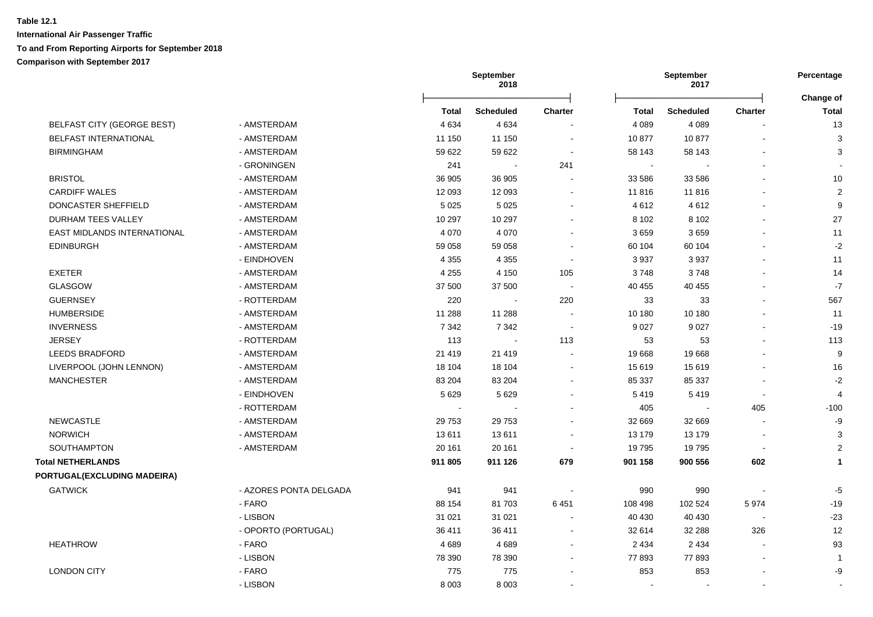|                             |                        |         | <b>September</b><br>2018 |                |              | <b>September</b><br>2017 |                |                      |
|-----------------------------|------------------------|---------|--------------------------|----------------|--------------|--------------------------|----------------|----------------------|
|                             |                        | Total   | <b>Scheduled</b>         | Charter        | <b>Total</b> | <b>Scheduled</b>         | <b>Charter</b> | Change of<br>Total   |
| BELFAST CITY (GEORGE BEST)  | - AMSTERDAM            | 4 6 3 4 | 4 6 3 4                  |                | 4 0 8 9      | 4 0 8 9                  |                | 13                   |
| BELFAST INTERNATIONAL       | - AMSTERDAM            | 11 150  | 11 150                   | $\sim$         | 10877        | 10877                    |                | $\mathbf{3}$         |
| <b>BIRMINGHAM</b>           | - AMSTERDAM            | 59 622  | 59 622                   | $\sim$         | 58 143       | 58 143                   |                | $\mathbf{3}$         |
|                             | - GRONINGEN            | 241     | $\sim$                   | 241            | $\sim$       |                          |                | $\sim$               |
| <b>BRISTOL</b>              | - AMSTERDAM            | 36 905  | 36 905                   |                | 33 586       | 33 586                   |                | 10                   |
| <b>CARDIFF WALES</b>        | - AMSTERDAM            | 12 093  | 12 093                   |                | 11 816       | 11816                    |                | $\overline{2}$       |
| DONCASTER SHEFFIELD         | - AMSTERDAM            | 5 0 2 5 | 5 0 2 5                  |                | 4612         | 4612                     |                | 9                    |
| DURHAM TEES VALLEY          | - AMSTERDAM            | 10 297  | 10 297                   |                | 8 1 0 2      | 8 1 0 2                  |                | 27                   |
| EAST MIDLANDS INTERNATIONAL | - AMSTERDAM            | 4 0 7 0 | 4 0 7 0                  |                | 3659         | 3659                     |                | 11                   |
| <b>EDINBURGH</b>            | - AMSTERDAM            | 59 058  | 59 058                   |                | 60 104       | 60 104                   |                | $-2$                 |
|                             | - EINDHOVEN            | 4 3 5 5 | 4 3 5 5                  | ÷              | 3 9 3 7      | 3937                     |                | 11                   |
| <b>EXETER</b>               | - AMSTERDAM            | 4 2 5 5 | 4 1 5 0                  | 105            | 3748         | 3748                     |                | 14                   |
| <b>GLASGOW</b>              | - AMSTERDAM            | 37 500  | 37 500                   |                | 40 455       | 40 455                   |                | $-7$                 |
| <b>GUERNSEY</b>             | - ROTTERDAM            | 220     | $\sim$                   | 220            | 33           | 33                       |                | 567                  |
| <b>HUMBERSIDE</b>           | - AMSTERDAM            | 11 288  | 11 288                   | $\sim$         | 10 180       | 10 180                   |                | 11                   |
| <b>INVERNESS</b>            | - AMSTERDAM            | 7 3 4 2 | 7 3 4 2                  | $\sim$         | 9 0 27       | 9 0 27                   |                | $-19$                |
| <b>JERSEY</b>               | - ROTTERDAM            | 113     | $\sim$                   | 113            | 53           | 53                       |                | 113                  |
| <b>LEEDS BRADFORD</b>       | - AMSTERDAM            | 21 4 19 | 21 4 19                  |                | 19 668       | 19668                    |                | $\boldsymbol{9}$     |
| LIVERPOOL (JOHN LENNON)     | - AMSTERDAM            | 18 104  | 18 104                   | $\overline{a}$ | 15 619       | 15 619                   |                | 16                   |
| <b>MANCHESTER</b>           | - AMSTERDAM            | 83 204  | 83 204                   |                | 85 337       | 85 337                   |                | $-2$                 |
|                             | - EINDHOVEN            | 5 6 2 9 | 5629                     |                | 5419         | 5419                     | $\blacksquare$ | $\overline{4}$       |
|                             | - ROTTERDAM            |         |                          |                | 405          |                          | 405            | $-100$               |
| <b>NEWCASTLE</b>            | - AMSTERDAM            | 29 7 53 | 29 7 53                  |                | 32 669       | 32 669                   |                | -9                   |
| <b>NORWICH</b>              | - AMSTERDAM            | 13611   | 13611                    |                | 13 179       | 13 179                   |                | 3                    |
| SOUTHAMPTON                 | - AMSTERDAM            | 20 161  | 20 161                   |                | 19795        | 19795                    |                | $\overline{2}$       |
| <b>Total NETHERLANDS</b>    |                        | 911 805 | 911 126                  | 679            | 901 158      | 900 556                  | 602            | $\blacktriangleleft$ |
| PORTUGAL(EXCLUDING MADEIRA) |                        |         |                          |                |              |                          |                |                      |
| <b>GATWICK</b>              | - AZORES PONTA DELGADA | 941     | 941                      |                | 990          | 990                      |                | $-5$                 |
|                             | - FARO                 | 88 154  | 81 703                   | 6451           | 108 498      | 102 524                  | 5974           | $-19$                |
|                             | - LISBON               | 31 0 21 | 31 0 21                  |                | 40 430       | 40 430                   |                | $-23$                |
|                             | - OPORTO (PORTUGAL)    | 36 411  | 36 411                   | $\overline{a}$ | 32 614       | 32 288                   | 326            | 12                   |
| <b>HEATHROW</b>             | - FARO                 | 4689    | 4689                     |                | 2 4 3 4      | 2 4 3 4                  |                | 93                   |
|                             | - LISBON               | 78 390  | 78 390                   |                | 77893        | 77893                    |                | -1                   |
| <b>LONDON CITY</b>          | - FARO                 | 775     | 775                      |                | 853          | 853                      |                | -9                   |
|                             | - LISBON               | 8 0 0 3 | 8 0 0 3                  |                | $\sim$       | $\blacksquare$           |                |                      |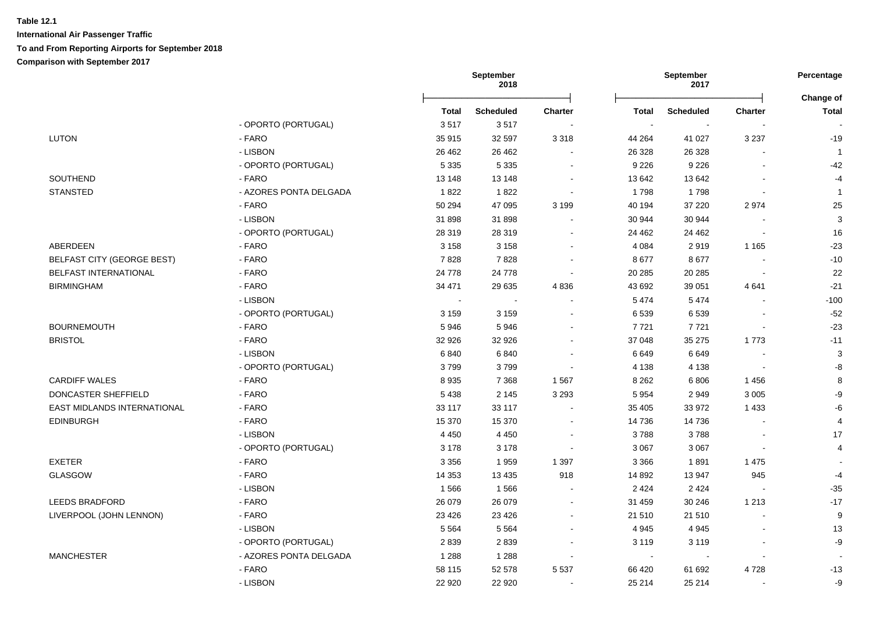|                                   |                        | September<br>September<br>2018<br>2017 |                  |                | Percentage<br>Change of |                  |                |                |
|-----------------------------------|------------------------|----------------------------------------|------------------|----------------|-------------------------|------------------|----------------|----------------|
|                                   |                        | <b>Total</b>                           | <b>Scheduled</b> | <b>Charter</b> | <b>Total</b>            | <b>Scheduled</b> | <b>Charter</b> | <b>Total</b>   |
|                                   | - OPORTO (PORTUGAL)    | 3517                                   | 3517             |                | $\sim$                  |                  |                |                |
| LUTON                             | - FARO                 | 35 915                                 | 32 597           | 3 3 1 8        | 44 264                  | 41 0 27          | 3 2 3 7        | $-19$          |
|                                   | - LISBON               | 26 4 62                                | 26 4 62          |                | 26 3 28                 | 26 3 28          |                | $\overline{1}$ |
|                                   | - OPORTO (PORTUGAL)    | 5 3 3 5                                | 5 3 3 5          |                | 9 2 2 6                 | 9 2 2 6          | $\blacksquare$ | $-42$          |
| SOUTHEND                          | - FARO                 | 13 148                                 | 13 148           |                | 13 642                  | 13 642           | $\sim$         | $-4$           |
| <b>STANSTED</b>                   | - AZORES PONTA DELGADA | 1822                                   | 1822             |                | 1798                    | 1798             | $\blacksquare$ | $\mathbf{1}$   |
|                                   | - FARO                 | 50 294                                 | 47 095           | 3 1 9 9        | 40 194                  | 37 220           | 2974           | 25             |
|                                   | - LISBON               | 31 898                                 | 31 898           |                | 30 944                  | 30 944           |                | 3              |
|                                   | - OPORTO (PORTUGAL)    | 28 319                                 | 28 319           |                | 24 4 62                 | 24 4 62          |                | 16             |
| ABERDEEN                          | - FARO                 | 3 1 5 8                                | 3 1 5 8          |                | 4 0 8 4                 | 2919             | 1 1 6 5        | $-23$          |
| <b>BELFAST CITY (GEORGE BEST)</b> | - FARO                 | 7828                                   | 7828             |                | 8677                    | 8677             |                | $-10$          |
| BELFAST INTERNATIONAL             | - FARO                 | 24 7 78                                | 24 7 78          |                | 20 285                  | 20 28 5          | $\sim$         | 22             |
| <b>BIRMINGHAM</b>                 | - FARO                 | 34 471                                 | 29 635           | 4836           | 43 692                  | 39 051           | 4641           | $-21$          |
|                                   | - LISBON               | $\sim$                                 | $\sim$           |                | 5474                    | 5474             | $\sim$         | $-100$         |
|                                   | - OPORTO (PORTUGAL)    | 3 1 5 9                                | 3 1 5 9          |                | 6 5 3 9                 | 6539             |                | $-52$          |
| <b>BOURNEMOUTH</b>                | - FARO                 | 5946                                   | 5946             |                | 7 7 2 1                 | 7721             | $\sim$         | $-23$          |
| <b>BRISTOL</b>                    | - FARO                 | 32 926                                 | 32 926           |                | 37 048                  | 35 275           | 1773           | $-11$          |
|                                   | - LISBON               | 6840                                   | 6840             |                | 6649                    | 6649             | $\sim$         | $\mathbf{3}$   |
|                                   | - OPORTO (PORTUGAL)    | 3799                                   | 3799             |                | 4 1 3 8                 | 4 1 3 8          | $\sim$         | $\mbox{-}8$    |
| <b>CARDIFF WALES</b>              | - FARO                 | 8935                                   | 7 3 6 8          | 1567           | 8 2 6 2                 | 6806             | 1456           | 8              |
| DONCASTER SHEFFIELD               | - FARO                 | 5 4 3 8                                | 2 1 4 5          | 3 2 9 3        | 5 9 5 4                 | 2949             | 3 0 0 5        | -9             |
| EAST MIDLANDS INTERNATIONAL       | - FARO                 | 33 117                                 | 33 117           |                | 35 405                  | 33 972           | 1 4 3 3        | -6             |
| <b>EDINBURGH</b>                  | - FARO                 | 15 370                                 | 15 370           |                | 14 736                  | 14 736           |                | 4              |
|                                   | - LISBON               | 4 4 5 0                                | 4 4 5 0          |                | 3788                    | 3788             |                | 17             |
|                                   | - OPORTO (PORTUGAL)    | 3 1 7 8                                | 3 1 7 8          |                | 3 0 6 7                 | 3 0 6 7          | $\sim$         | $\overline{4}$ |
| <b>EXETER</b>                     | - FARO                 | 3 3 5 6                                | 1959             | 1 3 9 7        | 3 3 6 6                 | 1891             | 1 4 7 5        |                |
| <b>GLASGOW</b>                    | - FARO                 | 14 3 5 3                               | 13 4 35          | 918            | 14 892                  | 13 947           | 945            | $-4$           |
|                                   | - LISBON               | 1566                                   | 1566             |                | 2 4 2 4                 | 2 4 2 4          | $\sim$         | $-35$          |
| <b>LEEDS BRADFORD</b>             | - FARO                 | 26 079                                 | 26 079           |                | 31 459                  | 30 246           | 1 2 1 3        | $-17$          |
| LIVERPOOL (JOHN LENNON)           | - FARO                 | 23 4 26                                | 23 4 26          |                | 21 510                  | 21 510           | $\sim$         | 9              |
|                                   | - LISBON               | 5 5 6 4                                | 5 5 6 4          |                | 4 9 4 5                 | 4 9 4 5          |                | 13             |
|                                   | - OPORTO (PORTUGAL)    | 2839                                   | 2839             |                | 3 1 1 9                 | 3 1 1 9          |                | -9             |
| <b>MANCHESTER</b>                 | - AZORES PONTA DELGADA | 1 2 8 8                                | 1 2 8 8          |                | $\sim$                  |                  | $\blacksquare$ |                |
|                                   |                        |                                        |                  |                |                         |                  |                |                |
|                                   | - FARO                 | 58 115                                 | 52 578           | 5 5 3 7        | 66 420                  | 61 692           | 4728           | $-13$          |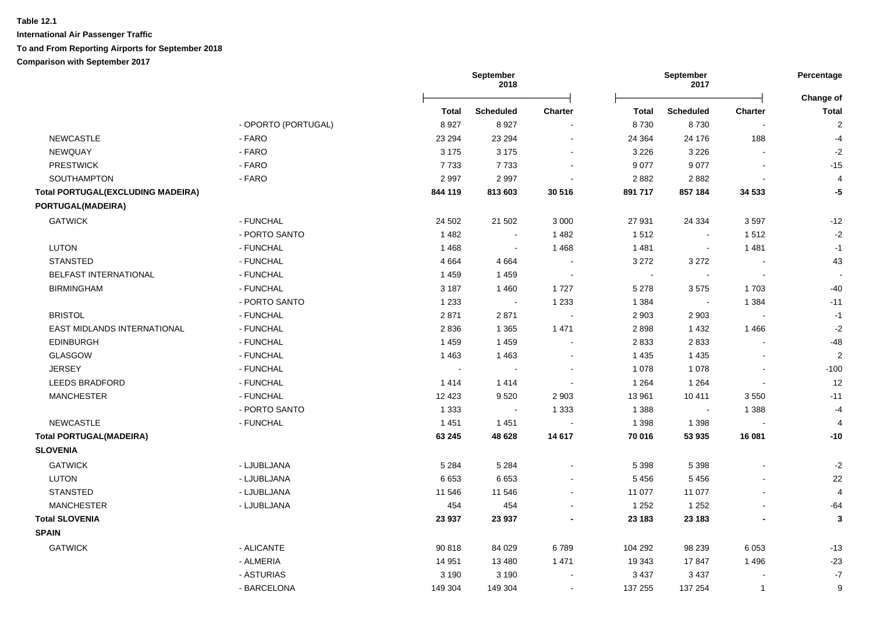**International Air Passenger Traffic To and From Reporting Airports for September 2018 Comparison with September 2017**

|                                          |                     |         | September<br>2018           |                             |         | September<br>2017 |                          | Percentage<br>Change of |  |
|------------------------------------------|---------------------|---------|-----------------------------|-----------------------------|---------|-------------------|--------------------------|-------------------------|--|
|                                          |                     | Total   | <b>Scheduled</b>            | <b>Charter</b>              | Total   | <b>Scheduled</b>  | <b>Charter</b>           | <b>Total</b>            |  |
|                                          | - OPORTO (PORTUGAL) | 8927    | 8927                        | $\blacksquare$              | 8730    | 8730              | $\overline{\phantom{a}}$ | $\overline{2}$          |  |
| <b>NEWCASTLE</b>                         | - FARO              | 23 294  | 23 294                      | $\blacksquare$              | 24 3 64 | 24 176            | 188                      | $-4$                    |  |
| NEWQUAY                                  | - FARO              | 3 1 7 5 | 3 1 7 5                     | $\sim$                      | 3 2 2 6 | 3 2 2 6           | $\sim$                   | $-2$                    |  |
| <b>PRESTWICK</b>                         | - FARO              | 7733    | 7733                        | $\sim$                      | 9 0 7 7 | 9 0 7 7           | $\blacksquare$           | $-15$                   |  |
| SOUTHAMPTON                              | - FARO              | 2997    | 2997                        | $\blacksquare$              | 2882    | 2882              | $\sim$                   | $\overline{4}$          |  |
| <b>Total PORTUGAL(EXCLUDING MADEIRA)</b> |                     | 844 119 | 813 603                     | 30 516                      | 891 717 | 857 184           | 34 533                   | $-5$                    |  |
| PORTUGAL(MADEIRA)                        |                     |         |                             |                             |         |                   |                          |                         |  |
| <b>GATWICK</b>                           | - FUNCHAL           | 24 502  | 21 502                      | 3 0 0 0                     | 27 931  | 24 3 34           | 3597                     | $-12$                   |  |
|                                          | - PORTO SANTO       | 1 4 8 2 | $\blacksquare$              | 1 4 8 2                     | 1512    | $\sim$            | 1512                     | $-2$                    |  |
| <b>LUTON</b>                             | - FUNCHAL           | 1468    | $\mathcal{L}_{\mathcal{A}}$ | 1 4 6 8                     | 1 4 8 1 | $\blacksquare$    | 1481                     | $-1$                    |  |
| <b>STANSTED</b>                          | - FUNCHAL           | 4 6 6 4 | 4 6 6 4                     | $\sim$                      | 3 2 7 2 | 3 2 7 2           | $\sim$                   | 43                      |  |
| BELFAST INTERNATIONAL                    | - FUNCHAL           | 1459    | 1459                        | $\mathcal{L}_{\mathcal{A}}$ | $\sim$  | $\sim$            | $\overline{\phantom{a}}$ |                         |  |
| <b>BIRMINGHAM</b>                        | - FUNCHAL           | 3 1 8 7 | 1460                        | 1727                        | 5 2 7 8 | 3575              | 1703                     | $-40$                   |  |
|                                          | - PORTO SANTO       | 1 2 3 3 | $\sim$                      | 1 2 3 3                     | 1 3 8 4 | $\sim$            | 1 3 8 4                  | $-11$                   |  |
| <b>BRISTOL</b>                           | - FUNCHAL           | 2871    | 2871                        | $\sim$                      | 2 9 0 3 | 2 9 0 3           | $\sim$                   | $-1$                    |  |
| EAST MIDLANDS INTERNATIONAL              | - FUNCHAL           | 2836    | 1 3 6 5                     | 1 4 7 1                     | 2898    | 1 4 3 2           | 1 4 6 6                  | $-2$                    |  |
| <b>EDINBURGH</b>                         | - FUNCHAL           | 1459    | 1459                        | $\sim$                      | 2833    | 2833              | $\blacksquare$           | $-48$                   |  |
| <b>GLASGOW</b>                           | - FUNCHAL           | 1 4 6 3 | 1463                        | $\blacksquare$              | 1 4 3 5 | 1 4 3 5           | $\sim$                   | $\overline{c}$          |  |
| <b>JERSEY</b>                            | - FUNCHAL           | $\sim$  | $\sim$                      | $\sim$                      | 1 0 7 8 | 1 0 7 8           | $\sim$                   | $-100$                  |  |
| <b>LEEDS BRADFORD</b>                    | - FUNCHAL           | 1414    | 1414                        | $\sim$                      | 1 2 6 4 | 1 2 6 4           | $\blacksquare$           | 12                      |  |
| <b>MANCHESTER</b>                        | - FUNCHAL           | 12 4 23 | 9520                        | 2 9 0 3                     | 13 961  | 10 411            | 3550                     | $-11$                   |  |
|                                          | - PORTO SANTO       | 1 3 3 3 | $\sim$                      | 1 3 3 3                     | 1 3 8 8 | $\sim$            | 1 3 8 8                  | $-4$                    |  |
| <b>NEWCASTLE</b>                         | - FUNCHAL           | 1 4 5 1 | 1451                        |                             | 1 3 9 8 | 1 3 9 8           |                          | 4                       |  |
| <b>Total PORTUGAL(MADEIRA)</b>           |                     | 63 245  | 48 628                      | 14 617                      | 70 016  | 53 935            | 16 081                   | $-10$                   |  |
| <b>SLOVENIA</b>                          |                     |         |                             |                             |         |                   |                          |                         |  |
| <b>GATWICK</b>                           | - LJUBLJANA         | 5 2 8 4 | 5 2 8 4                     | $\sim$                      | 5 3 9 8 | 5 3 9 8           |                          | $-2$                    |  |
| <b>LUTON</b>                             | - LJUBLJANA         | 6653    | 6653                        | $\sim$                      | 5456    | 5 4 5 6           | $\sim$                   | 22                      |  |
| <b>STANSTED</b>                          | - LJUBLJANA         | 11 546  | 11 546                      | $\sim$                      | 11 077  | 11 077            | $\sim$                   | $\overline{4}$          |  |
| <b>MANCHESTER</b>                        | - LJUBLJANA         | 454     | 454                         |                             | 1 2 5 2 | 1 2 5 2           | $\sim$                   | $-64$                   |  |
| <b>Total SLOVENIA</b>                    |                     | 23 937  | 23 937                      |                             | 23 183  | 23 183            | $\blacksquare$           | $\mathbf{3}$            |  |
| <b>SPAIN</b>                             |                     |         |                             |                             |         |                   |                          |                         |  |
| <b>GATWICK</b>                           | - ALICANTE          | 90 818  | 84 0 29                     | 6789                        | 104 292 | 98 239            | 6 0 5 3                  | $-13$                   |  |
|                                          | - ALMERIA           | 14 951  | 13 4 8 0                    | 1 4 7 1                     | 19 343  | 17847             | 1 4 9 6                  | $-23$                   |  |
|                                          | - ASTURIAS          | 3 1 9 0 | 3 1 9 0                     | $\sim$                      | 3 4 3 7 | 3 4 3 7           | $\blacksquare$           | $-7$                    |  |
|                                          |                     |         |                             |                             |         |                   |                          |                         |  |

GATWICK - BARCELONA 149 304 149 304 - 137 255 137 254 1 9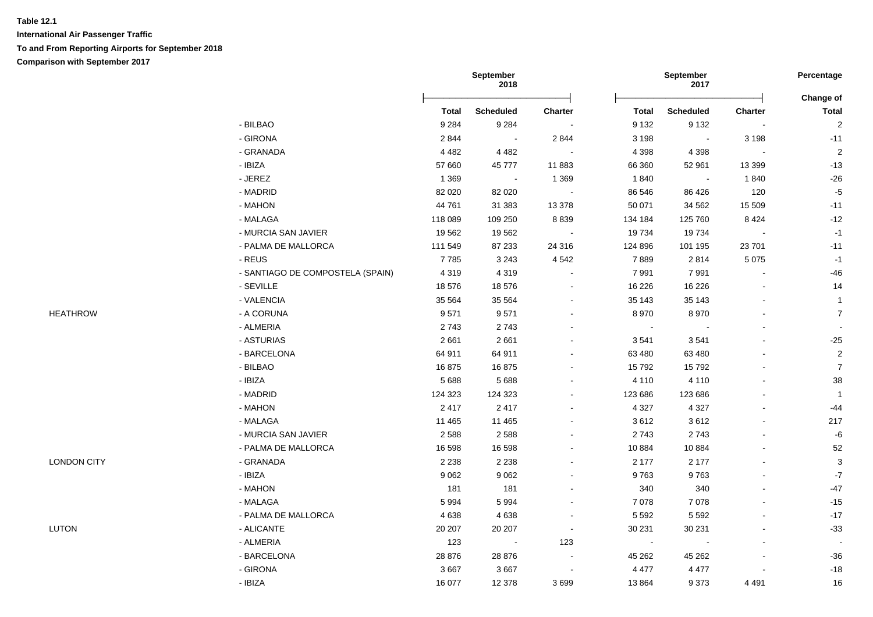|                    |                                  |              | September<br>2018 |                          | September<br>2017 |                          | Percentage               |                           |
|--------------------|----------------------------------|--------------|-------------------|--------------------------|-------------------|--------------------------|--------------------------|---------------------------|
|                    |                                  | <b>Total</b> | <b>Scheduled</b>  | Charter                  | <b>Total</b>      | <b>Scheduled</b>         | Charter                  | Change of<br><b>Total</b> |
|                    | - BILBAO                         | 9 2 8 4      | 9 2 8 4           | $\sim$                   | 9 1 3 2           | 9 1 3 2                  | $\blacksquare$           | $\overline{2}$            |
|                    | - GIRONA                         | 2844         | $\sim$            | 2 8 4 4                  | 3 1 9 8           | $\sim$                   | 3 1 9 8                  | $-11$                     |
|                    | - GRANADA                        | 4 4 8 2      | 4 4 8 2           | $\sim$                   | 4 3 9 8           | 4 3 9 8                  | $\sim$                   | $\overline{2}$            |
|                    | - IBIZA                          | 57 660       | 45777             | 11883                    | 66 360            | 52 961                   | 13 3 9 9                 | $-13$                     |
|                    | - JEREZ                          | 1 3 6 9      | $\sim$            | 1 3 6 9                  | 1840              | $\sim$ $-$               | 1840                     | $-26$                     |
|                    | - MADRID                         | 82 0 20      | 82 0 20           |                          | 86 546            | 86 4 26                  | 120                      | $-5$                      |
|                    | - MAHON                          | 44 761       | 31 383            | 13 3 78                  | 50 071            | 34 562                   | 15 509                   | $-11$                     |
|                    | - MALAGA                         | 118 089      | 109 250           | 8839                     | 134 184           | 125 760                  | 8 4 2 4                  | $-12$                     |
|                    | - MURCIA SAN JAVIER              | 19562        | 19562             |                          | 19734             | 19734                    | $\Delta$                 | $-1$                      |
|                    | - PALMA DE MALLORCA              | 111 549      | 87 233            | 24 316                   | 124 896           | 101 195                  | 23 701                   | $-11$                     |
|                    | - REUS                           | 7785         | 3 2 4 3           | 4 5 4 2                  | 7889              | 2814                     | 5 0 7 5                  | $-1$                      |
|                    | - SANTIAGO DE COMPOSTELA (SPAIN) | 4 3 1 9      | 4 3 1 9           |                          | 7991              | 7991                     |                          | $-46$                     |
|                    | - SEVILLE                        | 18 576       | 18 576            |                          | 16 2 26           | 16 226                   |                          | 14                        |
|                    | - VALENCIA                       | 35 564       | 35 5 64           |                          | 35 143            | 35 143                   |                          | $\overline{1}$            |
| <b>HEATHROW</b>    | - A CORUNA                       | 9571         | 9571              |                          | 8970              | 8970                     |                          | $\overline{7}$            |
|                    | - ALMERIA                        | 2743         | 2743              |                          | $\sim$            |                          |                          |                           |
|                    | - ASTURIAS                       | 2661         | 2661              |                          | 3541              | 3541                     |                          | $-25$                     |
|                    | - BARCELONA                      | 64 911       | 64 911            |                          | 63 480            | 63 480                   |                          | $\sqrt{2}$                |
|                    | - BILBAO                         | 16875        | 16875             |                          | 15792             | 15792                    |                          | $\overline{7}$            |
|                    | $-$ IBIZA                        | 5688         | 5 6 8 8           |                          | 4 1 1 0           | 4 1 1 0                  | $\sim$                   | 38                        |
|                    | - MADRID                         | 124 323      | 124 323           |                          | 123 686           | 123 686                  |                          | $\overline{1}$            |
|                    | - MAHON                          | 2417         | 2417              |                          | 4 3 2 7           | 4 3 2 7                  |                          | $-44$                     |
|                    | - MALAGA                         | 11 4 65      | 11 4 65           |                          | 3612              | 3612                     |                          | 217                       |
|                    | - MURCIA SAN JAVIER              | 2588         | 2588              | $\sim$                   | 2743              | 2743                     |                          | $\textnormal{-}6$         |
|                    | - PALMA DE MALLORCA              | 16 598       | 16 598            |                          | 10884             | 10884                    |                          | 52                        |
| <b>LONDON CITY</b> | - GRANADA                        | 2 2 3 8      | 2 2 3 8           |                          | 2 177             | 2 177                    |                          | $\mathbf{3}$              |
|                    | - IBIZA                          | 9 0 6 2      | 9 0 6 2           |                          | 9763              | 9763                     |                          | $\textbf{-7}$             |
|                    | - MAHON                          | 181          | 181               |                          | 340               | 340                      |                          | $-47$                     |
|                    | - MALAGA                         | 5994         | 5994              |                          | 7 0 7 8           | 7 0 7 8                  |                          | $-15$                     |
|                    | - PALMA DE MALLORCA              | 4638         | 4638              | $\overline{\phantom{a}}$ | 5 5 9 2           | 5 5 9 2                  |                          | $-17$                     |
| LUTON              | - ALICANTE                       | 20 20 7      | 20 20 7           | $\overline{\phantom{a}}$ | 30 231            | 30 231                   |                          | $-33$                     |
|                    | - ALMERIA                        | 123          | $\sim$            | 123                      | $\sim$            | $\overline{\phantom{a}}$ | $\sim$                   | $\overline{\phantom{a}}$  |
|                    | - BARCELONA                      | 28 876       | 28 876            | $\blacksquare$           | 45 262            | 45 26 2                  | $\overline{\phantom{a}}$ | $-36$                     |
|                    | - GIRONA                         | 3667         | 3667              | $\sim$                   | 4 4 7 7           | 4 4 7 7                  |                          | $-18$                     |
|                    | - IBIZA                          | 16 077       | 12 378            | 3699                     | 13 8 64           | 9373                     | 4 4 9 1                  | 16                        |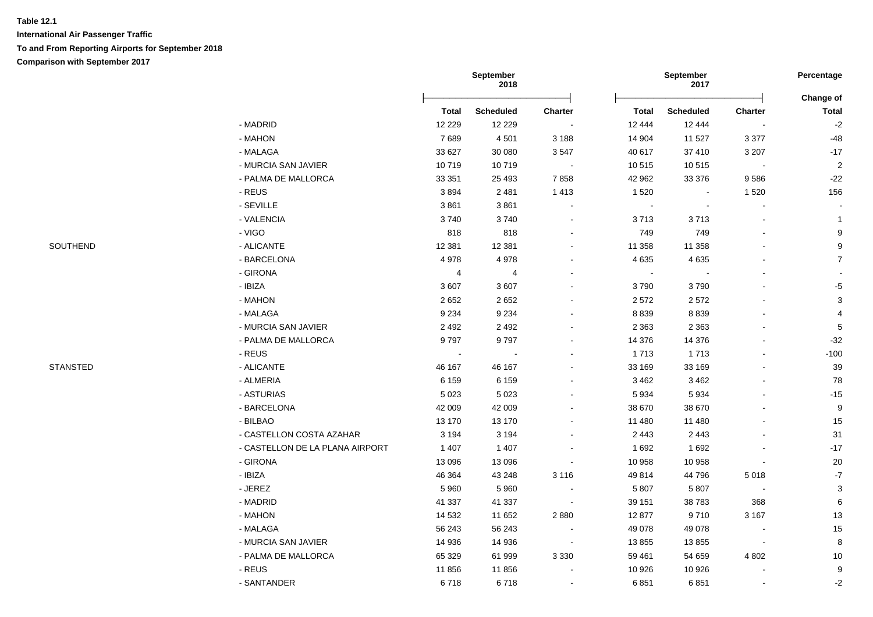|                 |                                 |                | September<br>2018            |         |                        | September<br>2017          |                          | Percentage                |
|-----------------|---------------------------------|----------------|------------------------------|---------|------------------------|----------------------------|--------------------------|---------------------------|
|                 |                                 | <b>Total</b>   |                              |         |                        |                            |                          | Change of                 |
|                 | - MADRID                        | 12 2 2 9       | <b>Scheduled</b><br>12 2 2 9 | Charter | <b>Total</b><br>12 444 | <b>Scheduled</b><br>12 444 | <b>Charter</b>           | <b>Total</b><br>$-2$      |
|                 | - MAHON                         | 7689           | 4501                         | 3 1 8 8 | 14 904                 | 11 527                     | 3 3 7 7                  | $-48$                     |
|                 | - MALAGA                        | 33 627         | 30 080                       | 3547    | 40 617                 | 37 410                     | 3 2 0 7                  | $-17$                     |
|                 | - MURCIA SAN JAVIER             | 10719          | 10719                        | $\sim$  | 10 515                 | 10515                      | $\overline{\phantom{a}}$ | $\overline{2}$            |
|                 | - PALMA DE MALLORCA             | 33 351         | 25 4 93                      | 7858    | 42 962                 | 33 376                     | 9586                     | $-22$                     |
|                 | - REUS                          | 3894           | 2 4 8 1                      | 1 4 1 3 | 1 5 2 0                | $\sim$                     | 1520                     | 156                       |
|                 | - SEVILLE                       | 3861           | 3861                         |         | $\blacksquare$         | $\blacksquare$             |                          |                           |
|                 | - VALENCIA                      | 3740           | 3740                         |         | 3713                   | 3713                       |                          | $\mathbf{1}$              |
|                 | - VIGO                          | 818            | 818                          |         | 749                    | 749                        |                          | 9                         |
| SOUTHEND        | - ALICANTE                      | 12 3 8 1       | 12 3 8 1                     |         | 11 358                 | 11 358                     |                          | 9                         |
|                 | - BARCELONA                     | 4978           | 4978                         |         | 4 6 3 5                | 4 6 3 5                    |                          | $\overline{7}$            |
|                 | - GIRONA                        | $\overline{4}$ | $\overline{4}$               |         | $\blacksquare$         |                            |                          |                           |
|                 | - IBIZA                         | 3607           | 3 6 0 7                      |         | 3790                   | 3790                       |                          | $-5$                      |
|                 | $-MAHON$                        | 2 6 5 2        | 2652                         |         | 2572                   | 2572                       | $\overline{a}$           | $\ensuremath{\mathsf{3}}$ |
|                 | - MALAGA                        | 9 2 3 4        | 9 2 3 4                      |         | 8 8 3 9                | 8 8 3 9                    |                          | $\overline{\mathbf{4}}$   |
|                 | - MURCIA SAN JAVIER             | 2 4 9 2        | 2 4 9 2                      |         | 2 3 6 3                | 2 3 6 3                    |                          |                           |
|                 | - PALMA DE MALLORCA             | 9797           | 9797                         |         | 14 376                 | 14 376                     |                          | $\sqrt{5}$<br>$-32$       |
|                 | - REUS                          |                |                              |         | 1713                   | 1713                       |                          | $-100$                    |
| <b>STANSTED</b> | - ALICANTE                      | 46 167         | 46 167                       |         | 33 169                 | 33 169                     |                          | $39\,$                    |
|                 | - ALMERIA                       | 6 1 5 9        | 6 1 5 9                      |         | 3 4 6 2                | 3 4 6 2                    |                          | 78                        |
|                 | - ASTURIAS                      | 5 0 23         | 5 0 2 3                      |         | 5 9 3 4                | 5934                       |                          | $-15$                     |
|                 | - BARCELONA                     | 42 009         | 42 009                       |         | 38 670                 | 38 670                     |                          | 9                         |
|                 | - BILBAO                        | 13 170         | 13 170                       |         | 11 480                 | 11 480                     |                          | 15                        |
|                 | - CASTELLON COSTA AZAHAR        | 3 1 9 4        | 3 1 9 4                      |         | 2 4 4 3                | 2 4 4 3                    |                          | 31                        |
|                 | - CASTELLON DE LA PLANA AIRPORT | 1 4 0 7        | 1 4 0 7                      |         | 1692                   | 1692                       |                          | $-17$                     |
|                 | - GIRONA                        | 13 0 96        | 13 0 96                      |         | 10 958                 | 10 958                     | $\blacksquare$           | 20                        |
|                 | - IBIZA                         | 46 364         | 43 248                       | 3 1 1 6 | 49 814                 | 44 796                     | 5 0 1 8                  | $\textbf{-7}$             |
|                 | - JEREZ                         | 5 9 6 0        | 5 9 6 0                      |         | 5 807                  | 5 807                      | $\overline{\phantom{a}}$ | $\sqrt{3}$                |
|                 | - MADRID                        | 41 337         | 41 337                       |         | 39 151                 | 38783                      | 368                      | $\,6$                     |
|                 | - MAHON                         | 14 532         | 11 652                       | 2880    | 12 877                 | 9710                       | 3 1 6 7                  | $13$                      |
|                 | - MALAGA                        | 56 243         | 56 243                       |         | 49 0 78                | 49 0 78                    | $\overline{\phantom{a}}$ | $15$                      |
|                 | - MURCIA SAN JAVIER             | 14 936         | 14 936                       |         | 13 855                 | 13855                      | $\overline{\phantom{a}}$ | $\bf 8$                   |
|                 | - PALMA DE MALLORCA             | 65 329         | 61 999                       | 3 3 3 0 | 59 461                 | 54 659                     | 4 8 0 2                  | 10                        |
|                 | - REUS                          | 11856          | 11 856                       |         | 10 926                 | 10 926                     |                          | 9                         |
|                 | - SANTANDER                     | 6718           | 6718                         |         | 6851                   | 6851                       |                          | -2                        |
|                 |                                 |                |                              |         |                        |                            |                          |                           |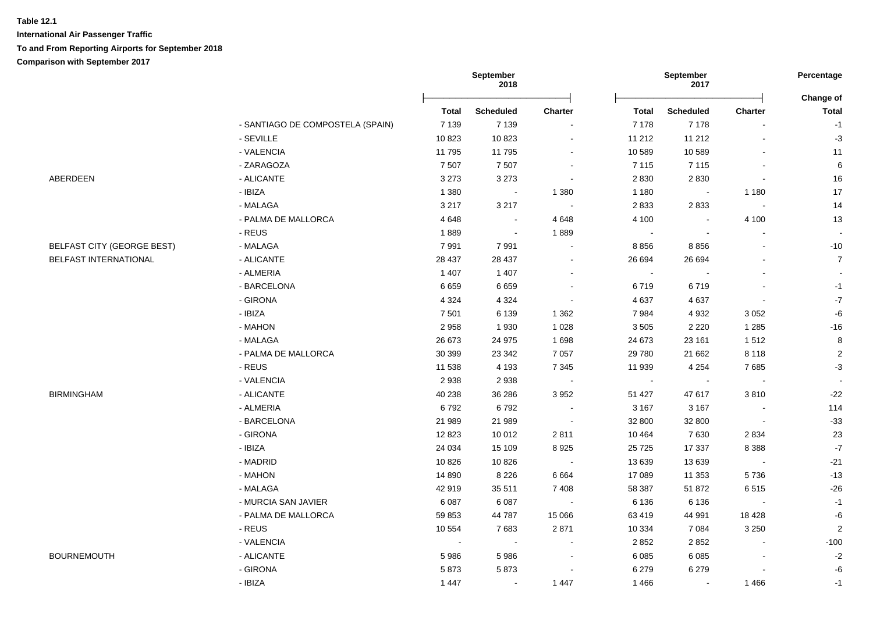**International Air Passenger Traffic To and From Reporting Airports for September 2018 Comparison with September 2017**

|                                   |                                  | 2018     |                         |                | 2017         |                          |                |                           |
|-----------------------------------|----------------------------------|----------|-------------------------|----------------|--------------|--------------------------|----------------|---------------------------|
|                                   |                                  | Total    | <b>Scheduled</b>        | <b>Charter</b> | <b>Total</b> | <b>Scheduled</b>         | <b>Charter</b> | Change of<br><b>Total</b> |
|                                   | - SANTIAGO DE COMPOSTELA (SPAIN) | 7 1 3 9  | 7 1 3 9                 | $\blacksquare$ | 7 1 7 8      | 7 1 7 8                  | $\blacksquare$ | $-1$                      |
|                                   | - SEVILLE                        | 10823    | 10823                   |                | 11 212       | 11 212                   | ä,             | $-3$                      |
|                                   | - VALENCIA                       | 11 795   | 11 795                  | $\blacksquare$ | 10 589       | 10 589                   | $\blacksquare$ | 11                        |
|                                   | - ZARAGOZA                       | 7 5 0 7  | 7507                    | $\blacksquare$ | 7 1 1 5      | 7 1 1 5                  | $\overline{a}$ | 6                         |
| ABERDEEN                          | - ALICANTE                       | 3 2 7 3  | 3 2 7 3                 | $\sim$         | 2 8 3 0      | 2830                     | $\blacksquare$ | 16                        |
|                                   | - IBIZA                          | 1 3 8 0  | $\sim 100$ km s $^{-1}$ | 1 3 8 0        | 1 1 8 0      | $\sim$                   | 1 1 8 0        | $17$                      |
|                                   | - MALAGA                         | 3 2 1 7  | 3 2 1 7                 | $\sim$         | 2833         | 2833                     | $\sim$         | 14                        |
|                                   | - PALMA DE MALLORCA              | 4648     | $\sim$                  | 4648           | 4 100        |                          | 4 100          | 13                        |
|                                   | - REUS                           | 1889     | $\sim$                  | 1889           | $\sim$       | $\blacksquare$           |                | $\sim$                    |
| <b>BELFAST CITY (GEORGE BEST)</b> | - MALAGA                         | 7991     | 7991                    | $\sim$         | 8856         | 8856                     | L.             | $-10$                     |
| BELFAST INTERNATIONAL             | - ALICANTE                       | 28 437   | 28 437                  | $\blacksquare$ | 26 694       | 26 694                   |                | $\overline{7}$            |
|                                   | - ALMERIA                        | 1 4 0 7  | 1 4 0 7                 | $\sim$         | $\sim$       | $\overline{\phantom{a}}$ | $\overline{a}$ | $\sim$                    |
|                                   | - BARCELONA                      | 6659     | 6659                    | $\sim$         | 6719         | 6719                     | ä,             | $-1$                      |
|                                   | - GIRONA                         | 4 3 2 4  | 4 3 2 4                 | $\sim$         | 4 6 3 7      | 4637                     | $\blacksquare$ | $-7$                      |
|                                   | - IBIZA                          | 7 5 0 1  | 6 1 3 9                 | 1 3 6 2        | 7984         | 4 9 3 2                  | 3 0 5 2        | -6                        |
|                                   | - MAHON                          | 2958     | 1930                    | 1 0 2 8        | 3505         | 2 2 2 0                  | 1 2 8 5        | $-16$                     |
|                                   | - MALAGA                         | 26 673   | 24 975                  | 1698           | 24 673       | 23 161                   | 1512           | 8                         |
|                                   | - PALMA DE MALLORCA              | 30 399   | 23 342                  | 7 0 5 7        | 29 780       | 21 662                   | 8 1 1 8        | $\overline{2}$            |
|                                   | - REUS                           | 11 538   | 4 1 9 3                 | 7 3 4 5        | 11 939       | 4 2 5 4                  | 7685           | $-3$                      |
|                                   | - VALENCIA                       | 2938     | 2938                    | $\sim$         | $\sim$       | $\blacksquare$           | $\sim$         |                           |
| <b>BIRMINGHAM</b>                 | - ALICANTE                       | 40 238   | 36 286                  | 3 9 5 2        | 51 427       | 47 617                   | 3810           | $-22$                     |
|                                   | - ALMERIA                        | 6792     | 6792                    | $\sim$         | 3 1 6 7      | 3 1 6 7                  | $\sim$         | 114                       |
|                                   | - BARCELONA                      | 21 989   | 21 989                  | $\sim$         | 32 800       | 32 800                   | $\sim$         | $-33$                     |
|                                   | - GIRONA                         | 12823    | 10 012                  | 2811           | 10 4 64      | 7630                     | 2 8 3 4        | 23                        |
|                                   | - IBIZA                          | 24 034   | 15 109                  | 8925           | 25 7 25      | 17 337                   | 8 3 8 8        | $\mathbf{-7}$             |
|                                   | - MADRID                         | 10826    | 10826                   | $\sim$         | 13 639       | 13 639                   | $\sim$         | $-21$                     |
|                                   | - MAHON                          | 14 8 9 0 | 8 2 2 6                 | 6 6 6 4        | 17 089       | 11 353                   | 5736           | $-13$                     |
|                                   | - MALAGA                         | 42 919   | 35 511                  | 7 4 0 8        | 58 387       | 51872                    | 6515           | $-26$                     |
|                                   | - MURCIA SAN JAVIER              | 6087     | 6087                    | $\sim$         | 6 1 3 6      | 6 1 3 6                  | $\sim$         | $-1$                      |
|                                   | - PALMA DE MALLORCA              | 59 853   | 44787                   | 15 0 66        | 63 419       | 44 991                   | 18 4 28        | -6                        |
|                                   | - REUS                           | 10 554   | 7683                    | 2871           | 10 334       | 7 0 8 4                  | 3 2 5 0        | $\overline{2}$            |
|                                   | - VALENCIA                       | $\sim$   |                         |                | 2 8 5 2      | 2852                     |                | $-100$                    |
| <b>BOURNEMOUTH</b>                | - ALICANTE                       | 5986     | 5986                    | $\sim$         | 6 0 8 5      | 6 0 8 5                  | $\blacksquare$ | $-2$                      |
|                                   | - GIRONA                         | 5873     | 5873                    |                | 6 2 7 9      | 6 2 7 9                  |                | -6                        |
|                                   | - IBIZA                          | 1447     | $\sim$                  | 1 4 4 7        | 1 4 6 6      | $\sim$                   | 1 4 6 6        | $-1$                      |

**September** 

**September** 

**Percentage**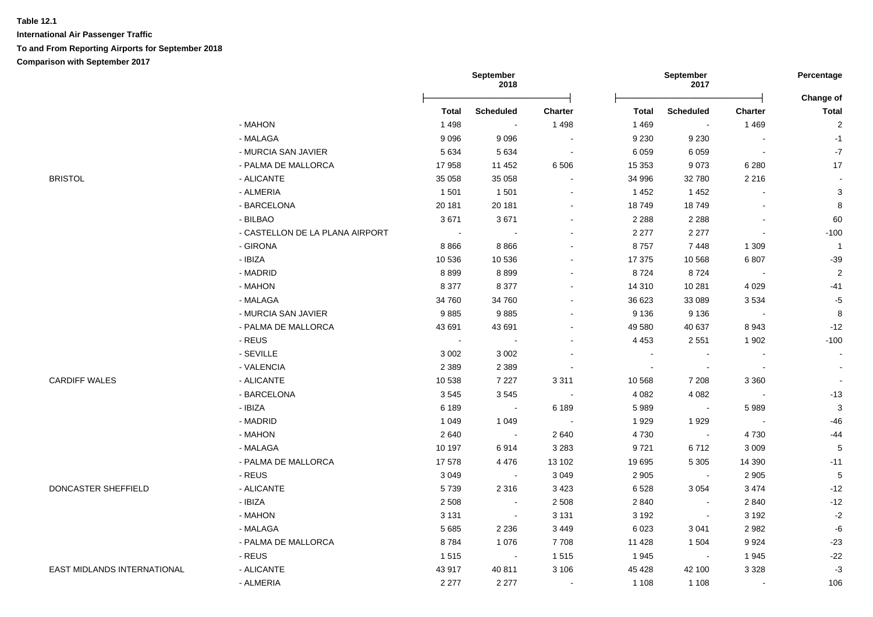**International Air Passenger Traffic To and From Reporting Airports for September 2018 Comparison with September 2017**

|                                    |                                 |              | September<br>2018    |                |              | September<br>2017        |                          | Percentage<br>Change of  |
|------------------------------------|---------------------------------|--------------|----------------------|----------------|--------------|--------------------------|--------------------------|--------------------------|
|                                    |                                 | <b>Total</b> | <b>Scheduled</b>     | <b>Charter</b> | <b>Total</b> | <b>Scheduled</b>         | Charter                  | <b>Total</b>             |
|                                    | - MAHON                         | 1 4 9 8      | $\sim$               | 1 4 9 8        | 1 4 6 9      | $\sim$                   | 1469                     | $\sqrt{2}$               |
|                                    | - MALAGA                        | 9096         | 9096                 | $\sim$         | 9 2 3 0      | 9 2 3 0                  | $\blacksquare$           | $-1$                     |
|                                    | - MURCIA SAN JAVIER             | 5 6 3 4      | 5 6 3 4              | $\sim$         | 6 0 5 9      | 6 0 5 9                  | $\sim$                   | $-7$                     |
|                                    | - PALMA DE MALLORCA             | 17958        | 11 452               | 6 5 0 6        | 15 3 53      | 9073                     | 6 2 8 0                  | 17                       |
| <b>BRISTOL</b>                     | - ALICANTE                      | 35 058       | 35 058               |                | 34 996       | 32 780                   | 2 2 1 6                  | $\overline{\phantom{a}}$ |
|                                    | - ALMERIA                       | 1501         | 1501                 |                | 1452         | 1452                     |                          | 3                        |
|                                    | - BARCELONA                     | 20 181       | 20 181               |                | 18749        | 18749                    |                          | 8                        |
|                                    | - BILBAO                        | 3671         | 3671                 |                | 2 2 8 8      | 2 2 8 8                  |                          | 60                       |
|                                    | - CASTELLON DE LA PLANA AIRPORT | $\sim$       |                      |                | 2 2 7 7      | 2 2 7 7                  |                          | $-100$                   |
|                                    | - GIRONA                        | 8866         | 8866                 |                | 8757         | 7448                     | 1 3 0 9                  | $\overline{1}$           |
|                                    | - IBIZA                         | 10 536       | 10 536               |                | 17 375       | 10 568                   | 6807                     | $-39$                    |
|                                    | - MADRID                        | 8899         | 8899                 |                | 8724         | 8724                     | $\sim$                   | $\overline{2}$           |
|                                    | - MAHON                         | 8 3 7 7      | 8 3 7 7              |                | 14 310       | 10 281                   | 4 0 2 9                  | $-41$                    |
|                                    | - MALAGA                        | 34 760       | 34 760               |                | 36 623       | 33 089                   | 3534                     | $-5$                     |
|                                    | - MURCIA SAN JAVIER             | 9885         | 9885                 |                | 9 1 3 6      | 9 1 3 6                  | $\sim$ $-$               | $\,8\,$                  |
|                                    | - PALMA DE MALLORCA             | 43 691       | 43 691               |                | 49 580       | 40 637                   | 8943                     | $-12$                    |
|                                    | - REUS                          | $\sim$       | $\sim$               |                | 4 4 5 3      | 2 5 5 1                  | 1902                     | $-100$                   |
|                                    | - SEVILLE                       | 3 0 0 2      | 3 0 0 2              |                | $\sim$       |                          |                          |                          |
|                                    | - VALENCIA                      | 2 3 8 9      | 2 3 8 9              |                |              | $\overline{\phantom{a}}$ | $\overline{\phantom{a}}$ |                          |
| <b>CARDIFF WALES</b>               | - ALICANTE                      | 10 538       | 7 2 2 7              | 3 3 1 1        | 10 568       | 7 2 0 8                  | 3 3 6 0                  | $\overline{\phantom{a}}$ |
|                                    | - BARCELONA                     | 3545         | 3545                 | $\sim$         | 4 0 8 2      | 4 0 8 2                  | $\sim$                   | $-13$                    |
|                                    | - IBIZA                         | 6 1 8 9      | $\sim 100$           | 6 189          | 5989         | $\sim$                   | 5989                     | $\mathbf{3}$             |
|                                    | - MADRID                        | 1 0 4 9      | 1 0 4 9              | $\sim 100$     | 1929         | 1929                     | $\sim$                   | $-46$                    |
|                                    | - MAHON                         | 2640         | $\sim 100$           | 2 6 4 0        | 4730         | $\sim$                   | 4730                     | -44                      |
|                                    | - MALAGA                        | 10 197       | 6914                 | 3 2 8 3        | 9721         | 6712                     | 3 0 0 9                  | 5                        |
|                                    | - PALMA DE MALLORCA             | 17578        | 4476                 | 13 102         | 19 695       | 5 3 0 5                  | 14 3 9 0                 | $-11$                    |
|                                    | - REUS                          | 3 0 4 9      | $\sim$               | 3 0 4 9        | 2 9 0 5      | $\sim$                   | 2 9 0 5                  | $\sqrt{5}$               |
| DONCASTER SHEFFIELD                | - ALICANTE                      | 5739         | 2 3 1 6              | 3 4 2 3        | 6528         | 3 0 5 4                  | 3 4 7 4                  | $-12$                    |
|                                    | - IBIZA                         | 2 5 0 8      | $\sim$               | 2 5 0 8        | 2 8 4 0      | $\overline{\phantom{a}}$ | 2840                     | $-12$                    |
|                                    | - MAHON                         | 3 1 3 1      | $\bullet$            | 3 1 3 1        | 3 1 9 2      | $\overline{\phantom{a}}$ | 3 1 9 2                  | $-2$                     |
|                                    | - MALAGA                        | 5685         | 2 2 3 6              | 3 4 4 9        | 6 0 23       | 3 0 4 1                  | 2982                     | $-6$                     |
|                                    | - PALMA DE MALLORCA             | 8784         | 1 0 7 6              | 7708           | 11 4 28      | 1 5 0 4                  | 9924                     | $-23$                    |
|                                    | - REUS                          | 1515         | $\sim 100$ m $^{-1}$ | 1515           | 1945         | $\sim$ $\sim$            | 1945                     | $-22$                    |
| <b>EAST MIDLANDS INTERNATIONAL</b> | - ALICANTE                      | 43 917       | 40 811               | 3 1 0 6        | 45 4 28      | 42 100                   | 3 3 2 8                  | $-3$                     |
|                                    | - ALMERIA                       | 2 2 7 7      | 2 2 7 7              | $\blacksquare$ | 1 1 0 8      | 1 1 0 8                  | $\blacksquare$           | 106                      |
|                                    |                                 |              |                      |                |              |                          |                          |                          |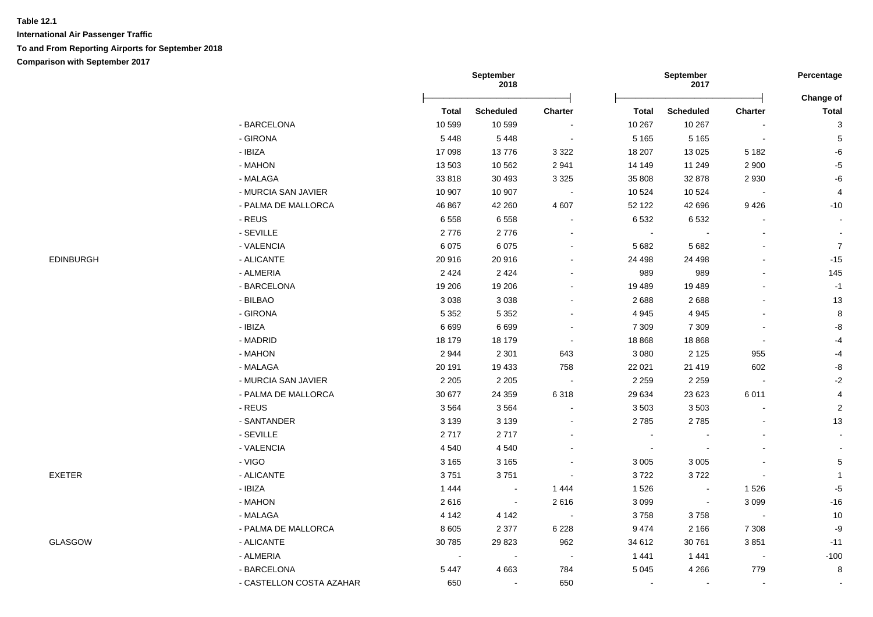|                  |                          |              | September<br>2018 |                          |                          | September<br>2017 |                | Percentage                |
|------------------|--------------------------|--------------|-------------------|--------------------------|--------------------------|-------------------|----------------|---------------------------|
|                  |                          | <b>Total</b> | <b>Scheduled</b>  | Charter                  | Total                    | <b>Scheduled</b>  | Charter        | Change of<br><b>Total</b> |
|                  | - BARCELONA              | 10 599       | 10 599            |                          | 10 267                   | 10 267            | $\blacksquare$ | $\mathsf 3$               |
|                  | - GIRONA                 | 5448         | 5448              | $\overline{\phantom{a}}$ | 5 1 6 5                  | 5 1 6 5           | $\bullet$      | $\,$ 5 $\,$               |
|                  | - IBIZA                  | 17 098       | 13776             | 3 3 2 2                  | 18 207                   | 13 0 25           | 5 1 8 2        | $-6$                      |
|                  | - MAHON                  | 13 503       | 10 562            | 2 9 4 1                  | 14 14 9                  | 11 249            | 2 900          | $-5$                      |
|                  | - MALAGA                 | 33818        | 30 4 93           | 3 3 2 5                  | 35 808                   | 32 878            | 2 9 3 0        | $-6$                      |
|                  | - MURCIA SAN JAVIER      | 10 907       | 10 907            | $\overline{\phantom{a}}$ | 10 524                   | 10 5 24           |                | 4                         |
|                  | - PALMA DE MALLORCA      | 46 867       | 42 260            | 4 607                    | 52 122                   | 42 696            | 9426           | $-10$                     |
|                  | - REUS                   | 6558         | 6558              |                          | 6 5 3 2                  | 6532              |                |                           |
|                  | - SEVILLE                | 2776         | 2776              |                          | $\overline{\phantom{a}}$ |                   |                | $\blacksquare$            |
|                  | - VALENCIA               | 6075         | 6075              |                          | 5 6 8 2                  | 5 6 8 2           |                | $\overline{7}$            |
| <b>EDINBURGH</b> | - ALICANTE               | 20 916       | 20916             |                          | 24 498                   | 24 4 98           |                | $-15$                     |
|                  | - ALMERIA                | 2 4 2 4      | 2 4 2 4           |                          | 989                      | 989               |                | 145                       |
|                  | - BARCELONA              | 19 20 6      | 19 20 6           |                          | 19 4 89                  | 19 4 89           |                | $-1$                      |
|                  | - BILBAO                 | 3 0 38       | 3 0 3 8           |                          | 2688                     | 2688              |                | 13                        |
|                  | - GIRONA                 | 5 3 5 2      | 5 3 5 2           |                          | 4 9 4 5                  | 4 9 4 5           |                | $\,8\,$                   |
|                  | - IBIZA                  | 6699         | 6699              | $\overline{\phantom{a}}$ | 7 3 0 9                  | 7 3 0 9           |                | $\mbox{-}8$               |
|                  | - MADRID                 | 18 179       | 18 179            | $\blacksquare$           | 18 868                   | 18 8 68           | $\blacksquare$ | -4                        |
|                  | - MAHON                  | 2944         | 2 3 0 1           | 643                      | 3 0 8 0                  | 2 1 2 5           | 955            | $-4$                      |
|                  | - MALAGA                 | 20 191       | 19 433            | 758                      | 22 0 21                  | 21 4 19           | 602            | $\mbox{-}8$               |
|                  | - MURCIA SAN JAVIER      | 2 2 0 5      | 2 2 0 5           | $\sim$                   | 2 2 5 9                  | 2 2 5 9           | $\sim$         | $-2$                      |
|                  | - PALMA DE MALLORCA      | 30 677       | 24 3 59           | 6 3 1 8                  | 29 634                   | 23 623            | 6011           | $\overline{4}$            |
|                  | - REUS                   | 3564         | 3564              |                          | 3 5 0 3                  | 3 5 0 3           | $\blacksquare$ | $\overline{2}$            |
|                  | - SANTANDER              | 3 1 3 9      | 3 1 3 9           |                          | 2785                     | 2785              |                | 13                        |
|                  | - SEVILLE                | 2717         | 2717              |                          | $\blacksquare$           |                   |                | $\sim$                    |
|                  | - VALENCIA               | 4 5 4 0      | 4540              |                          | $\sim$                   |                   |                |                           |
|                  | - VIGO                   | 3 1 6 5      | 3 1 6 5           |                          | 3 0 0 5                  | 3 0 0 5           |                | $\mathbf 5$               |
| EXETER           | - ALICANTE               | 3751         | 3751              |                          | 3722                     | 3722              |                | $\mathbf{1}$              |
|                  | - IBIZA                  | 1 4 4 4      | $\sim$            | 1 4 4 4                  | 1 5 2 6                  |                   | 1526           | $-5$                      |
|                  | - MAHON                  | 2616         | $\sim$            | 2616                     | 3 0 9 9                  | $\blacksquare$    | 3 0 9 9        | $-16$                     |
|                  | - MALAGA                 | 4 1 4 2      | 4 142             |                          | 3758                     | 3758              | $\blacksquare$ | $10$                      |
|                  | - PALMA DE MALLORCA      | 8 6 0 5      | 2 3 7 7           | 6 2 2 8                  | 9 4 7 4                  | 2 1 6 6           | 7 3 0 8        | -9                        |
| GLASGOW          | - ALICANTE               | 30 785       | 29 8 23           | 962                      | 34 612                   | 30 761            | 3851           | $-11$                     |
|                  | - ALMERIA                | $\sim$       | $\sim$            | $\sim$                   | 1 4 4 1                  | 1 4 4 1           | $\sim$         | $-100$                    |
|                  | - BARCELONA              | 5 4 4 7      | 4 6 6 3           | 784                      | 5 0 4 5                  | 4 2 6 6           | 779            | $\boldsymbol{8}$          |
|                  | - CASTELLON COSTA AZAHAR | 650          | $\sim$            | 650                      | $\sim$                   |                   | $\sim$         |                           |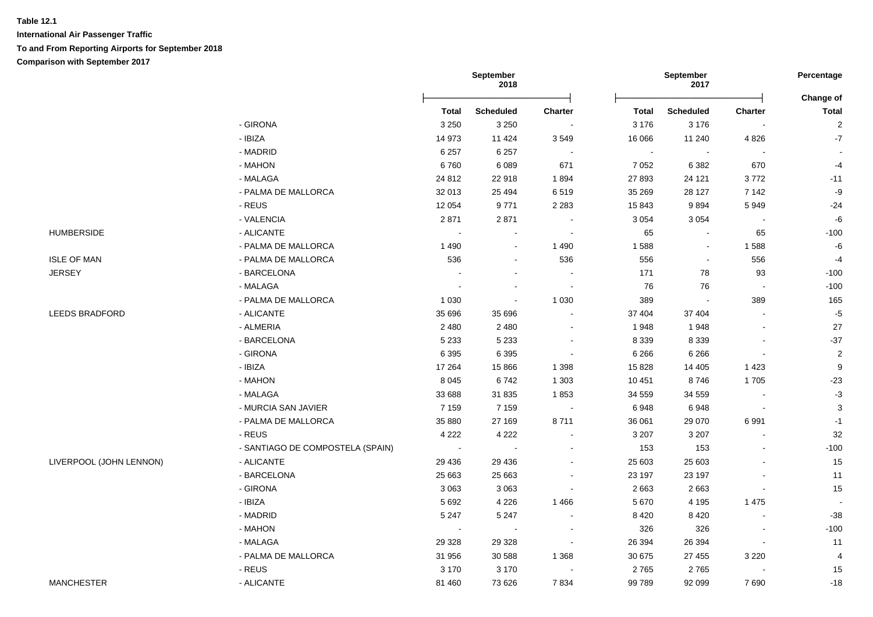**International Air Passenger Traffic To and From Reporting Airports for September 2018 Comparison with September 2017**

|                         |                                  | September<br>2018 |                  |                          | September<br>2017 |                          |                          |                           |
|-------------------------|----------------------------------|-------------------|------------------|--------------------------|-------------------|--------------------------|--------------------------|---------------------------|
|                         |                                  | Total             | <b>Scheduled</b> | Charter                  | <b>Total</b>      | <b>Scheduled</b>         | <b>Charter</b>           | Change of<br><b>Total</b> |
|                         | - GIRONA                         | 3 2 5 0           | 3 2 5 0          | $\sim$                   | 3 1 7 6           | 3 1 7 6                  |                          | $\overline{2}$            |
|                         | - IBIZA                          | 14 973            | 11 4 24          | 3549                     | 16 066            | 11 240                   | 4 8 2 6                  | $\mathbf{-7}$             |
|                         | - MADRID                         | 6 2 5 7           | 6 2 5 7          | $\blacksquare$           | $\sim$            | $\overline{\phantom{a}}$ |                          |                           |
|                         | - MAHON                          | 6760              | 6089             | 671                      | 7 0 5 2           | 6 3 8 2                  | 670                      | $-4$                      |
|                         | - MALAGA                         | 24 8 12           | 22 918           | 1894                     | 27 893            | 24 121                   | 3772                     | $-11$                     |
|                         | - PALMA DE MALLORCA              | 32 013            | 25 4 94          | 6519                     | 35 269            | 28 127                   | 7 1 4 2                  | $-9$                      |
|                         | - REUS                           | 12 0 54           | 9771             | 2 2 8 3                  | 15 843            | 9894                     | 5949                     | $-24$                     |
|                         | - VALENCIA                       | 2871              | 2871             | $\sim$                   | 3 0 5 4           | 3 0 5 4                  |                          | $-6$                      |
| <b>HUMBERSIDE</b>       | - ALICANTE                       |                   |                  | $\sim$                   | 65                |                          | 65                       | $-100$                    |
|                         | - PALMA DE MALLORCA              | 1490              | $\sim$           | 1 4 9 0                  | 1588              | $\sim$                   | 1588                     | -6                        |
| <b>ISLE OF MAN</b>      | - PALMA DE MALLORCA              | 536               | $\sim$           | 536                      | 556               |                          | 556                      | $-4$                      |
| <b>JERSEY</b>           | - BARCELONA                      |                   |                  | $\sim$                   | 171               | 78                       | 93                       | $-100$                    |
|                         | - MALAGA                         |                   |                  | $\overline{\phantom{a}}$ | 76                | 76                       | $\overline{\phantom{a}}$ | $-100$                    |
|                         | - PALMA DE MALLORCA              | 1 0 3 0           |                  | 1 0 3 0                  | 389               |                          | 389                      | 165                       |
| <b>LEEDS BRADFORD</b>   | - ALICANTE                       | 35 696            | 35 696           |                          | 37 404            | 37 404                   |                          | $-5$                      |
|                         | - ALMERIA                        | 2 4 8 0           | 2 4 8 0          | $\blacksquare$           | 1948              | 1948                     |                          | 27                        |
|                         | - BARCELONA                      | 5 2 3 3           | 5 2 3 3          | $\blacksquare$           | 8 3 3 9           | 8 3 3 9                  |                          | $-37$                     |
|                         | - GIRONA                         | 6 3 9 5           | 6 3 9 5          | $\sim$                   | 6 2 6 6           | 6 2 6 6                  | $\sim$                   | $\overline{2}$            |
|                         | - IBIZA                          | 17 264            | 15 8 66          | 1 3 9 8                  | 15 828            | 14 405                   | 1 4 2 3                  | $\boldsymbol{9}$          |
|                         | - MAHON                          | 8 0 4 5           | 6742             | 1 3 0 3                  | 10 451            | 8746                     | 1705                     | $-23$                     |
|                         | - MALAGA                         | 33 688            | 31 835           | 1853                     | 34 559            | 34 559                   | $\blacksquare$           | $-3$                      |
|                         | - MURCIA SAN JAVIER              | 7 1 5 9           | 7 1 5 9          | $\sim$                   | 6948              | 6948                     | $\mathbf{r}$             | $\mathbf{3}$              |
|                         | - PALMA DE MALLORCA              | 35 880            | 27 169           | 8711                     | 36 061            | 29 070                   | 6991                     | $-1$                      |
|                         | - REUS                           | 4 2 2 2           | 4 2 2 2          | $\blacksquare$           | 3 2 0 7           | 3 2 0 7                  |                          | 32                        |
|                         | - SANTIAGO DE COMPOSTELA (SPAIN) | $\sim$            |                  | $\blacksquare$           | 153               | 153                      |                          | $-100$                    |
| LIVERPOOL (JOHN LENNON) | - ALICANTE                       | 29 4 36           | 29 4 36          | $\blacksquare$           | 25 603            | 25 603                   |                          | 15                        |
|                         | - BARCELONA                      | 25 663            | 25 663           |                          | 23 197            | 23 197                   |                          | 11                        |
|                         | - GIRONA                         | 3 0 6 3           | 3 0 6 3          | $\overline{\phantom{a}}$ | 2 6 6 3           | 2663                     |                          | 15                        |
|                         | - IBIZA                          | 5692              | 4 2 2 6          | 1466                     | 5 6 7 0           | 4 1 9 5                  | 1 4 7 5                  |                           |
|                         | - MADRID                         | 5 2 4 7           | 5 2 4 7          |                          | 8 4 2 0           | 8 4 2 0                  |                          | $-38$                     |
|                         | - MAHON                          | $\sim$            |                  | $\sim$                   | 326               | 326                      |                          | $-100$                    |
|                         | - MALAGA                         | 29 3 28           | 29 3 28          | $\overline{\phantom{a}}$ | 26 394            | 26 394                   |                          | 11                        |
|                         | - PALMA DE MALLORCA              | 31 956            | 30 588           | 1 3 6 8                  | 30 675            | 27 455                   | 3 2 2 0                  | 4                         |
|                         | $\overline{\phantom{a}}$ REUS    | 3 1 7 0           | 3 1 7 0          | $\blacksquare$           | 2765              | 2765                     | $\blacksquare$           | 15                        |
| <b>MANCHESTER</b>       | - ALICANTE                       | 81 460            | 73 626           | 7834                     | 99 789            | 92 099                   | 7690                     | $-18$                     |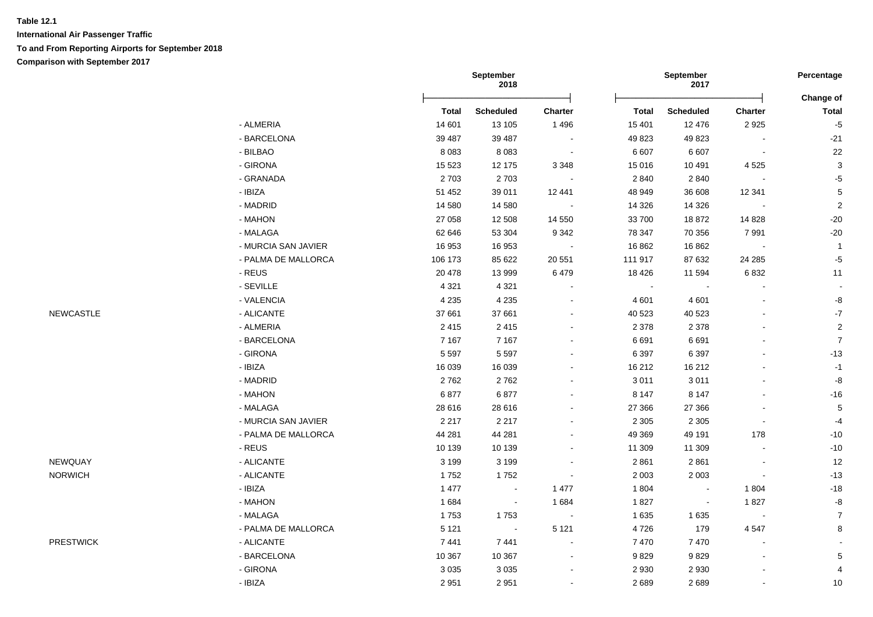|                  |                     | September<br>2018 |                  |                |              | September<br>2017        |                          |                           |
|------------------|---------------------|-------------------|------------------|----------------|--------------|--------------------------|--------------------------|---------------------------|
|                  |                     | <b>Total</b>      | <b>Scheduled</b> | Charter        | <b>Total</b> | Scheduled                | Charter                  | Change of<br><b>Total</b> |
|                  | - ALMERIA           | 14 601            | 13 105           | 1 4 9 6        | 15 401       | 12 4 76                  | 2925                     | $-5$                      |
|                  | - BARCELONA         | 39 487            | 39 487           | $\sim$         | 49 823       | 49 823                   | $\sim$                   | $-21$                     |
|                  | - BILBAO            | 8 0 8 3           | 8 0 8 3          | $\sim$         | 6 607        | 6 607                    | $\blacksquare$           | 22                        |
|                  | - GIRONA            | 15 5 23           | 12 175           | 3 3 4 8        | 15 016       | 10 491                   | 4525                     | 3                         |
|                  | - GRANADA           | 2 7 0 3           | 2703             | $\blacksquare$ | 2 8 4 0      | 2 8 4 0                  | $\sim$                   | $-5$                      |
|                  | - IBIZA             | 51 452            | 39 011           | 12 441         | 48 949       | 36 608                   | 12 341                   | $\,$ 5 $\,$               |
|                  | - MADRID            | 14 580            | 14 580           |                | 14 3 26      | 14 3 26                  | $\sim$                   | $\sqrt{2}$                |
|                  | - MAHON             | 27 058            | 12 508           | 14 550         | 33 700       | 18872                    | 14 8 28                  | $-20$                     |
|                  | - MALAGA            | 62 646            | 53 304           | 9 3 4 2        | 78 347       | 70 356                   | 7991                     | $-20$                     |
|                  | - MURCIA SAN JAVIER | 16 953            | 16 953           |                | 16 862       | 16 862                   | $\sim$                   | $\overline{1}$            |
|                  | - PALMA DE MALLORCA | 106 173           | 85 622           | 20 551         | 111 917      | 87 632                   | 24 2 85                  | $-5$                      |
|                  | - REUS              | 20 478            | 13 999           | 6479           | 18 4 26      | 11 594                   | 6832                     | 11                        |
|                  | - SEVILLE           | 4 3 2 1           | 4 3 2 1          |                | $\sim$       |                          |                          |                           |
|                  | - VALENCIA          | 4 2 3 5           | 4 2 3 5          |                | 4 601        | 4 601                    |                          | -8                        |
| <b>NEWCASTLE</b> | - ALICANTE          | 37 661            | 37 661           |                | 40 523       | 40 523                   |                          | $\textbf{-7}$             |
|                  | - ALMERIA           | 2415              | 2415             |                | 2 3 7 8      | 2 3 7 8                  | $\blacksquare$           | $\mathbf 2$               |
|                  | - BARCELONA         | 7 1 6 7           | 7 1 6 7          |                | 6 6 9 1      | 6691                     |                          | $\overline{7}$            |
|                  | - GIRONA            | 5 5 9 7           | 5 5 9 7          |                | 6 3 9 7      | 6 3 9 7                  |                          | $-13$                     |
|                  | - IBIZA             | 16 039            | 16 039           |                | 16 21 2      | 16 21 2                  |                          | $-1$                      |
|                  | - MADRID            | 2762              | 2762             |                | 3 0 1 1      | 3011                     | $\blacksquare$           | $\mbox{-}8$               |
|                  | - MAHON             | 6877              | 6877             |                | 8 1 4 7      | 8 1 4 7                  |                          | $-16$                     |
|                  | - MALAGA            | 28 616            | 28 616           |                | 27 366       | 27 366                   | $\blacksquare$           | 5                         |
|                  | - MURCIA SAN JAVIER | 2 2 1 7           | 2 2 1 7          |                | 2 3 0 5      | 2 3 0 5                  | $\blacksquare$           | $-4$                      |
|                  | - PALMA DE MALLORCA | 44 281            | 44 281           |                | 49 369       | 49 191                   | 178                      | $-10$                     |
|                  | - REUS              | 10 139            | 10 139           |                | 11 309       | 11 309                   | $\overline{\phantom{a}}$ | $-10$                     |
| NEWQUAY          | - ALICANTE          | 3 1 9 9           | 3 1 9 9          |                | 2861         | 2861                     | $\blacksquare$           | 12                        |
| <b>NORWICH</b>   | - ALICANTE          | 1752              | 1752             |                | 2 0 0 3      | 2 0 0 3                  | $\sim$                   | $-13$                     |
|                  | $-$ IBIZA           | 1 4 7 7           | $\blacksquare$   | 1 477          | 1 8 0 4      | $\sim$                   | 1804                     | $-18$                     |
|                  | - MAHON             | 1684              | $\sim$           | 1684           | 1827         | $\overline{\phantom{a}}$ | 1827                     | $\mbox{-}8$               |
|                  | - MALAGA            | 1753              | 1753             | $\blacksquare$ | 1 6 3 5      | 1635                     | $\bullet$                | $\overline{7}$            |
|                  | - PALMA DE MALLORCA | 5 1 2 1           | $\sim$           | 5 1 2 1        | 4726         | 179                      | 4547                     | 8                         |
| <b>PRESTWICK</b> | - ALICANTE          | 7441              | 7441             | $\sim$         | 7470         | 7 4 7 0                  | $\sim$                   |                           |
|                  | - BARCELONA         | 10 367            | 10 367           | $\sim$         | 9829         | 9829                     |                          | 5                         |
|                  | - GIRONA            | 3 0 3 5           | 3 0 3 5          |                | 2 9 3 0      | 2 9 3 0                  |                          | 4                         |
|                  | - IBIZA             | 2951              | 2951             |                | 2689         | 2689                     | $\blacksquare$           | 10                        |
|                  |                     |                   |                  |                |              |                          |                          |                           |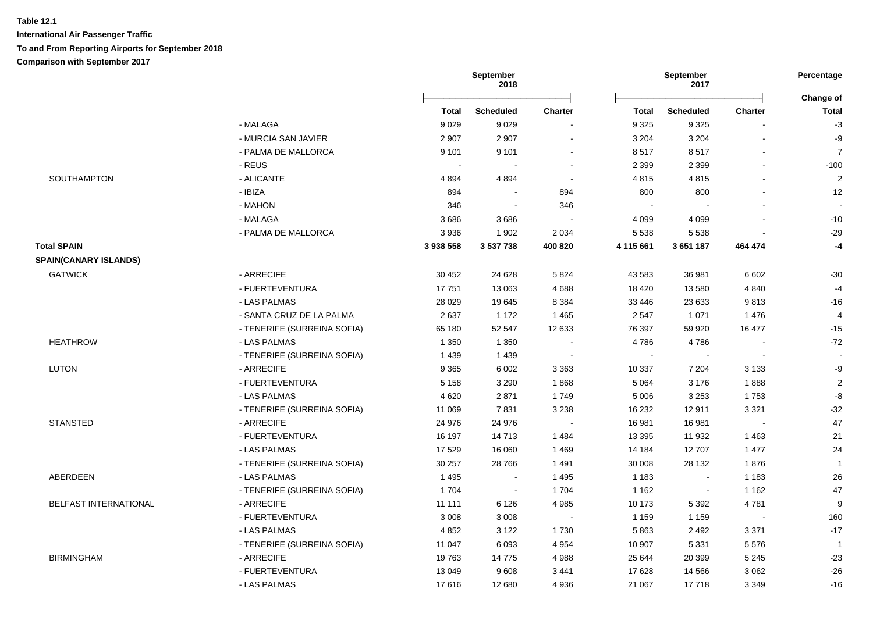|                              |                             | <b>September</b><br>2018 |                  |                |              | <b>September</b><br>2017 |                |                           |
|------------------------------|-----------------------------|--------------------------|------------------|----------------|--------------|--------------------------|----------------|---------------------------|
|                              |                             | Total                    | <b>Scheduled</b> | <b>Charter</b> | <b>Total</b> | Scheduled                | <b>Charter</b> | Change of<br><b>Total</b> |
|                              | - MALAGA                    | 9029                     | 9029             |                | 9 3 2 5      | 9 3 2 5                  |                | $-3$                      |
|                              | - MURCIA SAN JAVIER         | 2 9 0 7                  | 2 9 0 7          | $\blacksquare$ | 3 2 0 4      | 3 2 0 4                  |                | -9                        |
|                              | - PALMA DE MALLORCA         | 9 1 0 1                  | 9 1 0 1          | $\blacksquare$ | 8517         | 8517                     |                | $\overline{7}$            |
|                              | - REUS                      |                          |                  |                | 2 3 9 9      | 2 3 9 9                  |                | $-100$                    |
| SOUTHAMPTON                  | - ALICANTE                  | 4894                     | 4894             | $\sim$         | 4815         | 4815                     |                | $\overline{c}$            |
|                              | - IBIZA                     | 894                      | $\blacksquare$   | 894            | 800          | 800                      |                | 12                        |
|                              | - MAHON                     | 346                      | $\blacksquare$   | 346            |              |                          |                |                           |
|                              | - MALAGA                    | 3686                     | 3686             |                | 4 0 9 9      | 4 0 9 9                  |                | $-10$                     |
|                              | - PALMA DE MALLORCA         | 3936                     | 1 9 0 2          | 2 0 3 4        | 5 5 3 8      | 5 5 3 8                  |                | $-29$                     |
| <b>Total SPAIN</b>           |                             | 3 938 558                | 3 537 738        | 400 820        | 4 115 661    | 3 651 187                | 464 474        | $-4$                      |
| <b>SPAIN(CANARY ISLANDS)</b> |                             |                          |                  |                |              |                          |                |                           |
| <b>GATWICK</b>               | - ARRECIFE                  | 30 452                   | 24 6 28          | 5 8 2 4        | 43 583       | 36 981                   | 6 6 0 2        | $-30$                     |
|                              | - FUERTEVENTURA             | 17751                    | 13 063           | 4 6 8 8        | 18 4 20      | 13 580                   | 4 8 4 0        | $-4$                      |
|                              | - LAS PALMAS                | 28 0 29                  | 19645            | 8 3 8 4        | 33 446       | 23 633                   | 9813           | $-16$                     |
|                              | - SANTA CRUZ DE LA PALMA    | 2637                     | 1 1 7 2          | 1 4 6 5        | 2 5 4 7      | 1 0 7 1                  | 1 4 7 6        | $\overline{4}$            |
|                              | - TENERIFE (SURREINA SOFIA) | 65 180                   | 52 547           | 12 633         | 76 397       | 59 920                   | 16 477         | $-15$                     |
| <b>HEATHROW</b>              | - LAS PALMAS                | 1 3 5 0                  | 1 3 5 0          |                | 4786         | 4786                     |                | $-72$                     |
|                              | - TENERIFE (SURREINA SOFIA) | 1 4 3 9                  | 1 4 3 9          | $\sim$         | $\sim$       | $\sim$                   |                | $\sim$                    |
| LUTON                        | - ARRECIFE                  | 9 3 6 5                  | 6 0 0 2          | 3 3 6 3        | 10 337       | 7 2 0 4                  | 3 1 3 3        | $-9$                      |
|                              | - FUERTEVENTURA             | 5 1 5 8                  | 3 2 9 0          | 1868           | 5 0 6 4      | 3 1 7 6                  | 1888           | $\sqrt{2}$                |
|                              | - LAS PALMAS                | 4 6 20                   | 2871             | 1749           | 5 0 0 6      | 3 2 5 3                  | 1753           | $\mbox{-}8$               |
|                              | - TENERIFE (SURREINA SOFIA) | 11 069                   | 7831             | 3 2 3 8        | 16 232       | 12911                    | 3 3 2 1        | $-32$                     |
| <b>STANSTED</b>              | - ARRECIFE                  | 24 976                   | 24 976           |                | 16 981       | 16 981                   | $\sim$         | 47                        |
|                              | - FUERTEVENTURA             | 16 197                   | 14713            | 1 4 8 4        | 13 3 95      | 11 932                   | 1463           | 21                        |
|                              | - LAS PALMAS                | 17 529                   | 16 060           | 1 4 6 9        | 14 184       | 12707                    | 1 477          | 24                        |
|                              | - TENERIFE (SURREINA SOFIA) | 30 257                   | 28766            | 1 4 9 1        | 30 008       | 28 132                   | 1876           | $\overline{1}$            |
| ABERDEEN                     | - LAS PALMAS                | 1495                     | $\sim$           | 1 4 9 5        | 1 1 8 3      | $\overline{\phantom{a}}$ | 1 1 8 3        | $26\,$                    |
|                              | - TENERIFE (SURREINA SOFIA) | 1 704                    | $\sim$           | 1 704          | 1 1 6 2      |                          | 1 1 6 2        | 47                        |
| BELFAST INTERNATIONAL        | - ARRECIFE                  | 11 111                   | 6 1 2 6          | 4 9 8 5        | 10 173       | 5 3 9 2                  | 4781           | 9                         |
|                              | - FUERTEVENTURA             | 3 0 0 8                  | 3 0 0 8          | $\blacksquare$ | 1 1 5 9      | 1 1 5 9                  | $\sim$         | 160                       |
|                              | - LAS PALMAS                | 4 8 5 2                  | 3 1 2 2          | 1730           | 5863         | 2 4 9 2                  | 3 3 7 1        | $-17$                     |
|                              | - TENERIFE (SURREINA SOFIA) | 11 047                   | 6093             | 4 9 5 4        | 10 907       | 5 3 3 1                  | 5576           | $\overline{1}$            |
| <b>BIRMINGHAM</b>            | - ARRECIFE                  | 19763                    | 14775            | 4 9 8 8        | 25 644       | 20 399                   | 5 2 4 5        | $-23$                     |
|                              | - FUERTEVENTURA             | 13 049                   | 9608             | 3 4 4 1        | 17 628       | 14 5 66                  | 3 0 6 2        | $-26$                     |
|                              | - LAS PALMAS                | 17616                    | 12 680           | 4 9 3 6        | 21 067       | 17718                    | 3 3 4 9        | $-16$                     |
|                              |                             |                          |                  |                |              |                          |                |                           |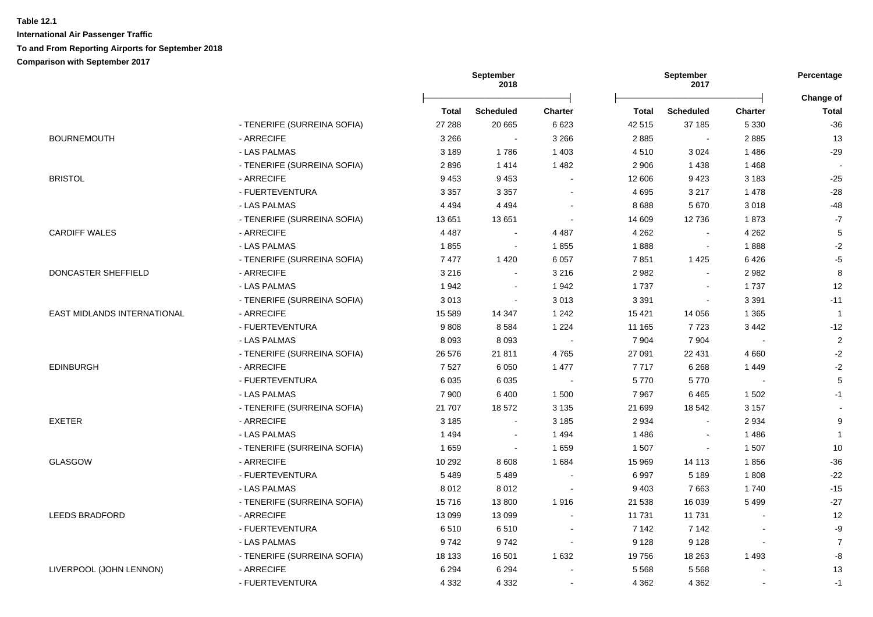|                             |                             |              | <b>September</b><br>2018 |                |              | September<br>2017 |                | Percentage                |
|-----------------------------|-----------------------------|--------------|--------------------------|----------------|--------------|-------------------|----------------|---------------------------|
|                             |                             | <b>Total</b> | <b>Scheduled</b>         | <b>Charter</b> | <b>Total</b> | <b>Scheduled</b>  | <b>Charter</b> | Change of<br><b>Total</b> |
|                             | - TENERIFE (SURREINA SOFIA) | 27 288       | 20 665                   | 6 6 23         | 42 515       | 37 185            | 5 3 3 0        | $-36$                     |
| <b>BOURNEMOUTH</b>          | - ARRECIFE                  | 3 2 6 6      | $\sim$                   | 3 2 6 6        | 2885         | $\sim$            | 2885           | 13                        |
|                             | - LAS PALMAS                | 3 1 8 9      | 1786                     | 1 4 0 3        | 4510         | 3 0 24            | 1 4 8 6        | $-29$                     |
|                             | - TENERIFE (SURREINA SOFIA) | 2896         | 1414                     | 1 4 8 2        | 2 9 0 6      | 1438              | 1468           |                           |
| <b>BRISTOL</b>              | - ARRECIFE                  | 9 4 5 3      | 9453                     |                | 12 606       | 9423              | 3 1 8 3        | $-25$                     |
|                             | - FUERTEVENTURA             | 3 3 5 7      | 3 3 5 7                  |                | 4 6 9 5      | 3 2 1 7           | 1 4 7 8        | $-28$                     |
|                             | - LAS PALMAS                | 4 4 9 4      | 4 4 9 4                  |                | 8688         | 5670              | 3018           | $-48$                     |
|                             | - TENERIFE (SURREINA SOFIA) | 13651        | 13 651                   | $\sim$         | 14 609       | 12736             | 1873           | $-7$                      |
| <b>CARDIFF WALES</b>        | - ARRECIFE                  | 4 4 8 7      | $\sim$                   | 4 4 8 7        | 4 2 6 2      | $\sim$            | 4 2 6 2        | 5                         |
|                             | - LAS PALMAS                | 1855         | $\blacksquare$           | 1855           | 1888         | $\sim$            | 1888           | $-2$                      |
|                             | - TENERIFE (SURREINA SOFIA) | 7477         | 1420                     | 6 0 5 7        | 7851         | 1 4 2 5           | 6426           | $-5$                      |
| DONCASTER SHEFFIELD         | - ARRECIFE                  | 3 2 1 6      | $\sim$                   | 3 2 1 6        | 2982         | $\Delta$          | 2982           | 8                         |
|                             | - LAS PALMAS                | 1942         | $\blacksquare$           | 1942           | 1737         | $\blacksquare$    | 1737           | 12                        |
|                             | - TENERIFE (SURREINA SOFIA) | 3013         | $\sim$                   | 3 0 1 3        | 3 3 9 1      | $\blacksquare$    | 3 3 9 1        | $-11$                     |
| EAST MIDLANDS INTERNATIONAL | - ARRECIFE                  | 15 5 89      | 14 347                   | 1 2 4 2        | 15 4 21      | 14 0 56           | 1 3 6 5        | $\overline{1}$            |
|                             | - FUERTEVENTURA             | 9808         | 8584                     | 1 2 2 4        | 11 165       | 7723              | 3 4 4 2        | $-12$                     |
|                             | - LAS PALMAS                | 8 0 9 3      | 8 0 9 3                  | $\sim$         | 7 9 0 4      | 7 9 0 4           |                | $\overline{c}$            |
|                             | - TENERIFE (SURREINA SOFIA) | 26 576       | 21811                    | 4765           | 27 091       | 22 431            | 4 6 6 0        | $-2$                      |
| <b>EDINBURGH</b>            | - ARRECIFE                  | 7527         | 6 0 5 0                  | 1 477          | 7 7 1 7      | 6 2 6 8           | 1449           | $-2$                      |
|                             | - FUERTEVENTURA             | 6 0 3 5      | 6035                     |                | 5770         | 5770              | $\sim$         | $\,$ 5 $\,$               |
|                             | - LAS PALMAS                | 7 900        | 6 4 0 0                  | 1 500          | 7967         | 6465              | 1 5 0 2        | $-1$                      |
|                             | - TENERIFE (SURREINA SOFIA) | 21 707       | 18572                    | 3 1 3 5        | 21 699       | 18 542            | 3 1 5 7        |                           |
| <b>EXETER</b>               | - ARRECIFE                  | 3 1 8 5      | $\blacksquare$           | 3 1 8 5        | 2 9 3 4      | $\blacksquare$    | 2934           | 9                         |
|                             | - LAS PALMAS                | 1494         | $\sim$                   | 1 4 9 4        | 1486         | $\sim$            | 1486           | $\mathbf{1}$              |
|                             | - TENERIFE (SURREINA SOFIA) | 1659         | $\sim$                   | 1659           | 1 507        | $\blacksquare$    | 1 507          | $10\,$                    |
| <b>GLASGOW</b>              | - ARRECIFE                  | 10 292       | 8 6 0 8                  | 1 6 8 4        | 15 969       | 14 113            | 1856           | $-36$                     |
|                             | - FUERTEVENTURA             | 5 4 8 9      | 5489                     |                | 6997         | 5 1 8 9           | 1808           | $-22$                     |
|                             | - LAS PALMAS                | 8012         | 8012                     |                | 9 4 0 3      | 7663              | 1740           | $-15$                     |
|                             | - TENERIFE (SURREINA SOFIA) | 15716        | 13 800                   | 1916           | 21 538       | 16 039            | 5 4 9 9        | $-27$                     |
| <b>LEEDS BRADFORD</b>       | - ARRECIFE                  | 13 099       | 13 0 99                  |                | 11 731       | 11 731            |                | 12                        |
|                             | - FUERTEVENTURA             | 6510         | 6510                     |                | 7 1 4 2      | 7 1 4 2           | $\sim$         | -9                        |
|                             | - LAS PALMAS                | 9742         | 9742                     | $\sim$         | 9 1 2 8      | 9 1 2 8           | $\blacksquare$ | $\overline{7}$            |
|                             | - TENERIFE (SURREINA SOFIA) | 18 133       | 16 501                   | 1 6 3 2        | 19756        | 18 263            | 1 4 9 3        | -8                        |
| LIVERPOOL (JOHN LENNON)     | - ARRECIFE                  | 6 2 9 4      | 6 2 9 4                  |                | 5 5 6 8      | 5568              |                | 13                        |
|                             | - FUERTEVENTURA             | 4 3 3 2      | 4 3 3 2                  |                | 4 3 6 2      | 4 3 6 2           | $\blacksquare$ | $-1$                      |
|                             |                             |              |                          |                |              |                   |                |                           |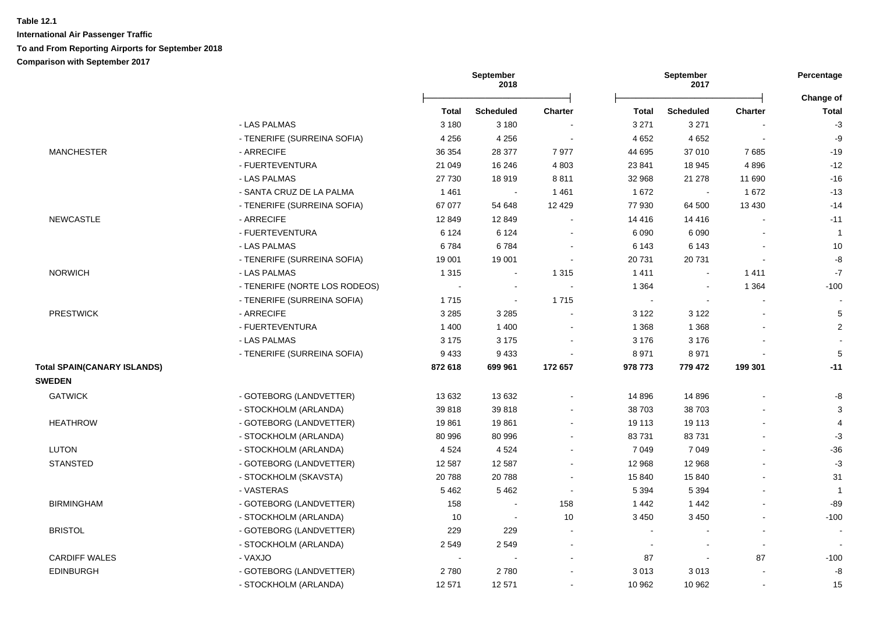|                                    |                               | <b>September</b><br>2018 |                  |                |         | September<br>2017 |                          | Percentage<br>Change of |
|------------------------------------|-------------------------------|--------------------------|------------------|----------------|---------|-------------------|--------------------------|-------------------------|
|                                    |                               | <b>Total</b>             | <b>Scheduled</b> | <b>Charter</b> | Total   | <b>Scheduled</b>  | <b>Charter</b>           | <b>Total</b>            |
|                                    | - LAS PALMAS                  | 3 1 8 0                  | 3 1 8 0          |                | 3 2 7 1 | 3 2 7 1           |                          | $-3$                    |
|                                    | - TENERIFE (SURREINA SOFIA)   | 4 2 5 6                  | 4 2 5 6          | $\sim$         | 4 6 5 2 | 4 6 5 2           | $\overline{\phantom{a}}$ | -9                      |
| <b>MANCHESTER</b>                  | - ARRECIFE                    | 36 354                   | 28 377           | 7977           | 44 695  | 37 010            | 7685                     | $-19$                   |
|                                    | - FUERTEVENTURA               | 21 049                   | 16 24 6          | 4 8 0 3        | 23 841  | 18 945            | 4896                     | $-12$                   |
|                                    | - LAS PALMAS                  | 27 730                   | 18919            | 8811           | 32 968  | 21 278            | 11 690                   | $-16$                   |
|                                    | - SANTA CRUZ DE LA PALMA      | 1461                     | $\blacksquare$   | 1 4 6 1        | 1672    | $\sim$            | 1672                     | $-13$                   |
|                                    | - TENERIFE (SURREINA SOFIA)   | 67 077                   | 54 648           | 12 4 29        | 77 930  | 64 500            | 13 4 30                  | $-14$                   |
| NEWCASTLE                          | - ARRECIFE                    | 12 849                   | 12 849           |                | 14 4 16 | 14 4 16           |                          | $-11$                   |
|                                    | - FUERTEVENTURA               | 6 1 2 4                  | 6 1 2 4          |                | 6 0 9 0 | 6 0 9 0           |                          | $\mathbf{1}$            |
|                                    | - LAS PALMAS                  | 6784                     | 6784             |                | 6 1 4 3 | 6 1 4 3           |                          | 10                      |
|                                    | - TENERIFE (SURREINA SOFIA)   | 19 001                   | 19 001           |                | 20 731  | 20731             |                          | -8                      |
| <b>NORWICH</b>                     | - LAS PALMAS                  | 1 3 1 5                  | $\sim$           | 1 3 1 5        | 1411    | $\sim$            | 1411                     | $\mathbf{-7}$           |
|                                    | - TENERIFE (NORTE LOS RODEOS) | $\sim$                   | $\sim$           | $\sim$         | 1 3 6 4 | $\sim$            | 1 3 6 4                  | $-100$                  |
|                                    | - TENERIFE (SURREINA SOFIA)   | 1715                     | $\blacksquare$   | 1715           | $\sim$  | $\sim$            |                          |                         |
| <b>PRESTWICK</b>                   | - ARRECIFE                    | 3 2 8 5                  | 3 2 8 5          | $\sim$         | 3 1 2 2 | 3 1 2 2           |                          | 5                       |
|                                    | - FUERTEVENTURA               | 1 400                    | 1 4 0 0          |                | 1 3 6 8 | 1 3 6 8           |                          | $\overline{c}$          |
|                                    | - LAS PALMAS                  | 3 1 7 5                  | 3 1 7 5          |                | 3 1 7 6 | 3 1 7 6           |                          |                         |
|                                    | - TENERIFE (SURREINA SOFIA)   | 9433                     | 9433             |                | 8971    | 8971              |                          | 5                       |
| <b>Total SPAIN(CANARY ISLANDS)</b> |                               | 872 618                  | 699 961          | 172 657        | 978 773 | 779 472           | 199 301                  | $-11$                   |
| <b>SWEDEN</b>                      |                               |                          |                  |                |         |                   |                          |                         |
| <b>GATWICK</b>                     | - GOTEBORG (LANDVETTER)       | 13 632                   | 13 632           |                | 14 8 96 | 14 8 96           |                          | -8                      |
|                                    | - STOCKHOLM (ARLANDA)         | 39818                    | 39818            |                | 38 703  | 38 703            |                          | 3                       |
| <b>HEATHROW</b>                    | - GOTEBORG (LANDVETTER)       | 19861                    | 19861            |                | 19 113  | 19 113            |                          | 4                       |
|                                    | - STOCKHOLM (ARLANDA)         | 80 996                   | 80 996           |                | 83731   | 83731             |                          | $-3$                    |
| <b>LUTON</b>                       | - STOCKHOLM (ARLANDA)         | 4 5 24                   | 4524             |                | 7 0 4 9 | 7 0 4 9           |                          | $-36$                   |
| <b>STANSTED</b>                    | - GOTEBORG (LANDVETTER)       | 12 587                   | 12 5 8 7         |                | 12 968  | 12 968            |                          | $-3$                    |
|                                    | - STOCKHOLM (SKAVSTA)         | 20788                    | 20788            |                | 15 840  | 15 840            |                          | 31                      |
|                                    | - VASTERAS                    | 5462                     | 5462             | $\sim$         | 5 3 9 4 | 5 3 9 4           |                          | $\mathbf{1}$            |
| <b>BIRMINGHAM</b>                  | - GOTEBORG (LANDVETTER)       | 158                      | $\blacksquare$   | 158            | 1442    | 1 4 4 2           |                          | $-89$                   |
|                                    | - STOCKHOLM (ARLANDA)         | 10                       | $\blacksquare$   | 10             | 3 4 5 0 | 3 4 5 0           |                          | $-100$                  |
| <b>BRISTOL</b>                     | - GOTEBORG (LANDVETTER)       | 229                      | 229              |                |         |                   |                          |                         |
|                                    | - STOCKHOLM (ARLANDA)         | 2 5 4 9                  | 2549             |                |         |                   | L.                       |                         |
| <b>CARDIFF WALES</b>               | - VAXJO                       |                          |                  |                | 87      | $\blacksquare$    | 87                       | $-100$                  |
| <b>EDINBURGH</b>                   | - GOTEBORG (LANDVETTER)       | 2780                     | 2780             |                | 3013    | 3013              |                          | -8                      |
|                                    | - STOCKHOLM (ARLANDA)         | 12 571                   | 12 571           |                | 10 962  | 10 962            | $\blacksquare$           | 15                      |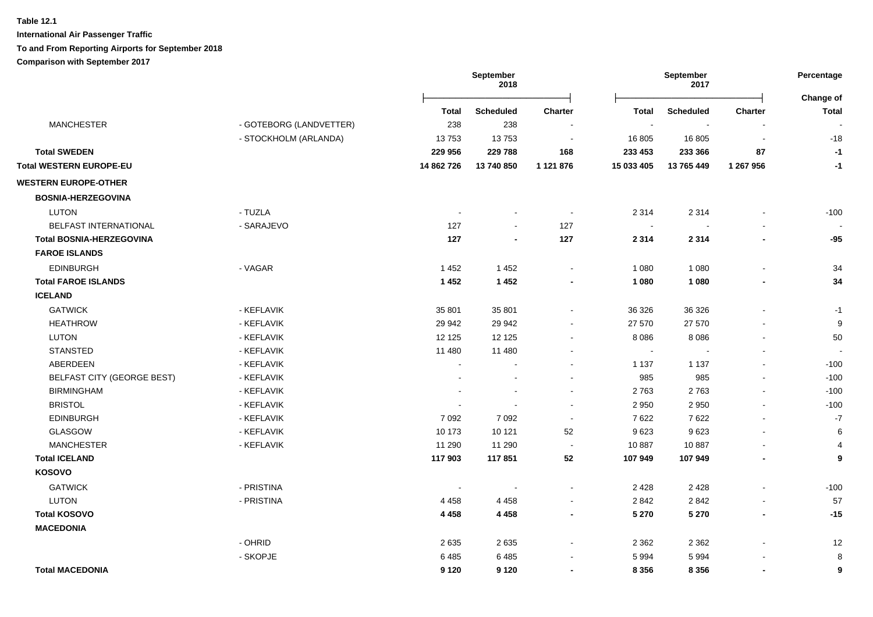**International Air Passenger Traffic To and From Reporting Airports for September 2018**

**Comparison with September 2017**

|                                   |                         | <b>September</b><br>September<br>2018<br>2017 |                  |                | Percentage<br><b>Change of</b> |                  |                          |                |
|-----------------------------------|-------------------------|-----------------------------------------------|------------------|----------------|--------------------------------|------------------|--------------------------|----------------|
|                                   |                         | <b>Total</b>                                  | <b>Scheduled</b> | <b>Charter</b> | <b>Total</b>                   | <b>Scheduled</b> | <b>Charter</b>           | <b>Total</b>   |
| <b>MANCHESTER</b>                 | - GOTEBORG (LANDVETTER) | 238                                           | 238              |                | $\sim$                         | $\blacksquare$   |                          |                |
|                                   | - STOCKHOLM (ARLANDA)   | 13753                                         | 13753            | $\sim$         | 16 805                         | 16 805           | $\blacksquare$           | $-18$          |
| <b>Total SWEDEN</b>               |                         | 229 956                                       | 229 788          | 168            | 233 453                        | 233 366          | 87                       | $-1$           |
| <b>Total WESTERN EUROPE-EU</b>    |                         | 14 862 726                                    | 13 740 850       | 1 121 876      | 15 033 405                     | 13 765 449       | 1 267 956                | $-1$           |
| <b>WESTERN EUROPE-OTHER</b>       |                         |                                               |                  |                |                                |                  |                          |                |
| <b>BOSNIA-HERZEGOVINA</b>         |                         |                                               |                  |                |                                |                  |                          |                |
| <b>LUTON</b>                      | - TUZLA                 |                                               |                  | $\sim$         | 2 3 1 4                        | 2 3 1 4          |                          | $-100$         |
| BELFAST INTERNATIONAL             | - SARAJEVO              | 127                                           | $\mathbf{r}$     | 127            | $\sim$                         |                  |                          |                |
| <b>Total BOSNIA-HERZEGOVINA</b>   |                         | 127                                           | $\blacksquare$   | 127            | 2 3 1 4                        | 2 3 1 4          |                          | $-95$          |
| <b>FAROE ISLANDS</b>              |                         |                                               |                  |                |                                |                  |                          |                |
| <b>EDINBURGH</b>                  | - VAGAR                 | 1452                                          | 1 4 5 2          | $\blacksquare$ | 1 0 8 0                        | 1 0 8 0          |                          | 34             |
| <b>Total FAROE ISLANDS</b>        |                         | 1 4 5 2                                       | 1 4 5 2          |                | 1 0 8 0                        | 1 0 8 0          |                          | 34             |
| <b>ICELAND</b>                    |                         |                                               |                  |                |                                |                  |                          |                |
| <b>GATWICK</b>                    | - KEFLAVIK              | 35 801                                        | 35 801           | $\blacksquare$ | 36 326                         | 36 326           |                          | $-1$           |
| <b>HEATHROW</b>                   | - KEFLAVIK              | 29 942                                        | 29 942           |                | 27 570                         | 27 570           |                          | 9              |
| <b>LUTON</b>                      | - KEFLAVIK              | 12 1 25                                       | 12 1 25          | $\blacksquare$ | 8 0 8 6                        | 8 0 8 6          | $\blacksquare$           | 50             |
| <b>STANSTED</b>                   | - KEFLAVIK              | 11 480                                        | 11 480           | $\blacksquare$ | $\sim$                         |                  | $\overline{\phantom{a}}$ |                |
| ABERDEEN                          | - KEFLAVIK              |                                               |                  | $\mathbf{r}$   | 1 1 3 7                        | 1 1 3 7          |                          | $-100$         |
| <b>BELFAST CITY (GEORGE BEST)</b> | - KEFLAVIK              |                                               |                  | $\blacksquare$ | 985                            | 985              |                          | $-100$         |
| <b>BIRMINGHAM</b>                 | - KEFLAVIK              |                                               | $\sim$           | $\sim$         | 2763                           | 2763             |                          | $-100$         |
| <b>BRISTOL</b>                    | - KEFLAVIK              |                                               | $\blacksquare$   | $\blacksquare$ | 2 9 5 0                        | 2950             | $\overline{\phantom{a}}$ | $-100$         |
| EDINBURGH                         | - KEFLAVIK              | 7 0 9 2                                       | 7 0 9 2          | $\blacksquare$ | 7622                           | 7622             | $\overline{\phantom{a}}$ | $-7$           |
| GLASGOW                           | - KEFLAVIK              | 10 173                                        | 10 121           | 52             | 9623                           | 9623             | $\overline{\phantom{a}}$ | $\,6$          |
| <b>MANCHESTER</b>                 | - KEFLAVIK              | 11 290                                        | 11 290           | $\sim$         | 10887                          | 10887            |                          | $\overline{4}$ |
| <b>Total ICELAND</b>              |                         | 117 903                                       | 117851           | 52             | 107 949                        | 107 949          | $\overline{\phantom{a}}$ | 9              |
| KOSOVO                            |                         |                                               |                  |                |                                |                  |                          |                |
| <b>GATWICK</b>                    | - PRISTINA              |                                               | $\sim$           | $\sim$         | 2 4 2 8                        | 2 4 2 8          |                          | $-100$         |
| <b>LUTON</b>                      | - PRISTINA              | 4 4 5 8                                       | 4 4 5 8          | $\sim$         | 2842                           | 2842             |                          | 57             |
| <b>Total KOSOVO</b>               |                         | 4 4 5 8                                       | 4 4 5 8          | $\blacksquare$ | 5 2 7 0                        | 5 2 7 0          | $\blacksquare$           | $-15$          |
| <b>MACEDONIA</b>                  |                         |                                               |                  |                |                                |                  |                          |                |
|                                   | - OHRID                 | 2635                                          | 2635             |                | 2 3 6 2                        | 2 3 6 2          |                          | 12             |
|                                   | - SKOPJE                | 6485                                          | 6485             |                | 5994                           | 5994             |                          | 8              |
| <b>Total MACEDONIA</b>            |                         | 9 1 2 0                                       | 9 1 2 0          | $\blacksquare$ | 8 3 5 6                        | 8 3 5 6          | $\blacksquare$           | 9              |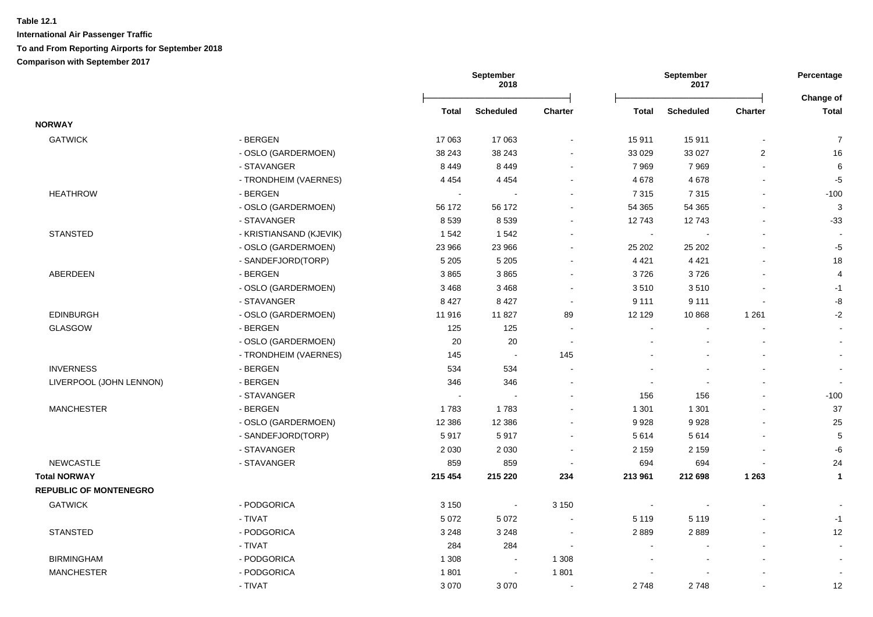|                               |                         |                          | September<br>2018        |                          |                | September<br>2017 |                          | Percentage                |
|-------------------------------|-------------------------|--------------------------|--------------------------|--------------------------|----------------|-------------------|--------------------------|---------------------------|
|                               |                         | Total                    | <b>Scheduled</b>         | Charter                  | Total          | <b>Scheduled</b>  | Charter                  | Change of<br><b>Total</b> |
| <b>NORWAY</b>                 |                         |                          |                          |                          |                |                   |                          |                           |
| <b>GATWICK</b>                | - BERGEN                | 17 063                   | 17 063                   |                          | 15911          | 15911             |                          | $\boldsymbol{7}$          |
|                               | - OSLO (GARDERMOEN)     | 38 243                   | 38 243                   |                          | 33 0 29        | 33 0 27           | $\boldsymbol{2}$         | 16                        |
|                               | - STAVANGER             | 8 4 4 9                  | 8 4 4 9                  | $\blacksquare$           | 7969           | 7969              | $\overline{\phantom{a}}$ | 6                         |
|                               | - TRONDHEIM (VAERNES)   | 4 4 5 4                  | 4 4 5 4                  | $\sim$                   | 4678           | 4678              | $\mathbf{r}$             | $-5$                      |
| <b>HEATHROW</b>               | - BERGEN                |                          |                          |                          | 7 3 1 5        | 7315              | $\mathbf{r}$             | $-100$                    |
|                               | - OSLO (GARDERMOEN)     | 56 172                   | 56 172                   | $\blacksquare$           | 54 365         | 54 365            | L,                       | 3                         |
|                               | - STAVANGER             | 8539                     | 8539                     | $\sim$                   | 12743          | 12743             | $\blacksquare$           | $-33$                     |
| <b>STANSTED</b>               | - KRISTIANSAND (KJEVIK) | 1 5 4 2                  | 1542                     |                          | $\sim$         |                   | $\blacksquare$           |                           |
|                               | - OSLO (GARDERMOEN)     | 23 966                   | 23 966                   | $\overline{\phantom{a}}$ | 25 202         | 25 20 2           |                          | $-5$                      |
|                               | - SANDEFJORD(TORP)      | 5 2 0 5                  | 5 2 0 5                  |                          | 4 4 2 1        | 4 4 2 1           |                          | 18                        |
| ABERDEEN                      | - BERGEN                | 3865                     | 3865                     |                          | 3726           | 3726              |                          | 4                         |
|                               | - OSLO (GARDERMOEN)     | 3 4 6 8                  | 3 4 6 8                  |                          | 3510           | 3510              |                          | $-1$                      |
|                               | - STAVANGER             | 8 4 2 7                  | 8 4 2 7                  | $\sim$                   | 9 1 1 1        | 9 1 1 1           |                          | -8                        |
| <b>EDINBURGH</b>              | - OSLO (GARDERMOEN)     | 11916                    | 11 827                   | 89                       | 12 129         | 10868             | 1 2 6 1                  | $-2$                      |
| <b>GLASGOW</b>                | - BERGEN                | 125                      | 125                      | $\overline{\phantom{a}}$ | $\blacksquare$ |                   |                          | $\sim$                    |
|                               | - OSLO (GARDERMOEN)     | 20                       | 20                       |                          |                |                   |                          |                           |
|                               | - TRONDHEIM (VAERNES)   | 145                      | $\sim$                   | 145                      |                |                   |                          |                           |
| <b>INVERNESS</b>              | - BERGEN                | 534                      | 534                      | $\sim$                   |                |                   |                          | $\sim$                    |
| LIVERPOOL (JOHN LENNON)       | - BERGEN                | 346                      | 346                      |                          | $\sim$         |                   |                          | $\sim$                    |
|                               | - STAVANGER             | $\overline{\phantom{a}}$ |                          |                          | 156            | 156               | $\blacksquare$           | $-100$                    |
| <b>MANCHESTER</b>             | - BERGEN                | 1783                     | 1783                     |                          | 1 3 0 1        | 1 3 0 1           | $\blacksquare$           | 37                        |
|                               | - OSLO (GARDERMOEN)     | 12 3 8 6                 | 12 3 8 6                 |                          | 9928           | 9928              |                          | 25                        |
|                               | - SANDEFJORD(TORP)      | 5917                     | 5917                     |                          | 5614           | 5614              |                          | $\mathbf 5$               |
|                               | - STAVANGER             | 2 0 3 0                  | 2 0 3 0                  | $\sim$                   | 2 1 5 9        | 2 1 5 9           |                          | -6                        |
| <b>NEWCASTLE</b>              | - STAVANGER             | 859                      | 859                      | $\sim$                   | 694            | 694               |                          | 24                        |
| <b>Total NORWAY</b>           |                         | 215 454                  | 215 220                  | 234                      | 213 961        | 212 698           | 1 2 6 3                  | $\mathbf{1}$              |
| <b>REPUBLIC OF MONTENEGRO</b> |                         |                          |                          |                          |                |                   |                          |                           |
| <b>GATWICK</b>                | - PODGORICA             | 3 1 5 0                  | $\sim$                   | 3 1 5 0                  | $\blacksquare$ |                   |                          |                           |
|                               | - TIVAT                 | 5 0 7 2                  | 5 0 7 2                  |                          | 5 1 1 9        | 5 1 1 9           |                          | $-1$                      |
| <b>STANSTED</b>               | - PODGORICA             | 3 2 4 8                  | 3 2 4 8                  |                          | 2889           | 2889              |                          | 12                        |
|                               | - TIVAT                 | 284                      | 284                      | $\sim$                   | ÷              |                   |                          | $\overline{\phantom{a}}$  |
| <b>BIRMINGHAM</b>             | - PODGORICA             | 1 3 0 8                  | $\overline{\phantom{a}}$ | 1 3 0 8                  | $\sim$         |                   |                          | $\sim$                    |
| <b>MANCHESTER</b>             | - PODGORICA             | 1801                     | $\blacksquare$           | 1801                     |                |                   |                          |                           |
|                               | - TIVAT                 | 3 0 7 0                  | 3 0 7 0                  | $\overline{\phantom{a}}$ | 2748           | 2748              | $\overline{a}$           | 12                        |
|                               |                         |                          |                          |                          |                |                   |                          |                           |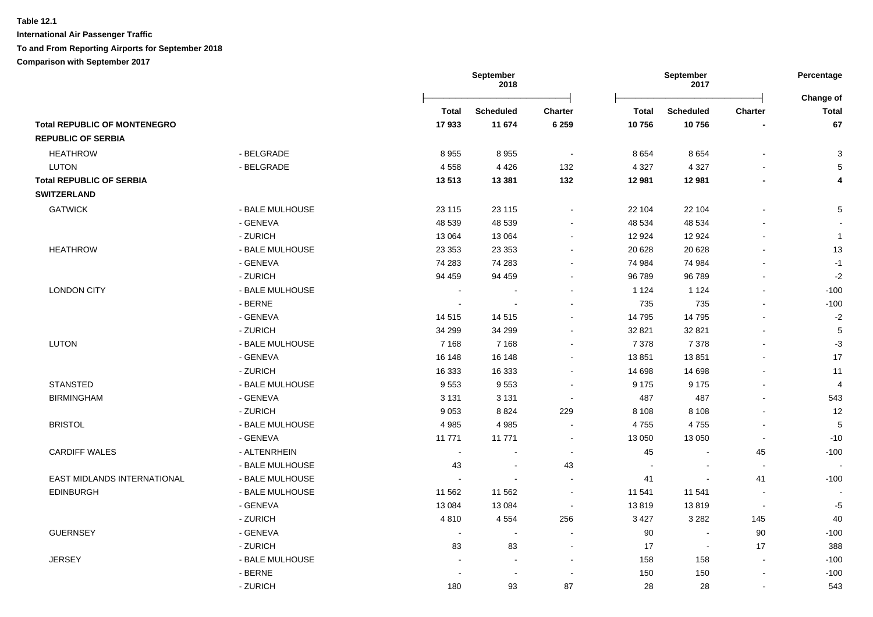|                                     |                 |              | <b>September</b><br>2018 |                |              | September<br>2017 |                          | Percentage<br>Change of |
|-------------------------------------|-----------------|--------------|--------------------------|----------------|--------------|-------------------|--------------------------|-------------------------|
|                                     |                 | <b>Total</b> | <b>Scheduled</b>         | <b>Charter</b> | <b>Total</b> | <b>Scheduled</b>  | Charter                  | <b>Total</b>            |
| <b>Total REPUBLIC OF MONTENEGRO</b> |                 | 17933        | 11 674                   | 6 2 5 9        | 10756        | 10756             |                          | 67                      |
| <b>REPUBLIC OF SERBIA</b>           |                 |              |                          |                |              |                   |                          |                         |
| <b>HEATHROW</b>                     | - BELGRADE      | 8955         | 8955                     | $\sim$         | 8654         | 8654              |                          | $\mathbf{3}$            |
| <b>LUTON</b>                        | - BELGRADE      | 4558         | 4 4 2 6                  | 132            | 4 3 2 7      | 4 3 2 7           |                          | 5                       |
| <b>Total REPUBLIC OF SERBIA</b>     |                 | 13513        | 13 3 8 1                 | 132            | 12 981       | 12 981            |                          | $\overline{4}$          |
| <b>SWITZERLAND</b>                  |                 |              |                          |                |              |                   |                          |                         |
| <b>GATWICK</b>                      | - BALE MULHOUSE | 23 115       | 23 115                   | $\blacksquare$ | 22 104       | 22 104            |                          | $\overline{5}$          |
|                                     | - GENEVA        | 48 539       | 48 539                   | $\sim$         | 48 534       | 48 534            |                          | $\sim$                  |
|                                     | - ZURICH        | 13 0 64      | 13 0 64                  | $\sim$         | 12 9 24      | 12 9 24           | $\sim$                   | $\mathbf{1}$            |
| <b>HEATHROW</b>                     | - BALE MULHOUSE | 23 3 53      | 23 35 3                  | $\blacksquare$ | 20 6 28      | 20 6 28           | $\overline{\phantom{a}}$ | 13                      |
|                                     | - GENEVA        | 74 283       | 74 283                   | $\blacksquare$ | 74 984       | 74 984            | $\blacksquare$           | $-1$                    |
|                                     | - ZURICH        | 94 459       | 94 459                   | $\blacksquare$ | 96 789       | 96789             |                          | $-2$                    |
| <b>LONDON CITY</b>                  | - BALE MULHOUSE |              | $\overline{a}$           | $\sim$         | 1 1 2 4      | 1 1 2 4           |                          | $-100$                  |
|                                     | - BERNE         |              |                          |                | 735          | 735               |                          | $-100$                  |
|                                     | - GENEVA        | 14 515       | 14515                    |                | 14 795       | 14795             |                          | $-2$                    |
|                                     | - ZURICH        | 34 299       | 34 299                   | $\sim$         | 32 821       | 32 821            |                          | 5                       |
| <b>LUTON</b>                        | - BALE MULHOUSE | 7 1 6 8      | 7 1 6 8                  | $\overline{a}$ | 7 3 7 8      | 7 3 7 8           |                          | $-3$                    |
|                                     | - GENEVA        | 16 148       | 16 148                   | $\blacksquare$ | 13851        | 13851             |                          | 17                      |
|                                     | - ZURICH        | 16 333       | 16 333                   | $\blacksquare$ | 14 698       | 14 698            |                          | 11                      |
| <b>STANSTED</b>                     | - BALE MULHOUSE | 9553         | 9553                     | $\sim$         | 9 1 7 5      | 9 1 7 5           |                          | $\overline{4}$          |
| <b>BIRMINGHAM</b>                   | - GENEVA        | 3 1 3 1      | 3 1 3 1                  | $\sim$         | 487          | 487               |                          | 543                     |
|                                     | - ZURICH        | 9053         | 8824                     | 229            | 8 1 0 8      | 8 1 0 8           |                          | 12                      |
| <b>BRISTOL</b>                      | - BALE MULHOUSE | 4 9 8 5      | 4985                     | $\blacksquare$ | 4755         | 4755              |                          | 5                       |
|                                     | - GENEVA        | 11 771       | 11 771                   | $\blacksquare$ | 13 050       | 13 050            | $\blacksquare$           | $-10$                   |
| <b>CARDIFF WALES</b>                | - ALTENRHEIN    | $\sim$       | $\blacksquare$           | $\blacksquare$ | 45           | $\blacksquare$    | 45                       | $-100$                  |
|                                     | - BALE MULHOUSE | 43           | $\sim$                   | 43             | $\sim$       |                   | $\sim$                   | $\blacksquare$          |
| <b>EAST MIDLANDS INTERNATIONAL</b>  | - BALE MULHOUSE | $\sim$       | $\sim$                   | $\overline{a}$ | 41           | $\sim$            | 41                       | $-100$                  |
| <b>EDINBURGH</b>                    | - BALE MULHOUSE | 11 562       | 11 562                   | $\blacksquare$ | 11 541       | 11 541            |                          |                         |
|                                     | - GENEVA        | 13 0 84      | 13 0 84                  | $\sim$         | 13819        | 13819             | $\blacksquare$           | $-5$                    |
|                                     | - ZURICH        | 4810         | 4554                     | 256            | 3 4 2 7      | 3 2 8 2           | 145                      | 40                      |
| <b>GUERNSEY</b>                     | - GENEVA        | $\sim$       | $\sim$                   | $\sim$         | 90           | $\blacksquare$    | 90                       | $-100$                  |
|                                     | - ZURICH        | 83           | 83                       | $\sim$         | 17           | $\blacksquare$    | 17                       | 388                     |
| <b>JERSEY</b>                       | - BALE MULHOUSE |              | $\sim$                   | $\blacksquare$ | 158          | 158               | $\blacksquare$           | $-100$                  |
|                                     | - BERNE         |              | $\overline{\phantom{a}}$ | $\blacksquare$ | 150          | 150               | $\blacksquare$           | $-100$                  |
|                                     | - ZURICH        | 180          | 93                       | 87             | 28           | 28                | $\overline{\phantom{a}}$ | 543                     |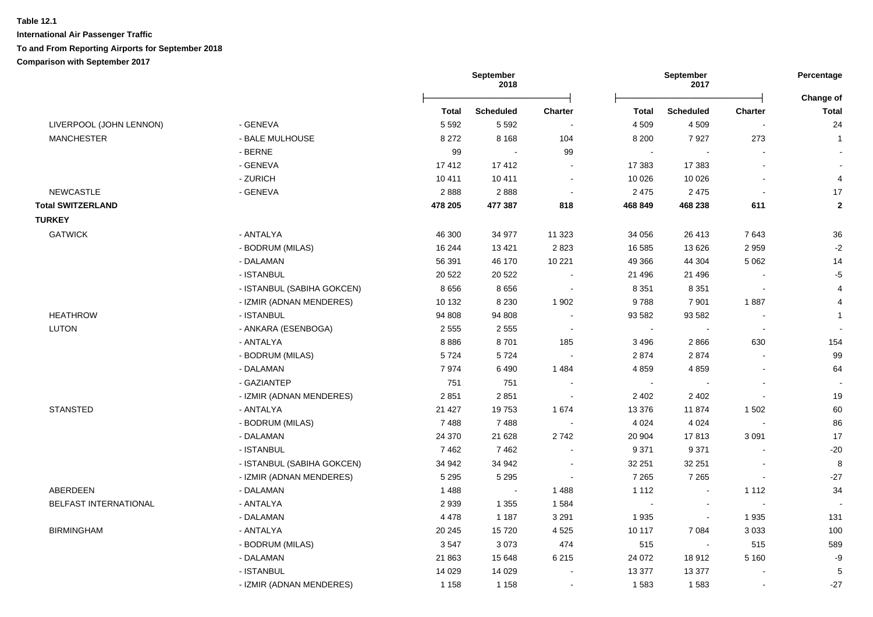|                          |                            | September<br>2018 |                  |                | September<br>2017 |                  | Percentage<br>Change of  |                 |
|--------------------------|----------------------------|-------------------|------------------|----------------|-------------------|------------------|--------------------------|-----------------|
|                          |                            | <b>Total</b>      | <b>Scheduled</b> | <b>Charter</b> | Total             | <b>Scheduled</b> | Charter                  | <b>Total</b>    |
| LIVERPOOL (JOHN LENNON)  | - GENEVA                   | 5 5 9 2           | 5 5 9 2          |                | 4 5 0 9           | 4 5 0 9          |                          | 24              |
| <b>MANCHESTER</b>        | - BALE MULHOUSE            | 8 2 7 2           | 8 1 6 8          | 104            | 8 2 0 0           | 7927             | 273                      | $\overline{1}$  |
|                          | - BERNE                    | 99                | $\sim$           | 99             | $\sim$            |                  |                          |                 |
|                          | - GENEVA                   | 17412             | 17412            |                | 17 383            | 17 383           |                          |                 |
|                          | - ZURICH                   | 10 411            | 10 411           | $\sim$         | 10 0 26           | 10 0 26          |                          | $\overline{4}$  |
| <b>NEWCASTLE</b>         | - GENEVA                   | 2888              | 2888             | $\sim$         | 2 4 7 5           | 2 4 7 5          |                          | 17              |
| <b>Total SWITZERLAND</b> |                            | 478 205           | 477 387          | 818            | 468 849           | 468 238          | 611                      | $\overline{2}$  |
| <b>TURKEY</b>            |                            |                   |                  |                |                   |                  |                          |                 |
| <b>GATWICK</b>           | - ANTALYA                  | 46 300            | 34 977           | 11 3 23        | 34 056            | 26 413           | 7643                     | 36              |
|                          | - BODRUM (MILAS)           | 16 244            | 13 4 21          | 2823           | 16 585            | 13 6 26          | 2959                     | $-2$            |
|                          | - DALAMAN                  | 56 391            | 46 170           | 10 221         | 49 366            | 44 304           | 5 0 6 2                  | 14              |
|                          | - ISTANBUL                 | 20 5 22           | 20 5 22          | $\sim$         | 21 49 6           | 21 49 6          | $\sim$                   | $-5$            |
|                          | - ISTANBUL (SABIHA GOKCEN) | 8656              | 8656             | $\sim$         | 8 3 5 1           | 8 3 5 1          | $\sim$                   | $\overline{4}$  |
|                          | - IZMIR (ADNAN MENDERES)   | 10 132            | 8 2 3 0          | 1 902          | 9788              | 7901             | 1887                     | $\overline{4}$  |
| <b>HEATHROW</b>          | - ISTANBUL                 | 94 808            | 94 808           | $\sim$         | 93 582            | 93 582           | $\overline{\phantom{a}}$ | $\mathbf{1}$    |
| LUTON                    | - ANKARA (ESENBOGA)        | 2 5 5 5           | 2 5 5 5          | $\sim$         | $\blacksquare$    |                  | $\sim$                   |                 |
|                          | - ANTALYA                  | 8886              | 8701             | 185            | 3496              | 2866             | 630                      | 154             |
|                          | - BODRUM (MILAS)           | 5724              | 5724             | $\sim$         | 2874              | 2874             |                          | 99              |
|                          | - DALAMAN                  | 7974              | 6490             | 1 4 8 4        | 4859              | 4 8 5 9          | $\sim$                   | 64              |
|                          | - GAZIANTEP                | 751               | 751              | $\sim$         | $\sim$            |                  | $\sim$                   | $\sim$          |
|                          | - IZMIR (ADNAN MENDERES)   | 2851              | 2851             | $\sim$         | 2 4 0 2           | 2 4 0 2          | $\blacksquare$           | 19              |
| <b>STANSTED</b>          | - ANTALYA                  | 21 4 27           | 19753            | 1 674          | 13 376            | 11874            | 1502                     | 60              |
|                          | - BODRUM (MILAS)           | 7488              | 7488             | $\sim$         | 4 0 24            | 4 0 24           |                          | 86              |
|                          | - DALAMAN                  | 24 370            | 21 6 28          | 2742           | 20 904            | 17813            | 3 0 9 1                  | 17              |
|                          | - ISTANBUL                 | 7462              | 7462             | $\sim$         | 9 3 7 1           | 9 3 7 1          |                          | $-20$           |
|                          | - ISTANBUL (SABIHA GOKCEN) | 34 942            | 34 942           | $\sim$         | 32 251            | 32 251           |                          | 8               |
|                          | - IZMIR (ADNAN MENDERES)   | 5 2 9 5           | 5 2 9 5          | $\sim$         | 7 2 6 5           | 7 2 6 5          | $\sim$                   | $-27$           |
| ABERDEEN                 | - DALAMAN                  | 1488              | $\sim$           | 1488           | 1 1 1 2           |                  | 1 1 1 2                  | 34              |
| BELFAST INTERNATIONAL    | - ANTALYA                  | 2939              | 1 3 5 5          | 1584           | $\sim$            |                  | $\sim$                   |                 |
|                          | - DALAMAN                  | 4 4 7 8           | 1 1 8 7          | 3 2 9 1        | 1935              |                  | 1935                     | 131             |
| <b>BIRMINGHAM</b>        | - ANTALYA                  | 20 245            | 15720            | 4 5 2 5        | 10 117            | 7084             | 3 0 3 3                  | 100             |
|                          | - BODRUM (MILAS)           | 3547              | 3073             | 474            | 515               |                  | 515                      | 589             |
|                          | - DALAMAN                  | 21 863            | 15 648           | 6 2 1 5        | 24 072            | 18912            | 5 1 6 0                  | -9              |
|                          | - ISTANBUL                 | 14 0 29           | 14 0 29          | $\sim$         | 13 377            | 13 377           | $\sim$                   | $5\phantom{.0}$ |
|                          | - IZMIR (ADNAN MENDERES)   | 1 1 5 8           | 1 1 5 8          | $\sim$         | 1583              | 1583             | $\blacksquare$           | $-27$           |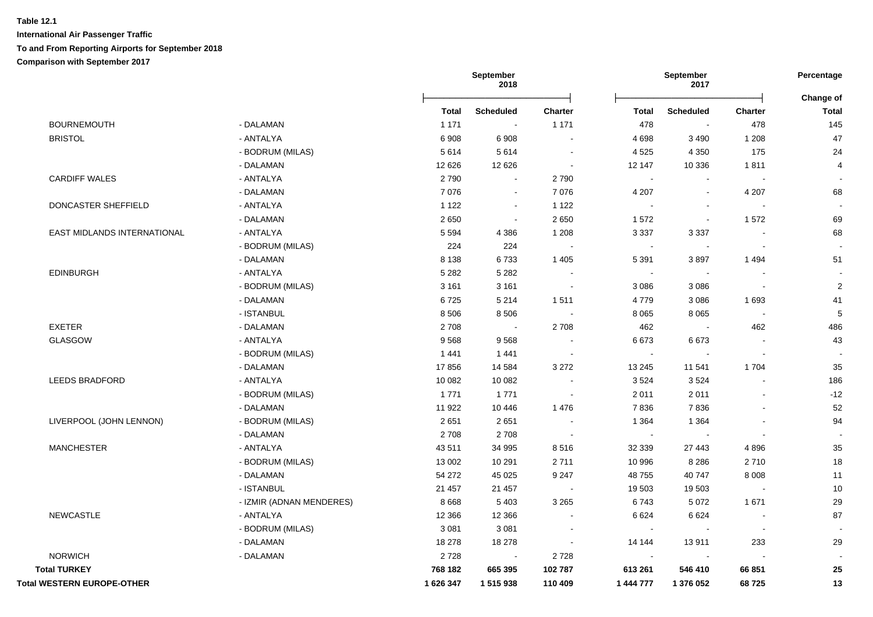|                                   |                          |           | September<br>2018 |                          |                | September<br>2017 |                          | Percentage<br>Change of |
|-----------------------------------|--------------------------|-----------|-------------------|--------------------------|----------------|-------------------|--------------------------|-------------------------|
|                                   |                          | Total     | <b>Scheduled</b>  | Charter                  | <b>Total</b>   | <b>Scheduled</b>  | <b>Charter</b>           | <b>Total</b>            |
| <b>BOURNEMOUTH</b>                | - DALAMAN                | 1 1 7 1   | $\sim$            | 1 1 7 1                  | 478            | $\blacksquare$    | 478                      | 145                     |
| <b>BRISTOL</b>                    | - ANTALYA                | 6908      | 6 9 0 8           |                          | 4 6 9 8        | 3 4 9 0           | 1 2 0 8                  | 47                      |
|                                   | - BODRUM (MILAS)         | 5614      | 5614              | $\blacksquare$           | 4 5 2 5        | 4 3 5 0           | 175                      | 24                      |
|                                   | - DALAMAN                | 12 6 26   | 12 6 26           | $\sim$                   | 12 147         | 10 336            | 1811                     | 4                       |
| <b>CARDIFF WALES</b>              | - ANTALYA                | 2790      | $\blacksquare$    | 2790                     |                | $\blacksquare$    |                          |                         |
|                                   | - DALAMAN                | 7076      | $\blacksquare$    | 7 0 7 6                  | 4 207          | $\blacksquare$    | 4 2 0 7                  | 68                      |
| DONCASTER SHEFFIELD               | - ANTALYA                | 1 1 2 2   | $\blacksquare$    | 1 1 2 2                  | $\blacksquare$ | $\mathbf{r}$      |                          |                         |
|                                   | - DALAMAN                | 2650      | $\blacksquare$    | 2 6 5 0                  | 1572           | $\sim$            | 1572                     | 69                      |
| EAST MIDLANDS INTERNATIONAL       | - ANTALYA                | 5 5 9 4   | 4 3 8 6           | 1 2 0 8                  | 3 3 3 7        | 3 3 3 7           |                          | 68                      |
|                                   | - BODRUM (MILAS)         | 224       | 224               |                          |                |                   |                          |                         |
|                                   | - DALAMAN                | 8 1 3 8   | 6733              | 1 4 0 5                  | 5 3 9 1        | 3897              | 1494                     | 51                      |
| <b>EDINBURGH</b>                  | - ANTALYA                | 5 2 8 2   | 5 2 8 2           |                          |                |                   |                          |                         |
|                                   | - BODRUM (MILAS)         | 3 1 6 1   | 3 1 6 1           |                          | 3 0 8 6        | 3 0 8 6           | $\overline{a}$           | $\overline{2}$          |
|                                   | - DALAMAN                | 6725      | 5 2 1 4           | 1511                     | 4779           | 3 0 8 6           | 1 6 9 3                  | 41                      |
|                                   | - ISTANBUL               | 8 5 0 6   | 8506              |                          | 8 0 6 5        | 8 0 6 5           | $\overline{\phantom{a}}$ | 5                       |
| <b>EXETER</b>                     | - DALAMAN                | 2708      | $\sim$            | 2708                     | 462            | $\mathbf{r}$      | 462                      | 486                     |
| <b>GLASGOW</b>                    | - ANTALYA                | 9568      | 9568              |                          | 6673           | 6673              | $\blacksquare$           | 43                      |
|                                   | - BODRUM (MILAS)         | 1 4 4 1   | 1441              | $\sim$                   | $\sim$         | $\sim$            | $\blacksquare$           |                         |
|                                   | - DALAMAN                | 17856     | 14 5 84           | 3 2 7 2                  | 13 245         | 11 541            | 1704                     | 35                      |
| <b>LEEDS BRADFORD</b>             | - ANTALYA                | 10 082    | 10 082            |                          | 3524           | 3524              |                          | 186                     |
|                                   | - BODRUM (MILAS)         | 1771      | 1771              |                          | 2 0 1 1        | 2011              |                          | $-12$                   |
|                                   | - DALAMAN                | 11 922    | 10 4 46           | 1 4 7 6                  | 7836           | 7836              |                          | 52                      |
| LIVERPOOL (JOHN LENNON)           | - BODRUM (MILAS)         | 2651      | 2651              |                          | 1 3 6 4        | 1 3 6 4           |                          | 94                      |
|                                   | - DALAMAN                | 2708      | 2708              |                          | $\sim$         |                   | $\sim$                   |                         |
| <b>MANCHESTER</b>                 | - ANTALYA                | 43511     | 34 995            | 8516                     | 32 339         | 27 443            | 4896                     | 35                      |
|                                   | - BODRUM (MILAS)         | 13 002    | 10 291            | 2711                     | 10 996         | 8 2 8 6           | 2710                     | 18                      |
|                                   | - DALAMAN                | 54 272    | 45 0 25           | 9 2 4 7                  | 48755          | 40747             | 8 0 0 8                  | 11                      |
|                                   | - ISTANBUL               | 21 457    | 21 457            |                          | 19 503         | 19 503            |                          | 10                      |
|                                   | - IZMIR (ADNAN MENDERES) | 8 6 6 8   | 5 4 0 3           | 3 2 6 5                  | 6743           | 5 0 7 2           | 1671                     | 29                      |
| <b>NEWCASTLE</b>                  | - ANTALYA                | 12 3 66   | 12 3 66           |                          | 6624           | 6624              |                          | 87                      |
|                                   | - BODRUM (MILAS)         | 3 0 8 1   | 3 0 8 1           | $\overline{\phantom{a}}$ | $\sim$         | $\sim$            | $\sim$                   |                         |
|                                   | - DALAMAN                | 18 278    | 18 278            | $\sim$                   | 14 144         | 13911             | 233                      | 29                      |
| <b>NORWICH</b>                    | - DALAMAN                | 2728      | $\sim$            | 2728                     | $\sim$         | $\sim$            | $\sim$                   |                         |
| <b>Total TURKEY</b>               |                          | 768 182   | 665 395           | 102 787                  | 613 261        | 546 410           | 66 851                   | 25                      |
| <b>Total WESTERN EUROPE-OTHER</b> |                          | 1 626 347 | 1515938           | 110 409                  | 1 444 777      | 1 376 052         | 68725                    | 13                      |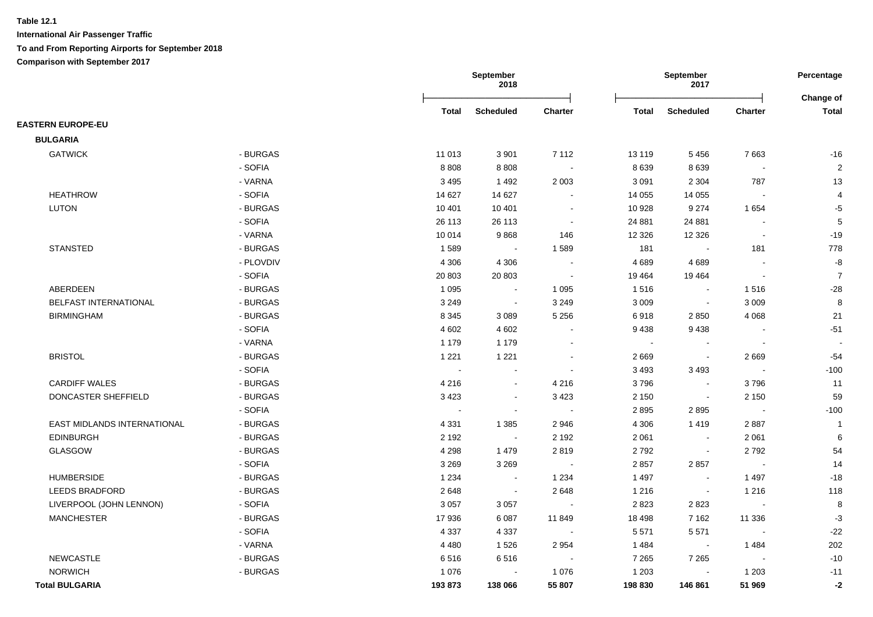|                             |           | September<br>2018 |                  |                |              | September<br>2017 | Percentage<br>Change of  |                |
|-----------------------------|-----------|-------------------|------------------|----------------|--------------|-------------------|--------------------------|----------------|
|                             |           | Total             | <b>Scheduled</b> | <b>Charter</b> | <b>Total</b> | <b>Scheduled</b>  | <b>Charter</b>           | <b>Total</b>   |
| <b>EASTERN EUROPE-EU</b>    |           |                   |                  |                |              |                   |                          |                |
| <b>BULGARIA</b>             |           |                   |                  |                |              |                   |                          |                |
| <b>GATWICK</b>              | - BURGAS  | 11 013            | 3 9 0 1          | 7 1 1 2        | 13 119       | 5456              | 7663                     | $-16$          |
|                             | - SOFIA   | 8808              | 8808             | $\sim$         | 8639         | 8639              | $\sim$                   | $\sqrt{2}$     |
|                             | - VARNA   | 3 4 9 5           | 1492             | 2 0 0 3        | 3 0 9 1      | 2 3 0 4           | 787                      | 13             |
| <b>HEATHROW</b>             | - SOFIA   | 14 627            | 14 627           | $\blacksquare$ | 14 0 55      | 14 0 55           | $\blacksquare$           | $\overline{4}$ |
| LUTON                       | - BURGAS  | 10 401            | 10 401           | $\sim$         | 10 928       | 9 2 7 4           | 1654                     | $-5$           |
|                             | - SOFIA   | 26 113            | 26 113           | $\blacksquare$ | 24 881       | 24 881            | $\overline{\phantom{a}}$ | 5              |
|                             | - VARNA   | 10014             | 9868             | 146            | 12 3 26      | 12 3 26           | $\sim$                   | $-19$          |
| <b>STANSTED</b>             | - BURGAS  | 1589              | $\sim$           | 1589           | 181          |                   | 181                      | 778            |
|                             | - PLOVDIV | 4 3 0 6           | 4 3 0 6          |                | 4689         | 4689              | $\overline{\phantom{a}}$ | $\mbox{-}8$    |
|                             | - SOFIA   | 20 803            | 20 803           | $\sim$         | 19 4 64      | 19 4 64           | $\sim$                   | $\overline{7}$ |
| ABERDEEN                    | - BURGAS  | 1 0 9 5           | $\blacksquare$   | 1 0 9 5        | 1516         | $\blacksquare$    | 1516                     | $-28$          |
| BELFAST INTERNATIONAL       | - BURGAS  | 3 2 4 9           | $\blacksquare$   | 3 2 4 9        | 3 0 0 9      | $\blacksquare$    | 3 0 0 9                  | 8              |
| <b>BIRMINGHAM</b>           | - BURGAS  | 8 3 4 5           | 3089             | 5 2 5 6        | 6918         | 2850              | 4 0 6 8                  | 21             |
|                             | - SOFIA   | 4 6 0 2           | 4 6 0 2          |                | 9438         | 9438              |                          | $-51$          |
|                             | - VARNA   | 1 1 7 9           | 1 1 7 9          |                | $\sim$       |                   |                          |                |
| <b>BRISTOL</b>              | - BURGAS  | 1 2 2 1           | 1 2 2 1          |                | 2669         | $\blacksquare$    | 2669                     | $-54$          |
|                             | - SOFIA   | $\mathbf{r}$      | $\overline{a}$   |                | 3 4 9 3      | 3 4 9 3           | $\sim$                   | $-100$         |
| <b>CARDIFF WALES</b>        | - BURGAS  | 4 2 1 6           | $\sim$           | 4 2 1 6        | 3796         | $\sim$            | 3796                     | 11             |
| DONCASTER SHEFFIELD         | - BURGAS  | 3 4 2 3           | $\blacksquare$   | 3 4 2 3        | 2 1 5 0      | $\sim$            | 2 1 5 0                  | 59             |
|                             | - SOFIA   | $\blacksquare$    | $\blacksquare$   | $\sim$         | 2895         | 2895              | $\blacksquare$           | $-100$         |
| EAST MIDLANDS INTERNATIONAL | - BURGAS  | 4 3 3 1           | 1 3 8 5          | 2946           | 4 3 0 6      | 1419              | 2887                     | $\overline{1}$ |
| <b>EDINBURGH</b>            | - BURGAS  | 2 1 9 2           | $\sim$           | 2 1 9 2        | 2 0 6 1      | $\sim$            | 2 0 6 1                  | 6              |
| <b>GLASGOW</b>              | - BURGAS  | 4 2 9 8           | 1 4 7 9          | 2819           | 2792         | $\blacksquare$    | 2792                     | 54             |
|                             | - SOFIA   | 3 2 6 9           | 3 2 6 9          | $\sim$         | 2857         | 2857              | $\sim$                   | 14             |
| <b>HUMBERSIDE</b>           | - BURGAS  | 1 2 3 4           | $\blacksquare$   | 1 2 3 4        | 1 4 9 7      | $\sim$            | 1 4 9 7                  | $-18$          |
| <b>LEEDS BRADFORD</b>       | - BURGAS  | 2648              | $\blacksquare$   | 2648           | 1 2 1 6      | $\sim$            | 1 2 1 6                  | 118            |
| LIVERPOOL (JOHN LENNON)     | - SOFIA   | 3 0 5 7           | 3 0 5 7          |                | 2823         | 2823              | $\sim$                   | 8              |
| <b>MANCHESTER</b>           | - BURGAS  | 17936             | 6 0 8 7          | 11849          | 18 4 98      | 7 1 6 2           | 11 336                   | $-3$           |
|                             | - SOFIA   | 4 3 3 7           | 4 3 3 7          |                | 5 5 7 1      | 5571              |                          | $-22$          |
|                             | - VARNA   | 4 4 8 0           | 1526             | 2 9 5 4        | 1484         |                   | 1 4 8 4                  | 202            |
| NEWCASTLE                   | - BURGAS  | 6516              | 6516             |                | 7 2 6 5      | 7 2 6 5           |                          | $-10$          |
| <b>NORWICH</b>              | - BURGAS  | 1 0 7 6           |                  | 1 0 7 6        | 1 2 0 3      |                   | 1 203                    | $-11$          |
| <b>Total BULGARIA</b>       |           | 193873            | 138 066          | 55 807         | 198 830      | 146 861           | 51 969                   | $-2$           |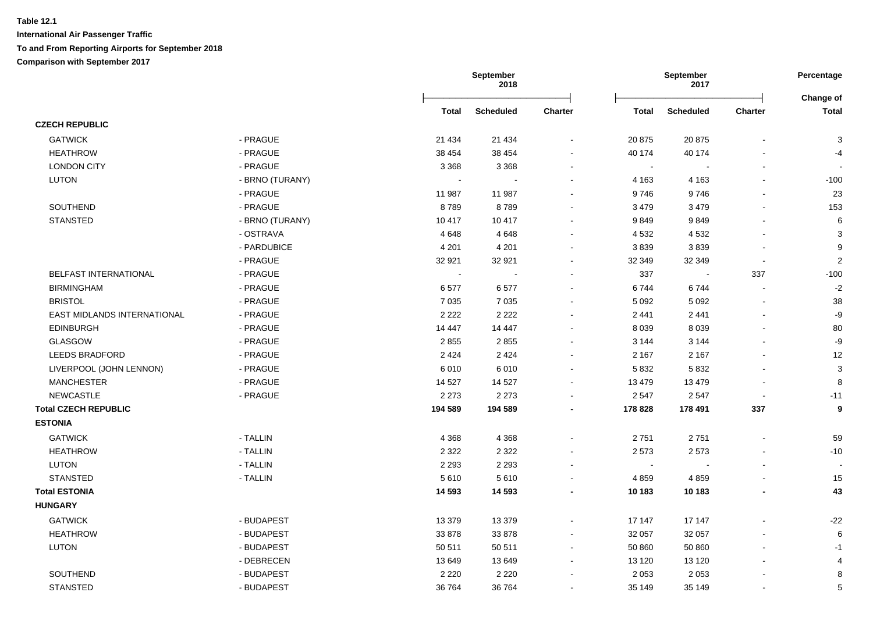|                             |                 | September<br>2018 |                  |                |              | September<br>2017 | Percentage               |                           |
|-----------------------------|-----------------|-------------------|------------------|----------------|--------------|-------------------|--------------------------|---------------------------|
|                             |                 | Total             | <b>Scheduled</b> | <b>Charter</b> | <b>Total</b> | <b>Scheduled</b>  | Charter                  | Change of<br><b>Total</b> |
| <b>CZECH REPUBLIC</b>       |                 |                   |                  |                |              |                   |                          |                           |
| <b>GATWICK</b>              | - PRAGUE        | 21 4 34           | 21 4 34          |                | 20 875       | 20875             |                          | 3                         |
| <b>HEATHROW</b>             | - PRAGUE        | 38 454            | 38 4 54          | $\blacksquare$ | 40 174       | 40 174            |                          | $-4$                      |
| <b>LONDON CITY</b>          | - PRAGUE        | 3 3 6 8           | 3 3 6 8          | $\blacksquare$ | $\sim$       |                   |                          |                           |
| <b>LUTON</b>                | - BRNO (TURANY) |                   |                  |                | 4 1 6 3      | 4 1 6 3           |                          | $-100$                    |
|                             | - PRAGUE        | 11 987            | 11 987           |                | 9746         | 9746              |                          | 23                        |
| SOUTHEND                    | - PRAGUE        | 8789              | 8789             |                | 3 4 7 9      | 3 4 7 9           |                          | 153                       |
| <b>STANSTED</b>             | - BRNO (TURANY) | 10 417            | 10 417           |                | 9849         | 9849              |                          | 6                         |
|                             | - OSTRAVA       | 4648              | 4648             | $\blacksquare$ | 4 5 3 2      | 4 5 3 2           |                          | 3                         |
|                             | - PARDUBICE     | 4 2 0 1           | 4 2 0 1          |                | 3839         | 3839              |                          | 9                         |
|                             | - PRAGUE        | 32 921            | 32 921           |                | 32 349       | 32 349            |                          | $\overline{2}$            |
| BELFAST INTERNATIONAL       | - PRAGUE        |                   |                  |                | 337          | $\blacksquare$    | 337                      | $-100$                    |
| <b>BIRMINGHAM</b>           | - PRAGUE        | 6577              | 6577             |                | 6744         | 6744              |                          | $-2$                      |
| <b>BRISTOL</b>              | - PRAGUE        | 7 0 3 5           | 7 0 3 5          |                | 5 0 9 2      | 5 0 9 2           |                          | 38                        |
| EAST MIDLANDS INTERNATIONAL | - PRAGUE        | 2 2 2 2           | 2 2 2 2          |                | 2 4 4 1      | 2 4 4 1           |                          | -9                        |
| <b>EDINBURGH</b>            | - PRAGUE        | 14 4 4 7          | 14 447           | $\blacksquare$ | 8 0 3 9      | 8 0 3 9           |                          | 80                        |
| GLASGOW                     | - PRAGUE        | 2855              | 2855             | $\blacksquare$ | 3 1 4 4      | 3 1 4 4           |                          | $-9$                      |
| <b>LEEDS BRADFORD</b>       | - PRAGUE        | 2 4 2 4           | 2 4 2 4          |                | 2 1 6 7      | 2 1 6 7           |                          | 12                        |
| LIVERPOOL (JOHN LENNON)     | - PRAGUE        | 6010              | 6010             | $\blacksquare$ | 5832         | 5832              |                          | 3                         |
| <b>MANCHESTER</b>           | - PRAGUE        | 14 5 27           | 14 5 27          |                | 13 4 79      | 13 4 79           |                          | 8                         |
| <b>NEWCASTLE</b>            | - PRAGUE        | 2 2 7 3           | 2 2 7 3          |                | 2 5 4 7      | 2547              | $\overline{\phantom{a}}$ | $-11$                     |
| <b>Total CZECH REPUBLIC</b> |                 | 194 589           | 194 589          |                | 178 828      | 178 491           | 337                      | 9                         |
| <b>ESTONIA</b>              |                 |                   |                  |                |              |                   |                          |                           |
| <b>GATWICK</b>              | - TALLIN        | 4 3 6 8           | 4 3 6 8          |                | 2751         | 2751              |                          | 59                        |
| <b>HEATHROW</b>             | - TALLIN        | 2 3 2 2           | 2 3 2 2          |                | 2 5 7 3      | 2573              |                          | $-10$                     |
| LUTON                       | - TALLIN        | 2 2 9 3           | 2 2 9 3          | $\overline{a}$ | $\sim$       |                   |                          |                           |
| <b>STANSTED</b>             | - TALLIN        | 5610              | 5610             |                | 4 8 5 9      | 4859              |                          | 15                        |
| <b>Total ESTONIA</b>        |                 | 14 5 93           | 14 5 93          |                | 10 183       | 10 183            |                          | 43                        |
| <b>HUNGARY</b>              |                 |                   |                  |                |              |                   |                          |                           |
| <b>GATWICK</b>              | - BUDAPEST      | 13 379            | 13 379           | $\blacksquare$ | 17 147       | 17 147            |                          | $-22$                     |
| <b>HEATHROW</b>             | - BUDAPEST      | 33 878            | 33 878           |                | 32 057       | 32 057            |                          | 6                         |
| <b>LUTON</b>                | - BUDAPEST      | 50 511            | 50 511           |                | 50 860       | 50 860            |                          | $-1$                      |
|                             | - DEBRECEN      | 13 649            | 13 649           |                | 13 1 20      | 13 120            |                          | $\boldsymbol{\Delta}$     |
| SOUTHEND                    | - BUDAPEST      | 2 2 2 0           | 2 2 2 0          |                | 2 0 5 3      | 2 0 5 3           |                          | 8                         |
| <b>STANSTED</b>             | - BUDAPEST      | 36 764            | 36 764           |                | 35 149       | 35 149            |                          | 5                         |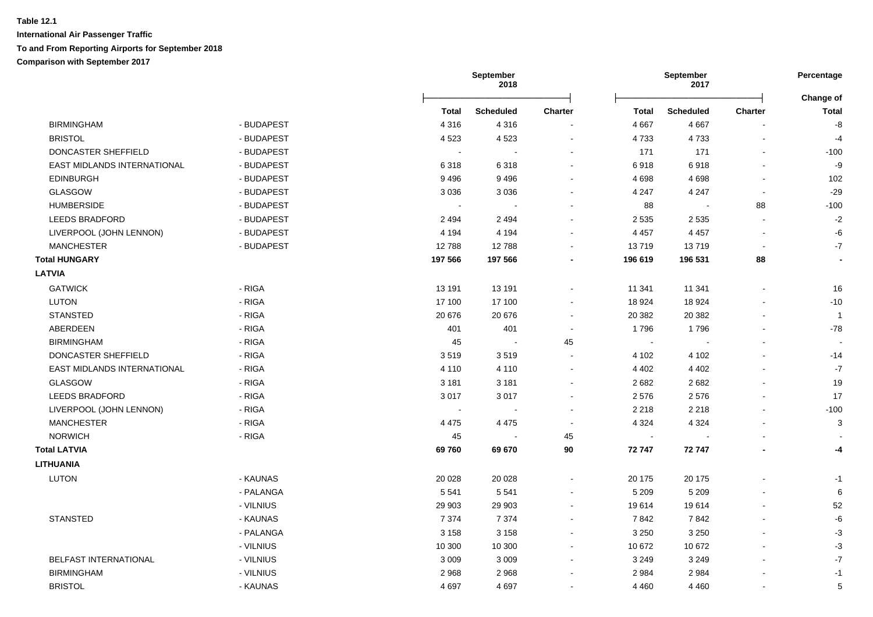|                                           |         | September<br>2018 |                |         | September<br>2017 |                          | Percentage                |
|-------------------------------------------|---------|-------------------|----------------|---------|-------------------|--------------------------|---------------------------|
|                                           | Total   | <b>Scheduled</b>  | <b>Charter</b> | Total   | <b>Scheduled</b>  | Charter                  | Change of<br><b>Total</b> |
| <b>BIRMINGHAM</b><br>- BUDAPEST           | 4 3 1 6 | 4 3 1 6           |                | 4 6 67  | 4 6 6 7           |                          | $\mbox{-}8$               |
| <b>BRISTOL</b><br>- BUDAPEST              | 4523    | 4523              | $\blacksquare$ | 4733    | 4733              | $\overline{\phantom{a}}$ | $-4$                      |
| DONCASTER SHEFFIELD<br>- BUDAPEST         |         |                   |                | 171     | 171               |                          | $-100$                    |
| EAST MIDLANDS INTERNATIONAL<br>- BUDAPEST | 6318    | 6318              | $\sim$         | 6918    | 6918              | $\overline{a}$           | $-9$                      |
| <b>EDINBURGH</b><br>- BUDAPEST            | 9496    | 9496              | $\blacksquare$ | 4698    | 4698              | $\blacksquare$           | 102                       |
| <b>GLASGOW</b><br>- BUDAPEST              | 3 0 3 6 | 3036              | $\blacksquare$ | 4 2 4 7 | 4 2 4 7           | $\blacksquare$           | $-29$                     |
| <b>HUMBERSIDE</b><br>- BUDAPEST           |         |                   |                | 88      |                   | 88                       | $-100$                    |
| <b>LEEDS BRADFORD</b><br>- BUDAPEST       | 2 4 9 4 | 2 4 9 4           |                | 2 5 3 5 | 2 5 3 5           |                          | $-2$                      |
| LIVERPOOL (JOHN LENNON)<br>- BUDAPEST     | 4 1 9 4 | 4 1 9 4           |                | 4 4 5 7 | 4 4 5 7           |                          | -6                        |
| <b>MANCHESTER</b><br>- BUDAPEST           | 12788   | 12788             |                | 13719   | 13719             | $\blacksquare$           | $\textnormal{-}7$         |
| <b>Total HUNGARY</b>                      | 197 566 | 197 566           |                | 196 619 | 196 531           | 88                       | $\overline{\phantom{a}}$  |
| <b>LATVIA</b>                             |         |                   |                |         |                   |                          |                           |
| <b>GATWICK</b><br>- RIGA                  | 13 191  | 13 191            |                | 11 341  | 11 341            |                          | 16                        |
| - RIGA<br><b>LUTON</b>                    | 17 100  | 17 100            |                | 18 9 24 | 18 9 24           |                          | $-10$                     |
| - RIGA<br><b>STANSTED</b>                 | 20 676  | 20 676            | $\sim$         | 20 382  | 20 382            |                          | $\overline{1}$            |
| ABERDEEN<br>- RIGA                        | 401     | 401               | $\blacksquare$ | 1796    | 1796              |                          | $-78$                     |
| <b>BIRMINGHAM</b><br>- RIGA               | 45      | $\sim$            | 45             | $\sim$  | $\blacksquare$    |                          |                           |
| DONCASTER SHEFFIELD<br>- RIGA             | 3519    | 3519              | $\blacksquare$ | 4 102   | 4 1 0 2           |                          | $-14$                     |
| EAST MIDLANDS INTERNATIONAL<br>- RIGA     | 4 1 1 0 | 4 1 1 0           | $\blacksquare$ | 4 4 0 2 | 4 4 0 2           |                          | $-7$                      |
| <b>GLASGOW</b><br>- RIGA                  | 3 1 8 1 | 3 1 8 1           | $\sim$         | 2682    | 2682              |                          | 19                        |
| <b>LEEDS BRADFORD</b><br>- RIGA           | 3017    | 3017              | $\blacksquare$ | 2576    | 2576              | $\overline{\phantom{a}}$ | 17                        |
| LIVERPOOL (JOHN LENNON)<br>- RIGA         | $\sim$  |                   | $\sim$         | 2 2 1 8 | 2 2 1 8           |                          | $-100$                    |
| <b>MANCHESTER</b><br>- RIGA               | 4 4 7 5 | 4 4 7 5           |                | 4 3 2 4 | 4 3 2 4           |                          | 3                         |
| <b>NORWICH</b><br>- RIGA                  | 45      |                   | 45             | $\sim$  |                   |                          |                           |
| <b>Total LATVIA</b>                       | 69760   | 69 670            | $90\,$         | 72 747  | 72747             |                          | -4                        |
| <b>LITHUANIA</b>                          |         |                   |                |         |                   |                          |                           |
| <b>LUTON</b><br>- KAUNAS                  | 20 0 28 | 20 0 28           | $\blacksquare$ | 20 175  | 20 175            |                          | $-1$                      |
| - PALANGA                                 | 5 5 4 1 | 5 5 4 1           |                | 5 2 0 9 | 5 2 0 9           |                          | 6                         |
| - VILNIUS                                 | 29 903  | 29 903            |                | 19614   | 19614             |                          | 52                        |
| <b>STANSTED</b><br>- KAUNAS               | 7 3 7 4 | 7 3 7 4           | $\overline{a}$ | 7842    | 7842              |                          | $-6$                      |
| - PALANGA                                 | 3 1 5 8 | 3 1 5 8           | $\blacksquare$ | 3 2 5 0 | 3 2 5 0           |                          | $-3$                      |
| - VILNIUS                                 | 10 300  | 10 300            | $\blacksquare$ | 10 672  | 10 672            |                          | $-3$                      |
| BELFAST INTERNATIONAL<br>- VILNIUS        | 3 0 0 9 | 3 0 0 9           | $\blacksquare$ | 3 2 4 9 | 3 2 4 9           |                          | $-7$                      |
| <b>BIRMINGHAM</b><br>- VILNIUS            | 2968    | 2968              | $\blacksquare$ | 2 9 8 4 | 2984              |                          | $-1$                      |
| <b>BRISTOL</b><br>- KAUNAS                | 4697    | 4697              | $\blacksquare$ | 4 4 6 0 | 4 4 6 0           |                          | $\,$ 5 $\,$               |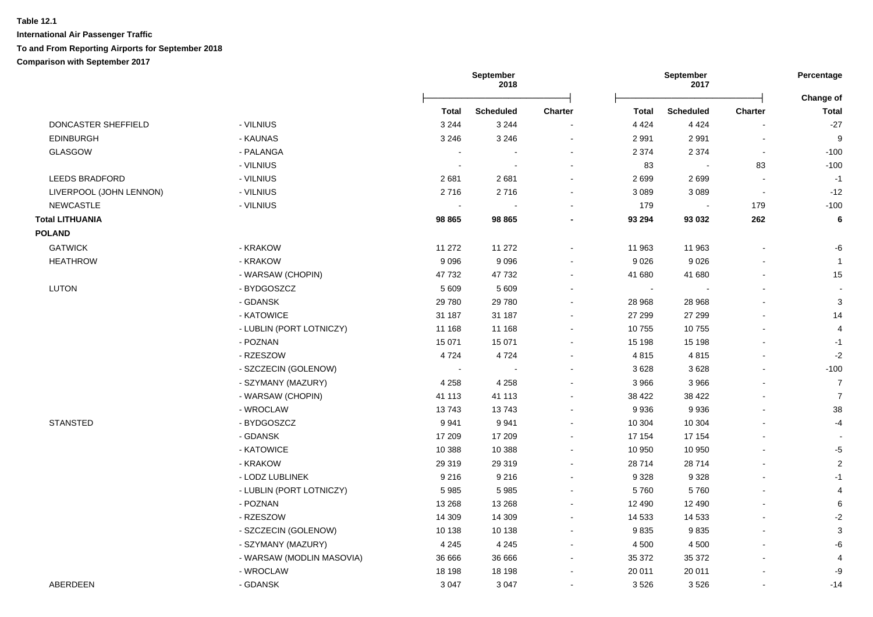### **Table 12.1 International Air Passenger Traffic**

### **To and From Reporting Airports for September 2018**

**Comparison with September 2017**

|                         |                           |                | September<br>2018 |                          |              | <b>September</b><br>2017 |                          | Percentage                |
|-------------------------|---------------------------|----------------|-------------------|--------------------------|--------------|--------------------------|--------------------------|---------------------------|
|                         |                           | <b>Total</b>   | <b>Scheduled</b>  | <b>Charter</b>           | <b>Total</b> | <b>Scheduled</b>         | <b>Charter</b>           | Change of<br><b>Total</b> |
| DONCASTER SHEFFIELD     | - VILNIUS                 | 3 2 4 4        | 3 2 4 4           |                          | 4 4 2 4      | 4 4 2 4                  |                          | $-27$                     |
| <b>EDINBURGH</b>        | - KAUNAS                  | 3 2 4 6        | 3 2 4 6           | $\blacksquare$           | 2 9 9 1      | 2991                     | $\blacksquare$           | 9                         |
| <b>GLASGOW</b>          | - PALANGA                 | $\blacksquare$ |                   | $\blacksquare$           | 2 3 7 4      | 2 3 7 4                  | $\blacksquare$           | $-100$                    |
|                         | - VILNIUS                 | $\sim$         | $\sim$            | $\sim$                   | 83           |                          | 83                       | $-100$                    |
| <b>LEEDS BRADFORD</b>   | - VILNIUS                 | 2681           | 2681              |                          | 2699         | 2699                     |                          | $-1$                      |
| LIVERPOOL (JOHN LENNON) | - VILNIUS                 | 2716           | 2716              | $\sim$                   | 3 0 8 9      | 3 0 8 9                  | $\overline{\phantom{a}}$ | $-12$                     |
| <b>NEWCASTLE</b>        | - VILNIUS                 | $\sim$         |                   | $\overline{\phantom{a}}$ | 179          | $\sim$                   | 179                      | $-100$                    |
| <b>Total LITHUANIA</b>  |                           | 98 865         | 98 865            |                          | 93 294       | 93 032                   | 262                      | 6                         |
| <b>POLAND</b>           |                           |                |                   |                          |              |                          |                          |                           |
| <b>GATWICK</b>          | - KRAKOW                  | 11 272         | 11 272            |                          | 11 963       | 11 963                   |                          | -6                        |
| <b>HEATHROW</b>         | - KRAKOW                  | 9 0 9 6        | 9096              |                          | 9 0 26       | 9026                     |                          | $\overline{1}$            |
|                         | - WARSAW (CHOPIN)         | 47 732         | 47 732            | $\sim$                   | 41 680       | 41 680                   |                          | 15                        |
| <b>LUTON</b>            | - BYDGOSZCZ               | 5 6 0 9        | 5 6 0 9           | $\sim$                   | $\sim$       |                          |                          | $\sim$                    |
|                         | - GDANSK                  | 29 780         | 29 780            | $\sim$                   | 28 968       | 28 968                   |                          | 3                         |
|                         | - KATOWICE                | 31 187         | 31 187            | $\overline{\phantom{a}}$ | 27 299       | 27 299                   |                          | 14                        |
|                         | - LUBLIN (PORT LOTNICZY)  | 11 168         | 11 168            |                          | 10755        | 10755                    |                          | $\overline{4}$            |
|                         | - POZNAN                  | 15 071         | 15 071            | $\blacksquare$           | 15 198       | 15 198                   |                          | $-1$                      |
|                         | - RZESZOW                 | 4724           | 4724              | $\overline{\phantom{a}}$ | 4815         | 4815                     | $\blacksquare$           | $-2$                      |
|                         | - SZCZECIN (GOLENOW)      | $\blacksquare$ |                   |                          | 3628         | 3628                     |                          | $-100$                    |
|                         | - SZYMANY (MAZURY)        | 4 2 5 8        | 4 2 5 8           |                          | 3 9 6 6      | 3966                     |                          | $\overline{7}$            |
|                         | - WARSAW (CHOPIN)         | 41 113         | 41 113            | $\sim$                   | 38 422       | 38 422                   |                          | $\overline{7}$            |
|                         | - WROCLAW                 | 13743          | 13743             |                          | 9936         | 9936                     |                          | 38                        |
| <b>STANSTED</b>         | - BYDGOSZCZ               | 9941           | 9941              |                          | 10 304       | 10 304                   |                          | $-4$                      |
|                         | - GDANSK                  | 17 209         | 17 209            | $\sim$                   | 17 154       | 17 154                   |                          | $\overline{\phantom{a}}$  |
|                         | - KATOWICE                | 10 388         | 10 388            | $\sim$                   | 10 950       | 10 950                   | $\overline{a}$           | $-5$                      |
|                         | - KRAKOW                  | 29 319         | 29 319            | $\sim$                   | 28714        | 28714                    |                          | $\sqrt{2}$                |
|                         | - LODZ LUBLINEK           | 9 2 1 6        | 9 2 1 6           | $\sim$                   | 9 3 2 8      | 9 3 2 8                  |                          | $-1$                      |
|                         | - LUBLIN (PORT LOTNICZY)  | 5985           | 5985              | $\overline{\phantom{a}}$ | 5760         | 5760                     |                          | $\overline{4}$            |
|                         | - POZNAN                  | 13 2 68        | 13 2 68           | $\overline{\phantom{a}}$ | 12 490       | 12 490                   |                          | 6                         |
|                         | - RZESZOW                 | 14 309         | 14 30 9           | $\blacksquare$           | 14 533       | 14 5 33                  |                          | $-2$                      |
|                         | - SZCZECIN (GOLENOW)      | 10 138         | 10 138            | $\sim$                   | 9835         | 9835                     |                          | 3                         |
|                         | - SZYMANY (MAZURY)        | 4 2 4 5        | 4 2 4 5           | $\overline{\phantom{a}}$ | 4 500        | 4 500                    |                          | -6                        |
|                         | - WARSAW (MODLIN MASOVIA) | 36 666         | 36 666            | $\overline{\phantom{a}}$ | 35 372       | 35 372                   |                          | 4                         |
|                         | - WROCLAW                 | 18 198         | 18 198            | $\blacksquare$           | 20 011       | 20 011                   |                          | -9                        |
| ABERDEEN                | - GDANSK                  | 3 0 4 7        | 3 0 4 7           |                          | 3526         | 3526                     |                          | $-14$                     |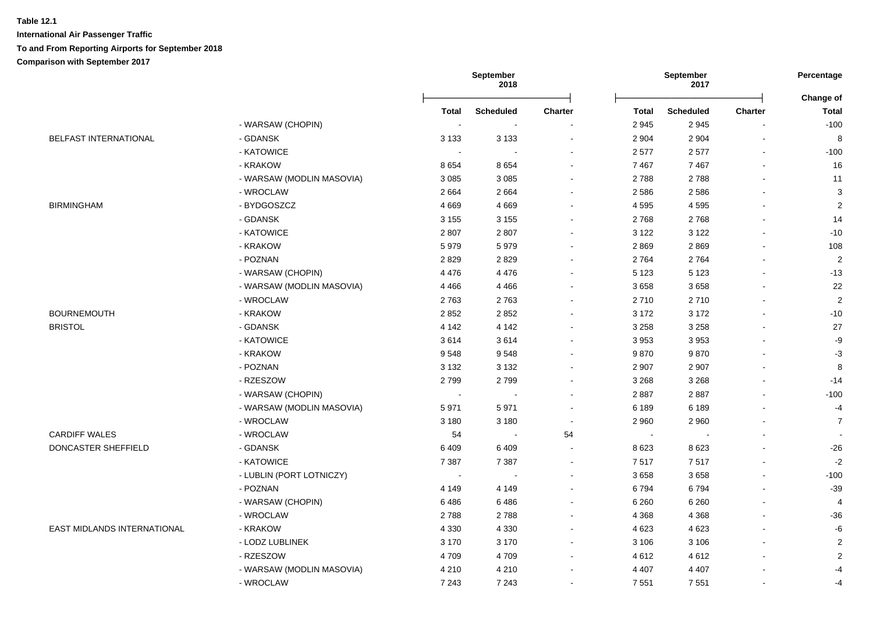|                              |                           |                | September<br>2018 |                |                          | September<br>2017 |                | Percentage                |
|------------------------------|---------------------------|----------------|-------------------|----------------|--------------------------|-------------------|----------------|---------------------------|
|                              |                           | Total          | <b>Scheduled</b>  | <b>Charter</b> | <b>Total</b>             | <b>Scheduled</b>  | <b>Charter</b> | Change of<br><b>Total</b> |
|                              | - WARSAW (CHOPIN)         | $\sim$         |                   |                | 2 9 4 5                  | 2945              |                | $-100$                    |
| <b>BELFAST INTERNATIONAL</b> | - GDANSK                  | 3 1 3 3        | 3 1 3 3           |                | 2 9 0 4                  | 2 9 0 4           |                | 8                         |
|                              | - KATOWICE                | $\sim$         |                   |                | 2577                     | 2577              |                | $-100$                    |
|                              | - KRAKOW                  | 8654           | 8654              |                | 7 4 6 7                  | 7 4 6 7           |                | 16                        |
|                              | - WARSAW (MODLIN MASOVIA) | 3 0 8 5        | 3 0 8 5           |                | 2788                     | 2788              |                | 11                        |
|                              | - WROCLAW                 | 2 6 6 4        | 2664              |                | 2586                     | 2586              |                | 3                         |
| <b>BIRMINGHAM</b>            | - BYDGOSZCZ               | 4669           | 4669              |                | 4 5 9 5                  | 4595              |                | $\overline{2}$            |
|                              | - GDANSK                  | 3 1 5 5        | 3 1 5 5           |                | 2768                     | 2768              |                | 14                        |
|                              | - KATOWICE                | 2807           | 2807              |                | 3 1 2 2                  | 3 1 2 2           |                | $-10$                     |
|                              | - KRAKOW                  | 5979           | 5979              |                | 2869                     | 2869              |                | 108                       |
|                              | - POZNAN                  | 2829           | 2829              |                | 2 7 6 4                  | 2764              |                | 2                         |
|                              | - WARSAW (CHOPIN)         | 4 4 7 6        | 4 4 7 6           |                | 5 1 2 3                  | 5 1 2 3           |                | $-13$                     |
|                              | - WARSAW (MODLIN MASOVIA) | 4 4 6 6        | 4 4 6 6           |                | 3658                     | 3658              |                | 22                        |
|                              | - WROCLAW                 | 2763           | 2763              |                | 2710                     | 2710              |                | $\overline{2}$            |
| <b>BOURNEMOUTH</b>           | - KRAKOW                  | 2852           | 2852              |                | 3 1 7 2                  | 3 1 7 2           |                | $-10$                     |
| <b>BRISTOL</b>               | - GDANSK                  | 4 1 4 2        | 4 1 4 2           |                | 3 2 5 8                  | 3 2 5 8           |                | 27                        |
|                              | - KATOWICE                | 3614           | 3614              |                | 3 9 5 3                  | 3953              |                | $-9$                      |
|                              | - KRAKOW                  | 9548           | 9548              |                | 9870                     | 9870              |                | $-3$                      |
|                              | - POZNAN                  | 3 1 3 2        | 3 1 3 2           |                | 2 9 0 7                  | 2 9 0 7           |                | 8                         |
|                              | - RZESZOW                 | 2799           | 2799              |                | 3 2 6 8                  | 3 2 6 8           |                | $-14$                     |
|                              | - WARSAW (CHOPIN)         | $\sim$         | $\sim$            |                | 2887                     | 2887              |                | $-100$                    |
|                              | - WARSAW (MODLIN MASOVIA) | 5971           | 5971              |                | 6 189                    | 6 189             |                | $-4$                      |
|                              | - WROCLAW                 | 3 1 8 0        | 3 1 8 0           |                | 2 9 6 0                  | 2 9 6 0           |                | $\overline{7}$            |
| <b>CARDIFF WALES</b>         | - WROCLAW                 | 54             | $\sim$            | 54             | $\overline{\phantom{a}}$ |                   |                |                           |
| DONCASTER SHEFFIELD          | - GDANSK                  | 6409           | 6409              |                | 8623                     | 8 6 2 3           |                | $-26$                     |
|                              | - KATOWICE                | 7 3 8 7        | 7 3 8 7           | $\sim$         | 7517                     | 7517              |                | $-2$                      |
|                              | - LUBLIN (PORT LOTNICZY)  | $\blacksquare$ | $\sim$            |                | 3658                     | 3658              |                | $-100$                    |
|                              | - POZNAN                  | 4 1 4 9        | 4 1 4 9           |                | 6794                     | 6794              |                | $-39$                     |
|                              | - WARSAW (CHOPIN)         | 6486           | 6486              |                | 6 2 6 0                  | 6 2 6 0           |                | $\overline{4}$            |
|                              | - WROCLAW                 | 2788           | 2788              |                | 4 3 6 8                  | 4 3 6 8           |                | $-36$                     |
| EAST MIDLANDS INTERNATIONAL  | - KRAKOW                  | 4 3 3 0        | 4 3 3 0           |                | 4 6 23                   | 4 6 23            |                | $-6$                      |
|                              | - LODZ LUBLINEK           | 3 1 7 0        | 3 1 7 0           |                | 3 1 0 6                  | 3 1 0 6           |                | $\overline{2}$            |
|                              | - RZESZOW                 | 4709           | 4709              |                | 4612                     | 4612              |                | $\sqrt{2}$                |
|                              | - WARSAW (MODLIN MASOVIA) | 4 2 1 0        | 4 2 1 0           |                | 4 4 0 7                  | 4 4 0 7           |                | $-4$                      |
|                              | - WROCLAW                 | 7 2 4 3        | 7 2 4 3           |                | 7 5 5 1                  |                   |                |                           |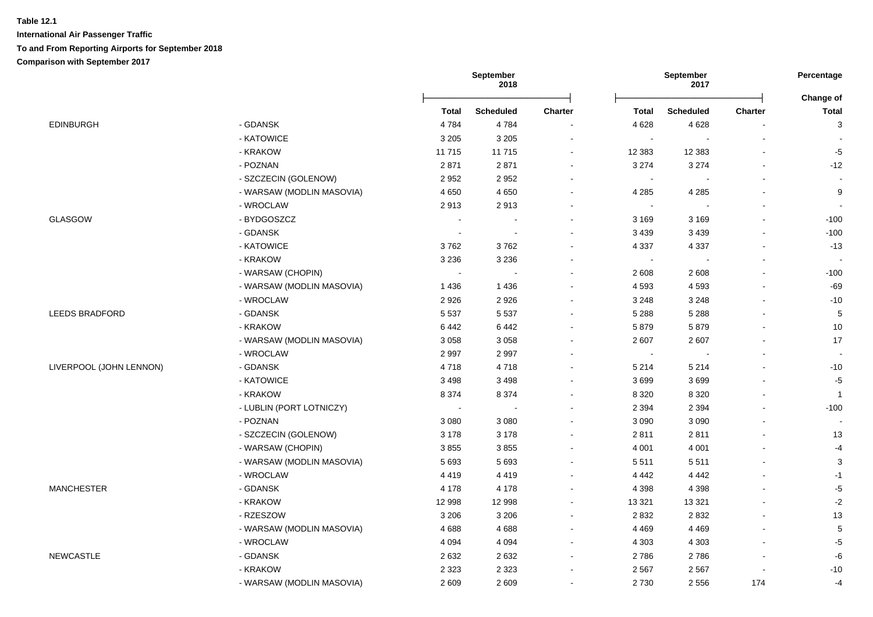|                         |                           |              | September<br>2018 |                |                | September<br>2017 |                | Percentage                |
|-------------------------|---------------------------|--------------|-------------------|----------------|----------------|-------------------|----------------|---------------------------|
|                         |                           | <b>Total</b> | <b>Scheduled</b>  | <b>Charter</b> | <b>Total</b>   | <b>Scheduled</b>  | <b>Charter</b> | Change of<br><b>Total</b> |
| <b>EDINBURGH</b>        | - GDANSK                  | 4784         | 4784              |                | 4 6 28         | 4 6 28            |                | $\ensuremath{\mathsf{3}}$ |
|                         | - KATOWICE                | 3 2 0 5      | 3 2 0 5           |                | $\sim$         | $\blacksquare$    | $\blacksquare$ | $\overline{\phantom{a}}$  |
|                         | - KRAKOW                  | 11715        | 11715             | $\blacksquare$ | 12 3 8 3       | 12 3 8 3          | $\overline{a}$ | $-5$                      |
|                         | - POZNAN                  | 2871         | 2871              | $\blacksquare$ | 3 2 7 4        | 3 2 7 4           | $\overline{a}$ | $-12$                     |
|                         | - SZCZECIN (GOLENOW)      | 2952         | 2952              |                | $\sim$         |                   |                | $\sim$                    |
|                         | - WARSAW (MODLIN MASOVIA) | 4650         | 4650              |                | 4 2 8 5        | 4 2 8 5           |                | 9                         |
|                         | - WROCLAW                 | 2913         | 2913              |                |                |                   |                | $\sim$                    |
| <b>GLASGOW</b>          | - BYDGOSZCZ               | $\sim$       |                   |                | 3 1 6 9        | 3 1 6 9           |                | $-100$                    |
|                         | - GDANSK                  | $\sim$       |                   |                | 3 4 3 9        | 3 4 3 9           | $\blacksquare$ | $-100$                    |
|                         | - KATOWICE                | 3762         | 3762              |                | 4 3 3 7        | 4 3 3 7           | $\overline{a}$ | $-13$                     |
|                         | - KRAKOW                  | 3 2 3 6      | 3 2 3 6           |                | $\blacksquare$ | $\Delta$          | $\blacksquare$ | $\sim$                    |
|                         | - WARSAW (CHOPIN)         | $\sim$       |                   |                | 2 608          | 2 6 0 8           |                | $-100$                    |
|                         | - WARSAW (MODLIN MASOVIA) | 1436         | 1 4 3 6           |                | 4 5 9 3        | 4593              |                | $-69$                     |
|                         | - WROCLAW                 | 2926         | 2926              |                | 3 2 4 8        | 3 2 4 8           |                | $-10$                     |
| LEEDS BRADFORD          | - GDANSK                  | 5 5 3 7      | 5 5 3 7           |                | 5 2 8 8        | 5 2 8 8           |                | $\sqrt{5}$                |
|                         | - KRAKOW                  | 6442         | 6442              |                | 5879           | 5879              |                | 10                        |
|                         | - WARSAW (MODLIN MASOVIA) | 3 0 5 8      | 3 0 5 8           |                | 2 607          | 2607              | $\blacksquare$ | 17                        |
|                         | - WROCLAW                 | 2997         | 2997              |                | $\sim$         |                   | $\blacksquare$ | $\sim$                    |
| LIVERPOOL (JOHN LENNON) | - GDANSK                  | 4718         | 4718              |                | 5 2 1 4        | 5 2 1 4           |                | $-10$                     |
|                         | - KATOWICE                | 3 4 9 8      | 3498              |                | 3699           | 3699              |                | $-5$                      |
|                         | - KRAKOW                  | 8 3 7 4      | 8 3 7 4           |                | 8 3 2 0        | 8 3 2 0           |                | $\mathbf{1}$              |
|                         | - LUBLIN (PORT LOTNICZY)  | $\sim$       |                   |                | 2 3 9 4        | 2 3 9 4           |                | $-100$                    |
|                         | - POZNAN                  | 3 0 8 0      | 3 0 8 0           |                | 3 0 9 0        | 3 0 9 0           | $\blacksquare$ | $\overline{\phantom{a}}$  |
|                         | - SZCZECIN (GOLENOW)      | 3 1 7 8      | 3 1 7 8           |                | 2811           | 2811              | $\blacksquare$ | 13                        |
|                         | - WARSAW (CHOPIN)         | 3855         | 3855              |                | 4 0 0 1        | 4 0 0 1           | $\blacksquare$ | $-4$                      |
|                         | - WARSAW (MODLIN MASOVIA) | 5 6 9 3      | 5693              | $\blacksquare$ | 5 5 1 1        | 5511              |                | $\mathbf{3}$              |
|                         | - WROCLAW                 | 4419         | 4419              | $\sim$         | 4 4 4 2        | 4 4 4 2           |                | $-1$                      |
| <b>MANCHESTER</b>       | - GDANSK                  | 4 1 7 8      | 4 1 7 8           | $\blacksquare$ | 4 3 9 8        | 4 3 9 8           |                | $-5$                      |
|                         | - KRAKOW                  | 12 998       | 12 998            |                | 13 3 21        | 13 3 21           |                | $-2$                      |
|                         | - RZESZOW                 | 3 2 0 6      | 3 2 0 6           | ۰              | 2832           | 2832              |                | 13                        |
|                         | - WARSAW (MODLIN MASOVIA) | 4688         | 4688              | $\sim$         | 4 4 6 9        | 4 4 6 9           | $\blacksquare$ | $\,$ 5 $\,$               |
|                         | - WROCLAW                 | 4 0 9 4      | 4 0 9 4           | $\sim$         | 4 3 0 3        | 4 3 0 3           | $\blacksquare$ | $-5$                      |
| <b>NEWCASTLE</b>        | - GDANSK                  | 2632         | 2632              |                | 2786           | 2786              |                | -6                        |
|                         | - KRAKOW                  | 2 3 2 3      | 2 3 2 3           |                | 2 5 6 7        | 2 5 6 7           |                | $-10$                     |
|                         | - WARSAW (MODLIN MASOVIA) | 2 6 0 9      | 2609              |                | 2 7 3 0        | 2 5 5 6           | 174            | $-4$                      |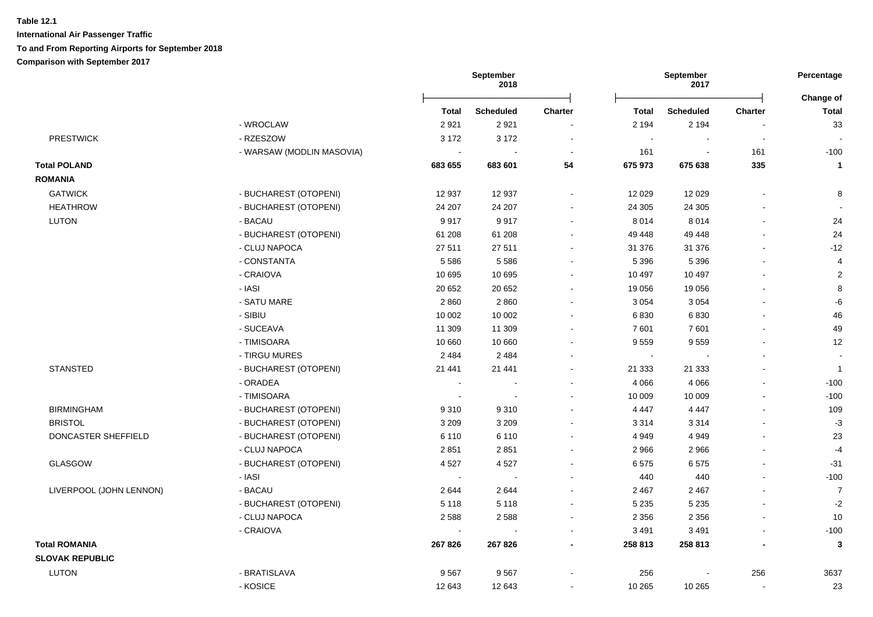|                         |                           |                          | September<br>2018 |                          |              | September<br>2017 |                | Percentage                |
|-------------------------|---------------------------|--------------------------|-------------------|--------------------------|--------------|-------------------|----------------|---------------------------|
|                         |                           | <b>Total</b>             | Scheduled         | <b>Charter</b>           | <b>Total</b> | <b>Scheduled</b>  | <b>Charter</b> | Change of<br><b>Total</b> |
|                         | - WROCLAW                 | 2921                     | 2921              |                          | 2 1 9 4      | 2 1 9 4           |                | 33                        |
| <b>PRESTWICK</b>        | - RZESZOW                 | 3 1 7 2                  | 3 1 7 2           | $\blacksquare$           | $\sim$       |                   | $\sim$         |                           |
|                         | - WARSAW (MODLIN MASOVIA) |                          |                   | $\overline{\phantom{a}}$ | 161          |                   | 161            | $-100$                    |
| <b>Total POLAND</b>     |                           | 683 655                  | 683 601           | 54                       | 675 973      | 675 638           | 335            | $\mathbf{1}$              |
| <b>ROMANIA</b>          |                           |                          |                   |                          |              |                   |                |                           |
| <b>GATWICK</b>          | - BUCHAREST (OTOPENI)     | 12 937                   | 12 937            | $\sim$                   | 12 0 29      | 12 0 29           | $\mathbf{r}$   | 8                         |
| <b>HEATHROW</b>         | - BUCHAREST (OTOPENI)     | 24 207                   | 24 207            |                          | 24 30 5      | 24 30 5           |                | $\sim$                    |
| <b>LUTON</b>            | - BACAU                   | 9917                     | 9917              |                          | 8 0 1 4      | 8014              | $\blacksquare$ | 24                        |
|                         | - BUCHAREST (OTOPENI)     | 61 208                   | 61 208            |                          | 49 448       | 49 448            | $\blacksquare$ | 24                        |
|                         | - CLUJ NAPOCA             | 27 511                   | 27 511            |                          | 31 376       | 31 376            |                | $-12$                     |
|                         | - CONSTANTA               | 5586                     | 5 5 8 6           |                          | 5 3 9 6      | 5 3 9 6           |                | 4                         |
|                         | - CRAIOVA                 | 10 695                   | 10 695            |                          | 10 497       | 10 497            |                | $\overline{2}$            |
|                         | - IASI                    | 20 652                   | 20 652            |                          | 19 0 56      | 19 0 56           | ÷.             | 8                         |
|                         | - SATU MARE               | 2860                     | 2860              |                          | 3 0 5 4      | 3 0 5 4           |                | -6                        |
|                         | - SIBIU                   | 10 002                   | 10 002            |                          | 6830         | 6830              |                | 46                        |
|                         | - SUCEAVA                 | 11 309                   | 11 309            |                          | 7 601        | 7601              |                | 49                        |
|                         | - TIMISOARA               | 10 660                   | 10 660            |                          | 9559         | 9559              | ÷.             | 12                        |
|                         | - TIRGU MURES             | 2 4 8 4                  | 2 4 8 4           |                          | $\sim$       |                   |                | $\sim$                    |
| <b>STANSTED</b>         | - BUCHAREST (OTOPENI)     | 21 441                   | 21 441            |                          | 21 3 33      | 21 3 33           |                | $\overline{1}$            |
|                         | - ORADEA                  | $\overline{a}$           |                   |                          | 4 0 6 6      | 4 0 6 6           | $\blacksquare$ | $-100$                    |
|                         | - TIMISOARA               | $\overline{\phantom{a}}$ |                   |                          | 10 009       | 10 009            | $\blacksquare$ | $-100$                    |
| <b>BIRMINGHAM</b>       | - BUCHAREST (OTOPENI)     | 9310                     | 9310              |                          | 4 4 4 7      | 4 4 4 7           | $\blacksquare$ | 109                       |
| <b>BRISTOL</b>          | - BUCHAREST (OTOPENI)     | 3 2 0 9                  | 3 2 0 9           |                          | 3 3 1 4      | 3 3 1 4           | L,             | $-3$                      |
| DONCASTER SHEFFIELD     | - BUCHAREST (OTOPENI)     | 6 1 1 0                  | 6 1 1 0           |                          | 4 9 4 9      | 4 9 4 9           | $\blacksquare$ | 23                        |
|                         | - CLUJ NAPOCA             | 2851                     | 2851              |                          | 2 9 6 6      | 2 9 6 6           |                | $-4$                      |
| <b>GLASGOW</b>          | - BUCHAREST (OTOPENI)     | 4527                     | 4527              |                          | 6575         | 6575              |                | $-31$                     |
|                         | - IASI                    | $\sim$                   |                   |                          | 440          | 440               | $\blacksquare$ | $-100$                    |
| LIVERPOOL (JOHN LENNON) | - BACAU                   | 2644                     | 2644              |                          | 2 4 6 7      | 2 4 6 7           |                | $\overline{7}$            |
|                         | - BUCHAREST (OTOPENI)     | 5 1 1 8                  | 5 1 1 8           |                          | 5 2 3 5      | 5 2 3 5           | L,             | $-2$                      |
|                         | - CLUJ NAPOCA             | 2588                     | 2588              |                          | 2 3 5 6      | 2 3 5 6           |                | 10                        |
|                         | - CRAIOVA                 | $\blacksquare$           | $\overline{a}$    |                          | 3 4 9 1      | 3 4 9 1           | $\blacksquare$ | $-100$                    |
| <b>Total ROMANIA</b>    |                           | 267 826                  | 267 826           |                          | 258 813      | 258 813           | ٠              | 3                         |
| <b>SLOVAK REPUBLIC</b>  |                           |                          |                   |                          |              |                   |                |                           |
| <b>LUTON</b>            | - BRATISLAVA              | 9567                     | 9567              |                          | 256          |                   | 256            | 3637                      |
|                         | - KOSICE                  | 12 643                   | 12 643            |                          | 10 265       | 10 265            | $\blacksquare$ | 23                        |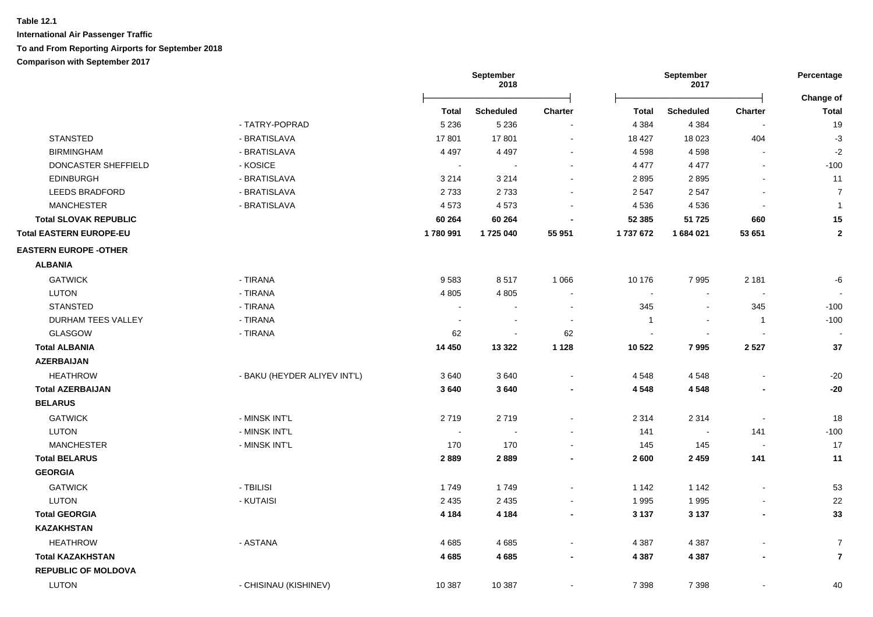|                          | September<br>2018        |                          |                          | September<br>2017        |                          | Percentage                |
|--------------------------|--------------------------|--------------------------|--------------------------|--------------------------|--------------------------|---------------------------|
| Total                    | <b>Scheduled</b>         | <b>Charter</b>           | <b>Total</b>             | <b>Scheduled</b>         | <b>Charter</b>           | Change of<br><b>Total</b> |
| 5 2 3 6                  | 5 2 3 6                  |                          | 4 3 8 4                  | 4 3 8 4                  |                          | 19                        |
| 17801                    | 17801                    | $\blacksquare$           | 18 427                   | 18 0 23                  | 404                      | $-3$                      |
| 4 4 9 7                  | 4 4 9 7                  |                          | 4598                     | 4598                     | $\overline{a}$           | $-2$                      |
|                          |                          |                          | 4 4 7 7                  | 4 4 7 7                  | $\mathbf{r}$             | $-100$                    |
| 3 2 1 4                  | 3 2 1 4                  |                          | 2895                     | 2895                     |                          | 11                        |
| 2733                     | 2733                     |                          | 2 5 4 7                  | 2547                     |                          | $\overline{7}$            |
| 4573                     | 4573                     |                          | 4536                     | 4536                     |                          | $\mathbf{1}$              |
| 60 264                   | 60 264                   |                          | 52 385                   | 51 725                   | 660                      | 15                        |
| 1780991                  | 1725 040                 | 55 951                   | 1737672                  | 1684021                  | 53 651                   | $\mathbf{2}$              |
|                          |                          |                          |                          |                          |                          |                           |
|                          |                          |                          |                          |                          |                          |                           |
| 9583                     | 8517                     | 1 0 6 6                  | 10 176                   | 7995                     | 2 1 8 1                  | -6                        |
| 4 8 0 5                  | 4 8 0 5                  |                          | $\overline{\phantom{a}}$ |                          |                          |                           |
| $\overline{\phantom{a}}$ |                          | $\overline{\phantom{a}}$ | 345                      | $\sim$                   | 345                      | $-100$                    |
| $\overline{\phantom{a}}$ | $\overline{\phantom{a}}$ | $\overline{\phantom{a}}$ | $\mathbf 1$              | $\overline{\phantom{a}}$ | $\mathbf{1}$             | $-100$                    |
| 62                       | $\blacksquare$           | 62                       |                          |                          |                          |                           |
| 14 450                   | 13 3 22                  | 1 1 2 8                  | 10 522                   | 7995                     | 2 5 2 7                  | 37                        |
|                          |                          |                          |                          |                          |                          |                           |
| 3640                     | 3640                     |                          | 4 5 4 8                  | 4 5 4 8                  |                          | $-20$                     |
| 3640                     | 3640                     | $\blacksquare$           | 4 5 4 8                  | 4548                     | $\blacksquare$           | $-20$                     |
|                          |                          |                          |                          |                          |                          |                           |
| 2719                     | 2719                     |                          | 2 3 1 4                  | 2 3 1 4                  | $\blacksquare$           | 18                        |
| $\sim$                   |                          |                          | 141                      | $\overline{\phantom{a}}$ | 141                      | $-100$                    |
| 170                      | 170                      | $\overline{\phantom{a}}$ | 145                      | 145                      |                          | 17                        |
| 2889                     | 2889                     |                          | 2600                     | 2 4 5 9                  | 141                      | 11                        |
|                          |                          |                          |                          |                          |                          |                           |
| 1749                     | 1749                     |                          | 1 142                    | 1 1 4 2                  |                          | 53                        |
| 2 4 3 5                  | 2 4 3 5                  |                          | 1995                     | 1995                     |                          | 22                        |
| 4 1 8 4                  | 4 1 8 4                  |                          | 3 1 3 7                  | 3 1 3 7                  | $\overline{\phantom{a}}$ | 33                        |
|                          |                          |                          |                          |                          |                          |                           |
| 4685                     | 4685                     |                          | 4 3 8 7                  | 4 3 8 7                  |                          | $\overline{7}$            |
| 4685                     | 4685                     | $\blacksquare$           | 4 3 8 7                  | 4 3 8 7                  | $\blacksquare$           | $\overline{7}$            |
|                          |                          |                          |                          |                          |                          |                           |
| 10 387                   | 10 387                   |                          | 7 3 9 8                  | 7 3 9 8                  | $\blacksquare$           | 40                        |
|                          |                          |                          |                          |                          |                          |                           |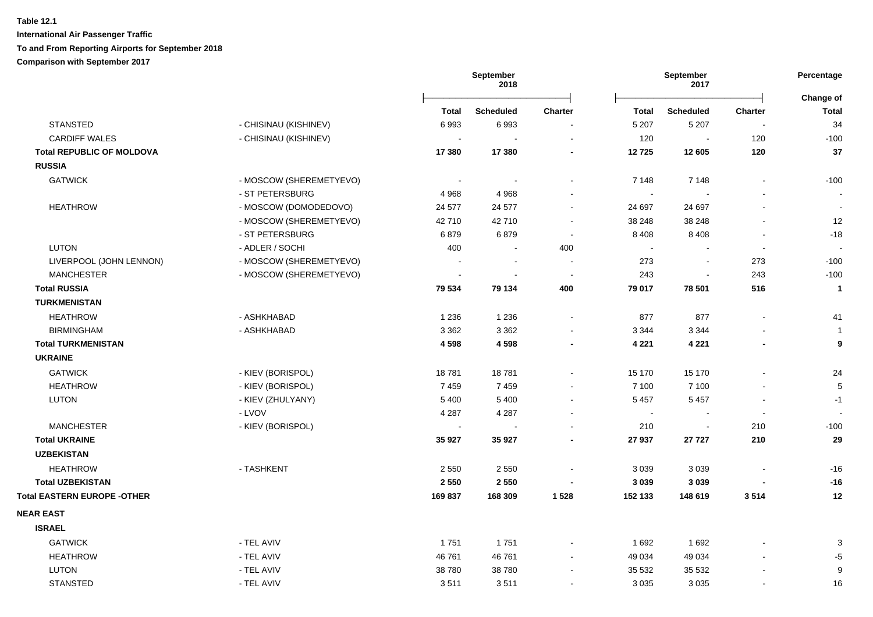|                                    |                         |                | September<br>2018 |                          |              | September<br>2017        |                          | Percentage                |
|------------------------------------|-------------------------|----------------|-------------------|--------------------------|--------------|--------------------------|--------------------------|---------------------------|
|                                    |                         | <b>Total</b>   | <b>Scheduled</b>  | <b>Charter</b>           | <b>Total</b> | <b>Scheduled</b>         | <b>Charter</b>           | Change of<br><b>Total</b> |
| <b>STANSTED</b>                    | - CHISINAU (KISHINEV)   | 6993           | 6993              | $\blacksquare$           | 5 2 0 7      | 5 2 0 7                  | $\blacksquare$           | 34                        |
| <b>CARDIFF WALES</b>               | - CHISINAU (KISHINEV)   | $\blacksquare$ |                   | $\overline{\phantom{a}}$ | 120          | $\sim$                   | 120                      | $-100$                    |
| <b>Total REPUBLIC OF MOLDOVA</b>   |                         | 17 380         | 17 380            | $\blacksquare$           | 12725        | 12 605                   | 120                      | 37                        |
| <b>RUSSIA</b>                      |                         |                |                   |                          |              |                          |                          |                           |
| <b>GATWICK</b>                     | - MOSCOW (SHEREMETYEVO) | $\blacksquare$ |                   | $\sim$                   | 7 1 4 8      | 7 1 4 8                  |                          | $-100$                    |
|                                    | - ST PETERSBURG         | 4968           | 4 9 6 8           | $\overline{\phantom{a}}$ | $\sim$       |                          |                          |                           |
| <b>HEATHROW</b>                    | - MOSCOW (DOMODEDOVO)   | 24 577         | 24 577            | $\sim$                   | 24 697       | 24 697                   |                          | $\sim$                    |
|                                    | - MOSCOW (SHEREMETYEVO) | 42 710         | 42710             | $\sim$                   | 38 248       | 38 248                   |                          | 12                        |
|                                    | - ST PETERSBURG         | 6879           | 6879              | $\sim$                   | 8 4 0 8      | 8 4 0 8                  | $\sim$                   | $-18$                     |
| <b>LUTON</b>                       | - ADLER / SOCHI         | 400            |                   | 400                      | $\sim$       |                          | $\overline{\phantom{a}}$ | $\overline{\phantom{a}}$  |
| LIVERPOOL (JOHN LENNON)            | - MOSCOW (SHEREMETYEVO) |                | $\sim$            | $\sim$                   | 273          | $\overline{\phantom{a}}$ | 273                      | $-100$                    |
| <b>MANCHESTER</b>                  | - MOSCOW (SHEREMETYEVO) |                |                   | $\sim$                   | 243          | $\overline{\phantom{a}}$ | 243                      | $-100$                    |
| <b>Total RUSSIA</b>                |                         | 79 534         | 79 134            | 400                      | 79 017       | 78 501                   | 516                      | $\mathbf{1}$              |
| <b>TURKMENISTAN</b>                |                         |                |                   |                          |              |                          |                          |                           |
| <b>HEATHROW</b>                    | - ASHKHABAD             | 1 2 3 6        | 1 2 3 6           | $\sim$                   | 877          | 877                      | $\sim$                   | 41                        |
| <b>BIRMINGHAM</b>                  | - ASHKHABAD             | 3 3 6 2        | 3 3 6 2           | $\overline{\phantom{a}}$ | 3 3 4 4      | 3 3 4 4                  |                          | $\overline{1}$            |
| <b>Total TURKMENISTAN</b>          |                         | 4598           | 4598              | $\blacksquare$           | 4 2 2 1      | 4 2 2 1                  | $\blacksquare$           | 9                         |
| <b>UKRAINE</b>                     |                         |                |                   |                          |              |                          |                          |                           |
| <b>GATWICK</b>                     | - KIEV (BORISPOL)       | 18781          | 18781             | $\sim$                   | 15 170       | 15 170                   |                          | 24                        |
| <b>HEATHROW</b>                    | - KIEV (BORISPOL)       | 7459           | 7459              | $\sim$                   | 7 100        | 7 100                    |                          | $\overline{5}$            |
| LUTON                              | - KIEV (ZHULYANY)       | 5 4 0 0        | 5 4 0 0           | $\sim$                   | 5 4 5 7      | 5 4 5 7                  | $\overline{\phantom{a}}$ | $-1$                      |
|                                    | - LVOV                  | 4 2 8 7        | 4 2 8 7           | $\sim$                   | $\sim$       |                          | $\sim$                   | $\overline{\phantom{a}}$  |
| <b>MANCHESTER</b>                  | - KIEV (BORISPOL)       |                |                   |                          | 210          | $\sim$                   | 210                      | $-100$                    |
| <b>Total UKRAINE</b>               |                         | 35 927         | 35 927            |                          | 27 937       | 27 7 27                  | 210                      | 29                        |
| <b>UZBEKISTAN</b>                  |                         |                |                   |                          |              |                          |                          |                           |
| <b>HEATHROW</b>                    | - TASHKENT              | 2 5 5 0        | 2 5 5 0           |                          | 3 0 3 9      | 3 0 3 9                  |                          | $-16$                     |
| <b>Total UZBEKISTAN</b>            |                         | 2 5 5 0        | 2 5 5 0           | $\overline{\phantom{a}}$ | 3 0 3 9      | 3 0 3 9                  |                          | $-16$                     |
| <b>Total EASTERN EUROPE -OTHER</b> |                         | 169837         | 168 309           | 1 5 2 8                  | 152 133      | 148 619                  | 3514                     | 12                        |
| <b>NEAR EAST</b>                   |                         |                |                   |                          |              |                          |                          |                           |
| <b>ISRAEL</b>                      |                         |                |                   |                          |              |                          |                          |                           |
| <b>GATWICK</b>                     | - TEL AVIV              | 1751           | 1751              |                          | 1692         | 1692                     |                          | 3                         |
| <b>HEATHROW</b>                    | - TEL AVIV              | 46 761         | 46 761            |                          | 49 0 34      | 49 0 34                  |                          | $-5$                      |
| LUTON                              | - TEL AVIV              | 38 780         | 38780             |                          | 35 532       | 35 532                   |                          | 9                         |
| <b>STANSTED</b>                    | - TEL AVIV              | 3511           | 3511              |                          | 3 0 3 5      | 3 0 3 5                  |                          | 16                        |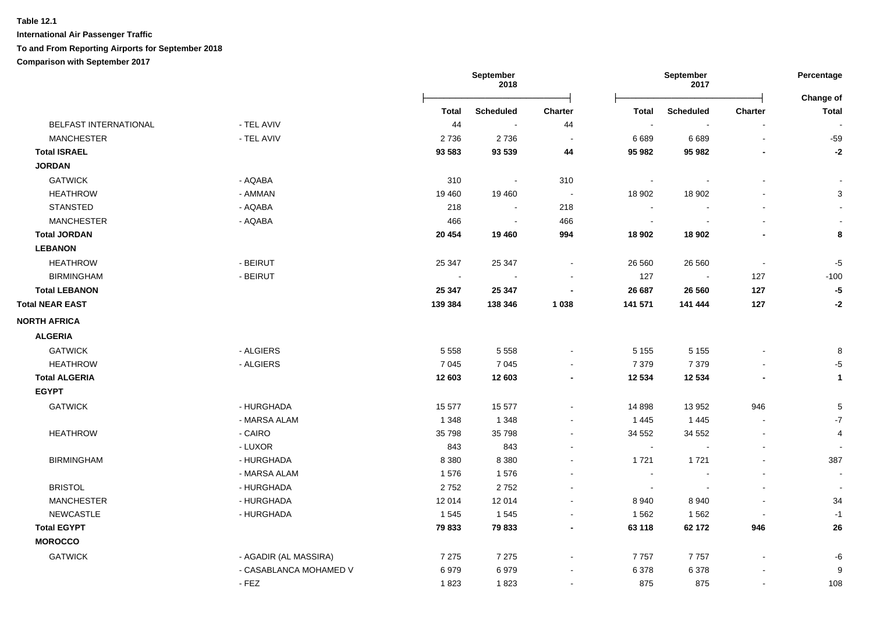# **Table 12.1 International Air Passenger Traffic**

# **To and From Reporting Airports for September 2018**

**Comparison with September 2017**

|                                         | September<br>September<br>2018<br>2017 |                          | Percentage     |                             |                          |                          |                           |
|-----------------------------------------|----------------------------------------|--------------------------|----------------|-----------------------------|--------------------------|--------------------------|---------------------------|
|                                         | <b>Total</b>                           | <b>Scheduled</b>         | <b>Charter</b> | <b>Total</b>                | <b>Scheduled</b>         | Charter                  | Change of<br><b>Total</b> |
| BELFAST INTERNATIONAL<br>- TEL AVIV     | 44                                     | $\sim$                   | 44             | $\mathcal{L}_{\mathcal{A}}$ | $\sim$                   |                          |                           |
| <b>MANCHESTER</b><br>- TEL AVIV         | 2736                                   | 2736                     | $\sim$         | 6689                        | 6689                     | $\sim$                   | $-59$                     |
| <b>Total ISRAEL</b>                     | 93 583                                 | 93 539                   | 44             | 95 982                      | 95 982                   | $\blacksquare$           | $-2$                      |
| <b>JORDAN</b>                           |                                        |                          |                |                             |                          |                          |                           |
| <b>GATWICK</b><br>- AQABA               | 310                                    | $\overline{\phantom{a}}$ | 310            | $\blacksquare$              |                          |                          |                           |
| <b>HEATHROW</b><br>- AMMAN              | 19 4 60                                | 19 460                   | $\sim$         | 18 902                      | 18 902                   | $\blacksquare$           | $\ensuremath{\mathsf{3}}$ |
| <b>STANSTED</b><br>- AQABA              | 218                                    | $\sim$                   | 218            | $\sim$                      |                          |                          |                           |
| <b>MANCHESTER</b><br>- AQABA            | 466                                    | $\sim$                   | 466            | $\sim$                      |                          |                          |                           |
| <b>Total JORDAN</b>                     | 20 454                                 | 19 460                   | 994            | 18 902                      | 18 902                   | $\blacksquare$           | 8                         |
| <b>LEBANON</b>                          |                                        |                          |                |                             |                          |                          |                           |
| <b>HEATHROW</b><br>- BEIRUT             | 25 347                                 | 25 347                   | $\blacksquare$ | 26 560                      | 26 560                   | $\sim$                   | $-5$                      |
| <b>BIRMINGHAM</b><br>- BEIRUT           | $\sim$                                 | $\sim$                   |                | 127                         | $\sim$                   | 127                      | $-100$                    |
| <b>Total LEBANON</b>                    | 25 347                                 | 25 347                   | $\blacksquare$ | 26 687                      | 26 560                   | 127                      | $-5\phantom{1}$           |
| <b>Total NEAR EAST</b>                  | 139 384                                | 138 346                  | 1 0 38         | 141 571                     | 141 444                  | 127                      | $-2$                      |
| <b>NORTH AFRICA</b>                     |                                        |                          |                |                             |                          |                          |                           |
| <b>ALGERIA</b>                          |                                        |                          |                |                             |                          |                          |                           |
| - ALGIERS<br><b>GATWICK</b>             | 5 5 5 8                                | 5 5 5 8                  |                | 5 1 5 5                     | 5 1 5 5                  | $\blacksquare$           | 8                         |
| - ALGIERS<br><b>HEATHROW</b>            | 7 0 4 5                                | 7 0 4 5                  |                | 7 3 7 9                     | 7 3 7 9                  |                          | $-5$                      |
| <b>Total ALGERIA</b>                    | 12 603                                 | 12 603                   | $\blacksquare$ | 12 534                      | 12 5 34                  |                          | $\mathbf{1}$              |
| <b>EGYPT</b>                            |                                        |                          |                |                             |                          |                          |                           |
| <b>GATWICK</b><br>- HURGHADA            | 15 577                                 | 15 577                   | ä,             | 14 898                      | 13 952                   | 946                      | 5                         |
| - MARSA ALAM                            | 1 3 4 8                                | 1 3 4 8                  |                | 1 4 4 5                     | 1 4 4 5                  | $\sim$                   | $-7$                      |
| - CAIRO<br><b>HEATHROW</b>              | 35 798                                 | 35 798                   | $\blacksquare$ | 34 552                      | 34 552                   | $\overline{\phantom{a}}$ | 4                         |
| - LUXOR                                 | 843                                    | 843                      | $\blacksquare$ | $\sim$                      | $\sim$                   | $\blacksquare$           |                           |
| <b>BIRMINGHAM</b><br>- HURGHADA         | 8 3 8 0                                | 8 3 8 0                  | $\blacksquare$ | 1721                        | 1721                     | $\blacksquare$           | 387                       |
| - MARSA ALAM                            | 1576                                   | 1576                     | $\blacksquare$ | $\sim$                      | $\overline{\phantom{a}}$ | $\blacksquare$           | $\blacksquare$            |
| <b>BRISTOL</b><br>- HURGHADA            | 2752                                   | 2752                     | $\blacksquare$ | $\blacksquare$              | $\sim$                   | $\blacksquare$           | $\overline{\phantom{a}}$  |
| <b>MANCHESTER</b><br>- HURGHADA         | 12 014                                 | 12 014                   | $\blacksquare$ | 8940                        | 8940                     | $\blacksquare$           | 34                        |
| <b>NEWCASTLE</b><br>- HURGHADA          | 1545                                   | 1545                     | $\blacksquare$ | 1 5 6 2                     | 1562                     | $\sim$                   | $-1$                      |
| <b>Total EGYPT</b>                      | 79833                                  | 79 833                   | $\blacksquare$ | 63 118                      | 62 172                   | 946                      | 26                        |
| <b>MOROCCO</b>                          |                                        |                          |                |                             |                          |                          |                           |
| <b>GATWICK</b><br>- AGADIR (AL MASSIRA) | 7 2 7 5                                | 7 2 7 5                  | $\blacksquare$ | 7757                        | 7757                     | $\blacksquare$           | -6                        |
| - CASABLANCA MOHAMED V                  | 6979                                   | 6979                     | $\blacksquare$ | 6 3 7 8                     | 6378                     |                          | $\boldsymbol{9}$          |
| - FEZ                                   | 1823                                   | 1823                     | $\blacksquare$ | 875                         | 875                      | $\blacksquare$           | 108                       |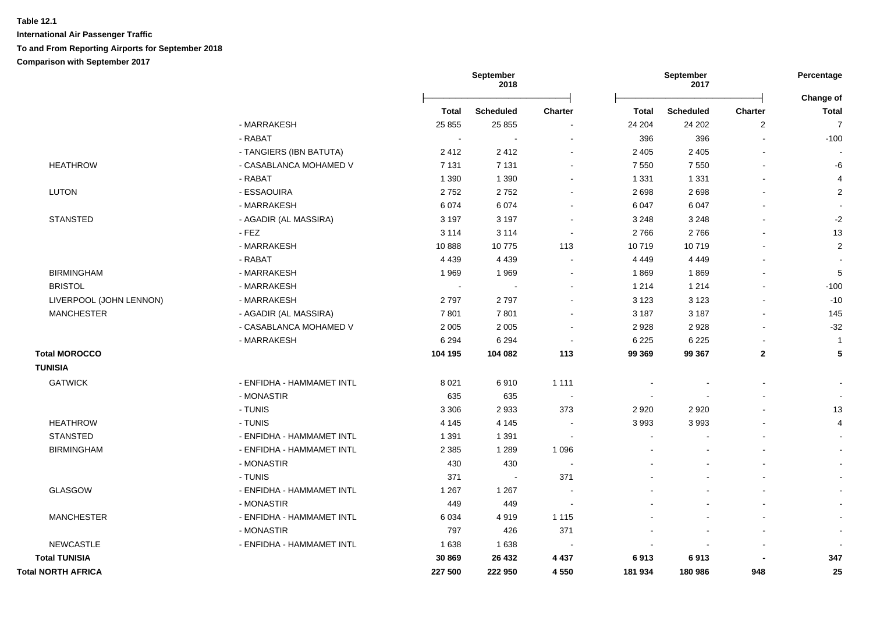|                           |                           |              | September<br>2018 |                          | September<br>2017 |                  | Percentage       |                           |  |
|---------------------------|---------------------------|--------------|-------------------|--------------------------|-------------------|------------------|------------------|---------------------------|--|
|                           |                           | <b>Total</b> | <b>Scheduled</b>  | Charter                  | <b>Total</b>      | <b>Scheduled</b> | Charter          | Change of<br><b>Total</b> |  |
|                           | - MARRAKESH               | 25 855       | 25 855            |                          | 24 204            | 24 20 2          | $\boldsymbol{2}$ | $\overline{7}$            |  |
|                           | - RABAT                   | $\sim$       | $\overline{a}$    |                          | 396               | 396              |                  | $-100$                    |  |
|                           | - TANGIERS (IBN BATUTA)   | 2412         | 2412              |                          | 2 4 0 5           | 2 4 0 5          |                  |                           |  |
| <b>HEATHROW</b>           | - CASABLANCA MOHAMED V    | 7 1 3 1      | 7 1 3 1           |                          | 7 5 5 0           | 7 5 5 0          |                  | -6                        |  |
|                           | - RABAT                   | 1 3 9 0      | 1 3 9 0           |                          | 1 3 3 1           | 1 3 3 1          |                  | $\overline{4}$            |  |
| <b>LUTON</b>              | - ESSAOUIRA               | 2752         | 2752              |                          | 2698              | 2698             |                  | $\overline{2}$            |  |
|                           | - MARRAKESH               | 6 0 7 4      | 6074              |                          | 6 0 4 7           | 6 0 4 7          |                  |                           |  |
| <b>STANSTED</b>           | - AGADIR (AL MASSIRA)     | 3 1 9 7      | 3 1 9 7           | $\sim$                   | 3 2 4 8           | 3 2 4 8          |                  | $-2$                      |  |
|                           | $-FEZ$                    | 3 1 1 4      | 3 1 1 4           | $\blacksquare$           | 2766              | 2766             |                  | 13                        |  |
|                           | - MARRAKESH               | 10888        | 10775             | 113                      | 10719             | 10719            |                  | $\sqrt{2}$                |  |
|                           | - RABAT                   | 4 4 3 9      | 4 4 3 9           |                          | 4 4 4 9           | 4 4 4 9          |                  |                           |  |
| <b>BIRMINGHAM</b>         | - MARRAKESH               | 1969         | 1969              | $\blacksquare$           | 1869              | 1869             |                  | 5                         |  |
| <b>BRISTOL</b>            | - MARRAKESH               | $\sim$       | $\sim$            | $\blacksquare$           | 1 2 1 4           | 1 2 1 4          |                  | $-100$                    |  |
| LIVERPOOL (JOHN LENNON)   | - MARRAKESH               | 2797         | 2797              | $\blacksquare$           | 3 1 2 3           | 3 1 2 3          |                  | $-10$                     |  |
| <b>MANCHESTER</b>         | - AGADIR (AL MASSIRA)     | 7801         | 7801              | $\blacksquare$           | 3 1 8 7           | 3 1 8 7          | $\sim$           | 145                       |  |
|                           | - CASABLANCA MOHAMED V    | 2 0 0 5      | 2 0 0 5           | $\sim$                   | 2928              | 2928             | $\sim$           | $-32$                     |  |
|                           | - MARRAKESH               | 6 2 9 4      | 6 2 9 4           | $\sim$                   | 6 2 2 5           | 6 2 2 5          |                  | $\overline{1}$            |  |
| <b>Total MOROCCO</b>      |                           | 104 195      | 104 082           | 113                      | 99 369            | 99 367           | $\mathbf{2}$     | 5                         |  |
| <b>TUNISIA</b>            |                           |              |                   |                          |                   |                  |                  |                           |  |
| <b>GATWICK</b>            | - ENFIDHA - HAMMAMET INTL | 8 0 21       | 6910              | 1 1 1 1                  |                   |                  |                  |                           |  |
|                           | - MONASTIR                | 635          | 635               |                          | $\blacksquare$    |                  |                  | $\overline{\phantom{a}}$  |  |
|                           | - TUNIS                   | 3 3 0 6      | 2933              | 373                      | 2 9 2 0           | 2920             |                  | 13                        |  |
| <b>HEATHROW</b>           | - TUNIS                   | 4 1 4 5      | 4 1 4 5           |                          | 3 9 9 3           | 3993             |                  | $\overline{4}$            |  |
| <b>STANSTED</b>           | - ENFIDHA - HAMMAMET INTL | 1 3 9 1      | 1 3 9 1           | $\overline{\phantom{a}}$ |                   |                  |                  |                           |  |
| <b>BIRMINGHAM</b>         | - ENFIDHA - HAMMAMET INTL | 2 3 8 5      | 1 2 8 9           | 1 0 9 6                  |                   |                  |                  |                           |  |
|                           | - MONASTIR                | 430          | 430               |                          |                   |                  |                  |                           |  |
|                           | - TUNIS                   | 371          | $\sim$            | 371                      |                   |                  |                  |                           |  |
| GLASGOW                   | - ENFIDHA - HAMMAMET INTL | 1 2 6 7      | 1 2 6 7           |                          |                   |                  |                  |                           |  |
|                           | - MONASTIR                | 449          | 449               | $\overline{\phantom{a}}$ |                   |                  |                  |                           |  |
| <b>MANCHESTER</b>         | - ENFIDHA - HAMMAMET INTL | 6 0 34       | 4919              | 1 1 1 5                  |                   |                  |                  |                           |  |
|                           | - MONASTIR                | 797          | 426               | 371                      |                   |                  |                  | $\overline{\phantom{a}}$  |  |
| <b>NEWCASTLE</b>          | - ENFIDHA - HAMMAMET INTL | 1 6 3 8      | 1638              |                          |                   |                  |                  |                           |  |
| <b>Total TUNISIA</b>      |                           | 30 869       | 26 432            | 4 4 3 7                  | 6913              | 6913             |                  | 347                       |  |
| <b>Total NORTH AFRICA</b> |                           | 227 500      | 222 950           | 4 5 5 0                  | 181 934           | 180 986          | 948              | 25                        |  |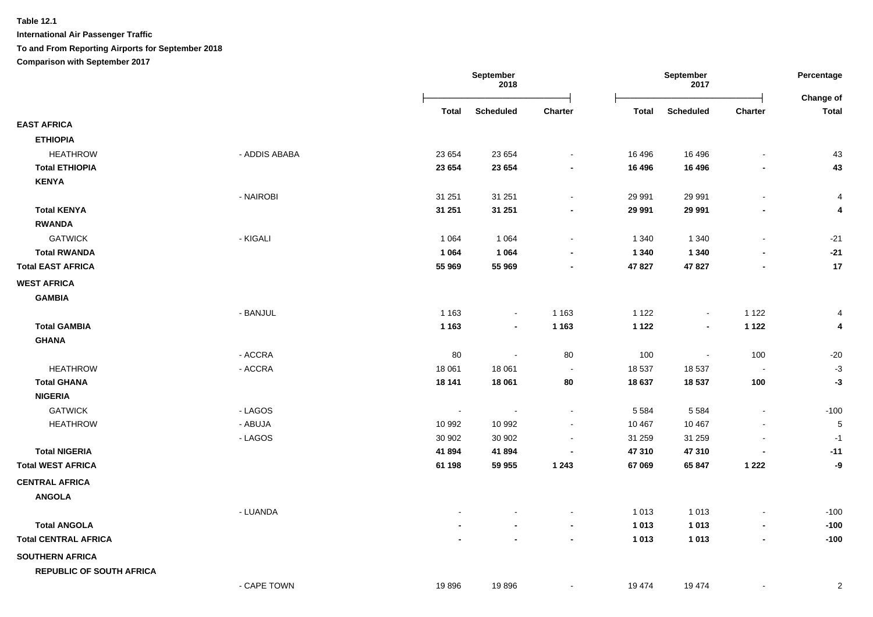**International Air Passenger Traffic**

**To and From Reporting Airports for September 2018**

**Comparison with September 2017**

|                                                  |               |                 | <b>September</b><br>2018 |                |                  | September<br>2017        |                              |                           |
|--------------------------------------------------|---------------|-----------------|--------------------------|----------------|------------------|--------------------------|------------------------------|---------------------------|
|                                                  |               | <b>Total</b>    | <b>Scheduled</b>         | Charter        | <b>Total</b>     | <b>Scheduled</b>         | Charter                      | Change of<br><b>Total</b> |
| <b>EAST AFRICA</b>                               |               |                 |                          |                |                  |                          |                              |                           |
| <b>ETHIOPIA</b>                                  |               |                 |                          |                |                  |                          |                              |                           |
| <b>HEATHROW</b>                                  | - ADDIS ABABA | 23 654          | 23 654                   |                | 16 49 6          | 16 49 6                  | $\qquad \qquad \blacksquare$ | 43                        |
| <b>Total ETHIOPIA</b>                            |               | 23 654          | 23 654                   | $\blacksquare$ | 16 496           | 16 496                   | $\overline{\phantom{a}}$     | 43                        |
| <b>KENYA</b>                                     |               |                 |                          |                |                  |                          |                              |                           |
|                                                  | - NAIROBI     | 31 251          | 31 251                   | $\sim$         | 29 991           | 29 991                   | $\blacksquare$               | $\overline{4}$            |
| <b>Total KENYA</b>                               |               | 31 251          | 31 251                   | $\blacksquare$ | 29 991           | 29 991                   | $\overline{\phantom{a}}$     | 4                         |
| <b>RWANDA</b>                                    |               |                 |                          |                |                  |                          |                              |                           |
| <b>GATWICK</b>                                   | - KIGALI      | 1 0 6 4         | 1 0 6 4                  |                | 1 3 4 0          | 1 3 4 0                  | $\qquad \qquad \blacksquare$ | $-21$                     |
| <b>Total RWANDA</b>                              |               | 1 0 6 4         | 1 0 6 4                  | $\blacksquare$ | 1 3 4 0          | 1 3 4 0                  | $\blacksquare$               | $-21$                     |
| <b>Total EAST AFRICA</b>                         |               | 55 969          | 55 969                   | $\sim$         | 47 827           | 47 827                   | $\overline{\phantom{0}}$     | 17                        |
| <b>WEST AFRICA</b>                               |               |                 |                          |                |                  |                          |                              |                           |
| <b>GAMBIA</b>                                    |               |                 |                          |                |                  |                          |                              |                           |
|                                                  | - BANJUL      | 1 1 6 3         | $\blacksquare$           | 1 1 6 3        | 1 1 2 2          | $\sim$                   | 1 1 2 2                      | 4                         |
| <b>Total GAMBIA</b>                              |               | 1 1 6 3         | $\overline{\phantom{a}}$ | 1 1 6 3        | 1 1 2 2          | $\blacksquare$           | 1 1 2 2                      | 4                         |
| <b>GHANA</b>                                     |               |                 |                          |                |                  |                          |                              |                           |
|                                                  | $-$ ACCRA     | 80              | $\sim$                   | 80             | 100              | $\overline{\phantom{a}}$ | 100                          | $-20$                     |
| <b>HEATHROW</b>                                  | - ACCRA       | 18 061          | 18 061                   | $\blacksquare$ | 18 537           | 18 537                   | $\overline{\phantom{a}}$     | $-3$                      |
| <b>Total GHANA</b>                               |               | 18 141          | 18 061                   | 80             | 18 637           | 18 537                   | 100                          | -3                        |
| <b>NIGERIA</b>                                   |               |                 |                          |                |                  |                          |                              |                           |
| <b>GATWICK</b>                                   | - LAGOS       | $\blacksquare$  | $\sim$                   | $\sim$         | 5 5 8 4          | 5 5 8 4                  | $\blacksquare$               | $-100$                    |
| <b>HEATHROW</b>                                  | - ABUJA       | 10 992          | 10 992                   |                | 10 467           | 10 467                   |                              | $\sqrt{5}$                |
|                                                  | - LAGOS       | 30 902          | 30 902                   |                | 31 259           | 31 259                   |                              | $-1$                      |
| <b>Total NIGERIA</b><br><b>Total WEST AFRICA</b> |               | 41894<br>61 198 | 41894<br>59 955          | 1 2 4 3        | 47 310<br>67 069 | 47 310<br>65 847         | 1 2 2 2                      | $-11$<br>-9               |
|                                                  |               |                 |                          |                |                  |                          |                              |                           |
| <b>CENTRAL AFRICA</b>                            |               |                 |                          |                |                  |                          |                              |                           |
| <b>ANGOLA</b>                                    |               |                 |                          |                |                  |                          |                              |                           |
|                                                  | - LUANDA      |                 |                          |                | 1 0 1 3          | 1 0 1 3                  | $\overline{a}$               | $-100$                    |
| <b>Total ANGOLA</b>                              |               |                 |                          |                | 1 0 1 3          | 1013                     | -                            | $-100$                    |
| <b>Total CENTRAL AFRICA</b>                      |               |                 |                          |                | 1 0 1 3          | 1013                     | $\blacksquare$               | $-100$                    |
| <b>SOUTHERN AFRICA</b>                           |               |                 |                          |                |                  |                          |                              |                           |
| <b>REPUBLIC OF SOUTH AFRICA</b>                  |               |                 |                          |                |                  |                          |                              |                           |
|                                                  | - CAPE TOWN   | 19896           | 19896                    | $\sim$         | 19 4 74          | 19 4 74                  | $\blacksquare$               | $\overline{\mathbf{c}}$   |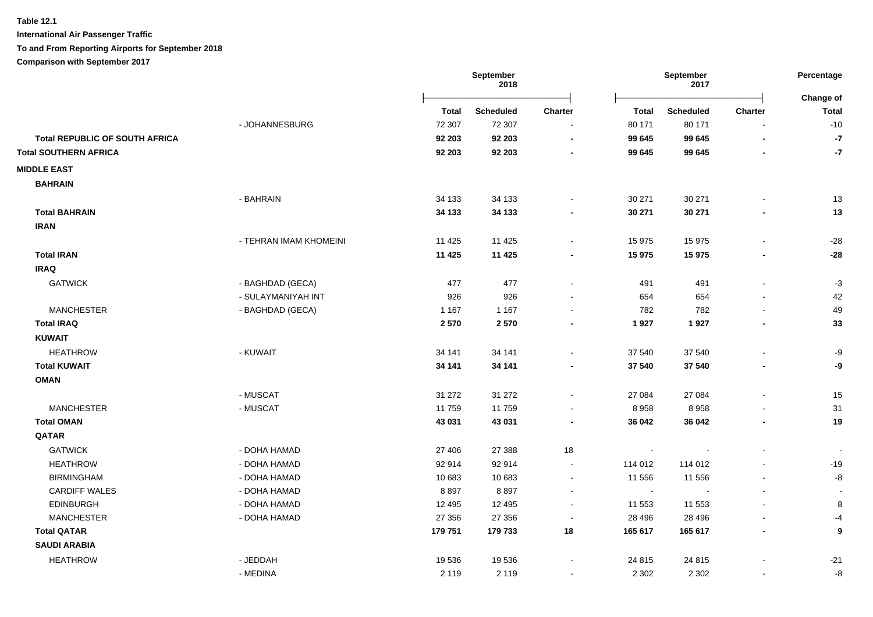**International Air Passenger Traffic**

### **To and From Reporting Airports for September 2018**

**Comparison with September 2017**

|                                       |                        |          | September<br>2018 |                |                | September<br>2017 |                          | Percentage                |
|---------------------------------------|------------------------|----------|-------------------|----------------|----------------|-------------------|--------------------------|---------------------------|
|                                       |                        | Total    | <b>Scheduled</b>  | Charter        | <b>Total</b>   | <b>Scheduled</b>  | Charter                  | Change of<br><b>Total</b> |
|                                       | - JOHANNESBURG         | 72 307   | 72 307            |                | 80 171         | 80 171            |                          | $-10$                     |
| <b>Total REPUBLIC OF SOUTH AFRICA</b> |                        | 92 203   | 92 203            | $\blacksquare$ | 99 645         | 99 645            |                          | $-7$                      |
| <b>Total SOUTHERN AFRICA</b>          |                        | 92 203   | 92 203            |                | 99 645         | 99 645            |                          | $-7$                      |
| <b>MIDDLE EAST</b>                    |                        |          |                   |                |                |                   |                          |                           |
| <b>BAHRAIN</b>                        |                        |          |                   |                |                |                   |                          |                           |
|                                       | - BAHRAIN              | 34 133   | 34 133            |                | 30 271         | 30 271            |                          | 13                        |
| <b>Total BAHRAIN</b>                  |                        | 34 133   | 34 133            |                | 30 271         | 30 271            |                          | 13                        |
| <b>IRAN</b>                           |                        |          |                   |                |                |                   |                          |                           |
|                                       | - TEHRAN IMAM KHOMEINI | 11 4 25  | 11 4 25           |                | 15 975         | 15 975            |                          | $-28$                     |
| <b>Total IRAN</b>                     |                        | 11 4 25  | 11 4 25           |                | 15 975         | 15 975            |                          | $-28$                     |
| <b>IRAQ</b>                           |                        |          |                   |                |                |                   |                          |                           |
| <b>GATWICK</b>                        | - BAGHDAD (GECA)       | 477      | 477               |                | 491            | 491               |                          | $-3$                      |
|                                       | - SULAYMANIYAH INT     | 926      | 926               |                | 654            | 654               |                          | 42                        |
| <b>MANCHESTER</b>                     | - BAGHDAD (GECA)       | 1 1 6 7  | 1 1 6 7           |                | 782            | 782               |                          | 49                        |
| <b>Total IRAQ</b>                     |                        | 2570     | 2570              |                | 1927           | 1927              |                          | 33                        |
| <b>KUWAIT</b>                         |                        |          |                   |                |                |                   |                          |                           |
| <b>HEATHROW</b>                       | - KUWAIT               | 34 141   | 34 141            |                | 37 540         | 37 540            |                          | -9                        |
| <b>Total KUWAIT</b>                   |                        | 34 141   | 34 141            |                | 37 540         | 37 540            | ٠                        | -9                        |
| <b>OMAN</b>                           |                        |          |                   |                |                |                   |                          |                           |
|                                       | - MUSCAT               | 31 27 2  | 31 27 2           |                | 27 084         | 27 084            |                          | 15                        |
| <b>MANCHESTER</b>                     | - MUSCAT               | 11 759   | 11759             |                | 8 9 5 8        | 8958              |                          | 31                        |
| <b>Total OMAN</b>                     |                        | 43 031   | 43 031            | $\blacksquare$ | 36 042         | 36 042            | $\blacksquare$           | 19                        |
| QATAR                                 |                        |          |                   |                |                |                   |                          |                           |
| <b>GATWICK</b>                        | - DOHA HAMAD           | 27 40 6  | 27 388            | 18             | $\blacksquare$ |                   |                          |                           |
| <b>HEATHROW</b>                       | - DOHA HAMAD           | 92 914   | 92 914            | $\blacksquare$ | 114 012        | 114 012           |                          | $-19$                     |
| <b>BIRMINGHAM</b>                     | - DOHA HAMAD           | 10 683   | 10 683            | $\blacksquare$ | 11 556         | 11 556            | L.                       | -8                        |
| <b>CARDIFF WALES</b>                  | - DOHA HAMAD           | 8897     | 8897              | $\blacksquare$ | $\sim$         |                   | L,                       |                           |
| <b>EDINBURGH</b>                      | - DOHA HAMAD           | 12 4 9 5 | 12 4 9 5          | $\blacksquare$ | 11 553         | 11 553            |                          | 8                         |
| <b>MANCHESTER</b>                     | - DOHA HAMAD           | 27 35 6  | 27 35 6           | $\blacksquare$ | 28 4 96        | 28 4 96           | $\blacksquare$           | $-4$                      |
| <b>Total QATAR</b>                    |                        | 179 751  | 179 733           | 18             | 165 617        | 165 617           | $\overline{\phantom{a}}$ | 9                         |
| <b>SAUDI ARABIA</b>                   |                        |          |                   |                |                |                   |                          |                           |
| <b>HEATHROW</b>                       | - JEDDAH               | 19536    | 19536             |                | 24 815         | 24 8 15           |                          | $-21$                     |
|                                       | - MEDINA               | 2 1 1 9  | 2 1 1 9           |                | 2 3 0 2        | 2 3 0 2           |                          | -8                        |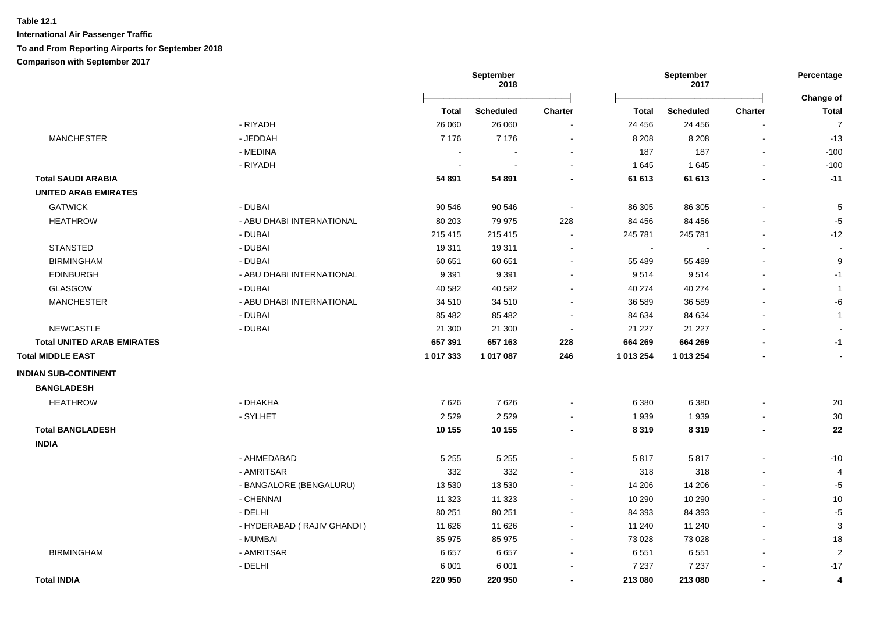|                                   |                            |           | September<br>2018 |                |              | September<br>2017 |         | Percentage                |
|-----------------------------------|----------------------------|-----------|-------------------|----------------|--------------|-------------------|---------|---------------------------|
|                                   |                            | Total     | <b>Scheduled</b>  | <b>Charter</b> | <b>Total</b> | <b>Scheduled</b>  | Charter | Change of<br><b>Total</b> |
|                                   | - RIYADH                   | 26 060    | 26 060            |                | 24 45 6      | 24 45 6           |         | $\overline{7}$            |
| <b>MANCHESTER</b>                 | - JEDDAH                   | 7 1 7 6   | 7 1 7 6           |                | 8 2 0 8      | 8 2 0 8           |         | $-13$                     |
|                                   | - MEDINA                   |           |                   |                | 187          | 187               |         | $-100$                    |
|                                   | - RIYADH                   |           |                   |                | 1645         | 1645              |         | $-100$                    |
| <b>Total SAUDI ARABIA</b>         |                            | 54 891    | 54 891            |                | 61 613       | 61 613            |         | $-11$                     |
| <b>UNITED ARAB EMIRATES</b>       |                            |           |                   |                |              |                   |         |                           |
| <b>GATWICK</b>                    | - DUBAI                    | 90 546    | 90 546            |                | 86 30 5      | 86 30 5           |         | 5                         |
| <b>HEATHROW</b>                   | - ABU DHABI INTERNATIONAL  | 80 203    | 79 975            | 228            | 84 456       | 84 456            |         | -5                        |
|                                   | - DUBAI                    | 215 415   | 215 415           | $\sim$         | 245 781      | 245 781           |         | $-12$                     |
| <b>STANSTED</b>                   | - DUBAI                    | 19 311    | 19 311            |                | $\sim$       |                   |         |                           |
| <b>BIRMINGHAM</b>                 | - DUBAI                    | 60 651    | 60 651            |                | 55 489       | 55 489            |         | 9                         |
| <b>EDINBURGH</b>                  | - ABU DHABI INTERNATIONAL  | 9 3 9 1   | 9 3 9 1           |                | 9514         | 9514              |         | $-1$                      |
| GLASGOW                           | - DUBAI                    | 40 582    | 40 582            |                | 40 274       | 40 274            |         | $\mathbf{1}$              |
| <b>MANCHESTER</b>                 | - ABU DHABI INTERNATIONAL  | 34 510    | 34 510            |                | 36 589       | 36 589            |         | -6                        |
|                                   | - DUBAI                    | 85 4 82   | 85 4 82           |                | 84 634       | 84 634            |         | $\mathbf{1}$              |
| <b>NEWCASTLE</b>                  | - DUBAI                    | 21 300    | 21 300            |                | 21 227       | 21 2 27           |         |                           |
| <b>Total UNITED ARAB EMIRATES</b> |                            | 657 391   | 657 163           | 228            | 664 269      | 664 269           |         | $-1$                      |
| <b>Total MIDDLE EAST</b>          |                            | 1 017 333 | 1 017 087         | 246            | 1 013 254    | 1 013 254         |         |                           |
| <b>INDIAN SUB-CONTINENT</b>       |                            |           |                   |                |              |                   |         |                           |
| <b>BANGLADESH</b>                 |                            |           |                   |                |              |                   |         |                           |
| <b>HEATHROW</b>                   | - DHAKHA                   | 7626      | 7626              |                | 6 3 8 0      | 6 3 8 0           |         | 20                        |
|                                   | - SYLHET                   | 2 5 2 9   | 2529              |                | 1939         | 1939              |         | 30                        |
| <b>Total BANGLADESH</b>           |                            | 10 155    | 10 155            |                | 8 3 1 9      | 8 3 1 9           |         | 22                        |
| <b>INDIA</b>                      |                            |           |                   |                |              |                   |         |                           |
|                                   | - AHMEDABAD                | 5 2 5 5   | 5 2 5 5           |                | 5817         | 5817              |         | $-10$                     |
|                                   | - AMRITSAR                 | 332       | 332               |                | 318          | 318               |         | $\overline{4}$            |
|                                   | - BANGALORE (BENGALURU)    | 13 530    | 13 5 30           |                | 14 20 6      | 14 20 6           |         | $-5$                      |
|                                   | - CHENNAI                  | 11 323    | 11 323            |                | 10 290       | 10 290            |         | 10                        |
|                                   | - DELHI                    | 80 251    | 80 251            |                | 84 393       | 84 393            |         | $-5$                      |
|                                   | - HYDERABAD (RAJIV GHANDI) | 11 626    | 11 626            |                | 11 240       | 11 240            |         | 3                         |
|                                   | - MUMBAI                   | 85 975    | 85 975            |                | 73 0 28      | 73 0 28           |         | 18                        |
| <b>BIRMINGHAM</b>                 | - AMRITSAR                 | 6657      | 6657              |                | 6 5 5 1      | 6551              |         | $\overline{2}$            |
|                                   | - DELHI                    | 6 0 0 1   | 6 0 0 1           |                | 7 2 3 7      | 7 2 3 7           |         | $-17$                     |
| <b>Total INDIA</b>                |                            | 220 950   | 220 950           |                | 213 080      | 213 080           |         | 4                         |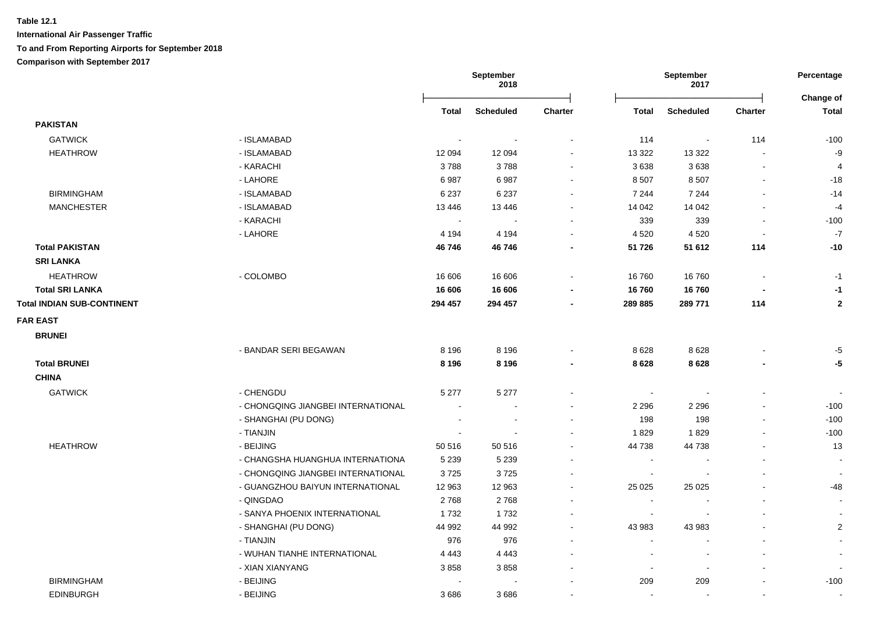|                                   |                                    | September<br>2018 |                  | September<br>2017 |                          |                          | Percentage<br>Change of |                |
|-----------------------------------|------------------------------------|-------------------|------------------|-------------------|--------------------------|--------------------------|-------------------------|----------------|
|                                   |                                    | Total             | <b>Scheduled</b> | Charter           | <b>Total</b>             | Scheduled                | Charter                 | <b>Total</b>   |
| <b>PAKISTAN</b>                   |                                    |                   |                  |                   |                          |                          |                         |                |
| <b>GATWICK</b>                    | - ISLAMABAD                        |                   |                  |                   | 114                      | $\bullet$                | 114                     | $-100$         |
| <b>HEATHROW</b>                   | - ISLAMABAD                        | 12 094            | 12 094           | $\sim$            | 13 3 22                  | 13 3 22                  | $\blacksquare$          | -9             |
|                                   | - KARACHI                          | 3788              | 3788             | $\sim$            | 3638                     | 3638                     | $\sim$                  | $\overline{4}$ |
|                                   | - LAHORE                           | 6987              | 6987             | $\sim$            | 8 5 0 7                  | 8 5 0 7                  | $\sim$                  | $-18$          |
| <b>BIRMINGHAM</b>                 | - ISLAMABAD                        | 6 2 3 7           | 6 2 3 7          |                   | 7 2 4 4                  | 7 2 4 4                  |                         | $-14$          |
| <b>MANCHESTER</b>                 | - ISLAMABAD                        | 13 4 46           | 13 4 46          |                   | 14 042                   | 14 042                   |                         | $-4$           |
|                                   | - KARACHI                          | $\sim$            |                  |                   | 339                      | 339                      |                         | $-100$         |
|                                   | - LAHORE                           | 4 1 9 4           | 4 1 9 4          |                   | 4 5 20                   | 4 5 20                   | $\sim$                  | $-7$           |
| <b>Total PAKISTAN</b>             |                                    | 46746             | 46746            |                   | 51 726                   | 51 612                   | 114                     | $-10$          |
| <b>SRI LANKA</b>                  |                                    |                   |                  |                   |                          |                          |                         |                |
| <b>HEATHROW</b>                   | - COLOMBO                          | 16 606            | 16 606           | $\sim$            | 16 760                   | 16760                    | $\sim$                  | $-1$           |
| <b>Total SRI LANKA</b>            |                                    | 16 606            | 16 606           |                   | 16760                    | 16760                    |                         | $-1$           |
| <b>Total INDIAN SUB-CONTINENT</b> |                                    | 294 457           | 294 457          |                   | 289 885                  | 289 771                  | 114                     | $\overline{2}$ |
| <b>FAR EAST</b>                   |                                    |                   |                  |                   |                          |                          |                         |                |
| <b>BRUNEI</b>                     |                                    |                   |                  |                   |                          |                          |                         |                |
|                                   | - BANDAR SERI BEGAWAN              | 8 1 9 6           | 8 1 9 6          |                   | 8628                     | 8628                     |                         | -5             |
| <b>Total BRUNEI</b>               |                                    | 8 1 9 6           | 8 1 9 6          |                   | 8628                     | 8 6 2 8                  |                         | -5             |
| <b>CHINA</b>                      |                                    |                   |                  |                   |                          |                          |                         |                |
| <b>GATWICK</b>                    | - CHENGDU                          | 5 2 7 7           | 5 2 7 7          |                   | $\sim$                   |                          |                         |                |
|                                   | - CHONGQING JIANGBEI INTERNATIONAL |                   |                  |                   | 2 2 9 6                  | 2 2 9 6                  |                         | $-100$         |
|                                   | - SHANGHAI (PU DONG)               | $\overline{a}$    |                  |                   | 198                      | 198                      |                         | $-100$         |
|                                   | - TIANJIN                          |                   |                  |                   | 1829                     | 1829                     |                         | $-100$         |
| <b>HEATHROW</b>                   | - BEIJING                          | 50 516            | 50 516           |                   | 44 738                   | 44738                    |                         | 13             |
|                                   | - CHANGSHA HUANGHUA INTERNATIONA   | 5 2 3 9           | 5 2 3 9          |                   | $\blacksquare$           |                          |                         | $\sim$         |
|                                   | - CHONGQING JIANGBEI INTERNATIONAL | 3725              | 3725             |                   | $\overline{\phantom{a}}$ |                          |                         | $\sim$         |
|                                   | - GUANGZHOU BAIYUN INTERNATIONAL   | 12 963            | 12 963           | $\sim$            | 25 0 25                  | 25 0 25                  |                         | -48            |
|                                   | - QINGDAO                          | 2768              | 2768             |                   | $\blacksquare$           |                          |                         | $\sim$         |
|                                   | - SANYA PHOENIX INTERNATIONAL      | 1732              | 1732             |                   |                          |                          |                         |                |
|                                   | - SHANGHAI (PU DONG)               | 44 992            | 44 992           |                   | 43 983                   | 43 983                   |                         | $\overline{2}$ |
|                                   | - TIANJIN                          | 976               | 976              |                   | $\overline{a}$           |                          |                         | $\blacksquare$ |
|                                   | - WUHAN TIANHE INTERNATIONAL       | 4 4 4 3           | 4 4 4 3          |                   | $\blacksquare$           | $\overline{\phantom{a}}$ |                         | $\blacksquare$ |
|                                   | - XIAN XIANYANG                    | 3858              | 3858             |                   | $\overline{\phantom{a}}$ | $\overline{\phantom{a}}$ |                         |                |
| <b>BIRMINGHAM</b>                 | - BEIJING                          |                   |                  |                   | 209                      | 209                      |                         | $-100$         |
| <b>EDINBURGH</b>                  | - BEIJING                          | 3686              | 3686             |                   | $\sim$                   |                          |                         | $\blacksquare$ |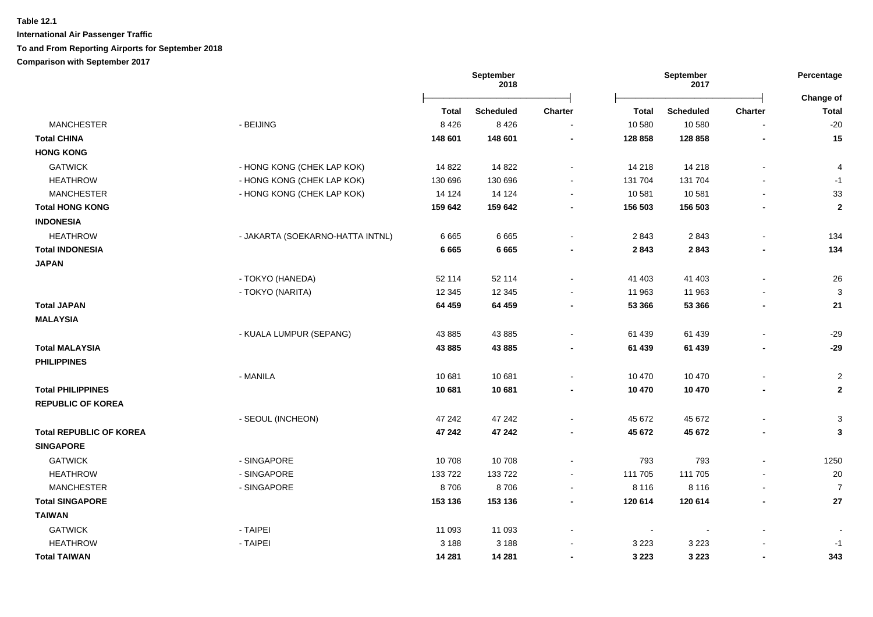|                                |                                  | September<br>2018 |                  | September<br>2017        |                |                  | Percentage<br>Change of  |                         |
|--------------------------------|----------------------------------|-------------------|------------------|--------------------------|----------------|------------------|--------------------------|-------------------------|
|                                |                                  | <b>Total</b>      | <b>Scheduled</b> | Charter                  | <b>Total</b>   | <b>Scheduled</b> | <b>Charter</b>           | <b>Total</b>            |
| <b>MANCHESTER</b>              | - BEIJING                        | 8 4 2 6           | 8 4 2 6          | $\overline{\phantom{a}}$ | 10 580         | 10 580           | $\overline{a}$           | $-20$                   |
| <b>Total CHINA</b>             |                                  | 148 601           | 148 601          |                          | 128 858        | 128 858          | ٠                        | 15                      |
| <b>HONG KONG</b>               |                                  |                   |                  |                          |                |                  |                          |                         |
| <b>GATWICK</b>                 | - HONG KONG (CHEK LAP KOK)       | 14 822            | 14 822           |                          | 14 218         | 14 218           | $\blacksquare$           | 4                       |
| <b>HEATHROW</b>                | - HONG KONG (CHEK LAP KOK)       | 130 696           | 130 696          |                          | 131 704        | 131 704          |                          | $-1$                    |
| <b>MANCHESTER</b>              | - HONG KONG (CHEK LAP KOK)       | 14 124            | 14 124           | $\overline{\phantom{a}}$ | 10 581         | 10 581           |                          | 33                      |
| <b>Total HONG KONG</b>         |                                  | 159 642           | 159 642          |                          | 156 503        | 156 503          |                          | $\boldsymbol{2}$        |
| <b>INDONESIA</b>               |                                  |                   |                  |                          |                |                  |                          |                         |
| <b>HEATHROW</b>                | - JAKARTA (SOEKARNO-HATTA INTNL) | 6 6 6 5           | 6665             |                          | 2843           | 2843             |                          | 134                     |
| <b>Total INDONESIA</b>         |                                  | 6 6 6 5           | 6 6 6 5          |                          | 2843           | 2843             |                          | 134                     |
| <b>JAPAN</b>                   |                                  |                   |                  |                          |                |                  |                          |                         |
|                                | - TOKYO (HANEDA)                 | 52 114            | 52 114           |                          | 41 403         | 41 403           | $\overline{a}$           | 26                      |
|                                | - TOKYO (NARITA)                 | 12 3 45           | 12 3 45          |                          | 11 963         | 11 963           |                          | 3                       |
| <b>Total JAPAN</b>             |                                  | 64 459            | 64 459           | $\blacksquare$           | 53 366         | 53 366           | $\overline{\phantom{a}}$ | 21                      |
| <b>MALAYSIA</b>                |                                  |                   |                  |                          |                |                  |                          |                         |
|                                | - KUALA LUMPUR (SEPANG)          | 43 885            | 43 885           |                          | 61 439         | 61 439           |                          | $-29$                   |
| <b>Total MALAYSIA</b>          |                                  | 43 885            | 43 885           |                          | 61 439         | 61 439           |                          | $-29$                   |
| <b>PHILIPPINES</b>             |                                  |                   |                  |                          |                |                  |                          |                         |
|                                | - MANILA                         | 10 681            | 10 681           |                          | 10 470         | 10 470           | $\blacksquare$           | $\overline{\mathbf{c}}$ |
| <b>Total PHILIPPINES</b>       |                                  | 10 681            | 10 681           |                          | 10 470         | 10 470           |                          | $\mathbf{2}$            |
| <b>REPUBLIC OF KOREA</b>       |                                  |                   |                  |                          |                |                  |                          |                         |
|                                | - SEOUL (INCHEON)                | 47 242            | 47 242           |                          | 45 672         | 45 672           |                          | 3                       |
| <b>Total REPUBLIC OF KOREA</b> |                                  | 47 242            | 47 242           |                          | 45 672         | 45 672           |                          | 3                       |
| <b>SINGAPORE</b>               |                                  |                   |                  |                          |                |                  |                          |                         |
| <b>GATWICK</b>                 | - SINGAPORE                      | 10 708            | 10708            |                          | 793            | 793              | $\blacksquare$           | 1250                    |
| <b>HEATHROW</b>                | - SINGAPORE                      | 133722            | 133722           |                          | 111 705        | 111 705          |                          | 20                      |
| <b>MANCHESTER</b>              | - SINGAPORE                      | 8706              | 8706             |                          | 8 1 1 6        | 8 1 1 6          | $\blacksquare$           | $\overline{7}$          |
| <b>Total SINGAPORE</b>         |                                  | 153 136           | 153 136          |                          | 120 614        | 120 614          | ٠                        | 27                      |
| <b>TAIWAN</b>                  |                                  |                   |                  |                          |                |                  |                          |                         |
| <b>GATWICK</b>                 | - TAIPEI                         | 11 093            | 11 093           |                          | $\blacksquare$ |                  |                          |                         |
| <b>HEATHROW</b>                | - TAIPEI                         | 3 1 8 8           | 3 1 8 8          |                          | 3 2 2 3        | 3 2 2 3          |                          | $-1$                    |
| <b>Total TAIWAN</b>            |                                  | 14 281            | 14 281           |                          | 3 2 2 3        | 3 2 2 3          | $\blacksquare$           | 343                     |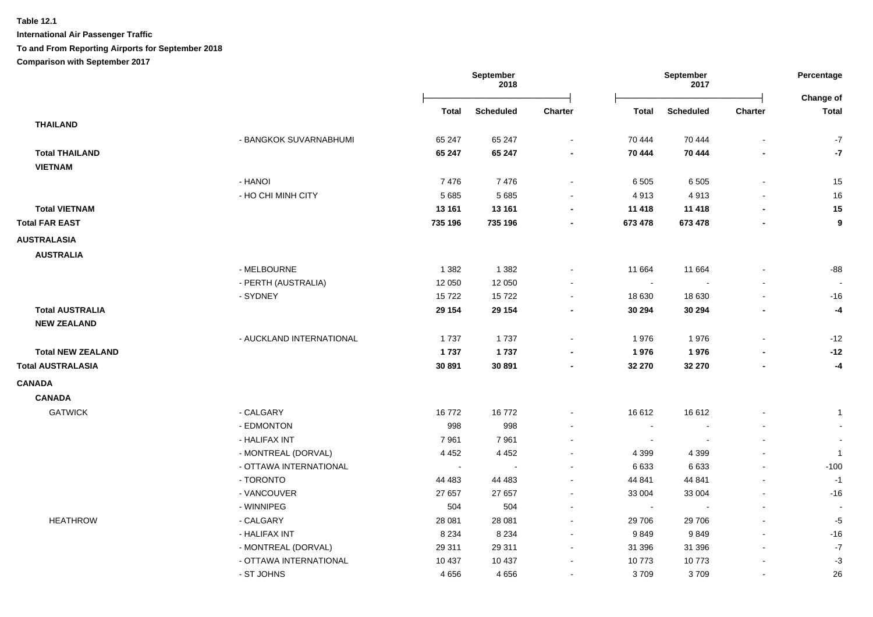**International Air Passenger Traffic**

### **To and From Reporting Airports for September 2018**

**Comparison with September 2017**

|                          |                          |                | September<br>2018 |                | September<br>2017 |                  |                          | Percentage<br>Change of        |
|--------------------------|--------------------------|----------------|-------------------|----------------|-------------------|------------------|--------------------------|--------------------------------|
|                          |                          | <b>Total</b>   | <b>Scheduled</b>  | <b>Charter</b> | <b>Total</b>      | <b>Scheduled</b> | <b>Charter</b>           | Total                          |
| <b>THAILAND</b>          |                          |                |                   |                |                   |                  |                          |                                |
|                          | - BANGKOK SUVARNABHUMI   | 65 247         | 65 247            | $\blacksquare$ | 70 444            | 70 444           |                          | $-7$                           |
| <b>Total THAILAND</b>    |                          | 65 247         | 65 247            | $\blacksquare$ | 70 444            | 70 444           |                          | $-7$                           |
| <b>VIETNAM</b>           |                          |                |                   |                |                   |                  |                          |                                |
|                          | - HANOI                  | 7476           | 7476              | $\blacksquare$ | 6 5 0 5           | 6 5 0 5          | $\blacksquare$           | 15                             |
|                          | - HO CHI MINH CITY       | 5 6 8 5        | 5 6 8 5           |                | 4913              | 4913             |                          | 16                             |
| <b>Total VIETNAM</b>     |                          | 13 161         | 13 161            |                | 11 418            | 11 4 18          |                          | 15                             |
| <b>Total FAR EAST</b>    |                          | 735 196        | 735 196           |                | 673 478           | 673 478          |                          | $\boldsymbol{9}$               |
| <b>AUSTRALASIA</b>       |                          |                |                   |                |                   |                  |                          |                                |
| <b>AUSTRALIA</b>         |                          |                |                   |                |                   |                  |                          |                                |
|                          | - MELBOURNE              | 1 3 8 2        | 1 3 8 2           |                | 11 664            | 11 664           |                          | $-88$                          |
|                          | - PERTH (AUSTRALIA)      | 12 050         | 12 050            |                | $\sim$            |                  |                          |                                |
|                          | - SYDNEY                 | 15722          | 15722             | ÷              | 18 630            | 18 630           |                          | $-16$                          |
| <b>Total AUSTRALIA</b>   |                          | 29 154         | 29 154            | $\blacksquare$ | 30 294            | 30 294           |                          | $-4$                           |
| <b>NEW ZEALAND</b>       |                          |                |                   |                |                   |                  |                          |                                |
|                          | - AUCKLAND INTERNATIONAL | 1737           | 1737              | $\blacksquare$ | 1976              | 1976             |                          | $-12$                          |
| <b>Total NEW ZEALAND</b> |                          | 1737           | 1737              |                | 1976              | 1976             |                          | $-12$                          |
| <b>Total AUSTRALASIA</b> |                          | 30 891         | 30 891            |                | 32 270            | 32 270           |                          | $-4$                           |
| <b>CANADA</b>            |                          |                |                   |                |                   |                  |                          |                                |
| <b>CANADA</b>            |                          |                |                   |                |                   |                  |                          |                                |
| <b>GATWICK</b>           | - CALGARY                |                |                   |                |                   |                  |                          |                                |
|                          | - EDMONTON               | 16772<br>998   | 16772             | $\blacksquare$ | 16 612<br>$\sim$  | 16 612<br>$\sim$ |                          | $\mathbf{1}$<br>$\blacksquare$ |
|                          | - HALIFAX INT            | 7961           | 998<br>7961       |                | $\sim$            |                  |                          | $\blacksquare$                 |
|                          | - MONTREAL (DORVAL)      | 4 4 5 2        | 4 4 5 2           | ۰              | 4 3 9 9           | 4 3 9 9          |                          | $\mathbf{1}$                   |
|                          | - OTTAWA INTERNATIONAL   | $\blacksquare$ | $\blacksquare$    | ä,             | 6 6 3 3           | 6633             | $\blacksquare$           | $-100$                         |
|                          | - TORONTO                | 44 483         | 44 483            | $\blacksquare$ | 44 841            | 44 841           |                          | $-1$                           |
|                          | - VANCOUVER              | 27 657         | 27 657            | $\blacksquare$ | 33 004            | 33 004           | $\sim$                   | $-16$                          |
|                          | - WINNIPEG               | 504            | 504               | $\blacksquare$ | $\sim$            |                  | $\blacksquare$           | $\blacksquare$                 |
| <b>HEATHROW</b>          | - CALGARY                | 28 081         | 28 081            | $\blacksquare$ | 29 706            | 29 706           |                          | $-5$                           |
|                          | - HALIFAX INT            | 8 2 3 4        | 8 2 3 4           | $\blacksquare$ | 9849              | 9849             |                          | $-16$                          |
|                          | - MONTREAL (DORVAL)      | 29 311         | 29 311            | $\blacksquare$ | 31 396            | 31 396           |                          | $-7$                           |
|                          | - OTTAWA INTERNATIONAL   | 10 437         | 10 437            | $\blacksquare$ | 10773             | 10773            |                          | $-3$                           |
|                          | - ST JOHNS               | 4656           | 4656              | ۰              | 3709              | 3709             | $\overline{\phantom{a}}$ | 26                             |
|                          |                          |                |                   |                |                   |                  |                          |                                |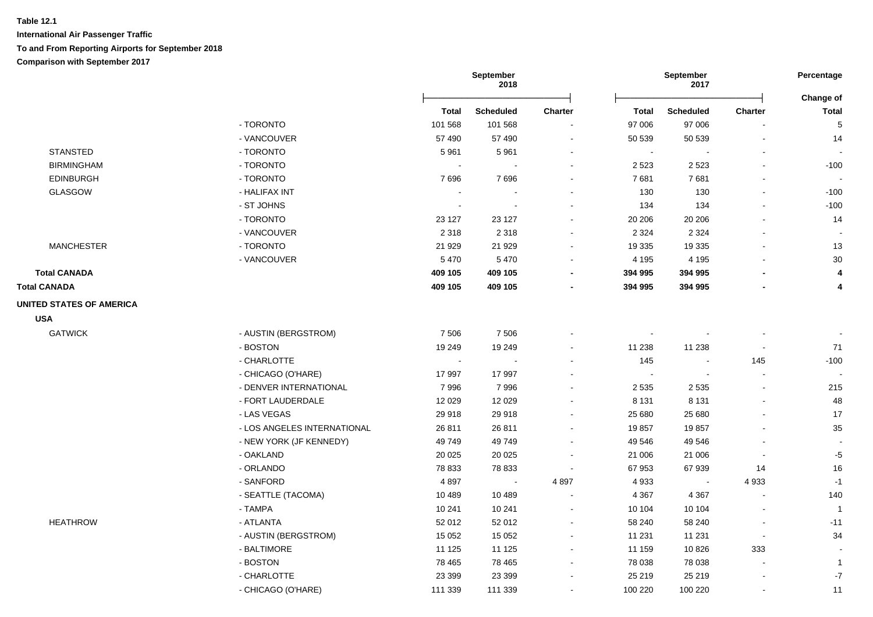|                                 |                             |          | September<br>2018     |                          |         | September<br>2017 |                          | Percentage                |
|---------------------------------|-----------------------------|----------|-----------------------|--------------------------|---------|-------------------|--------------------------|---------------------------|
|                                 |                             | Total    | <b>Scheduled</b>      | <b>Charter</b>           | Total   | <b>Scheduled</b>  | <b>Charter</b>           | Change of<br><b>Total</b> |
|                                 | - TORONTO                   | 101 568  | 101 568               |                          | 97 006  | 97 006            |                          | $\sqrt{5}$                |
|                                 | - VANCOUVER                 | 57 490   | 57 490                | $\overline{a}$           | 50 539  | 50 539            | $\blacksquare$           | 14                        |
| <b>STANSTED</b>                 | - TORONTO                   | 5961     | 5961                  |                          |         |                   |                          |                           |
| <b>BIRMINGHAM</b>               | - TORONTO                   | $\sim$   |                       | $\overline{a}$           | 2 5 2 3 | 2 5 2 3           | $\blacksquare$           | $-100$                    |
| <b>EDINBURGH</b>                | - TORONTO                   | 7696     | 7696                  | ÷,                       | 7681    | 7681              |                          |                           |
| <b>GLASGOW</b>                  | - HALIFAX INT               |          |                       |                          | 130     | 130               | $\sim$                   | $-100$                    |
|                                 | - ST JOHNS                  | $\sim$   |                       |                          | 134     | 134               |                          | $-100$                    |
|                                 | - TORONTO                   | 23 1 27  | 23 1 27               | $\overline{a}$           | 20 20 6 | 20 20 6           |                          | 14                        |
|                                 | - VANCOUVER                 | 2 3 1 8  | 2 3 1 8               | $\overline{a}$           | 2 3 2 4 | 2 3 2 4           |                          |                           |
| <b>MANCHESTER</b>               | - TORONTO                   | 21 9 29  | 21 9 29               | ÷,                       | 19 3 35 | 19 3 35           |                          | 13                        |
|                                 | - VANCOUVER                 | 5 4 7 0  | 5 4 7 0               | ÷,                       | 4 1 9 5 | 4 1 9 5           | $\overline{\phantom{a}}$ | 30                        |
| <b>Total CANADA</b>             |                             | 409 105  | 409 105               | ٠                        | 394 995 | 394 995           |                          | 4                         |
| <b>Total CANADA</b>             |                             | 409 105  | 409 105               | ٠                        | 394 995 | 394 995           |                          | 4                         |
| <b>UNITED STATES OF AMERICA</b> |                             |          |                       |                          |         |                   |                          |                           |
| <b>USA</b>                      |                             |          |                       |                          |         |                   |                          |                           |
| <b>GATWICK</b>                  | - AUSTIN (BERGSTROM)        | 7 5 0 6  | 7 5 0 6               |                          |         |                   |                          |                           |
|                                 | - BOSTON                    | 19 249   | 19 249                | $\overline{a}$           | 11 238  | 11 238            | $\overline{\phantom{a}}$ | 71                        |
|                                 | - CHARLOTTE                 | $\sim$   |                       |                          | 145     |                   | 145                      | $-100$                    |
|                                 | - CHICAGO (O'HARE)          | 17997    | 17 997                |                          | $\sim$  |                   |                          |                           |
|                                 | - DENVER INTERNATIONAL      | 7996     | 7996                  |                          | 2 5 3 5 | 2 5 3 5           | $\blacksquare$           | 215                       |
|                                 | - FORT LAUDERDALE           | 12 0 29  | 12 0 29               |                          | 8 1 3 1 | 8 1 3 1           | $\overline{a}$           | 48                        |
|                                 | - LAS VEGAS                 | 29 918   | 29 918                |                          | 25 680  | 25 680            |                          | 17                        |
|                                 | - LOS ANGELES INTERNATIONAL | 26 811   | 26 811                | $\blacksquare$           | 19857   | 19857             |                          | 35                        |
|                                 | - NEW YORK (JF KENNEDY)     | 49749    | 49 749                | $\overline{\phantom{a}}$ | 49 546  | 49 546            |                          |                           |
|                                 | - OAKLAND                   | 20 0 25  | 20 0 25               |                          | 21 006  | 21 006            | $\overline{\phantom{a}}$ | $-5$                      |
|                                 | - ORLANDO                   | 78 833   | 78 833                |                          | 67 953  | 67939             | 14                       | 16                        |
|                                 | - SANFORD                   | 4897     | $\tilde{\phantom{a}}$ | 4897                     | 4 9 3 3 |                   | 4933                     | $-1$                      |
|                                 | - SEATTLE (TACOMA)          | 10 489   | 10 489                |                          | 4 3 6 7 | 4 3 6 7           | $\blacksquare$           | 140                       |
|                                 | - TAMPA                     | 10 241   | 10 241                | $\blacksquare$           | 10 104  | 10 104            |                          | $\overline{1}$            |
| <b>HEATHROW</b>                 | - ATLANTA                   | 52 012   | 52 012                | $\overline{a}$           | 58 240  | 58 240            | $\blacksquare$           | $-11$                     |
|                                 | - AUSTIN (BERGSTROM)        | 15 0 52  | 15 0 52               |                          | 11 231  | 11 231            | $\blacksquare$           | 34                        |
|                                 | - BALTIMORE                 | 11 1 25  | 11 125                | $\overline{\phantom{a}}$ | 11 159  | 10826             | 333                      |                           |
|                                 | - BOSTON                    | 78 4 65  | 78 4 65               | ÷,                       | 78 038  | 78 038            | $\blacksquare$           | $\overline{1}$            |
|                                 | - CHARLOTTE                 | 23 3 9 9 | 23 3 9 9              | ÷,                       | 25 219  | 25 219            | $\blacksquare$           | $-7$                      |
|                                 | - CHICAGO (O'HARE)          | 111 339  | 111 339               | $\blacksquare$           | 100 220 | 100 220           | $\blacksquare$           | 11                        |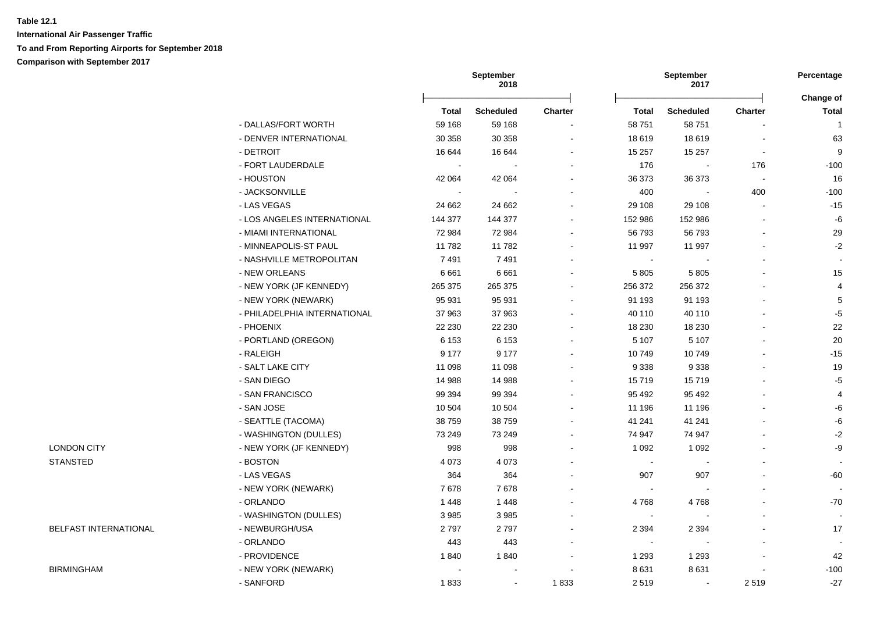**International Air Passenger Traffic To and From Reporting Airports for September 2018 Comparison with September 2017**

|                       |                              |                          | September<br>2018 |                |                | September<br>2017        |                |                          |
|-----------------------|------------------------------|--------------------------|-------------------|----------------|----------------|--------------------------|----------------|--------------------------|
|                       |                              |                          |                   |                |                |                          |                | Change of                |
|                       |                              | <b>Total</b>             | <b>Scheduled</b>  | Charter        | <b>Total</b>   | <b>Scheduled</b>         | <b>Charter</b> | <b>Total</b>             |
|                       | - DALLAS/FORT WORTH          | 59 168                   | 59 168            | $\sim$         | 58 751         | 58 751                   |                | $\overline{1}$           |
|                       | - DENVER INTERNATIONAL       | 30 358                   | 30 358            | $\blacksquare$ | 18 619         | 18619                    | $\overline{a}$ | 63                       |
|                       | - DETROIT                    | 16 644                   | 16 644            | $\blacksquare$ | 15 257         | 15 257                   | $\blacksquare$ | 9                        |
|                       | - FORT LAUDERDALE            | $\sim$                   |                   |                | 176            | $\overline{\phantom{a}}$ | 176            | $-100$                   |
|                       | - HOUSTON                    | 42 064                   | 42 064            |                | 36 373         | 36 373                   | $\sim$         | 16                       |
|                       | - JACKSONVILLE               | $\overline{\phantom{a}}$ |                   |                | 400            |                          | 400            | $-100$                   |
|                       | - LAS VEGAS                  | 24 662                   | 24 662            |                | 29 108         | 29 108                   |                | $-15$                    |
|                       | - LOS ANGELES INTERNATIONAL  | 144 377                  | 144 377           | $\blacksquare$ | 152 986        | 152 986                  |                | -6                       |
|                       | - MIAMI INTERNATIONAL        | 72 984                   | 72 984            | $\blacksquare$ | 56 793         | 56793                    |                | 29                       |
|                       | - MINNEAPOLIS-ST PAUL        | 11782                    | 11782             |                | 11 997         | 11 997                   | $\blacksquare$ | $-2$                     |
|                       | - NASHVILLE METROPOLITAN     | 7491                     | 7491              |                | $\sim$         |                          |                |                          |
|                       | - NEW ORLEANS                | 6661                     | 6661              |                | 5 8 0 5        | 5805                     |                | 15                       |
|                       | - NEW YORK (JF KENNEDY)      | 265 375                  | 265 375           |                | 256 372        | 256 372                  |                | $\overline{4}$           |
|                       | - NEW YORK (NEWARK)          | 95 931                   | 95 931            | ÷              | 91 193         | 91 193                   |                | $\sqrt{5}$               |
|                       | - PHILADELPHIA INTERNATIONAL | 37 963                   | 37 963            |                | 40 110         | 40 110                   |                | $-5$                     |
|                       | - PHOENIX                    | 22 230                   | 22 230            | $\overline{a}$ | 18 230         | 18 2 30                  |                | 22                       |
|                       | - PORTLAND (OREGON)          | 6 1 5 3                  | 6 1 5 3           |                | 5 107          | 5 1 0 7                  |                | 20                       |
|                       | - RALEIGH                    | 9 1 7 7                  | 9 1 7 7           | $\blacksquare$ | 10749          | 10749                    |                | $-15$                    |
|                       | - SALT LAKE CITY             | 11 098                   | 11 098            |                | 9 3 3 8        | 9 3 3 8                  |                | 19                       |
|                       | - SAN DIEGO                  | 14 988                   | 14 988            |                | 15719          | 15719                    |                | $-5$                     |
|                       | - SAN FRANCISCO              | 99 394                   | 99 394            |                | 95 492         | 95 492                   |                | $\overline{4}$           |
|                       | - SAN JOSE                   | 10 504                   | 10 504            | $\blacksquare$ | 11 196         | 11 196                   |                | -6                       |
|                       | - SEATTLE (TACOMA)           | 38 759                   | 38 759            | $\blacksquare$ | 41 241         | 41 241                   |                | -6                       |
|                       | - WASHINGTON (DULLES)        | 73 249                   | 73 249            | $\blacksquare$ | 74 947         | 74 947                   |                | $-2$                     |
| <b>LONDON CITY</b>    | - NEW YORK (JF KENNEDY)      | 998                      | 998               |                | 1 0 9 2        | 1 0 9 2                  |                | -9                       |
| <b>STANSTED</b>       | - BOSTON                     | 4 0 7 3                  | 4 0 7 3           |                | $\blacksquare$ |                          |                | $\overline{\phantom{a}}$ |
|                       | - LAS VEGAS                  | 364                      | 364               |                | 907            | 907                      |                | -60                      |
|                       | - NEW YORK (NEWARK)          | 7678                     | 7678              |                | $\blacksquare$ |                          |                |                          |
|                       | - ORLANDO                    | 1448                     | 1 4 4 8           | ÷.             | 4768           | 4768                     |                | $-70$                    |
|                       | - WASHINGTON (DULLES)        | 3 9 8 5                  | 3985              | ÷              | $\blacksquare$ |                          |                | $\overline{\phantom{a}}$ |
| BELFAST INTERNATIONAL | - NEWBURGH/USA               | 2797                     | 2797              |                | 2 3 9 4        | 2 3 9 4                  |                | 17                       |
|                       | - ORLANDO                    | 443                      | 443               | $\blacksquare$ | $\sim$         |                          |                |                          |
|                       | - PROVIDENCE                 | 1840                     | 1840              | L,             | 1 2 9 3        | 1 2 9 3                  | $\blacksquare$ | 42                       |
| <b>BIRMINGHAM</b>     | - NEW YORK (NEWARK)          |                          | $\blacksquare$    |                | 8631           | 8631                     |                | $-100$                   |
|                       | - SANFORD                    | 1833                     | $\blacksquare$    | 1833           | 2519           | $\blacksquare$           | 2519           | $-27$                    |
|                       |                              |                          |                   |                |                |                          |                |                          |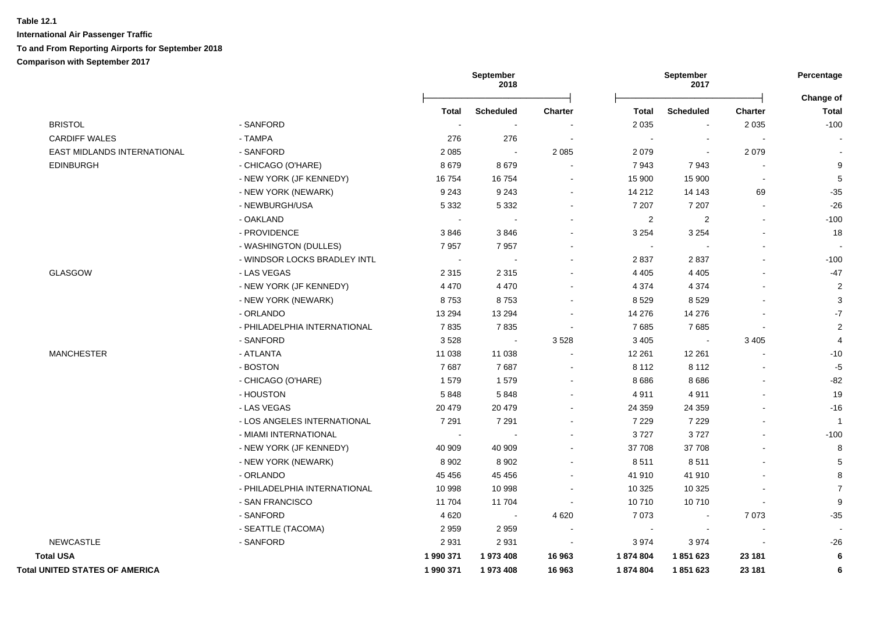|                                       |                              |              | <b>September</b><br>2018 |                          |                | <b>September</b><br>2017 |         | Percentage<br>Change of |
|---------------------------------------|------------------------------|--------------|--------------------------|--------------------------|----------------|--------------------------|---------|-------------------------|
|                                       |                              | <b>Total</b> | <b>Scheduled</b>         | <b>Charter</b>           | <b>Total</b>   | <b>Scheduled</b>         | Charter | <b>Total</b>            |
| <b>BRISTOL</b>                        | - SANFORD                    |              |                          |                          | 2 0 3 5        | $\overline{\phantom{a}}$ | 2 0 3 5 | $-100$                  |
| <b>CARDIFF WALES</b>                  | - TAMPA                      | 276          | 276                      |                          | $\sim$         | $\overline{\phantom{a}}$ |         |                         |
| EAST MIDLANDS INTERNATIONAL           | - SANFORD                    | 2 0 8 5      | $\sim$                   | 2 0 8 5                  | 2 0 7 9        | $\blacksquare$           | 2079    |                         |
| <b>EDINBURGH</b>                      | - CHICAGO (O'HARE)           | 8679         | 8679                     |                          | 7943           | 7943                     |         | 9                       |
|                                       | - NEW YORK (JF KENNEDY)      | 16754        | 16754                    |                          | 15 900         | 15 900                   |         | $\overline{5}$          |
|                                       | - NEW YORK (NEWARK)          | 9 2 4 3      | 9 2 4 3                  |                          | 14 212         | 14 143                   | 69      | $-35$                   |
|                                       | - NEWBURGH/USA               | 5 3 3 2      | 5 3 3 2                  | $\blacksquare$           | 7 207          | 7 2 0 7                  | $\sim$  | $-26$                   |
|                                       | - OAKLAND                    | $\sim$       | $\blacksquare$           |                          | $\overline{c}$ | $\overline{c}$           |         | $-100$                  |
|                                       | - PROVIDENCE                 | 3846         | 3846                     |                          | 3 2 5 4        | 3 2 5 4                  |         | 18                      |
|                                       | - WASHINGTON (DULLES)        | 7957         | 7957                     |                          | $\blacksquare$ |                          |         |                         |
|                                       | - WINDSOR LOCKS BRADLEY INTL |              | $\blacksquare$           |                          | 2837           | 2837                     |         | $-100$                  |
| <b>GLASGOW</b>                        | - LAS VEGAS                  | 2 3 1 5      | 2 3 1 5                  |                          | 4 4 0 5        | 4 4 0 5                  |         | $-47$                   |
|                                       | - NEW YORK (JF KENNEDY)      | 4 4 7 0      | 4 4 7 0                  |                          | 4 3 7 4        | 4 3 7 4                  |         | $\overline{c}$          |
|                                       | - NEW YORK (NEWARK)          | 8753         | 8753                     | $\blacksquare$           | 8529           | 8529                     |         | 3                       |
|                                       | - ORLANDO                    | 13 2 94      | 13 2 94                  |                          | 14 276         | 14 276                   |         | $-7$                    |
|                                       | - PHILADELPHIA INTERNATIONAL | 7835         | 7835                     | $\sim$                   | 7685           | 7685                     |         | $\overline{2}$          |
|                                       | - SANFORD                    | 3528         | $\sim$                   | 3528                     | 3 4 0 5        | $\blacksquare$           | 3 4 0 5 | $\overline{4}$          |
| <b>MANCHESTER</b>                     | - ATLANTA                    | 11 038       | 11 038                   |                          | 12 261         | 12 2 61                  |         | $-10$                   |
|                                       | - BOSTON                     | 7687         | 7687                     | $\overline{\phantom{a}}$ | 8 1 1 2        | 8 1 1 2                  |         | $-5$                    |
|                                       | - CHICAGO (O'HARE)           | 1579         | 1579                     | $\blacksquare$           | 8686           | 8686                     |         | $-82$                   |
|                                       | - HOUSTON                    | 5848         | 5848                     |                          | 4911           | 4911                     |         | 19                      |
|                                       | - LAS VEGAS                  | 20 479       | 20 479                   | $\overline{a}$           | 24 359         | 24 35 9                  |         | $-16$                   |
|                                       | - LOS ANGELES INTERNATIONAL  | 7 2 9 1      | 7 2 9 1                  |                          | 7 2 2 9        | 7 2 2 9                  |         | $\overline{1}$          |
|                                       | - MIAMI INTERNATIONAL        |              | $\overline{\phantom{a}}$ |                          | 3727           | 3727                     |         | $-100$                  |
|                                       | - NEW YORK (JF KENNEDY)      | 40 909       | 40 909                   |                          | 37 708         | 37 708                   |         | 8                       |
|                                       | - NEW YORK (NEWARK)          | 8 9 0 2      | 8902                     |                          | 8511           | 8511                     |         | 5                       |
|                                       | - ORLANDO                    | 45 4 5 6     | 45 4 56                  |                          | 41 910         | 41 910                   |         | 8                       |
|                                       | - PHILADELPHIA INTERNATIONAL | 10 998       | 10 998                   | $\blacksquare$           | 10 3 25        | 10 3 25                  |         | $\overline{7}$          |
|                                       | - SAN FRANCISCO              | 11 704       | 11 704                   | $\sim$                   | 10710          | 10710                    |         | $\boldsymbol{9}$        |
|                                       | - SANFORD                    | 4 6 20       | $\sim$                   | 4 6 20                   | 7 0 7 3        | $\overline{\phantom{a}}$ | 7073    | $-35$                   |
|                                       | - SEATTLE (TACOMA)           | 2959         | 2959                     |                          |                | $\blacksquare$           |         |                         |
| <b>NEWCASTLE</b>                      | - SANFORD                    | 2931         | 2931                     | $\overline{\phantom{a}}$ | 3974           | 3974                     |         | $-26$                   |
| <b>Total USA</b>                      |                              | 1 990 371    | 1973 408                 | 16 963                   | 1874804        | 1851623                  | 23 181  | $6\phantom{1}6$         |
| <b>Total UNITED STATES OF AMERICA</b> |                              | 1 990 371    | 1973 408                 | 16 963                   | 1874804        | 1851623                  | 23 181  | 6                       |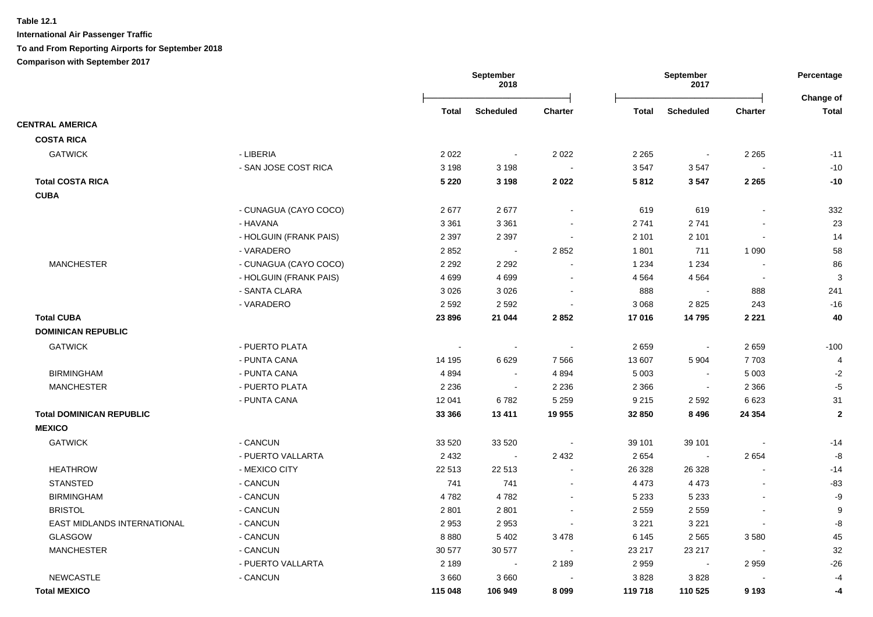|                                 |                        |         | September<br>2018        |                |         | September<br>2017 |                          | Percentage<br>Change of |
|---------------------------------|------------------------|---------|--------------------------|----------------|---------|-------------------|--------------------------|-------------------------|
|                                 |                        | Total   | <b>Scheduled</b>         | <b>Charter</b> | Total   | <b>Scheduled</b>  | <b>Charter</b>           | <b>Total</b>            |
| <b>CENTRAL AMERICA</b>          |                        |         |                          |                |         |                   |                          |                         |
| <b>COSTA RICA</b>               |                        |         |                          |                |         |                   |                          |                         |
| <b>GATWICK</b>                  | - LIBERIA              | 2 0 2 2 |                          | 2 0 2 2        | 2 2 6 5 |                   | 2 2 6 5                  | $-11$                   |
|                                 | - SAN JOSE COST RICA   | 3 1 9 8 | 3 1 9 8                  |                | 3547    | 3547              |                          | $-10$                   |
| <b>Total COSTA RICA</b>         |                        | 5 2 2 0 | 3 1 9 8                  | 2022           | 5812    | 3547              | 2 2 6 5                  | $-10$                   |
| <b>CUBA</b>                     |                        |         |                          |                |         |                   |                          |                         |
|                                 | - CUNAGUA (CAYO COCO)  | 2677    | 2677                     |                | 619     | 619               |                          | 332                     |
|                                 | - HAVANA               | 3 3 6 1 | 3 3 6 1                  | $\blacksquare$ | 2741    | 2741              | $\blacksquare$           | 23                      |
|                                 | - HOLGUIN (FRANK PAIS) | 2 3 9 7 | 2 3 9 7                  | $\blacksquare$ | 2 1 0 1 | 2 1 0 1           | $\blacksquare$           | 14                      |
|                                 | - VARADERO             | 2852    | $\sim$                   | 2 8 5 2        | 1801    | 711               | 1 0 9 0                  | 58                      |
| <b>MANCHESTER</b>               | - CUNAGUA (CAYO COCO)  | 2 2 9 2 | 2 2 9 2                  |                | 1 2 3 4 | 1 2 3 4           | $\overline{\phantom{a}}$ | 86                      |
|                                 | - HOLGUIN (FRANK PAIS) | 4699    | 4699                     | $\sim$         | 4 5 64  | 4 5 6 4           | $\overline{\phantom{a}}$ | 3                       |
|                                 | - SANTA CLARA          | 3 0 2 6 | 3 0 2 6                  |                | 888     |                   | 888                      | 241                     |
|                                 | - VARADERO             | 2 5 9 2 | 2 5 9 2                  |                | 3 0 6 8 | 2825              | 243                      | $-16$                   |
| <b>Total CUBA</b>               |                        | 23 896  | 21 044                   | 2852           | 17016   | 14795             | 2 2 2 1                  | 40                      |
| <b>DOMINICAN REPUBLIC</b>       |                        |         |                          |                |         |                   |                          |                         |
| <b>GATWICK</b>                  | - PUERTO PLATA         |         | $\overline{\phantom{a}}$ |                | 2659    | $\sim$            | 2659                     | $-100$                  |
|                                 | - PUNTA CANA           | 14 195  | 6629                     | 7 5 6 6        | 13 607  | 5 9 0 4           | 7703                     | 4                       |
| <b>BIRMINGHAM</b>               | - PUNTA CANA           | 4894    |                          | 4894           | 5 0 0 3 | $\sim$            | 5 0 0 3                  | $-2$                    |
| <b>MANCHESTER</b>               | - PUERTO PLATA         | 2 2 3 6 | $\sim$                   | 2 2 3 6        | 2 3 6 6 | $\sim$            | 2 3 6 6                  | $-5$                    |
|                                 | - PUNTA CANA           | 12 041  | 6782                     | 5 2 5 9        | 9 2 1 5 | 2 5 9 2           | 6 6 2 3                  | 31                      |
| <b>Total DOMINICAN REPUBLIC</b> |                        | 33 366  | 13 4 11                  | 19 955         | 32 850  | 8496              | 24 3 54                  | $\mathbf{2}$            |
| <b>MEXICO</b>                   |                        |         |                          |                |         |                   |                          |                         |
| <b>GATWICK</b>                  | - CANCUN               | 33 5 20 | 33 5 20                  |                | 39 101  | 39 101            |                          | $-14$                   |
|                                 | - PUERTO VALLARTA      | 2 4 3 2 | $\sim 100$               | 2 4 3 2        | 2 6 5 4 | $\sim$            | 2654                     | -8                      |
| <b>HEATHROW</b>                 | - MEXICO CITY          | 22 513  | 22 513                   | $\blacksquare$ | 26 3 28 | 26 3 28           | $\blacksquare$           | $-14$                   |
| <b>STANSTED</b>                 | - CANCUN               | 741     | 741                      | $\blacksquare$ | 4 4 7 3 | 4 4 7 3           |                          | $-83$                   |
| <b>BIRMINGHAM</b>               | - CANCUN               | 4782    | 4782                     |                | 5 2 3 3 | 5 2 3 3           |                          | -9                      |
| <b>BRISTOL</b>                  | - CANCUN               | 2801    | 2 8 0 1                  |                | 2 5 5 9 | 2 5 5 9           |                          | $\boldsymbol{9}$        |
| EAST MIDLANDS INTERNATIONAL     | - CANCUN               | 2953    | 2953                     |                | 3 2 2 1 | 3 2 2 1           |                          | -8                      |
| <b>GLASGOW</b>                  | - CANCUN               | 8880    | 5 4 0 2                  | 3 4 7 8        | 6 1 4 5 | 2 5 6 5           | 3580                     | 45                      |
| <b>MANCHESTER</b>               | - CANCUN               | 30 577  | 30 577                   |                | 23 217  | 23 217            |                          | 32                      |
|                                 | - PUERTO VALLARTA      | 2 1 8 9 | $\sim$                   | 2 1 8 9        | 2 9 5 9 | $\sim$            | 2959                     | $-26$                   |
| <b>NEWCASTLE</b>                | - CANCUN               | 3660    | 3660                     |                | 3828    | 3828              |                          | $-4$                    |
| <b>Total MEXICO</b>             |                        | 115 048 | 106 949                  | 8 0 9 9        | 119 718 | 110 525           | 9 1 9 3                  | -4                      |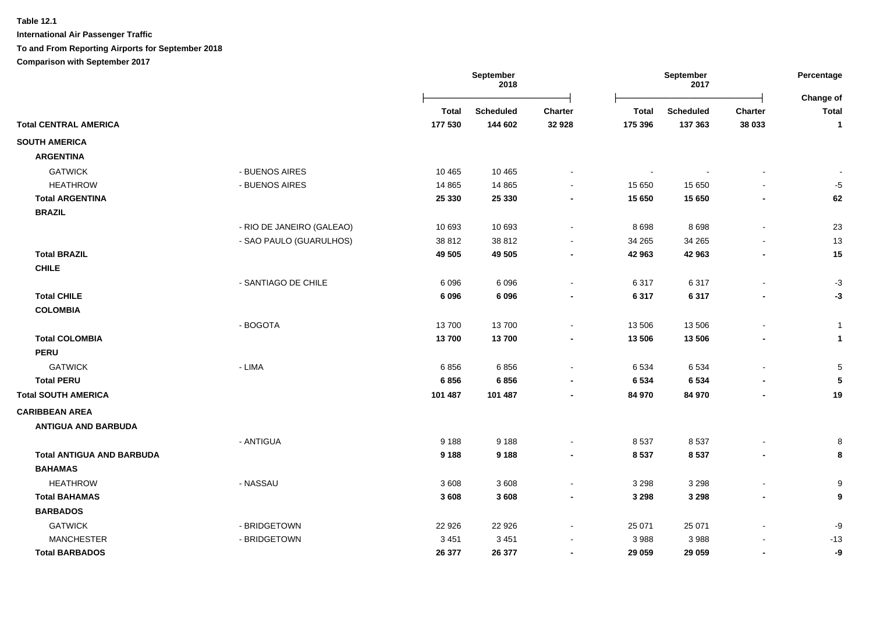|                                  |                              | September<br>2018 |                    | September<br>2017 |                   |                   | Percentage<br>Change of |                |
|----------------------------------|------------------------------|-------------------|--------------------|-------------------|-------------------|-------------------|-------------------------|----------------|
|                                  |                              | <b>Total</b>      | <b>Scheduled</b>   | Charter           | <b>Total</b>      | <b>Scheduled</b>  | <b>Charter</b>          | <b>Total</b>   |
| <b>Total CENTRAL AMERICA</b>     |                              | 177 530           | 144 602            | 32 928            | 175 396           | 137 363           | 38 033                  | $\mathbf{1}$   |
| <b>SOUTH AMERICA</b>             |                              |                   |                    |                   |                   |                   |                         |                |
| <b>ARGENTINA</b>                 |                              |                   |                    |                   |                   |                   |                         |                |
| <b>GATWICK</b>                   | - BUENOS AIRES               | 10 4 65           | 10 4 65            |                   | $\sim$            |                   |                         | $\blacksquare$ |
| <b>HEATHROW</b>                  | - BUENOS AIRES               | 14 8 65           | 14 8 65            |                   | 15 650            | 15 650            |                         | $-5$           |
| <b>Total ARGENTINA</b>           |                              | 25 330            | 25 330             |                   | 15 650            | 15 650            |                         | 62             |
| <b>BRAZIL</b>                    |                              |                   |                    |                   |                   |                   |                         |                |
|                                  | - RIO DE JANEIRO (GALEAO)    | 10 693            | 10 693             |                   | 8698              | 8698              |                         | 23             |
|                                  | - SAO PAULO (GUARULHOS)      | 38812             | 38 812             |                   | 34 265            | 34 265            |                         | 13             |
| <b>Total BRAZIL</b>              |                              | 49 505            | 49 505             |                   | 42 963            | 42 963            |                         | 15             |
| <b>CHILE</b>                     |                              |                   |                    |                   |                   |                   |                         |                |
|                                  | - SANTIAGO DE CHILE          | 6 0 9 6           | 6 0 9 6            |                   | 6317              | 6317              |                         | $-3$           |
| <b>Total CHILE</b>               |                              | 6096              | 6 0 9 6            |                   | 6 3 1 7           | 6317              |                         | -3             |
| <b>COLOMBIA</b>                  |                              |                   |                    |                   |                   |                   |                         |                |
|                                  | - BOGOTA                     | 13700             | 13700              |                   | 13 506            | 13 506            |                         | $\overline{1}$ |
| <b>Total COLOMBIA</b>            |                              | 13700             | 13700              |                   | 13 506            | 13 506            |                         | $\mathbf{1}$   |
| <b>PERU</b>                      |                              |                   |                    |                   |                   |                   |                         |                |
| <b>GATWICK</b>                   | - LIMA                       | 6856              | 6856               |                   | 6 5 3 4           | 6534              |                         | 5              |
| <b>Total PERU</b>                |                              | 6856              | 6856               |                   | 6 5 3 4           | 6 5 3 4           |                         | 5              |
| <b>Total SOUTH AMERICA</b>       |                              | 101 487           | 101 487            |                   | 84 970            | 84 970            |                         | 19             |
| <b>CARIBBEAN AREA</b>            |                              |                   |                    |                   |                   |                   |                         |                |
| <b>ANTIGUA AND BARBUDA</b>       |                              |                   |                    |                   |                   |                   |                         |                |
|                                  | - ANTIGUA                    | 9 1 8 8           | 9 1 8 8            |                   | 8537              | 8537              |                         | 8              |
| <b>Total ANTIGUA AND BARBUDA</b> |                              | 9 1 8 8           | 9 1 8 8            | $\blacksquare$    | 8537              | 8537              |                         | 8              |
| <b>BAHAMAS</b>                   |                              |                   |                    |                   |                   |                   |                         |                |
| <b>HEATHROW</b>                  | - NASSAU                     | 3608              | 3608               |                   | 3 2 9 8           | 3 2 9 8           |                         | 9              |
| <b>Total BAHAMAS</b>             |                              | 3 6 0 8           | 3 6 0 8            |                   | 3 2 9 8           | 3 2 9 8           |                         | 9              |
| <b>BARBADOS</b>                  |                              |                   |                    |                   |                   |                   |                         |                |
| <b>GATWICK</b>                   |                              |                   |                    |                   |                   |                   |                         |                |
| <b>MANCHESTER</b>                | - BRIDGETOWN<br>- BRIDGETOWN | 22 9 26           | 22 9 26<br>3 4 5 1 |                   | 25 071            | 25 071<br>3 9 8 8 |                         | -9             |
| <b>Total BARBADOS</b>            |                              | 3 4 5 1           |                    | $\blacksquare$    | 3 9 8 8<br>29 059 |                   |                         | $-13$          |
|                                  |                              | 26 377            | 26 377             |                   |                   | 29 059            |                         | -9             |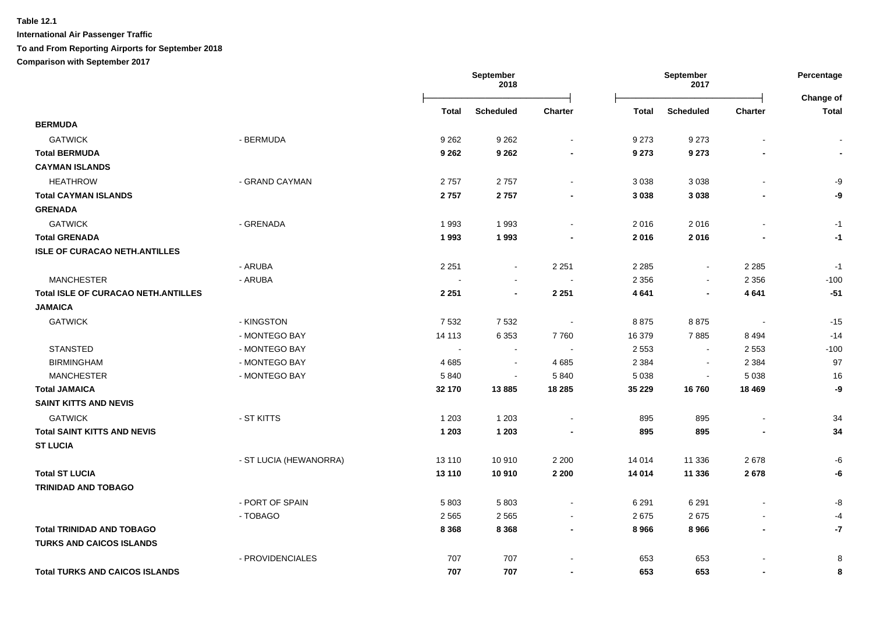|                                            |                        |              | September<br>2018 |                | September<br>2017 |                  | Percentage               |                    |
|--------------------------------------------|------------------------|--------------|-------------------|----------------|-------------------|------------------|--------------------------|--------------------|
|                                            |                        | <b>Total</b> | <b>Scheduled</b>  | <b>Charter</b> | <b>Total</b>      | <b>Scheduled</b> | Charter                  | Change of<br>Total |
| <b>BERMUDA</b>                             |                        |              |                   |                |                   |                  |                          |                    |
| <b>GATWICK</b>                             | - BERMUDA              | 9 2 6 2      | 9 2 6 2           |                | 9 2 7 3           | 9 2 7 3          |                          |                    |
| <b>Total BERMUDA</b>                       |                        | 9 2 6 2      | 9 2 6 2           |                | 9 2 7 3           | 9 2 7 3          |                          |                    |
| <b>CAYMAN ISLANDS</b>                      |                        |              |                   |                |                   |                  |                          |                    |
| <b>HEATHROW</b>                            | - GRAND CAYMAN         | 2757         | 2757              | $\blacksquare$ | 3 0 38            | 3 0 38           |                          | -9                 |
| <b>Total CAYMAN ISLANDS</b>                |                        | 2757         | 2757              |                | 3 0 38            | 3 0 3 8          |                          | -9                 |
| <b>GRENADA</b>                             |                        |              |                   |                |                   |                  |                          |                    |
| <b>GATWICK</b>                             | - GRENADA              | 1993         | 1993              | $\blacksquare$ | 2016              | 2016             |                          | $-1$               |
| <b>Total GRENADA</b>                       |                        | 1993         | 1993              |                | 2016              | 2016             |                          | $-1$               |
| <b>ISLE OF CURACAO NETH.ANTILLES</b>       |                        |              |                   |                |                   |                  |                          |                    |
|                                            | - ARUBA                | 2 2 5 1      | $\blacksquare$    | 2 2 5 1        | 2 2 8 5           | $\blacksquare$   | 2 2 8 5                  | $-1$               |
| <b>MANCHESTER</b>                          | - ARUBA                |              | $\blacksquare$    | $\sim$         | 2 3 5 6           | $\blacksquare$   | 2 3 5 6                  | $-100$             |
| <b>Total ISLE OF CURACAO NETH.ANTILLES</b> |                        | 2 2 5 1      | $\blacksquare$    | 2 2 5 1        | 4 6 4 1           | $\blacksquare$   | 4641                     | $-51$              |
| <b>JAMAICA</b>                             |                        |              |                   |                |                   |                  |                          |                    |
| <b>GATWICK</b>                             | - KINGSTON             | 7 5 3 2      | 7532              |                | 8875              | 8875             | $\overline{\phantom{a}}$ | $-15$              |
|                                            | - MONTEGO BAY          | 14 113       | 6 3 5 3           | 7760           | 16 379            | 7885             | 8494                     | $-14$              |
| <b>STANSTED</b>                            | - MONTEGO BAY          | $\sim$       |                   |                | 2 5 5 3           | $\sim$           | 2 5 5 3                  | $-100$             |
| <b>BIRMINGHAM</b>                          | - MONTEGO BAY          | 4685         | $\blacksquare$    | 4 6 8 5        | 2 3 8 4           | $\blacksquare$   | 2 3 8 4                  | 97                 |
| <b>MANCHESTER</b>                          | - MONTEGO BAY          | 5840         | $\blacksquare$    | 5 8 4 0        | 5 0 38            | $\blacksquare$   | 5 0 38                   | 16                 |
| <b>Total JAMAICA</b>                       |                        | 32 170       | 13885             | 18 285         | 35 229            | 16760            | 18 4 69                  | -9                 |
| <b>SAINT KITTS AND NEVIS</b>               |                        |              |                   |                |                   |                  |                          |                    |
| <b>GATWICK</b>                             | - ST KITTS             | 1 2 0 3      | 1 2 0 3           |                | 895               | 895              |                          | 34                 |
| <b>Total SAINT KITTS AND NEVIS</b>         |                        | 1 2 0 3      | 1 2 0 3           |                | 895               | 895              |                          | 34                 |
| <b>ST LUCIA</b>                            |                        |              |                   |                |                   |                  |                          |                    |
|                                            | - ST LUCIA (HEWANORRA) | 13 110       | 10910             | 2 2 0 0        | 14 014            | 11 336           | 2678                     | -6                 |
| <b>Total ST LUCIA</b>                      |                        | 13 110       | 10 910            | 2 2 0 0        | 14 014            | 11 336           | 2678                     | -6                 |
| <b>TRINIDAD AND TOBAGO</b>                 |                        |              |                   |                |                   |                  |                          |                    |
|                                            | - PORT OF SPAIN        | 5803         | 5803              | $\blacksquare$ | 6 2 9 1           | 6 2 9 1          | $\blacksquare$           | -8                 |
|                                            | - TOBAGO               | 2 5 6 5      | 2565              | $\blacksquare$ | 2675              | 2675             |                          | -4                 |
| <b>Total TRINIDAD AND TOBAGO</b>           |                        | 8 3 6 8      | 8 3 6 8           | $\blacksquare$ | 8 9 6 6           | 8966             | $\overline{\phantom{a}}$ | $-7$               |
| <b>TURKS AND CAICOS ISLANDS</b>            |                        |              |                   |                |                   |                  |                          |                    |
|                                            | - PROVIDENCIALES       | 707          | 707               |                | 653               | 653              |                          | 8                  |
| <b>Total TURKS AND CAICOS ISLANDS</b>      |                        | 707          | 707               | $\blacksquare$ | 653               | 653              |                          | 8                  |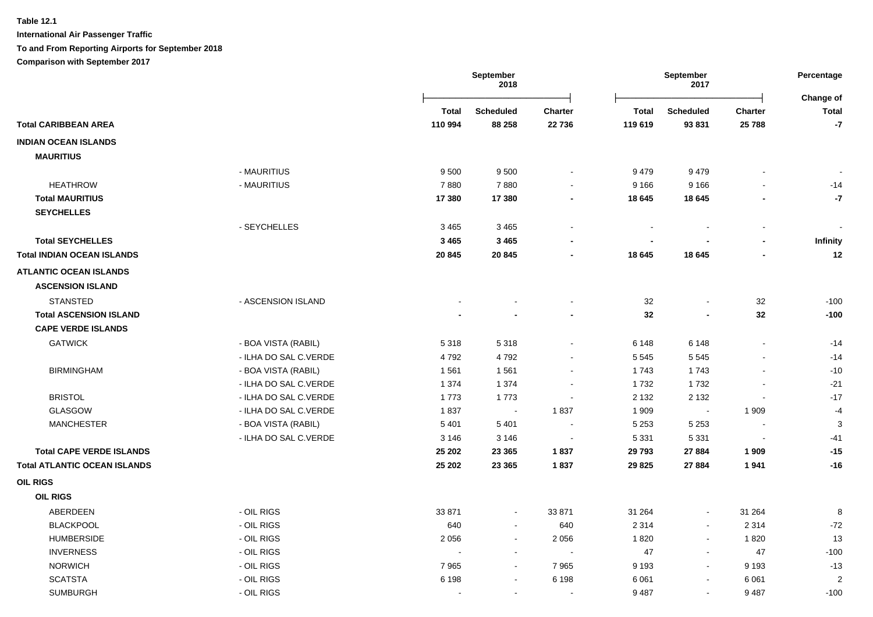**International Air Passenger Traffic**

**To and From Reporting Airports for September 2018**

**Comparison with September 2017**

|                                          |              | <b>September</b><br>2018    |                |                | September<br>2017        |                |                           |
|------------------------------------------|--------------|-----------------------------|----------------|----------------|--------------------------|----------------|---------------------------|
|                                          | <b>Total</b> | <b>Scheduled</b>            | <b>Charter</b> | <b>Total</b>   | <b>Scheduled</b>         | <b>Charter</b> | Change of<br><b>Total</b> |
| <b>Total CARIBBEAN AREA</b>              | 110 994      | 88 258                      | 22 736         | 119 619        | 93 831                   | 25 788         | $\textbf{-7}$             |
| <b>INDIAN OCEAN ISLANDS</b>              |              |                             |                |                |                          |                |                           |
| <b>MAURITIUS</b>                         |              |                             |                |                |                          |                |                           |
| - MAURITIUS                              | 9500         | 9500                        |                | 9479           | 9479                     |                |                           |
| <b>HEATHROW</b><br>- MAURITIUS           | 7880         | 7880                        | $\sim$         | 9 1 6 6        | 9 1 6 6                  |                | $-14$                     |
| <b>Total MAURITIUS</b>                   | 17 380       | 17 380                      | $\blacksquare$ | 18 645         | 18 645                   |                | $-7$                      |
| <b>SEYCHELLES</b>                        |              |                             |                |                |                          |                |                           |
| - SEYCHELLES                             | 3 4 6 5      | 3465                        |                |                |                          |                |                           |
| <b>Total SEYCHELLES</b>                  | 3 4 6 5      | 3 4 6 5                     |                | $\blacksquare$ |                          |                | Infinity                  |
| <b>Total INDIAN OCEAN ISLANDS</b>        | 20 845       | 20 845                      |                | 18 645         | 18 645                   |                | 12                        |
| <b>ATLANTIC OCEAN ISLANDS</b>            |              |                             |                |                |                          |                |                           |
| <b>ASCENSION ISLAND</b>                  |              |                             |                |                |                          |                |                           |
| <b>STANSTED</b><br>- ASCENSION ISLAND    |              |                             |                | 32             |                          | 32             | $-100$                    |
| <b>Total ASCENSION ISLAND</b>            |              |                             |                | 32             |                          | 32             | $-100$                    |
| <b>CAPE VERDE ISLANDS</b>                |              |                             |                |                |                          |                |                           |
| <b>GATWICK</b><br>- BOA VISTA (RABIL)    | 5318         | 5318                        | $\sim$         | 6 1 4 8        | 6 1 4 8                  | $\sim$         | $-14$                     |
| - ILHA DO SAL C.VERDE                    | 4792         | 4792                        |                | 5 5 4 5        | 5 5 4 5                  |                | $-14$                     |
| <b>BIRMINGHAM</b><br>- BOA VISTA (RABIL) | 1561         | 1561                        |                | 1743           | 1743                     |                | $-10$                     |
| - ILHA DO SAL C.VERDE                    | 1 3 7 4      | 1 3 7 4                     |                | 1732           | 1732                     |                | $-21$                     |
| <b>BRISTOL</b><br>- ILHA DO SAL C.VERDE  | 1773         | 1773                        | $\sim$         | 2 1 3 2        | 2 1 3 2                  | $\sim$         | $-17$                     |
| <b>GLASGOW</b><br>- ILHA DO SAL C.VERDE  | 1837         | $\mathcal{L}_{\mathcal{A}}$ | 1837           | 1 909          | $\blacksquare$           | 1 9 0 9        | $-4$                      |
| <b>MANCHESTER</b><br>- BOA VISTA (RABIL) | 5 4 0 1      | 5 4 0 1                     | $\sim$         | 5 2 5 3        | 5 2 5 3                  | $\blacksquare$ | 3                         |
| - ILHA DO SAL C.VERDE                    | 3 1 4 6      | 3 1 4 6                     | $\sim$         | 5 3 3 1        | 5 3 3 1                  | $\sim$         | $-41$                     |
| <b>Total CAPE VERDE ISLANDS</b>          | 25 202       | 23 3 65                     | 1837           | 29 793         | 27 884                   | 1 9 0 9        | $-15$                     |
| <b>Total ATLANTIC OCEAN ISLANDS</b>      | 25 202       | 23 3 65                     | 1837           | 29 8 25        | 27 884                   | 1941           | $-16$                     |
| <b>OIL RIGS</b>                          |              |                             |                |                |                          |                |                           |
| <b>OIL RIGS</b>                          |              |                             |                |                |                          |                |                           |
| ABERDEEN<br>- OIL RIGS                   | 33 871       | $\sim$                      | 33 871         | 31 264         | $\sim$                   | 31 264         | 8                         |
| <b>BLACKPOOL</b><br>- OIL RIGS           | 640          | $\sim$                      | 640            | 2 3 1 4        | $\sim$                   | 2 3 1 4        | $-72$                     |
| - OIL RIGS<br><b>HUMBERSIDE</b>          | 2 0 5 6      | $\sim$                      | 2 0 5 6        | 1820           | $\sim$                   | 1820           | 13                        |
| <b>INVERNESS</b><br>- OIL RIGS           |              | $\sim$                      | $\sim$         | 47             | $\sim$                   | 47             | $-100$                    |
| <b>NORWICH</b><br>- OIL RIGS             | 7965         | $\sim$                      | 7965           | 9 1 9 3        | $\sim$                   | 9 1 9 3        | $-13$                     |
| - OIL RIGS<br><b>SCATSTA</b>             | 6 1 9 8      |                             | 6 1 9 8        | 6 0 61         | $\overline{\phantom{a}}$ | 6 0 61         | $\overline{2}$            |
| <b>SUMBURGH</b><br>- OIL RIGS            |              | $\sim$                      | $\sim$         | 9 4 8 7        | $\sim$                   | 9487           | $-100$                    |